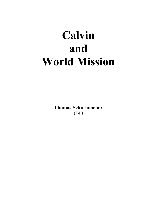# Calvin and World Mission

Thomas Schirrmacher (Ed.)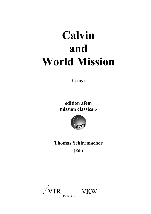# Calvin and World Mission

Essays

edition afem mission classics 6



Thomas Schirrmacher (Ed.)

**VTR**  VKWPublications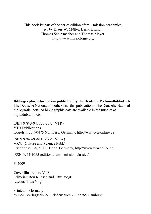This book ist part of the series edition afem – mission academics, ed. by Klaus W. Müller, Bernd Brandl, Thomas Schirrmacher and Thomas Mayer. http://www.missiologie.org

Bibliographic information published by the Deutsche Nationalbibliothek The Deutsche Nationalbibliothek lists this publication in the Deutsche Nationalbibliografie; detailed bibliographic data are available in the Internet at http://dnb.d-nb.de.

ISBN 978-3-941750-20-3 (VTR) VTR Publications Gogolstr. 33, 90475 Nürnberg, Germany, http://www.vtr-online.de

ISBN 978-3-938116-84-5 (VKW) VKW (Culture and Science Publ.) Friedrichstr. 38, 53111 Bonn, Germany, http://www.vkwonline.de

ISSN 0944-1085 (edition afem – mission classics)

© 2009

Cover Illustration: VTR Editorial: Ron Kubsch and Titus Vogt Layout: Titus Vogt

Printed in Germany by BoD Verlagsservice, Friedensallee 76, 22765 Hamburg.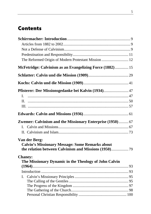# Contents

| The Reformed Origin of Modern Protestant Mission  12                                                                          |    |
|-------------------------------------------------------------------------------------------------------------------------------|----|
| McFetridge: Calvinism as an Evangelizing Force (1882) 15                                                                      |    |
|                                                                                                                               |    |
|                                                                                                                               |    |
|                                                                                                                               |    |
|                                                                                                                               |    |
|                                                                                                                               |    |
|                                                                                                                               |    |
|                                                                                                                               |    |
| <b>Zwemer: Calvinism and the Missionary Enterprise (1950)</b> 67                                                              |    |
|                                                                                                                               |    |
|                                                                                                                               |    |
| Van der Berg:<br><b>Calvin's Missionary Message: Some Remarks about</b><br>the relation between Calvinism and Missions (1950) | 79 |
| <b>Chaney:</b>                                                                                                                |    |
| The Missionary Dynamic in the Theology of John Calvin                                                                         |    |
|                                                                                                                               |    |
|                                                                                                                               | 93 |
| I.                                                                                                                            |    |
|                                                                                                                               |    |
|                                                                                                                               |    |
|                                                                                                                               |    |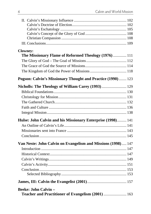| <b>Clowney:</b>                                                     |  |
|---------------------------------------------------------------------|--|
| The Missionary Flame of Reformed Theology (1976)  111               |  |
|                                                                     |  |
|                                                                     |  |
|                                                                     |  |
| <b>Pogson: Calvin's Missionary Thought and Practice (1990)  123</b> |  |
|                                                                     |  |
|                                                                     |  |
|                                                                     |  |
|                                                                     |  |
|                                                                     |  |
|                                                                     |  |
| Hulse: John Calvin and his Missionary Enterprise (1998) 141         |  |
|                                                                     |  |
|                                                                     |  |
|                                                                     |  |
| <b>Van Neste: John Calvin on Evangelism and Missions (1998) 147</b> |  |
|                                                                     |  |
|                                                                     |  |
|                                                                     |  |
|                                                                     |  |
|                                                                     |  |
|                                                                     |  |
|                                                                     |  |
| <b>Beeke: John Calvin –</b>                                         |  |
|                                                                     |  |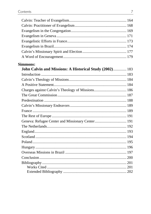| Simmons:                                                       |  |
|----------------------------------------------------------------|--|
| <b>John Calvin and Missions: A Historical Study (2002) 183</b> |  |
|                                                                |  |
|                                                                |  |
|                                                                |  |
|                                                                |  |
|                                                                |  |
|                                                                |  |
|                                                                |  |
|                                                                |  |
|                                                                |  |
|                                                                |  |
|                                                                |  |
|                                                                |  |
|                                                                |  |
|                                                                |  |
|                                                                |  |
|                                                                |  |
|                                                                |  |
|                                                                |  |
|                                                                |  |
|                                                                |  |
|                                                                |  |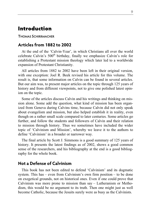## Introduction

**THOMAS SCHIRRMACHER**

#### **Articles from 1882 to 2002**

At the end of the 'Calvin-Year', in which Christians all over the world celebrate Calvin's 500<sup>th</sup> birthday, finally we emphasize Calvin's role for establishing a Protestant mission theology which later led to a worldwide expansion of Protestant Christianity.

All articles from 1882 to 2002 have been left in their original version, with one exception: Joel R. Beek revised his article for this volume. The result is, that some information on Calvin can be found in several articles. But our aim was, to present major articles on the topic through 125 years of history and from different viewpoints, not to give one polished latest opinion on the topic.

Some of the articles discuss Calvin and his writings and thinking on mission alone. Some add the question, what kind of mission has been organized from Geneva during Calvins time, because Calvin did not only speak about evangelism and mission, but also helped establish it in reality, even though on a rather small scale compared to later centuries. Some articles go further, and follow the students and followers of Calvin and their relation to mission through history. Thus we sometimes have included the wider topic of 'Calvinism and Mission', whereby we leave it to the authors to define 'Calvinism' in a broader or narrower way.

The final article by Scott J. Simmons is a good summary of 125 years of history. It presents the latest findings as of 2002, shows a good common sense of the researchers, and his bibliography at the end is a good bibliography for the whole book.

#### **Not a Defense of Calvinism**

This book has not been edited to defend 'Calvinism' and its dogmatic system. This has – even from Calvinism's own firm position – to be done on exegetical grounds, not on historical ones. Even if one could prove that Calvinism was more prone to mission than say – Lutheranism or Methodism, this would be no argument to its truth. Then one might just as well become Catholic, because the Jesuits surely were as busy as the Calvinists.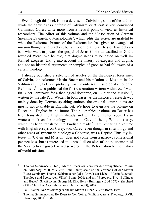Even though this book is not a defense of Calvinism, some of the authors wrote their articles as a defense of Calvinism, or at least as very convinced Calvinists. Others write more from a neutral point of view as historical researchers. The editor of this volume and the 'Association of German Speaking Evangelical Missiologists', which edits the series, are grateful to what the Reformed branch of the Reformation has given to evangelical mission thought and practice, but are open to all branches of Evangelicalism who want to preach the gospel of Jesus Christ as testified in God's revealed Word. We believe, that dogma needs to be based on well informed exegesis, taking into account the history of exegesis and dogma, and not on historical arguments or samples of good or bad followers of a certain theology.

I already published a selection of articles on the theological forerunner of Calvin, the reformer Martin Bucer and his relation to Mission in the 'edition afem', as Bucer probably was the only real missiologist among the Reformers.<sup>1</sup> I also published the first dissertation written within our 'Martin Bucer Seminary' for a theological doctorate, on 'Luther and Mission'<sup>2</sup>, written by the late Paul Wetter. In both cases, as the historical research was mainly done by German speaking authors, the original contributions are mostly not available in English, yet. We hope to translate the volume on Bucer into English in the future. The biographical volume on Bucer has been translated into English already and will be published soon. I also wrote a book on the theology of one of Calvin's heirs, William Carey, which has been translated into English already.<sup>3</sup> I am preparing a volume with English essays on Carey, too. Carey, even though in soteriology and other areas of systematic theology a Calvinist, was a Baptist. Thus my interest in 'Calvin and Mission' does not come from a narrow, confessional perspectives, but is interested in a broad discussion of the relationship of the 'evangelical' gospel as rediscovered in the Reformation to the history of world mission.

<sup>1</sup> Thomas Schirrmacher (ed.). Martin Bucer als Vorreiter der evangelischen Mission. Nürnberg: VTR & VKW: Bonn, 2006; see also the yearbook of our Martin Bucer Seminary: Thomas Schirrmacher (ed.). Anwalt der Liebe – Martin Bucer als Theologe und Seelsorger. VKW: Bonn, 2001; and my "Foreword Two: Bullinger and Bucer". S. xiii-xx in: George M. Ella. Henry Bullinger (1504-1575): Shepherd of the Churches. GO Publications: Durham (GB), 2007.

<sup>2</sup> Paul Wetter. Der Missionsgedanke bei Martin Luther. VKW: Bonn, 1996.

<sup>3</sup> Thomas Schirrmacher. Be Keen to Get Going: William Careys Theology. RVB: Hamburg,  $2001^1$ ;  $2008^2$ .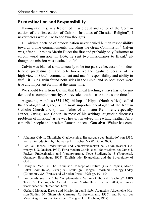### **Predestination and Responsibility**

Having said this, as a Reformed missiologist and editor of the German edition of the first edition of Calvins 'Institutes of Christian Religion'<sup>4</sup>, I nevertheless would like to add two thoughts.

1. Calvin's doctrine of predestination never denied human responsibility towards divine commandments, including the Great Commission.<sup>5</sup> Calvin was, after all, besides Martin Bucer the first and probably only Reformer to enjoin world mission. In 1556, he sent two missionaries to Brazil, $6$  although the mission was destined to fail.

Calvin was blamed simultaneously to be too passive because of his doctrine of predestination, and to be too active and legalistic, because of his high view of God's commandment and man's responsibility and ability to fulfill it. But Calvin found both sides in the Bible, and so both sides were true and important for him at the same time.

We should learn from Calvin, that Biblical teaching always has to be understood as complementarity. All revealed truth is true at the same time.<sup>7</sup>

Augustine, Aurelius (354-430), bishop of Hippo (North Africa), called the theologian of grace, is the most important theologian of the Roman Catholic Church and spiritual father of all major Reformers, especially Luther, Zwingli and Calvin. In most of his writings Augustine discusses problems of mission,<sup>8</sup> as he was heavily involved in reaching heathen African tribal people and heathen Roman citizens. Gonsalvus Walter has com-

<sup>4</sup> Johannes Calvin. Christliche Glaubenslehre: Erstausgabe der 'Institutio' von 1536. with an introduction by Thomas Schirrmacher. VKW: Bonn, 2008.

<sup>5</sup> See Paul Jacobs, Prädestination und Verantwortlichkeit bei Calvin (Kassel, Germany: J. G. Oncken, 1937). For a modern Calvinist call for missions, see James I. Packer, Prädestination und Verantwortung, Neue Studienreihe 5 (Wuppertal, Germany: Brockhaus, 1964) [English title: Evangelism and the Sovereignty of God].

<sup>6</sup> Henry R. Van Til, The Calvinistic Concept of Culture (Grand Rapids, Mich.: Baker Book House, 1959) p. 93; Louis Igou Hodges, Reformed Theology Today (Columbus, GA: Brentwood Christian Press, 1995) pp. 101-104.

<sup>7</sup> For details see my "The Complementary Nature of Biblical Teaching", MBS Texte 29 (Theologische Akzente). Bonn: Martin Bucer Seminar, 2004, see under www.bucer.eu/international.html.

<sup>8</sup> Gerhard Metzger, Kirche und Mission in den Briefen Augustins, Allgemeine Mission-Studien 20 (Gütersloh, Germany: C. Bertelsmann, 1936); and F. van der Meer, Augustinus der Seelsorger (Cologne: J. P. Bachem, 1958).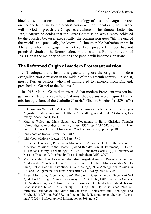bined those quotations to a full-orbed theology of mission.<sup>9</sup> Augustine reconciled the belief in double predestination with an urgent call, that it is the will of God to preach the Gospel everywhere. In his famous Letter No. 199,<sup>10</sup> Augustine denies that the Great Commission was already achieved by the apostles because, exegetically, the commission goes "till the end of the world" and practically, he knows of "innumerable barbarian tribes in Africa to whom the gospel has not yet been preached."<sup>11</sup> God had not promised Abraham the Romans alone but all nations. Before the return of Jesus Christ the majority of nations and people will become Christians.<sup>12</sup>

### **The Reformed Origin of Modern Protestant Mission**

2. Theologians and historians generally ignore the origins of modern evangelical world mission in the middle of the sixteenth century. Calvinist, mostly Puritan pastors, who had immigrated to America from England, preached the Gospel to the Indians.<sup>13</sup>

In 1915, Maurus Galm demonstrated that modern Protestant mission began in the Netherlands, where Calvinist theologians were inspired by the missionary efforts of the Catholic Church.<sup>14</sup> Gisbert Voetius<sup>15</sup> (1589-1676)

<sup>9</sup> P. Gonsalvus Walter O. M. Cap., Die Heidenmission nach der Lehre des heiligen Augustinus, Missionswissenschaftliche Abhandlungen und Texte 3 (Münster, Germany: Aschendorrf, 1921).

<sup>&</sup>lt;sup>10</sup> Maurice Wiles and Mark Santer ed., Documents in Early Christian Thought (Cambridge: Cambridge University Press, 1975) pp. 259-264); Norman E. Thomas ed., Classic Texts in Mission and World Christianity, op. cit., p. 18.

<sup>&</sup>lt;sup>11</sup> Ibid. (both editions), Letter 199, Part 46.

 $12$  Ibid. (both editions), Letter 199, Part 47-49.

<sup>&</sup>lt;sup>13</sup> R. Pierce Beaver ed., Pioneers in Missions: ... A Source Book on the Rise of the American Missions to the Heathen (Grand Rapids: Wm. B. Eerdmans, 1966) pp. 11-15; see also my "Eschatology". S. 106-110 in: John Corie (Hg.). Dictionary of Mission Theology". InterVarsity Press: Nottingham (GB), 2007.

<sup>&</sup>lt;sup>14</sup> Maurus Galm, Das Erwachen des Missionsgedankens im Protestantismus der Niederlande (München: Franz Xaver Seitz and St. Ottilien: Missionsverlag St. Ottilien, 1915). See the restrictions in A. Goslinga, "Die Anfänge der Mission in Holland", Allgemeine Missions-Zeitschrift 49 (1922) pp. 56,63,79-85.

<sup>15</sup> Jürgen Moltmann, "Voetius, Gisbert", Religion in Geschichte und Gegenwart Vol 3, ed. Kurt Galling (Tübingen, Germany: J. C. B. Mohr, 1986); Wilhelm Goeters, Die Vorbereitung des Pietismus in der reformierten Kirche der Niederlande bis zur labadistischen Krise 1670 (Leipzig: 1911) pp. 80-134; Ernst Bizer, "Die reformierte Orthodoxie und der Cartesianismus", Zeitschrift für Theologie und Kirche 55 (1958) pp. 306-372, on Voetius' book 'Disputationen über den Atheismus' (1639) (Bibliographical information p. 308, note 2).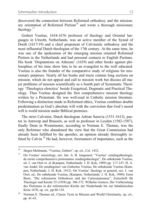discovered the connection between Reformed orthodoxy and the missionary orientation of Reformed Pietism<sup>16</sup> and wrote a thorough missionary theology. $17$ 

Gisbert Voetius, 1634-1676 professor of theology and Oriental languages in Utrecht, Netherlands, was an active member of the Synod of Dordt (1617/19) and a chief proponent of Calvinistic orthodoxy and the most influential Dutch theologian of the 17th century. At the same time, he was one of the spokesmen of the emerging mission oriented Reformed Pietism in the Netherlands and had personal contacts to English Puritans. His book 'Disputations on Atheism' (1639) and other books against philosophies of his time show him to be an evangelist to the well educated. Voetius is also the founder of the comparative study of religions for missionary purposes. Nearly all his books and tracts contain long sections on mission, which do not appeal and call to mission work but discuss all major problems of mission scientifically as a fourth part of Systematic Theology 'Theologica elenctica' beside Exegetical, Dogmatic and Practical Theology. Thus Voetius designed the first comprehensive mission theology written by a Protestant. He was well-read in Catholic mission literature. Following a distinction made in Reformed ethics, Voetius combines double predestination as God's absolute will with the conviction that God's moral will is world mission under Biblical promises.

The strict Calvinist, Dutch theologian Adrian Saravia (1531-1613), pastor in Antwerp and Brussels, as well as professor in Leyden (1582-1587), finally Dean in Westminster, according to Norman E. Thomas, was the only Reformer who abandoned the view that the Great Commission had already been fulfilled by the apostles, an opinion already thoroughly refuted by Calvin.<sup>18</sup> He had, however, forerunners of importance, such as the

<sup>16</sup> Jürgen Moltmann, "Voetius, Gisbert", op. cit., Col. 1432.

<sup>&</sup>lt;sup>17</sup> On Voetius' missiology, see: Jan. A. B. Jongeneel, "Voetius' zendingstheologie, de eerste comprehensieve protestantse zendingstheologie", De onbekende Voetius, ed. J. van Oort et. al (Kampen, Netherlands: J. H. Kok, 1989) pp. 117-147; H. A. van Andel, De zendingsleer van Gisbertus Voetius, De onbekende Voetius (Kampen, Netherlands: J. H. Kok, 1912). On Voetius' theology in general, see: J. van Oort, ed., De onbekende Voetius, (Kampen, Netherlands: J. H. Kok, 1989); Ernst Bizer, "Die reformierte Orthodoxie und der Cartesaianismus", Zeitschrift für Theologie und Kirche 55 (1958) pp. 306-372. Wilhelm Goeters, Die Vorbereitung des Pietismus in der reformierten Kirche der Niederlande bis zur labadistischen Krise 1670, op. cit., pp.80-134.

<sup>&</sup>lt;sup>18</sup> Norman E. Thomas ed., Classic Texts in Mission and World Christianity, op. cit., pp. 41-43.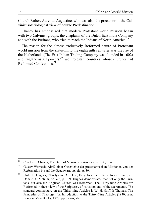Church Father, Aurelius Augustine, who was also the precursor of the Calvinist soteriological view of double Predestination.

Chaney has emphasized that modern Protestant world mission began with two Calvinist groups: the chaplains of the Dutch East India Company and with the Puritans, who tried to reach the Indians of North America.<sup>19</sup>

The reason for the almost exclusively Reformed nature of Protestant world mission from the sixteenth to the eighteenth centuries was the rise of the Netherlands (The East Indian Trading Company was founded in 1602) and England as sea powers; $^{20}$  two Protestant countries, whose churches had Reformed Confessions.21

<sup>&</sup>lt;sup>19</sup> Charles L. Chaney, The Birth of Missions in America, op. cit., p. ix.

<sup>20</sup> Gustav Warneck, Abriß einer Geschichte der protestantischen Missionen von der Reformation bis auf die Gegenwart, op. cit., p. 39.

<sup>&</sup>lt;sup>21</sup> Philip E. Hughes, "Thirty-nine Articles", Encyclopedia of the Reformed Faith, ed. Donald K. McKim, op. cit., p. 369. Hughes demonstrates that not only the Puritans, but also the Anglican Church was Reformed. The Thirty-nine Articles are Reformed in their view of the Scriptures, of salvation and of the sacraments. The standard commentary on the Thirty-nine Articles is W. H. Griffith Thomas, The Principles of Theology: An Introduction to the Thirty-Nine Articles (1930, repr. London: Vine Books, 1978) pp. xxxiii, xlix.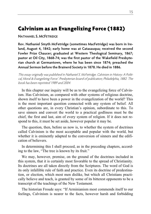## Calvinism as an Evangelizing Force (1882)

**NATHANIEL S. MCFETRIDGE**

**Rev. Nathaniel Smyth McFetridge (sometimes MacFetridge) was born in Ireland, August 4, 1842; early home was at Catasauqua; received the second Fowler Prize Chaucer; graduated at Western Theological Seminary, 1867; pastor at Oil City, 1868-74; was the first pastor of the Wakefield Presbyterian church at Germantown, where he has been since 1874; preached the Annual Sermon before the Brainerd Society in 1878. He died in 1886.** 

This essay originally was published in Nathaniel S. McFetridge. Calvinism in History: A Political, Moral & Evangelizing Force'. Presbyterian board of publication; Philadelphia, 1882. The book has been reprinted 1989 and 2004.

In this chapter our inquiry will be as to the evangelizing force of Calvinism. Has Calvinism, as compared with other systems of religious doctrine, shown itself to have been a power in the evangelization of the world? This is the most important question connected with any system of belief. All other questions are, in every Christian's opinion, subordinate to this. To save sinners and convert the world to a practical godliness must be the chief, the first and last, aim of every system of religion. If it does not respond to this, it must be set aside, however popular it may be.

The question, then, before us now is, to whether the system of doctrines called Calvinism is the most acceptable and popular with the world, but whether it is eminently adapted to the conversion of sinners and the edification of believers.

In determining this I shall proceed, as in the preceding chapters, according to the law, "The tree is known by its fruit."

We may, however, premise, on the ground of the doctrines included in this system, that it is certainly most favorable to the spread of Christianity. Its doctrines are all taken directly from the Scriptures. The word of God is its only infallible rule of faith and practice. Even its doctrine of predestination, or election, which most men dislike, but which all Christians practically believe and teach, is granted by some of its bitterest opponents to be a transcript of the teachings of the New Testament.

The historian Froude says: "If Arminianism most commends itself to our feelings, Calvinism is nearer to the facts, however harsh and forbidding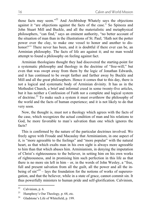those facts may seem."22 And Archbishop Whately says the objections against it "are objections against the facts of the case." So Spinoza and John Stuart Mill and Buckle, and all the materialistic and metaphysical philosophers, "can find," says an eminent authority, "no better account of the situation of man than in the illustrations of St. Paul; 'Hath not the potter power over the clay, to make one vessel to honor and another to dishonor?"" There never has been, and it is doubtful if there ever can be, an Arminian philosophy. The facts of life are against it; and no man would attempt to found a philosophy on feeling against fact.

Arminian theologians thought they had discovered the starting-point for a systematic philosophy and theology in the doctrine of "free-will;" but even that was swept away from them by the logic of Jonathan Edwards, and it has continued to be swept farther and farther away by Buckle and Mill and all the great philosophers. Hence it comes that to this day, there is not a logical and systematic body of Arminian divinity. It has as in the Methodist Church, a brief and informal creed in some twenty-five articles, but it has neither a Confession of Faith nor a complete and logical system of doctrine.23 To make such a system it must overthrow the philosophy of the world and the facts of human experience; and it is not likely to do that very soon.

Now, the thought is, must not a theology which agrees with the facts of the case, which recognizes the actual condition of man and his relations to God, be more favorable to man's salvation than one which ignores the facts?

This is confirmed by the nature of the particular doctrines involved. We freely agree with Froude and Macaulay that Arminianism, in one aspect of it, is "more agreeable to the feelings" and "more popular" with the natural heart, as that which exalts man in his own sight is always more agreeable to him than that which abases him. Arminianism, in denying the imputation of Christ's righteousness to the believer, in setting him on his own works of righteousness, and in promising him such perfection in this life as that there is no more sin left in him – or, in the words of John Wesley, a "free, full and present salvation from all the guilt, all the power and all the inbeing of  $\sin^{324}$  – lays the foundation for the notions of works of supererogation, and that the believer, while in a state of grace, cannot commit sin. It thus powerfully ministers to human pride and self-glorification. Calvinism,

<sup>&</sup>lt;sup>22</sup> Calvinism, p. 6.

<sup>&</sup>lt;sup>23</sup> Humphrey's Our Theology, p. 68, etc.

<sup>&</sup>lt;sup>24</sup> Gladstone's Life of Whitefield, p. 199.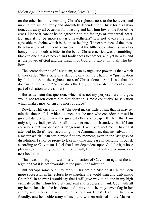on the other hand, by imputing Christ's righteousness to the believer, and making the sinner utterly and absolutely dependent on Christ for his salvation, cuts away all occasion for boasting and lays him low at the foot of the cross. Hence it cannot be so agreeable to the feelings of our carnal heart. But may it not be more salutary, nevertheless? It is not always the most agreeable medicine which is the most healing. The experience of the apostle John is one of frequent occurrence, that the little book which is sweet as honey in the mouth is bitter in the belly. Christ crucified was a stumblingblock to one class of people and foolishness to another, and yet he was, and is, the power of God and the wisdom of God unto salvation to all who believe.

The centre doctrine of Calvinism, as an evangelistic power, is that which Luther called "the article of a standing or a falling Church" – "justification by faith alone, in the righteousness of Christ alone." And is not that the doctrine of the gospel? Where does the Holy Spirit ascribe the merit of any part of salvation to the sinner?

But aside from that question, which it is not my purpose here to argue, would not reason dictate that that doctrine is most conducive to salvation which makes most of sin and most of grace?

Rowland Hill once said that "the devil makes little of sin, that he may retain the sinner." It is evident at once that the man who considers himself in greatest danger will make the greatest efforts to escape. If I feel that I am only slightly indisposed, I shall not experience much anxiety, but if I am conscious that my disease is dangerous, I will lose no time in having it attended to. So if I feel, according to the Arminianism, that my salvation is a matter which I can settle myself at any moment, even in the last gasp of dissolution, I shall be prone to take my time and ease in deciding it; but if, according to Calvinism, I feel that I am dependent upon God for it, whose pleasure, and not my own, I am to consult, I will naturally give more earnest heed to it.

Thus reason brings forward her vindication of Calvinism against the allegation that it is not favorable to the pursuit of salvation.

But perhaps some one may reply, "Has not the Methodist Church been more successful in her efforts to evangelize the world than any Calvinistic Church?" In answer I would say that I will give way to no one in my high estimate of that Church's piety and zeal and progress. I thank God, with all my heart, for what she has done, and I pray that she may never flag in her energy and success in winning souls to Jesus Christ. I admire her profoundly, and her noble army of men and women enlisted in the Master's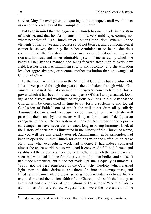service. May she ever go on, conquering and to conquer, until we all meet as one on the great day of the triumph of the Lamb!

But bear in mind that the aggressive Church has no well-defined system of doctrine, and that her Arminianism is of a very mild type, coming nowhere near that of High-Churchism or Roman Catholicism. Wherein lie the elements of her power and progress? I do not believe, and I am confident it cannot be shown, that they lie in her Arminianism or in the doctrines common to all the Christian churches, such as sin, Justification, regeneration and holiness, and in her admirable system of inerrancy, by which she keeps all her stations manned and sends forward fresh men to every new field. Let her preach Arminianism strictly and logically, and she will soon lose her aggressiveness, or become another institution than an evangelical Church of Christ.

Furthermore, Arminianism in the Methodist Church is but a century old. It has never passed through the years or the confusions through which Calvinism has passed. Will it continue in the ages to come to be the diffusive power which it has been for these years past? Of this I am persuaded, looking at the history and workings of religious opinions in the past: that the Church will be constrained in time to put forth a systematic and logical Confession of Faith, $25$  out of which she will either drop all peculiarly Arminian doctrines, and so secure her permanency, or in which she will proclaim them, and by that means will inject the poison of death, as an evangelizing body, into her system. A thorough Arminianism and a practical evangelism have never yet remained long in loving harmony. Look at the history of doctrines as illustrated in the history of the Church of Rome, and you will see this clearly attested. Arminianism, in its principles, had been in operation in that Church for centuries when the Reformation broke forth, and what evangelistic work had it done? It had indeed converted almost the entire world, but to what had it converted it? It had formed and established the largest and most powerful Church which the world has ever seen, but what had it done for the salvation of human bodies and souls? It had made Romanists, but it had not made Christians equally as numerous. Was it not the very principles of the Calvinistic theology which flashed light upon the thick darkness, and threw fire into the corrupt mass, and lifted up the banner of the cross, so long trodden under a debased hierarchy, and revived the ancient faith of the Church, and established the great Protestant and evangelical denominations of Christians? Who but Calvinists – or, as formerly called, Augustinians – were the forerunners of the

<sup>&</sup>lt;sup>25</sup> I do not forget, and do not disparage, Richard Watson's Theological Institutes.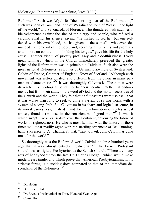Reformers? Such was Wycliffe, "the morning star of the Reformation;" such was John of Goch and John of Wesalia and John of Wessel, "the light of the world;" and Savonarola of Florence, who thundered with such terrible vehemence against the sins of the clergy and people, who refused a cardinal's hat for his silence, saying, "he wished no red hat, but one reddened with his own blood, the hat given to the saints" – who even demanded the removal of the pope, and, scorning all presents and promises and honors on condition of "holding his tongue," gave his life for the holy cause – another victim of priestly profligacy and bloodthirstiness. Every great luminary which in the Church immediately preceded the greater lights of the Reformation was in principle a Calvinist. Such also were the great national Reformers, as Luther of Germany, Zwingle of Switzerland, Calvin of France, Cranmer of England, Knox of Scotland. "Although each movement was self-originated, and different from the others in many permanent characteristics, $\frac{1}{26}$  it was thoroughly Calvinistic. These men were driven to this theological belief, not by their peculiar intellectual endowments, but from their study of the word of God and the moral necessities of the Church and the world. They felt that half measures were useless – that it was worse than folly to seek to unite a system of saving works with a system of saving faith. So "Calvinism in its sharp and logical structure, in its moral earnestness, in its demand for the reformation of ecclesiastical abuses, found a response in the consciences of good men."<sup>27</sup> It was it which swept, like a prairie-fire, over the Continent, devouring the fabric of works of righteousness. He who is most familiar with the history of those times will most readily agree with the startling statement of Dr. Cunningham (successor to Dr. Chalmers), that, "next to Paul, John Calvin has done most for the world."

So thoroughly was the Reformed world Calvinistic three hundred years ago that it was almost entirely Presbyterian.<sup>28</sup> The French Protestant Church was as rigidly Presbyterian as the Scotch Church. "There are many acts of her synod," says the late Dr. Charles Hodge, "which would make modern ears tingle, and which prove that American Presbyterianism, in its strictest forms, is a sucking dove compared to that of the immediate descendants of the Reformers."<sup>29</sup>

<sup>26</sup> Dr. Hodge.

<sup>27</sup> Dr. Fisher, Hist. Ref.

 $28$  Dr. Breed's Presbyterianism Three Hundred Years Ago.

<sup>29</sup> Const. Hist.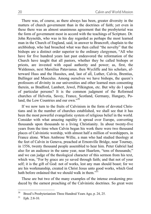There was, of course, as there always has been, greater diversity in the matters of church government than in the doctrines of faith; yet even in these there was an almost unanimous agreement that the presbyterial was the form of government most in accord with the teachings of Scripture. Dr. John Reynolds, who was in his day regarded as perhaps the most learned man in the Church of England, said, in answer to Brancroft, chaplain to the archbishop, who had broached what was then called "the novelty" that the bishops are a distinct order superior to the ordinary clergymen, "All who have for five hundred years last past endeavored the reformation of the Church have taught that all pastors, whether they be called bishops or priests, are invested with equal authority and power; as, first, the Waldenses, next Marsilius Patavianus. then Wycliffe and his scholars, afterward Huss and the Hussites, and, last of all, Luther, Calvin, Brentius, Bullinger and Musculus. Among ourselves we have bishops, the queen's professors of divinity in our universities and other learned men consenting therein, as Bradford, Lambert, Jewel, Pilkington, etc. But why do I speak of particular persons? It is the common judgment of the Reformed churches of Helvetia, Savoy, France, Scotland, Germany, Hungary, Poland, the Low Countries and our own."<sup>30</sup>

If we now turn to the fruits of Calvinism in the form of devoted Christians and in the number of churches established, we shall see that it has been the most powerful evangelistic system of religious belief in the world. Consider with what amazing rapidity it spread over Europe, converting thousands upon thousands to a living Christianity. In about twenty-five years from the time when Calvin began his work there were two thousand places of Calvinistic worship, with almost half a million of worshippers, in France alone. When Ambrose Willie, a man who had studied theology at the feet of Calvin in Geneva, preached at Ernonville Bridge, near Tournay, in 1556, twenty thousand people assembled to hear him. Peter Gabriel had also for an audience in the same year, near Haarlem, "tens of thousands;" and we can judge of the theological character of this sermon from his text, which was, "For by grace are ye saved through faith; and that not of your self; it is the gift of God: not of works, lest any man should boast; for we are his workmanship, created in Christ Jesus unto good works, which God hath before ordained that we should walk in them."<sup>31</sup>

These are but two of the many examples of the intense awakening produced by the earnest preaching of the Calvinistic doctrines. So great were

<sup>&</sup>lt;sup>30</sup> Breed's Presbyterianism Three Hundred Years Ago, p. 24, 25.

 $31$  Eph. 2:8-10.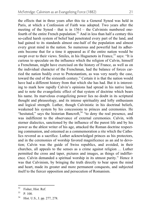the effects that in three years after this tie a General Synod was held in Paris, at which a Confession of Faith was adopted. Two years after the meeting of the Synod – that is in  $1561$  – the Calvinists numbered onefourth of the entire French population.<sup>32</sup> And in less than half a century this so-called harsh system of belief had penetrated every part of the land, and had gained to its standards almost one-half of the population and almost every great mind in the nation. So numerous and powerful had its adherents become that for a time it appeared as if the entire nation would be swept over to their views. Smiles, in his Huguenots in France,<sup>33</sup> says: "It is curious to speculate on the influence which the religion of Calvin, himself a Frenchman, might have exercised on the history of France, as well as on the individual character of the Frenchman, had the balance of forces carried the nation bodily over to Protestantism, as was very nearly the case, toward the end of the sixteenth century." Certain it is that the nation would have had a different history from that which she has had. But it is interesting to mark how rapidly Calvin's opinions had spread in his native land, and to note the evangelistic effect of that system of doctrine which bears his name. Its marvelous evangelizing power lies no doubt in its scriptural thought and phraseology, and its intense spirituality and lofty enthusiasm and logical strength. Luther, though Calvinistic in his doctrinal beliefs, weakened his system by his concessions to princes and ceremonies. He "hesitated," says the historian Bancroft, $34$  "to deny the real presence, and was indifferent to the observance of external ceremonies. Calvin, with sterner dialectics, sanctioned by the influence of the purest life and by his power as the ablest writer of his age, attacked the Roman doctrine respecting communion, and esteemed as a commemoration a rite which the Catholics revered as a sacrifice. Luther acknowledged princes as his protectors, and in the ceremonies of worship favored magnificence as an aid to devotion; Calvin was the guide of Swiss republics, and avoided, in their churches, all appeals to the senses as a crime against religion … Luther permitted the cross and taper, pictures and images, as things of indifference. Calvin demanded a spiritual worship in its utmost purity." Hence it was that Calvinism, by bringing the truth directly to bear upon the mind and heart, made its greater and more permanent conquests, and subjected itself to the fiercer opposition and persecution of Romanism.

<sup>32</sup> Fisher, Hist. Ref.

 $33$  P. 100.

<sup>34</sup> Hist. U.S., I. pp. 277, 278.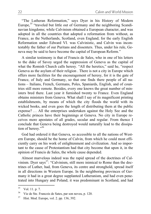"The Lutheran Reformation," says Dyer in his History of Modern Europe,<sup>35</sup> "traveled but little out of Germany and the neighboring Scandinavian kingdoms; while Calvinism obtained a European character, and was adopted in all the countries that adopted a reformation from without, as France, as the Netherlands, Scotland, even England; for the early English Reformation under Edward VI. was Calvinistic, and Calvin was incontestably the father of our Puritans and dissenters. Thus, under his rule, Geneva may be said to have become the capital of European Reform."

A similar testimony is that of Francis de Sales, who in one of his letters to the duke of Savoy urged the suppression of Geneva as the capital of what the Romish Church calls heresy. "All the heretics," said he, "respect Geneva as the asylum of their religion . There is not a city in Europe which offers more facilities for the encouragement of heresy, for it is the gate of France, of Italy and Germany, so that one finds there people of all nations – Italians, French, Germans, Poles, Spaniards, English, and of countries still more remote. Besides, every one knows the great number of ministers bred there. Last year it furnished twenty to France. Even England obtains ministers from Geneva. What shall I say of its magnificent printing establishments, by means of which the city floods the world with its wicked books, and even goes the length of distributing them at the public expense? … All the enterprises undertaken against the Holy See and the Catholic princes have their beginnings at Geneva. No city in Europe receives more apostates of all grades, secular and regular. From thence I conclude that Geneva being destroyed would naturally lead to the dissipation of heresy."<sup>36</sup>

God had ordered it that Geneva, so accessible to all the nations of Western Europe, should be the home of Calvin, from which he could most efficiently carry on his work of enlightenment and civilization. And so important to the cause of Protestantism had that city become that upon it, in the opinion of Francis de Sales, the whole cause depended.

Almost marvelous indeed was the rapid spread of the doctrines of Calvinism. Dyer says<sup>37</sup>: "Calvinism, still more inimical to Rome than the doctrines of Luther, had, from Geneva, its centre and stronghold, spread itself in all directions in Western Europe. In the neighboring provinces of Germany it had in a great degree supplanted Lutheranism, and had even penetrated into Hungary and Poland; it was predominant in Scotland, and had

 $35$  Vol. 11. p. 7.

<sup>36</sup> Vie de Ste. Francois de Sates, par son neveu, p. 120.

<sup>37</sup> Hist. Mod. Europe, vol. 2. pp. 136, 392.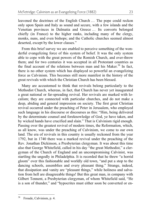leavened the doctrines of the English Church … The pope could reckon only upon Spain and Italy as sound and secure, with a few islands and the Venetian provinces in Dalmatia and Greece … Its converts belonged chiefly (in France) to the higher ranks, including many of the clergy, monks, nuns, and even bishops; and the Catholic churches seemed almost deserted, except by the lower classes."

From this brief survey we are enabled to perceive something of the wonderful evangelizing force of this system of belief. It was the only system able to cope with the great powers of the Romish Church, and over-throw them; and for two centuries it was accepted in all Protestant countries as the final account of the relations between man and his Maker.<sup>38</sup> In fact, there is no other system which has displayed so powerful an evangelizing force as Calvinism. This becomes still more manifest in the history of the great revivals with which the Christian Church has been blessed.

Many are accustomed to think that revivals belong particularly to the Methodist Church, whereas, in fact, that Church has never yet inaugurated a great national or far-spreading revival. Her revivals are marked with localism; they are connected with particular churches, and do not make a deep, abiding and general impression on society. The first great Christian revival occurred under the preaching of Peter in Jerusalem, who employed such language in his discourse or discourses as this: "Him, being delivered by the determinate counsel and foreknowledge of God, ye have taken, and by wicked hands have crucified and slain." That is Calvinism rigid enough. Passing over the greatest revival of modern times, the Reformation, which, as all know, was under the preaching of Calvinism, we come to our own land. The era of revivals in this country is usually reckoned from the year 1792, but in 1740 there was a marked revival under the preaching of the Rev. Jonathan Dickinson, a Presbyterian clergyman. It was about this time also that George Whitefield, called in his day "the great Methodist," a clergyman of the Church of England and an uncompromising Calvinist, was startling the ungodly in Philadelphia. It is recorded that he threw "a horrid gloom" over this fashionable and worldly old town, "and put a stop to the dancing schools, assemblies and every pleasant thing." Strange, indeed, that dissipation and vanity are "pleasant things," while holiness and salvation from hell are disagreeable things! But this great man, in company with Gilbert Tennent, a Presbyterian clergyman, of whom Whitefield said, "He is a son of thunder," and "hypocrites must either soon be converted or en-

<sup>38</sup> Froude, Calvinism, p. 4.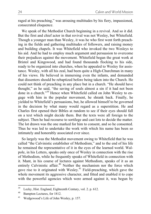raged at his preaching," was arousing multitudes by his fiery, impassioned, consecrated eloquence.

We speak of the Methodist Church beginning in a revival. And so it did. But the first and chief actor in that revival was not Wesley, but Whitefield. Though a younger man than Wesley, it was he who first went forth preaching in the fields and gathering multitudes of followers, and raising money and building chapels. It was Whitefield who invoked the two Wesleys to his aid. And he had to employ much argument and persuasion to overcome their prejudices against the movement. Whitefield began the great work at Bristol and Kingswood, and had found thousands flocking to his side, ready to be organized into churches, when he appealed to Wesley for assistance. Wesley, with all his zeal, had been quite a High-Churchman in many of his views. He believed in immersing even the infants, and demanded that dissenters should be rebaptized before being taken into the Church. He could not think of preaching in any place but in a church. "He should have thought," as he said, "the saving of souls almost a sin if it had not been done in a church."39 Hence when Whitefield called on John Wesley to engage with him in the popular movement, he shrank back. Finally, he yielded to Whitefield's persuasions, but, he allowed himself to be governed in the decision by what many would regard as a superstition. He and Charles first opened their Bibles at random to see if their eyes should fall on a text which might decide them. But the texts were all foreign to the subject. Then he had recourse to sortilege and cast lots to decide the matter. The lot drawn was the one marked for him to consent, and so he consented. Thus he was led to undertake the work with which his name has been so intimately and honorably associated ever since.

So largely was the Methodist movement owing to Whitefield that he was called "the Calvinistic establisher of Methodism," and to the end of his life he remained the representative of it in the eyes of the learned world. Walpole, in his Letters, speaks only once of Wesley in connection with the rise of Methodism, while he frequently speaks of Whitefield in connection with it. Mant, in his course of lectures against Methodism, speaks of it as an entirely Calvinistic affair.<sup>40</sup> Neither the mechanism nor the force which gave rise to it originated with Wesley.<sup>41</sup> Field-preaching, which gave the whole movement its aggressive character, and fitted and enabled it to cope with the powerful agencies which were armed against it, was begun by

<sup>39</sup> Lecky, Hist. England, Eighteenth Century, vol. 2. p. 612.

<sup>40</sup> Bampton Lectures, for 1812.

<sup>&</sup>lt;sup>41</sup> Wedgewood's Life of John Wesley, p. 157.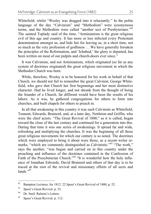Whitefield, whilst "Wesley was dragged into it reluctantly." In the polite language of the day "Calvinism" and "Methodism" were synonymous terms, and the Methodists were called "another sect of Presbyterians."<sup>42</sup> The sainted Toplady said of the time, "Arminianism is the great religious evil of this age and country. It has more or less infected every Protestant denomination amongst us, and bids fair for leaving us, in a short time, not so much as the very profession of godliness … We have generally forsaken the principles of the Reformation, and 'Ichabod,' the glory is departed, has been written on most of our pulpits and church-doors ever since."

It was Calvinism, and not Arminianism, which originated (so far as any system of doctrines originated) the great religious movement in which the Methodist Church was born.

While, therefore, Wesley is to be honored for his work in behalf of that Church, we should not fail to remember the great Calvinist, George Whitefield, who gave that Church her first beginnings and her most distinctive character. Had he lived longer, and not shrunk from the thought of being the founder of a Church, far different would have been the results of his labors. As it was, he gathered congregations for others to form into churches, and built chapels for others to preach in.

In all that awakening in this country it was such Calvinists as Whitefield, Tennent, Edwards, Brainerd, and, at a later day, Nettleton and Griffin, who were the chief actors. "The Great Revival of 1800," as it is called, began toward the close of the last century and continued for a generation into this. During that time it was one series of awakenings. It spread far and wide, refreshing and multiplying the churches. It was the beginning of all those great religious movements for which our century is so noted. The doctrines which were employed to bring it about were those, as a recent writer remarks, "which are commonly distinguished as Calvinistic."<sup>43</sup> "The work," says the another, "was begun and carried on in this country under the preaching and influence of the doctrines contained in the Confession of Faith of the Presybeterian Church."<sup>44</sup> "It is wonderful how the holy influence of Jonathan Edwards, David Brainerd and others of that day is to be traced at the root of the revival and missionary efforts of all sects and  $lands.$ <sup> $,45$ </sup>

<sup>&</sup>lt;sup>42</sup> Bampton Lectures, for 1812. 22 Speer's Great Revival of 1800, p. 52.

<sup>43</sup> Speer's Great Revival. p. 52.

<sup>44</sup> Dr. Smil. Ralston's Letters.

<sup>45</sup> Speer's Great Revival. p. 112.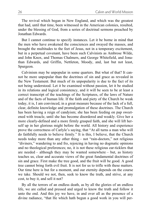The revival which began in New England, and which was the greatest that had, until that time, been witnessed in the American colonies, resulted, under the blessing of God, from a series of doctrinal sermons preached by Jonathan Edwards.

But I cannot continue to specify instances. Let it be borne in mind that the men who have awakened the consciences and swayed the masses, and brought the multitudes to the feet of Jesus, not in a temporary excitement, but in a perpetual covenant, have been such Calvinists as Ambrose Wilde, and John Knox, and Thomas Chalmers, and George Whitefield, and Jonathan Edwards, and Griffin, Nettleton, Moody, and, last but not least, Spurgeon.

Calvinism may be unpopular in some quarters. But what of that? It cannot be more unpopular than the doctrines of sin and grace as revealed in the New Testament. But much of its unpopularity is due to the fact of its not being understood. Let it be examined without passion, let it be studied in its relations and logical consistency, and it will be seen to be at least a correct transcript of the teachings of the Scriptures, of the laws of Nature and of the facts of human life. If the faith and piety of the Church be weak today, it is, I am convinced, in a great measure because of the lack of a full, clear, definite knowledge and promulgation of these doctrines. The Church has been having a reign of candyism; she has been feeding on pap sweetened with treacle, until she has become disordered and weakly. Give her a more clearly-defined and a more firmly grasped faith, and she will lift herself up in her glorious might before the world. All history and experience prove the correctness of Carlyle's saying, that "At all turns a man who will do faithfully needs to believe firmly." It is this, I believe, that the Church needs today more than any other thing – not "rain-doctors," not religious "diviners," wandering to and fro, rejoicing in having no dogmatic opinions and no theological preferences; no, it is not these religious ear-ticklers that are needed – although they may be wanted somewhere – but, as history teaches us, clear and accurate views of the great fundamental doctrines of sin and grace. First make the tree good, and the fruit will be good. A good tree cannot bring forth evil fruit. It is not for us to trifle with these matters. Our time here is but for a moment, and our eternity depends on the course we take. Should we not, then, seek to know the truth, and strive, at any cost, to buy it, and sell it not?

By all the terrors of an endless death, as by all the glories of an endless life, we are called and pressed and urged to know the truth and follow it unto the end. And this joy we have, in and over all as the presence of a divine radiance, "that He which hath begun a good work in you will per-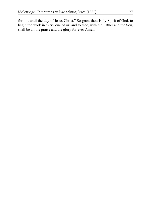form it until the day of Jesus Christ." So grant thou Holy Spirit of God, to begin the work in every one of us; and to thee, with the Father and the Son, shall be all the praise and the glory for ever Amen.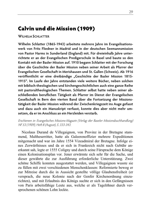## Calvin und die Mission (1909)

**WILHELM SCHLATTER**

**Wilhelm Schlatter (1865-1943) arbeitete mehrere Jahre im Evangelisationswerk von Fritz Fliedner in Madrid und in der deutschen Seemannsmission von Pastor Harms in Sunderland (England) mit. Für dreieinhalb Jahre unterrichtete er an der Evangelischen Predigerschule in Basel und baute so den Kontakt mit der Basler Mission auf. 1910 begann Schlatter mit der Forschung über die Geschichte der Basler Mission neben seiner Arbeit als Pfarrer der Evangelischen Gesellschaft in Merishausen und St. Gallen (Schweiz). Ab 1916 veröffentlicht er eine dreibändige "Geschichte der Basler Mission 1815- 1915". Im Laufe der Jahre entstanden viele weitere Bücher, neben solchen mit biblisch-theologischen und kirchengeschichtlichen auch eine ganze Reihe mit pastoraltheologischen Themen. Schlatter selbst hatte neben seiner abschließenden beruflichen Tätigkeit als Pfarrer im Dienst der Evangelischen Gesellschaft in Bern den vierten Band über die Fortsetzung der Missionstätigkeit der Basler Mission während der Zwischenkriegszeit ins Auge gefasst und dazu auch ein Manuskript verfasst, konnte dies aber nicht mehr umsetzen, da er im Anschluss an ein Herzleiden verstarb.** 

#### Erschienen in: Evangelisches Missions-Magazin (Verlag der Baseler Missionsbuchhandlung) NF 53 (1909), Heft 8 (August), S. 333-343.

Nicolaus Durand de Villegaignon, von Provinz in der Bretagne stammend, Maltheserritter, hatte als Galeerenoffizier mehrere Expeditionen mitgemacht und war im Jahre 1554 Vizeadmiral der Bretagne. Infolge eines Zerwürfnisses und da er sich in Frankreich nicht nach Gebühr anerkannt sah, legte er 1555 Coligny und durch seine Fürsprache dem Könige einen Kolonisationsplan vor. Jener erwärmte sich sehr für die Sache, und dieser gewährte die zur Ausführung erforderliche Unterstützung. Zwei schöne Schiffe konnten ausgestattet werden, und Villegaignon wusste sie zu füllen mit zwei verschiedenen Menschenklassen: Reformierte bewog er zur Mitreise durch die in Aussicht gestellte völlige Glaubensfreiheit (er versprach, die neue Kolonie nach der Genfer Kirchenordnung einzurichten), und mit Erlaubnis des Königs suchte er sich in den Gefängnissen von Paris arbeitsfähige Leute aus, welche er als Tagelöhner durch versprochenen schönen Lohn lockte.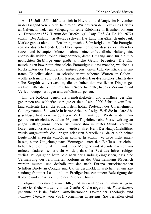Am 15. Juli 1555 schiffte er sich in Havre ein und langte im November in der Gegend von Rio de Janeiro an. Wir besitzen den Text eines Briefes an Calvin, in welchem Villegaignon seine Erlebnisse in Brasilien bis zum 31. Dezember 1557 (Datum des Briefes, vgl. Corp. Ref. Ca. Br. Nr. 2672) erzählt. Der Anfang war überaus schwer. Das Land war gänzlich unbebaut, Märkte gab es nicht, die Ernährung machte Schwierigkeiten. Die Portugiesen, die das betreffende Gebiet beanspruchten, ohne dass sie es hätten besetzen und behaupten können, nahmen eine unfreundliche Haltung ein, ebenso die wilden, rohen Eingeborenen, deren Umgang auch für die mitgebrachten Sträflinge eine große sittliche Gefahr bedeutete. Die Enttäuschungen bewirkten eine solche Entmutigung, dass manche, welche aus Rücksichten der Freundschaft mitgezogen waren, bald die Rückreise antraten. Er selbst aber – so schreibt er mit schönen Worten an Calvin – wollte sich nicht abschrecken lassen, auf den Bau des Reiches Christi dieselbe Sorgfalt zu verwenden, die er früher den weltlichen Dingen gewidmet hatte; da es sich um Christi Sache handelte, habe er Vorwürfe und Verleumdungen ertragen und auf Christus gebaut.

Um die Kolonie gegen die Feindseligkeiten und Einflüsse der Eingeborenen abzuschließen, verlegte er sie auf eine 2000 Schritte vom Festland entfernte Insel, die er nach dem hohen Protektor des Unternehmens Coligny nannte. Sie wurde in harter Arbeit befestigt. Weil die insulare Abgeschlossenheit den unzüchtigen Verkehr mit den Weibern der Eingeborenen abschnitt, zettelten 26 jener Tagelöhner eine Verschwörung an gegen Villegaignons Leben. Sie wurde ihm in letzter Stunde verraten. Durch entschlossenes Auftreten wurde er ihrer Herr. Der Haupträdelsführer wurde aufgeknüpft, die übrigen erlangten Verzeihung, da er sich seiner Leute nicht allzusehr entblößen konnte. Er erzählt: er habe nicht unterlassen, seine Umgebung nach Vermögen unter den Einfluss der christlichen Religion zu stellen, indem er Morgen- und Abendandachten anordnete; dadurch sei erreicht worden, dass der Rest des Jahres ruhiger verlief. Villegaignon hatte bald nach der Landung eingesehen, dass eine Vermehrung der reformierten Kolonisten der Unternehmung förderlich werden müsste, und deshalb mit den nach Europa zurückfahrenden Schiffen Briefe an Coligny und Calvin geschickt, in welchem er um Zusendung frommer Leute und um Prediger bat, zur innern Befestigung der Kolonie und zur Ausbreitung des Reiches Christi.

Coligny unterstützte seine Bitte, und in Genf gewährte man sie gern. Zwei Geistliche wurden von der Genfer Kirche abgeordnet: *Peter Richer*, genannte de l'Isle, früher Karmelitermönch, Doktor der Theologie, und *Wilhelm Chartier*, von Vitré, vornehmen Ursprungs. Sie verließen Genf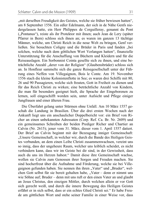"mit derselben Freudigkeit des Geistes, welche sie früher bewiesen hatten", am 8 September 1556. Ein edler Edelmann, der sich in de Nähe Genfs niedergelassen hatte, ein Herr Philippes de Corguilleray, genannt du Pont ("Pontanus"), reiste als ihr Protektor mit ihnen; auch Jean de Lery (später Pfarrer in Bern) schloss sich ihnen an; es waren im ganzen 13 tüchtige Männer, welche, um Christi Reich in die neue Welt zu bringen, Genf verließen. Sie besuchten Coligny und die Brüder in Paris und fanden "bei solchen, welche nach dem göttlichen Wort Verlangen hatten", finanzielle Unterstützung für die Anschaffung von Büchern und Kleidern und für die Reiseauslagen. Ein Sorbonnist Cointa gesellte sich zu ihnen, und eine beträchtliche Anzahl "derer von der Religion" (Glaubensbrüder) schloss sich an. In Honfleur sammelte sich die ganze Reisegesellschaft unter der Führung eines Neffen von Villegaignon, Bois le Conte. Am 19. November 1556 stach die kleine Kolonistenflotte in See; es waren drei Schiffe mit 80, 26 und 90 Passagieren, welche sich freuten, Gott in Freiheit zu dienen und für das Reich Christi zu wirken; eine beträchtliche Anzahl von Kindern, die man für besonders geeignet hielt, die Sprache der Eingeborenen zu lernen, soll eingeschifft worden sein, unter Aufsicht und Pflege einiger Jungfrauen und einer älteren Frau.

Die Überfahrt gelang unter Stürmen ohne Unfall. Am 10 März 1557 geschah die Landung in Brasilien. Über die drei ersten Wochen nach der Ankunft liegt uns ein anschaulicher Doppelbericht vor: ein Brief von Richer an einen unbekannten Adressaten (Corp. Ref. Ca. Br. Nr. 2609) und ein gemeinsames Schreiben der beiden Prediger Richer und Chartier an Calvin (Nr. 2615); jener vom 31. März, dieser vom 1. April 1557 datiert. Der Brief an Calvin beginnt mit der Bezeugung inniger Gemeinschaft: "Unsere Gemeinschaft, in welcher wir, durch die Bande des Heiligen Geistes verbunden, an dem einen Leibe Christi zusammenwachsen, vereint uns so innig, dass der ungeheure Raum, welcher uns leiblich scheidet, es nicht verhindern kann, dass wir im Geiste bei dir sind, in der Gewissheit, dass auch du uns im Herzen habest." Damit diese ihre Gemeinschaft wachse, wollen sie Calvin zum Genossen ihrer Sorgen und Freuden machen. Sie sind hocherfreut über die Aufnahme und Förderung, welche sie bei Villegaignon gefunden haben. Sie nennen ihn ihren "Vater" und "Bruder", welchen Gott selbst für sie bereit gehalten habe, "Vater – denn er nimmt uns wie Söhne auf; Bruder – denn mit uns ruft er den einen Vater an und glaubt an Jesus Christus, den einzigen Mittler, durch welchen allein er vor Gott sich gerecht weiß, und durch die innere Bewegung des Heiligen Geistes erfährt er in sich selbst, dass er ein echtes Glied Christi sei." Er habe Freude am göttlichen Wort und stehe seiner Familie in einer Weise vor, dass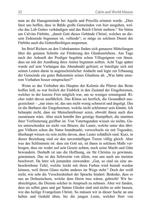man an die Hausgemeinde bei Aquila und Priscilla erinnert werde. "Dies lässt uns hoffen, dass in Bälde große Gemeinden von hier ausgehen, welche das Lob Gottes verkündigen und das Reich Christi mehren." Sie bitten um Calvins Fürbitte, "damit Gott dieses Gebäude Christi, welches an diesem Erdenende begonnen ist, vollende"; er möge zu solchem Dienst der Fürbitte auch die Gottesfürchtigen anspornen.

Im Brief Richers an den Unbekannten finden sich genauere Mitteilungen über die getanen Schritte zur Förderung des Glaubenslebens. Am Tage nach der Ankunft der Prediger begehrte schon Villegaignon von ihnen, dass sie mit der Ausübung ihres Amtes beginnen sollten. Acht Tage später wurde auf sein Verlangen das Abendmahl gefeiert; er beteiligte sich mit seinen Leuten daran in augenscheinlicher Andacht und legte zur Erbauung der Gemeinde ein gutes Bekenntnis seines Glaubens ab. "Was hätte unserem Vorhaben besser entsprochen?"

Wenn so das Verhalten des Hauptes der Kolonie die Pfarrer das Beste hoffen ließ, so war freilich der Einblick in den Zustand der Eingeborenen, welcher in der kurzen Frist möglich war, um so weniger ermutigend. Richer redet davon ausführlich. Das Klima sei herrlich, die Gesundheit ausgezeichnet – "nur eines ist, das uns nicht wenig schmerzt und ängstigt. Das ist die Barbarei der Eingeborenen, welche nicht schlimmer sein könnte. Ich behaupte nicht, dass sie Menschenfresser seien, obwohl ihnen auch dies zuzutrauen wäre. Aber mich betrübt ihre geistige Stumpfheit, die inmitten ihrer Verfinsterung greifbar ist. Von Vatertugenden wissen sie nichts, Gutes unterscheiden sie nicht von Bösem; die Laster, welche unter den übrigen Völkern schon die Natur brandmarkt, verwechseln sie mit Tugenden, überhaupt wissen sie rein nichts davon, dass Laster schädlich sind. Kurz, in dieser Beziehung sind sie den unvernünftigen Tieren völlig gleich. Aber was das Schlimmste ist: dass ein Gott sei, ist ihnen in solchem Maße verborgen, dass sie weder auf sein Gesetz achten, noch seine Macht und Güte bewundern. Deshalb ist uns die Hoffnung, sie für Christus zu gewinnen, genommen. Das ist das Schwerste von allem, was uns auch am meisten beschwert. Da höre ich jemanden einwenden: "Gut, so sind sie eine unbeschriebene Tafel, welche leicht mit ihren Farben wird bemalt werden können, weil ihrem Glanz nichts anderes im Wege steht." Doch der weiß nicht, wie sehr die Verschiedenheit der Sprache hindert. Bedenke, dass es uns an Dolmetschern, welche dem Herrn treu wären, gebricht! Wir beabsichtigten, die Dienste solcher in Anspruch zu nehmen. Aber wir fanden, dass sie selbst ganz und gar Satans Glieder sind und nichts so sehr hassen, wie das heilige Evangelium Christi. So müssen wir in dieser Sache an uns halten und Geduld üben, bis die jungen Leute, welcher Herr von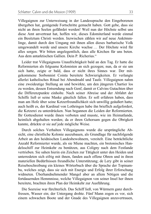Villegaignon zur Unterweisung in der Landessprache den Eingeborenen übergeben hat, genügende Fortschritte gemacht haben. Gott gebe, dass sie nicht an ihren Seelen gefährdet werden! Weil nun der Höchste selbst uns diese Amt anvertraut hat, hoffen wir, dieses Edomiterland werde einmal ein Besitztum Christi werden. Inzwischen zählen wir auf neue Ankömmlinge, damit durch den Umgang mit ihnen allen dieses barbarische Volk umgewandelt werde und unsere Kirche wachse … Der Höchste wird für alles sorgen. Wir bitten angelegentlich, dass alle Kirchen für uns beten. Aus dem antarktischen Gallien. Dein P. Richerius."

Leider trat Villegaignons Unaufrichtigkeit bald an den Tag. Er hatte die Reformierten als folgsame Kolonisten an sich gezogen; nun, da er sie um sich hatte, zeigte er bald, dass er nicht ihres Sinnes war. Der mitgekommene Sorbonnist Cointa bereitete Schwierigkeiten. Er verlangte allerlei katholisches Ritual bei Abendmahl und Taufe. Villegaignon nahm eine zweideutige Stellung an und bewirkte, um den jüngeren Chartier los zu werden, dessen Entsendung nach Genf, damit er Calvins Gutachten über die Differenzpunkte einholte. Nach seiner Abreise und der Abfahrt der Schiffe ließ er seine Maske gänzlich fallen. Er soll erfahren haben, dass man am Hofe über seine Ketzerfreundlichkeit sich unwillig geäußert hatte; auch heißt es, der Kardinal von Lothringen habe ihn brieflich aufgefordert, die Ketzerei zu unterdrücken. Nun begannen die Leiden der Reformierten. Ihr Gottesdienst wurde ihnen verboten und musste, wie im Heimatlande, heimlich abgehalten werden; da er ihren Gehorsam gegen die Obrigkeit kannte, drückte er sie auf jede mögliche Weise.

Durch solches Verhalten Villegaignons wurde die ursprüngliche Absicht, eine christliche Kolonie auszubauen, als Grundlage für nachfolgende Arbeit an den heidnischen Landesbewohnern, vereitelt. Eine beträchtliche Anzahl Reformierter wurde, als sie Miene machten, ein bretonisches Handelsschiff zur Heimkehr zu benützen, aus Coligny nach dem Festlande vertrieben. Sie sahen hierin ein Zeichen zur Tätigkeit unter den Heiden und unterredeten sich eifrig mit ihnen, fanden auch offene Ohren und in ihren materiellen Bedürfnissen freundliche Unterstützung; de Lery gibt in seiner Reisebeschreibung ein kleines Wörterbuch über die Sprache der Topinambu, welches zeigt, dass sie sich mit Energie und Erfolg ihrer Erforschung widmeten. Überhandnehmender Mangel aber an allem Nötigen und die fortdauernden Hemmnisse, welche Villegaignon von seiner Insel her ihnen bereitete, brachten ihren Plan der Heimkehr zur Ausführung.

Die Seereise war fürchterlich. Das Schiff ließ, von Würmern ganz durchfressen, Wasser ein; der Untergang drohte. Fünf Mann zogen es vor, sich einem schwachen Boote und der Gnade des Villegaignon anzuvertrauen,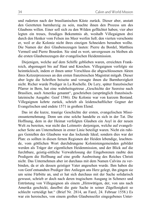und ruderten nach der brasilianischen Küste zurück. Dieser aber, anstatt den Geretteten barmherzig zu sein, machte ihnen den Prozess um des Glaubens willen. Einer soll sich zu den Wilden geflüchtet haben; vier aber legten ein treues, freudiges Bekenntnis ab, weshalb Villegaignon drei durch den Henker vom Felsen ins Meer werfen ließ; den vierten verschonte er, weil er die Kolonie nicht ihres einzigen Schneiders berauben wollte. Die Namen der drei Glaubenszeugen lauten: Pierre du Bordel, Matthieu Vermeil und Pierre Bourdon. Sie sind es wert, unvergessen zu bleiben als die ersten Glaubenszeugen der evangelischen Heidenmission.

Diejenigen, welche auf dem Schiffe geblieben waren, erreichten Frankreich, abgemagert bis auf Haut und Knochen. Villegaignon verfolgte sie heimtückisch, indem er ihnen unter Verschluss die abgeschlossenen Akten ihres Ketzerprozesses an den ersten französischen Magistrat mitgab. Dieser aber legte die Schriften beiseite und versagte ihnen die Barmherzigkeit nicht. Richer wurde Prediger in La Rochelle. De Lery, später französischer Pfarrer in Bern, hat eine wahrheitsgetreue "Geschichte der Seereise nach Brasilien, auch Amerika genannt", geschrieben (ursprünglich französischlateinische Ausgabe: Genf 1586). Die Kolonie war von kurzem Bestand. Villegaignon kehrte zurück, schrieb als leidenschaftlicher Gegner der Evangelischen und endete 1571 in großem Elend.

Das ist die kurze, traurige Geschichte der ersten, evangelischen Missionsunternehmung. Denn um eine solche handelte es sich in der Tat. Die Hoffnung, dem in der Heimat verfolgten Glauben ein Asyl in der neuen Welt zu bereiten, war nicht das Leitmotiv derjenigen, welche auf evangelischer Seite am Unternehmen in erster Linie beteiligt waren. Nicht ein ruhiges Genießen des Glaubens war das lockende Ideal; sondern dies war der Plan: es sollten in diesen fernen Regionen der Heiden lebendige, leuchtende, vom göttlichen Wort durchdrungene Kolonistengemeinden gebildet werden als Träger der eigentlichen Heidenmission, und der Blick auf die furchtbare, geistig-sittliche Verwahrlosung der Eingeborenen raubte den Predigern die Hoffnung auf eine große Ausbreitung des Reiches Christi nicht. Das Unternehmen aber ist durchaus mit dem Namen Calvins zu verbinden, da er als dessen geistiger Vater angesehen wurde. Ihm haben die von Genf entsandten Prediger ihre Anliegen ans Herz gelegt, ihn gingen sie um seine Fürbitte an, und er hat sich durchaus mit der Sache solidarisch gewusst, schrieb er doch nach deren tragischem Ausgang in Schmerz und Entrüstung von Villegaignon als einem "Hirnwütigen, der, von uns nach Amerika geschickt, daselbst die gute Sache in seiner Zügellosigkeit so schlecht verteidigt hat." (Brief Nr. 2814, an Farel, 24. Februar 1558.) Es war ein heroisches, von einem großen Glaubenseifer eingegebenes Unter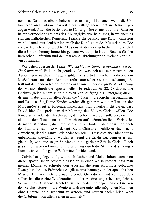nehmen. Dass dasselbe scheitern musste, ist ja klar, auch wenn die Unlauterkeit und Unbrauchbarkeit eines Villegaignon nicht in Betracht gezogen wird. Auch die beste, treuste Führung hätte es nicht auf die Dauer zu halten vermocht angesichts des Abhängigkeitsverhältnisses, in welchem es sich zur katholischen Regierung Frankreichs befand; eine Kolonialmission war ja damals nur denkbar innerhalb der Konfession des Mutterlandes. Die erste – freilich verunglückte Missionstat der evangelischen Kirche darf diese Unternehmung immerhin genannt werden; sie ist ein Beweis für den heroischen Opfersinn und den starken Ausbreitungstrieb, welche von Calvin ausgingen.

Wir gehen über zu der Frage: *Wie dachte der Genfer Reformator von der Heidenmission?* Es ist nicht gerade vieles, was sich aus seinen zerstreuten Äußerungen zu dieser Frage ergibt, und sie treten nicht in erheblichem Maße heraus aus dem Rahmen reformatorischer Gesamtanschauung. Er teilt mit den andern Reformatoren das Staunen über die große Ausdehnung der Mission durch die Apostel selbst. Er redet zu Ps. 22. 28 davon, wie Christus gleich einem Blitz die Welt von Aufgang bis Untergang durchdrungen habe, um von allen Seiten die Völker in die Kirche herbeizuholen, und Ps. 110. 3 ("Deine Kinder werden dir geboren wie der Tau aus der Morgenröte") legt er folgendermaßen aus: "Ich zweifle nicht daran, dass David hier Gott preist um der Mehrung des Volkes Christi willen. Die Kinderschar oder den Nachwuchs, der geboren werden soll, vergleicht er also mit dem Tau; denn er soll wachsen auf außerordentliche Weise. Jedermann ist erstaunt, die Erde befeuchtet zu finden, ohne dass man doch den Tau fallen sah – so wird, sagt David, Christo ein zahlloser Nachwuchs erwachsen, der die ganze Erde bedecken soll … Dass dies aber nicht nur so unbesonnen angekündigt worden ist, zeigt die Erfahrung, denn es ist unglaublich, wie eine so große Menge in so geringer Zeit in Christi Reich gesammelt werden konnte, und dies einzig durch die Stimme des Evangeliums, während die ganze Welt wütend widerstand."

Calvin hat gelegentlich, wie auch Luther und Melanchthon taten, von dieser apostolischen Ausbreitungsarbeit in einer Weise geredet, dass man meinen könnte, er schreibe den Aposteln die zum Abschluss gebrachte Evangelisation des Erdreiches zu (diese Anschauung von der apostolischen Mission kennzeichnete die nachfolgende Orthodoxie, und vermöge derselben hat diese eine Wiederaufnahme der Ausbreitungsarbeit abgelehnt). So kann er z.B. sagen: "Nach Christi Auferstehung begannen die Grenzen des Reiches Gottes in die Weite und Breite unter alle möglichen Nationen ohne Unterschied ausgedehnt zu werden, und wurden nach Christi Wort die Gläubigen von allen Seiten gesammelt."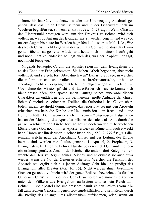Immerhin hat Calvin anderswo wieder der Überzeugung Ausdruck gegeben, dass das Reich Christi seitdem und in der Gegenwart noch im Wachsen begriffen sei, so wenn er z.B. zu Jes. 45. 23 sagt: "Wenn Christus den Richterstuhl besteigen wird, um den Erdkreis zu richten, wird sich vollenden, was zu Anfang des Evangeliums zu werden begann und was vor unsern Augen bis heute im Werden begriffen ist" – oder zu Mal. 4. 3: "Wie das Reich Christi wohl begann in der Welt, als Gott wollte, dass das Evangelium überall ausgebreitet würde, und heute noch in seinem Laufe geht und noch nicht vollendet ist, so liegt auch das, was der Prophet hier sagt, noch nicht fertig vor."

Nirgends behauptet Calvin, die Apostel seien mit dem Evangelium bis an das Ende der Erde gekommen. Sie haben Arbeit begonnen, aber nicht vollendet, und sie geht fort. Aber durch wen? Das ist die Frage, in welcher die reformatorische und vollends die nachreformatorische, orthodoxe Theologie nicht zu derjenigen Klarheit durchgedrungen ist, welche zur Übernahme der Missionspflicht und -tat erforderlich war: sie konnte sich nicht entschließen, den apostolischen Auftrag seines außerordentlichen Charakters zu entkleiden und als permanente, große Aufgabe der christlichen Gemeinde zu erkennen. Freilich, die Orthodoxie hat Calvin überboten, indem sie direkt dogmatisierte, das Apostolat sei mit den Aposteln erloschen, weshalb die Kirche zur Heidenmission kein Recht und keine Befugnis hätte. Denn wenn er auch mit seinen Zeitgenossen festgehalten hat an der Meinung, das Apostolat pflanze sich nicht als Amt durch die ganze Geschichte der Kirche fort, so hat er doch wiederum hervorheben können, dass Gott noch immer Apostel erwecken könne und auch erweckt habe. Hören wir ihn darüber in seiner Institutio (1559. 2. 779 f.): "Als diejenigen, welche nach der Anordnung Christi mit der Leitung der Kirche betraut sind, werden von Paulus genannt: 1. Apostel, 2. Propheten, 3. Evangelisten, 4. Hirten, 5. Lehrer. Nur die beiden zuletzt Genannten bilden ein ordnungsgemäßes Amt in der Kirche; die andern drei Kategorien erweckte der Herr zu Beginn seines Reiches, und er erweckt sie auch etwa wieder, wenn die Not der Zeiten es erheischt. Welches die Funktion des Apostels sei, ergibt sich aus jenem Auftrag: Geht hin und predigt das Evangelium aller Kreatur (Mk. 16. 15). Nicht werden ihnen bestimmte Grenzen gesteckt; vielmehr wird der ganze Erdkreis bezeichnet als für den Gehorsam Christi zu eroberndes Gebiet; sie sollen wo immer sie können unter den Völkern das Evangelium ausbreiten und so sein Reich aufrichten … Die Apostel also sind entsandt, damit sie den Erdkreis vom Abfall zum rechten Gehorsam gegen Gott zurückführten und sein Reich durch die Predigt des Evangeliums allenthalben aufrichteten, oder, wenn du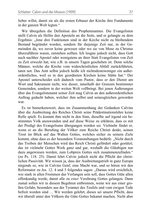lieber willst, damit sie als die ersten Erbauer der Kirche ihre Fundamente in der ganzen Welt legten."

Wir übergehen die Definition des Prophetenamtes. Die Evangelisten stellt Calvin als Helfer den Aposteln an die Seite, und er gelangte zu dem Ergebnis: "Jene drei Funktionen sind in der Kirche nicht zu bleibendem Bestand begründet worden, sondern für diejenige Zeit nur, in der Gemeinden da, wo zuvor keine gewesen oder wo sie von Mose zu Christus überzuführen waren, entstehen sollten. Ich leugne jedoch nicht, dass Gott auch nachher Apostel oder wenigstens an ihrer Statt Evangelisten von Zeit zu Zeit erweckt hat, wie z.B. in unsern Tagen geschehen ist. Denn solche Männer, welche die Kirche vom widerchristlichen Abfall zurückführten, taten not. Das Amt selbst jedoch heiße ich nichtsdestoweniger ein außerordentliches, weil es in den geordneten Kirchen keine Stätte hat." Der Apostel unterscheidet sich dadurch vom Pastor, dass er den Dienst am Wort und Sakrament nicht, wie dieser, innerhalb der Grenzen bestimmter Gemeinden, sondern in der weiten Welt vollbringt. Bei jenen Äußerungen über das Evangelistenamt seiner Zeit mag Calvin an den außerordentlichen Auftrag gedacht haben, welcher ihm selbst und seinesgleichen geworden war.

Es ist bemerkenswert, dass im Zusammenhang der Gedanken Calvins über die Ausbreitung des Reiches Christi seine Prädestinationslehre keine Rolle spielt. Es kommt ihm nicht in den Sinn, dieselbe auf irgend ein bestimmtes Volk anzuwenden und auf diese Weise zu erklären, dass es mit der Predigt des Evangeliums übergangen worden sei. Vielmehr findet er, wenn er an die Berufung der Völker zum Reiche Christi denkt, seinen Trost im Blick auf das Walten Gottes, welches sicher zu seinem Ziele kommt, ohne dass es der besondern Veranstaltungen bedürfe. "Nicht durch das Treiben der Menschen wird das Reich Christi gefördert oder gestützt; das ist vielmehr Gottes Werk ganz und gar, weshalb die Gläubigen nur dazu angewiesen werden, zum Lobpreis Gottes sich zusammenzufinden." (zu Ps. 118. 25). Damit lehrt Calvin jedoch nicht die Pflicht der christlichen Passivität. Wir wissen ja, dass der Ausbreitungstrieb in ganz Europa nirgends so, wie in Calvins Genf, eine Macht war, und so hören wir den Reformator zu Jes. 12. 4 und 5 folgendes sagen: "Daraus wird ersichtlich, wie stark in allen Frommen das Verlangen sein soll, dass Gottes Güte allen offenkundig werde, damit alle zu *einer* Verehrung Gottes gelangen. Dann zumal sollen wir in diesem Begehren entbrennen, wenn wir aus einer großen Gefahr, besonders aus der Tyrannei des Teufels und vom ewigen Tode befreit worden sind … Wir werden gelehrt, dieses sei unsere Pflicht, dass wir überall unter den Völkern die Güte Gottes bekannt machen. Nicht aber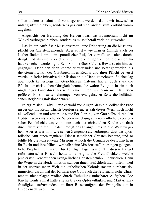sollen andere ermahnt und vorausgesandt werden, damit wir inzwischen untätig sitzen bleiben; sondern es geziemt sich, andern zum Vorbild voranzugehen."

Angesichts der Berufung der Heiden "darf das Evangelium nicht im Winkel verborgen bleiben, sondern es muss überall verkündigt werden".

Das ist ein Aufruf zur Missionsarbeit, eine Erinnerung an die Missionspflicht der Christengemeinde. Aber er ist – wie man es ähnlich auch bei Luther finden kann – ein sporadischer Ruf, der verhallt und nicht durchdringt, und als eine prophetische Stimme künftigen Zeiten, die seinen Inhalt verstehen werden, gilt. Sein Sinn ist über Calvins Bewusstsein hinausgegangen. Denn erst dann konnte er verstanden und betätigt werden, als die Gemeinschaft der Gläubigen ihres Rechts und ihrer Pflicht bewusst wurde, in freier Initiative die Mission an die Hand zu nehmen. Solches lag aber noch keineswegs im Gesichtskreis Calvins, hat er doch stark die Pflicht der christlichen Obrigkeit betont, die wahre Religion in ein noch ungläubiges Land ihrer Herrschaft einzuführen, wie denn auch die ersten größeren Missionsunternehmungen von evangelischer Seite die holländischen Regierungsmissionen waren.

Es ergibt sich: Calvin hatte es wohl vor Augen, dass die Völker der Erde insgesamt ins Reich Christi berufen seien; er sah dieses Werk noch nicht als vollendet an und erwartete seine Fortführung von Gott selbst durch den Bedürfnissen entsprechende Wiedererweckung außerordentlicher, apostolischer Persönlichkeiten; er konnte auch der christlichen Kirche ernsthaft ihre Pflicht zurufen, mit der Predigt des Evangeliums in alle Welt zu gehen. Aber es war ihm, wie seinen Zeitgenossen, verborgen, dass das apostolische Amt einen regulären Dienst sämtlicher Christen bedeute, und so fehlte für die konsequente Missionstat noch die Grundlage der Einsicht in ihr Recht und ihre Pflicht, weshalb seine Missionsaufforderungen gelegentliche Prophetenrufe waren für künftige Tage. Wir dürfen diesen Mangel reformatorischer Einsicht heute als eine göttliche Freundlichkeit, welche jene ersten Generationen evangelischer Christen erfuhren, beurteilen. Denn die Wege in die Heidenmission standen ihnen tatsächlich nicht offen., weil in der überseeischen Welt die katholischen Kolonialstaaten durchaus dominierten; darum hat der barmherzige Gott auch die reformatorische Christenheit nicht plagen wollen durch Enthüllung unlösbarer Aufgaben. Die Kirche Genfs zumal hatte alle Kräfte der Opferwilligkeit und Martyriumsfreudigkeit aufzuwenden, um ihrer Riesenaufgabe der Evangelisation in Europa nachzukommen.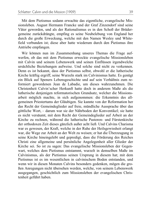Mit dem Pietismus sodann erwachte das eigentliche, evangelische Missionsleben. August Hermann Francke und der Graf Zinzendorf sind seine Väter geworden, und als der Rationalismus es in den Schoß der Brüdergemeine zurückdrängte, empfing es seine Neubelebung von England her durch die große Erweckung, welche mit den Namen Wesley und Whitefield verbunden ist; diese aber hatte wiederum durch den Pietismus ihre Antriebe empfangen.

Wir können nun im Zusammenhang unseres Themas die Frage aufwerfen, ob das mit dem Pietismus erweckte evangelische Missionsleben mit Calvin und seinem Lebenswerk und seinen Einflüssen irgendwelche ursächliche Beziehungen aufweise. Und solche sind nicht zu verkennen. Denn es ist bekannt, dass der Pietismus selbst, obwohl er die lutherische Kirche kräftig ergriff, seine Wurzeln stark im Calvinismus hatte. Es genügt ein Blick auf Speners Lebensgeschichte und auf sein Verhältnis zum reformiert gewordenen Jean de Labadie, um dieses wahrzunehmen. Die Christenheit Calvin'scher Herkunft hatte doch in anderem Maße als die lutherische denjenigen reformatorischen Grundsatz, welcher die Missionsarbeit möglich machte, in sich aufgenommen: die Erkenntnis des allgemeinen Priestertums der Gläubigen. Sie kannte von der Reformation her das Recht der Gemeindeglieder auf freie, mündliche Aussprache über das göttliche Wort, – darum war sie der Nährboden der Konventikel; sie hatte es nicht versäumt, mit dem Recht der Gemeindeglieder auf Arbeit an der Kirche zu rechnen, während die lutherische Pastoren- und Fürstenkirche der orthodoxen Zeit dieses gänzlich außer acht ließ. Und Calvins Charisma war es gewesen, der Kraft, welche in der Ruhe der Heilsgewissheit erlangt war, die Wege zur Arbeit an der Welt zu weisen; er hat die Überzeugung in seine Kirche hineingelebt und gepredigt, dass die Förderung des Reiches Christi eine allgemeine und persönliche Angelegenheit aller Glieder der Kirche sei. So ist zu sagen: Das evangelische Missionsleben der Gegenwart, welches dem Pietismus entstammt, wurzelt in demselben Maße im Calvinismus, als der Pietismus seinen Ursprung in diesem hat; mit dem Pietismus ist es im wesentlichen in calvinischem Boden entstanden, und wenn wir in diesen Monaten Calvins besonders gedenken, mögen die großen Anregungen nicht übersehen werden, welche, von seinem Lebenswerk ausgegangen, geschichtlich zum Missionsleben der evangelischen Christenheit geführt haben.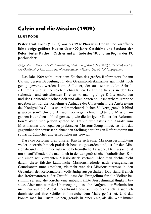### Calvin und die Mission (1909)

**ERNST KOCHS**

**Pastor Ernst Kochs († 1953) war bis 1937 Pfarrer in Emden und veröffentlichte einige größere Studien über 400 Jahre Geschichte und Struktur der Reformierten Kirche in Ostfriesland am Ende des 18. und am Beginn des 19. Jahrhunderts.** 

Original von "Reformirte Kirchen-Zeitung" (Nürnberg) Band. 32 (1909), S. 322-324, dort ist die Quelle mit "Monatsblatt der Norddeutschen Missions-Gesellschaft" angegeben.

Das Jahr 1909 steht unter dem Zeichen des großen Reformators Johann Calvin, dessen Bedeutung für den Gesamtprotestantismus gar nicht hoch genug gewertet werden kann. Sollte er, der aus seiner tiefen Schrifterkenntnis und seiner reichen christlichen Erfahrung heraus in den bestehenden und entstehenden Kirchen so mannigfaltige Kräfte entbunden und der Christenheit seiner Zeit und aller Zeiten so unschätzbare Antriebe gegeben hat, für die vornehmste Aufgabe der Christenheit, die Ausbreitung des Königreichs Gottes unter den nichtchristlichen Völkern, gänzlich blind gewesen sein? Um die Antwort vorwegzunehmen: "Für die Mission im ganzen ist er ebenso blind gewesen, wie die übrigen Männer der Reformation." Wenn sich jedoch gerade bei Calvin wenigstens ein Ansatz zum Missionssinn und sogar zu praktischer Missionsübung findet, so fällt das gegenüber der bewusst ablehnenden Stellung der übrigen Reformatoren um so nachdrücklicher und erfreulicher ins Gewicht.

Dass die Reformatoren unserer Kirche sich einer Missionsverpflichtung weder theoretisch noch praktisch bewusst geworden sind, ist für den Missionsfreund eine immer aufs neue befremdliche Tatsache. Die Tatsache ist um so auffallender, als man doch in der zeitgenössischen katholischen Kirche einen neu erwachten Missionstrieb vorfand. Aber man dachte nicht daran, diese falsche katholische Missionsmethode nach evangelischen Grundsätzen umzugestalten, vielmehr war das Missionsinteresse in den Gedanken der Reformatoren vollständig ausgeschaltet. Das stand freilich den Reformatoren außer Zweifel, dass das Evangelium für alle Völker bestimmt sei und die Kirche eine unbeschränkte Ausdehnungsfähigkeit besitze. Aber man war der Überzeugung, dass die Aufgabe der Weltmission nicht nur auf die Apostel beschränkt gewesen, sondern auch tatsächlich durch sie und ihre Schüler in hinreichendem Maße gelöst sei. Und das konnte man im Ernste meinen, gerade in einer Zeit, als die Welt immer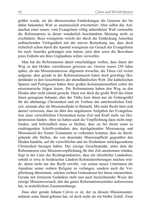größer wurde, als die überseeischen Entdeckungen die Grenzen der bis dahin bekannten Welt so unermesslich erweiterten! Aber selbst das Auftauchen einer neuen, vom Evangelium völlig unberührten Welt vermochte die Reformatoren in dieser wunderlich beschränkten Meinung nicht zu erschüttern. Beza wenigstens weicht der durch die Entdeckung Amerikas auftauchenden Verlegenheit mit der naiven Bemerkung aus, dass doch sicherlich schon durch die Apostel wenigstens ein Geruch des Evangeliums bis nach Amerika gedrungen sein müsse; jetzt aber seien die Bewohner jenes Erdteils um ihres Unglaubens willen verworfen.

Man hat die Reformatoren damit entschuldigen wollen, dass ihnen der Weg zu den Heiden verschlossen gewesen sei. Gewiss waren 250 Jahre später, als das Missionsinteresse allgemein erwachte, die Türen viel weiter aufgetan; aber gerade in der Reformationszeit traten doch gewaltige Heidenländer in den Gesichtskreis der abendländischen Welt. Die katholischen Spanier und Portugiesen haben ihrer großen Kolonisationsarbeit sofort die missionarische folgen lassen. Die Reformatoren haben den Weg zu den Heiden aber nicht einmal gesucht. Dazu war doch die große Welt des Islam ihnen genugsam bekannt, aber der Türke kam ihnen nur als Gottesgeißel für die abtrünnige Christenheit und als Vorbote der antichristlichen Endzeit, niemals aber als Missionsobjekt in Betracht. Mit mehr Recht lässt sich darauf verweisen, dass sie über den ungeheuren Aufgaben der Evangelisation einer verweltlichten Christenheit keine Zeit und Kraft mehr zur Heidenmission fanden. Aber sie haben auch die Verpflichtung dazu nicht empfunden, und befremdlich muss es bleiben, dass sie bei ihrem sonst so eindringenden Schriftverständnis den durchgehenden Missionszug und Missionsruf des Neuen Testaments so verkennen konnten, dass sie durchgehends alle Stellen, die von dauernder Missionspflicht gegenüber den Heiden handeln, auf die verweltlichte und ins Heidentum zurückgesunkene Christenheit bezogen haben. Der einzige Gesichtspunkt, unter dem die Reformatoren eine Missionsverpflichtung für ihre Zeit anerkennen würden, liegt in der Linie des Rechtsgrundsatzes, dass ein christlicher Landesherr, sobald er etwa in heidnischen Ländern Kolonialeroberungen machen würde, damit nicht nur das Recht erwirkt, von seinen neuen Untertanen die Annahme seiner wahren Religion zu verlangen, sondern auch die Verpflichtung übernimmt, solchen rechten Gottesdienst bei ihnen einzurichten. Gerade mit letzterem Gedanken steht nun auch bezeichnender Weise der einzige Missionsversuch, den das ganze Reformationszeitalter aufzuweisen hat, in ursächlichem Zusammenhange.

Dass aber gerade Johann Calvin es ist, der zu diesem Missionsunternehmen seine Hand geboten hat, ist doch mehr als ein bloßer Zufall. Zwar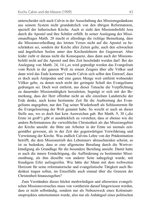unterscheidet sich auch Calvin in der Ausschaltung des Missionsgedankens aus seinem System nicht grundsätzlich von den übrigen Reformatoren, speziell der lutherischen Kirche. Auch er sieht den Missionsbefehl Jesu durch die Apostel und ihre Schüler erfüllt. In seiner Auslegung des Missionsauftrages Matth. 28 macht er allerdings die richtige Bemerkung, dass die Missionsverheißung des letzten Verses nicht auf die Apostel zu beschränken sei, sondern der Kirche aller Zeiten gelte, auch den schwachen und ängstlichen Seelen unter den Kirchenlehrern der Gegenwart. Aber leider zieht er daraus nicht die Konsequenz, dass dann auch der Missionsbefehl nicht auf die Apostel und ihre Zeit beschränkt werden darf. Bei der Auslegung von Matth. 24, 14 ("es wird gepredigt werden das Evangelium vom Reich in der ganzen Welt zu einem Zeugnis über alle Völker und dann wird das Ende kommen") macht Calvin sich selbst den Einwurf, dass es doch auch Antipoden und eine ganze Menge weit entfernt wohnender Völker gebe, zu denen noch nicht der geringste Schall des Evangeliums gedrungen sei. Doch weit entfernt, aus dieser Tatsache die Verpflichtung zu dauernder Missionstätigkeit herzuleiten, begnügt er sich mit der Bemerkung, dass der Herr offenbar nicht an alle einzelnen Landstriche der Erde denke, auch keine bestimmte Zeit für die Ausbreitung des Evangeliums angegeben, nur den Tag seiner Wiederkunft als Schlusstermin für die Evangelisierung der Welt genannt habe. So weicht er auch an dieser Stelle aus, wo es doch fast kein Ausweichen gab. Bei Matth. 9, 38 ("die Ernte ist groß") gibt er ausdrücklich zu verstehen, dass er ebenso wie die andern Reformatoren die verweltlichte Christenheit als das Missionsgebiet der Kirche ansieht: die Bitte um Arbeiter in der Ernte sei niemals zeitgemäßer gewesen, als in der Zeit der gegenwärtigen Verwilderung und Verwüstung der Kirche. Was endlich Calvins Lehre von der Prädestination betrifft, die dem Missionstrieb den Lebensnerv abzuschneiden scheint, so ist zu bedenken, dass er eine allgemeine Berufung durch die Wortverkündigung als Grundlage für die besondere Berufung ansieht. Damit hatte er auch die innere Ermächtigung, die Aufforderung zu bestimmter Missionsübung, als ihm dieselbe von anderer Seite nahegelegt wurde, mit freudigem Eifer aufzugreifen. Wie hätte der Mann mit dem weltweiten Horizont für seine reformatorische und evangelistische Tätigkeit auch Bedenken tragen sollen, im Einzelfalle auch einmal über die Grenzen der Christenheit hinauszugehen?

Zum Verständnis dieses höchst merkwürdigen und allerersten evangelischen Missionsversuches muss von vornherein darauf hingewiesen werden, dass er nicht selbständig, sondern nur als Nebenzweck eines Kolonisationsprojektes unternommen wurde, also nur als Anhängsel eines politischen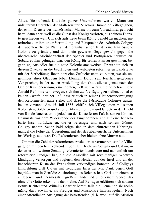Aktes. Die treibende Kraft des ganzen Unternehmens war ein Mann von unlauterem Charakter, der Malteserritter Nikolaus Durand de Villegaignon, der es im Dienste der französischen Marine bis zum Vizeadmiral gebracht hatte, dann aber, weil er die Gunst des Königs verloren, aus seinem Dienste geschieden war. Um sich aufs neue beim König beliebt zu machen, unterbreitete er ihm unter Vermittlung und Fürsprache des Admirals Coligny den abenteuerlichen Plan, an der brasilianischen Küste eine französische Kolonie zu gründen, und damit ein gewisses Gegengewicht gegen die überseeische Alleinherrschaft der Spanier und Portugiesen herzustellen. Sobald es ihm gelungen war, den König für seinen Plan zu gewinnen, begann er, Ansiedler für die neue Kolonie anzuwerben. Er wandte sich zu diesem Zwecke an die bedrängten und verfolgten reformierten Landsleute mit der Verheißung, ihnen dort eine Zufluchtsstätte zu bieten, wo sie ungehindert ihres Glaubens leben könnten. Durch sein feierlich gegebenes Versprechen, in der neuen Ansiedlung den Gottesdienst genau nach der Genfer Kirchenordnung einzurichten, ließ sich wirklich eine beträchtliche Anzahl Reformierter bewegen, sich ihm zur Verfügung zu stellen, zumal er keinen Zweifel darüber ließ, dass er auch in seiner Glaubensüberzeugung den Reformierten nahe stehe, und dazu die Fürsprache Colignys auszubeuten verstand. Am 15. Juli 1555 schiffte sich Villegaignon mit seinen Kolonisten, Soldaten und allerlei Abenteurern ein und landete in der Bucht von Rio de Janeiro, ohne jedoch an der Küste festen Fuß fassen zu können. Er musste vor dem Widerstande der Eingeborenen sich auf eine benachbarte Insel zurückziehen, die er befestigte und nach seinem Gönner Coligny nannte. Schon bald zeigte sich in dem eintretenden Nahrungsmangel die Folge der Übereilung, mit der das abenteuerliche Unternehmen ins Werk gesetzt war. Die Reformierten aber hielten ohne Murren aus.

Um nun die Zahl der reformierten Ansiedler zu vermehren, sandte Villegaignon mit den heimkehrenden Schiffen Briefe an Coligny und Calvin, in denen er um weitere Sendung reformierter Landsleute und namentlich um reformierte Prediger bat, die die Ansiedler mit regelmäßiger Wortverkündigung versorgen und zugleich den Heiden auf der Insel und an der benachbarten Küste das Evangelium verkündigen könnten. Auf Colignys Empfehlung griff Calvin mit freudigem Eifer zu. Mit Dank gegen Gott begrüßte man in Genf die Ausbreitung des Reiches Jesu Christi in einem so entlegenen und unermesslich großen Lande und unter einem Volke, das ohne alle Gotteserkenntnis dahinlebte. Auf Befragen erklärten sich sodann Petrus Richter und Wilhelm Chartier bereit, falls die Gemeinde sie rechtmäßig dazu erwählte, als Prediger und Missionare hinauszugehen. Nach einer öffentlichen Auslegung der betreffenden (d. h. wohl auf die Mission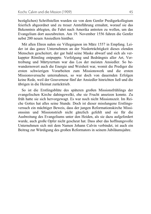bezüglichen) Schriftstellen wurden sie von dem Genfer Predigerkollegium feierlich abgeordnet und zu treuer Amtsführung ermahnt, worauf sie das Bekenntnis ablegten, die Fahrt nach Amerika antreten zu wollen, um das Evangelium dort auszubreiten. Am 19. November 1556 fuhren die Genfer nebst 200 neuen Ansiedlern hinüber.

Mit allen Ehren nahm sie Villegaignon im März 1557 in Empfang. Leider ist das ganze Unternehmen an der Niederträchtigkeit dieses elenden Menschen gescheitert, der gar bald seine Maske abwarf und sich als verkappter Römling entpuppte. Verfolgung und Bedrängnis aller Art, Vertreibung und Märtyrertum war das Los der meisten Ansiedler. So bewundernswert auch die Energie und Weisheit war, womit die Prediger die ersten schwierigen Vorarbeiten zum Missionswerk und die ersten Missionsversuche unternahmen, so war doch von dauernden Erfolgen keine Rede, weil der Gouverneur fünf der Ansiedler hinrichten ließ und die übrigen in die Heimat zurücktrieb.

So ist die Erstlingsblüte des späteren großen Missionsfrühlings der evangelischen Kirche dahingewelkt, ehe sie Frucht ansetzen konnte. Zu früh hatte sie sich hervorgewagt. Es war noch nicht Missionszeit. Im Reiche Gottes hat alles seine Stunde. Doch ist dieser misslungene Erstlingsversuch ein mächtiger Beweis, dass der jungen Reformationskirche Missionssinn und Missionstrieb nicht gänzlich gefehlt und sie für die Ausbreitung des Evangeliums unter den Heiden, als sie dazu aufgefordert wurde, auch große Opfer nicht gescheut hat. Dass aber das hoffnungsvolle Unternehmen sich mit dem Namen Johann Calvin verbindet, ist auch ein Beitrag zur Würdigung des großen Reformators in seinem Jubiläumsjahre.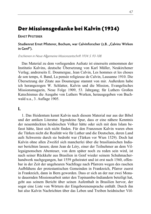## Der Missionsgedanke bei Kalvin (1934)

**ERNST PFISTERER**

#### Studienrat Ernst Pfisterer, Bochum, war Calvinforscher (z.B. "Calvins Wirken **in Genf").**

Erschienen in Neue Allgemeine Missionszeitschrift 1934: S. 93-108.

Das Material zu dem vorliegenden Aufsatz ist einerseits entnommen der Institutio Kalvins, deutsche Übersetzung von Karl Müller, Neukirchener Verlag; andrerseits E. Doumergue, Jean Calvin, Les hommes et les choses de son temps, 4. Band, La pensée religieuse de Calvin, Lausanne 1910. Die Übersetzung der Zitate aus Doumergue stammt von mir. Außerdem habe ich herangezogen W. Schlatter, Kalvin und die Mission, Evangelisches Missionsmagazin, Neue Folge 1909, 53. Jahrgang; für Luthers Großen Katechismus die Ausgabe von Luthers Werken, herausgegeben von Buchwald u.a., 3. Auflage 1905.

### **I.**

1. Das Heidentum kennt Kalvin nach diesem Material nur aus der Bibel und der antiken Literatur. Irgendeine Spur, dass er eine nähere Kenntnis der neuentdeckten heidnischen Völker hätte oder sich mit dem Islam befasst hätte, lässt sich nicht finden. Für den Franzosen Kalvin waren eben die Türken nicht die Realität wie für Luther und die Deutschen, deren Land aufs Schwerste durch sie bedroht war (Türken vor Wien 1529). Doch hat Kalvin ohne allen Zweifel sich mancherlei über die brasilianischen Indianer berichten lassen; denn Jean de Léry, einer der Teilnehmer an dem Villegaignonschen Abenteuer, von dem später noch zu reden sein wird, ist nach seiner Rückkehr aus Brasilien in Genf wieder seinem Schuhmacherhandwerk nachgegangen, hat 1559 geheiratet und ist erst nach 1560, offenbar in der Zeit der ungeheuren Nachfrage nach Pfarrern wegen des raschen Aufblühens der protestantischen Gemeinden in Frankreich, Pfarrer zuerst in Frankreich, dann in Bern geworden. Dass er sich an der nur zwei Monate dauernden Missionsarbeit unter den Topinambu-Indiandern beteiligt hat, geht aus seinem Bericht über seinen Aufenthalt in Brasilien hervor, der sogar eine Liste von Wörtern der Eingeborenensprache enthält. Durch ihn hat also Kalvin Nachrichten über das Leben und Treiben heidnischer Völ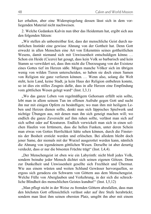ker erhalten, aber eine Widerspiegelung dessen lässt sich in dem vorliegenden Material nicht nachweisen.

2. Welche Gedanken Kalvin nun über das Heidentum hat, ergibt sich aus den folgenden Sätzen:

"Wir stellen als unbestreitbar fest, dass der menschliche Geist durch natürlichen Instinkt eine gewisse Ahnung von der Gottheit hat. Denn Gott erweckt in allen Menschen eine Art von Erkenntnis seines gottheitlichen Wesens, damit niemand sich mit Unwissenheit entschuldigen könne. … Schon ein Heide (Cicero) hat gesagt, dass kein Volk so barbarisch und kein Stamm so verwildert sei, dass ihm nicht die Überzeugung von der Existenz eines Gottes tief im Herzen säße. Mögen manche Völker sich im übrigen wenig von wilden Tieren unterscheiden, so haben sie doch einen Samen von Religion nie ganz verlieren können. … Wenn also, solang die Welt steht, kein Land, keine Stadt, ja kein Haus der Religion entbehren konnte, so ist dies ein stilles Zeugnis dafür, dass in alle Herzen eine Empfindung vom göttlichen Wesen gelegt ward" (Inst. I,3,1)

"Wo das ganze Leben von regelmäßigem Gehorsam erfüllt sein sollte, lebt man in allem seinem Tun im offenen Aufruhr gegen Gott und sucht ihn nur mit einigen Opfern zu besänftigen; wo man ihm mit heiligem Leben und Herzen dienen sollte, denkt man sich läppisches Spielwerk und nichtige Übungen aus, mit denen man ihn sich geneigt machen will; wo endlich die ganze Zuversicht auf ihm ruhen sollte, verlässt man sich auf sich selbst oder auf Kreaturen. Endlich verwickelt man sich in einen solchen Haufen von Irrtümern, dass die hellen Funken, unter deren Schein man etwas von Gottes Herrlichkeit hätte sehen können, durch die Finsternis der Bosheit erstickt werden und erlöschen. Bei alledem bleibt doch jener Same, der niemals mit der Wurzel ausgerottet werden kann, nämlich die Ahnung von irgendeinem göttlichen Wesen. Derselbe ist aber derartig verdeckt, dass er nur die bösesten Früchte trägt" (Inst. I,4,4).

"Der Menschengeist ist eben wie ein Labyrinth: nicht bloß jedes Volk, sondern beinahe jeder Mensch dichtet sich seinen eigenen Götzen. Denn zur Dunkelheit und Unwissenheit gesellte sich Frechheit und Übermut. Wie aus einem wüsten und weiten Schlund Gewässer hervorquellen, so ergoss sich geradezu ein Schwarm von Göttern aus dem Menschengeist. Welche Fülle von Aberglauben und Verkehrung, in der sich die schreckliche Blindheit des menschlichen Geistes kundtut!" (Inst. I,5,12)

"Man pflegt nicht in der Weise zu fremden Göttern abzufallen, dass man den höchsten Gott offensichtlich verlässt oder auf ihre Stufe herabrückt; sondern man lässt ihm seinen obersten Platz, umgibt ihn aber mit einem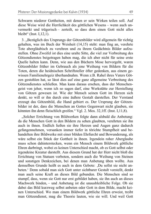Schwarm niederer Gottheiten, mit denen er sein Wirken teilen soll. Auf diese Weise wird die Herrlichkeit des göttlichen Wesens – wenn auch unvermerkt und trügerisch – zerteilt, so dass dem einen Gott nicht alles bleibt" (Inst. I,12,1).

3. "Bezüglich des Ursprungs der Götzenbilder wird allgemein für richtig gehalten, was im Buch der Weisheit (14,15) steht: man fing an, verehrte Tote abergläubisch zu verehren und zu ihrem Gedächtnis Bilder aufzustellen. Ohne Zweifel ist dies eine uralte Sitte, die viel zur Verbreitung des Götzendienstes beigetragen haben mag, die ich aber nicht für seine erste Quelle halten kann. Denn, wie aus den Büchern Mose hervorgeht, waren Götzenbilder früher im Gebrauch als jene Weihung von Bildern für die Toten, deren die heidnischen Schriftsteller öfter gedenken, aus einem gewissen Familienehrgeiz überhandnahm. Wenn z.B. Rahel ihres Vaters Götzen gestohlen hat, so lässt dies auf eine ganz allgemeine Verbreitung des Götzendienstes schließen. Man kann daraus ersehen, dass der Menschengeist von jeher, wenn ich so sagen darf, eine Werkstätte zur Herstellung von Götzen gewesen ist. Wie der Mensch seinen Gott im Herzen sich denkt, so will er ihn durch eine äußere Gestalt darstellen. Der Verstand erzeugt das Götzenbild, die Hand gebiert es. Der Ursprung der Götzenbilder ist der, dass die Menschen an Gottes Gegenwart nicht glauben, sie könnten ihn denn fleischlich greifen." Vgl. 2. Mos. 32,1ff. (Inst. I,11,8).

"Solcher Errichtung von Bildwerken folgte dann alsbald die Anbetung: da die Menschen Gott in den Bildern zu sehen glaubten, verehrten sie ihn auch in ihnen. Endlich ließen sie ihre Herzen und Augen ganz dadurch gefangennehmen, versanken immer tiefer in törichte Stumpfheit und behandelten ihre Bildwerke mit einer blöden Ehrfurcht und Bewunderung, als wäre selbst ein Stück der Gottheit in ihnen. Irgendein roher Aberglaube muss schon dahinterstecken, wenn ein Mensch einem Bildwerk göttliche Ehren darbringt, wobei es keinen Unterschied macht, ob es Gott selbst oder irgendeine Kreatur darstellt. Aus diesem Grund hat der Herr nicht bloß die Errichtung von Statuen verboten, sondern auch die Weihung von Steinen und sonstigen Denkzeichen, bei denen man Anbetung üben wollte. Aus demselben Grunde heißt es auch in dem Gebote: "Du sollst sie nicht anbeten.' Denn sobald man sich Gott unter sichtbarer Gestalt vorstellt, denkt man auch seine Kraft an dieses Bild gebunden. Die Menschen sind so stumpf, dass, wenn sie Gott nur erst gebildet haben, sie ihn auch an dieses Machwerk binden, – und Anbetung ist die unausbleibliche Folge. Ob sie dabei das Bild kurzweg selbst anbeten oder Gott in dem Bilde, macht keinen Unterschied. Wo man einem Bildwerk göttliche Ehren erweist, treibt man Götzendienst, mag die Theorie lauten, wie sie will. Und weil Gott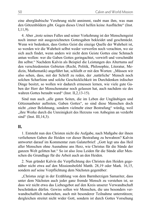eine abergläubische Verehrung nicht annimmt, raubt man ihm, was man den Götzenbildern gibt. Gegen dieses Urteil helfen keine Ausflüchte" (Inst. I,11,9).

4. Aber "trotz seines Falles und seiner Verkehrung ist der Menschengeist noch immer mit ausgezeichneten Gottesgaben bekleidet und geschmückt. Wenn wir bedenken, dass Gottes Geist die einzige Quelle der Wahrheit ist, so werden wir die Wahrheit selbst weder verwerfen noch verachten, wo sie sich auch findet, wenn anders wir nicht dem Geiste Gottes eine Schmach antun wollen: wer die Gaben Gottes geringachtet, verwirft und verschmäht ihn selbst." Nachdem Kalvin als Beispiel die Leistungen des Altertums auf den verschiedensten Gebieten (Recht, Politik, Philosophie, Literatur, Medizin, Mathematik) angeführt hat, schließt er mit den Worten: "Müssen wir also sehen, dass, mit der Schrift zu reden, der ,natürliche' Mensch noch solchen Scharfsinn und solche Geschicklichkeit im Durchdenken irdischer Dinge besitzt, so wollen wir dadurch ermessen lernen, wie viele gute Gaben der Herr der Menschennatur noch gelassen hat, auch nachdem sie des wahren Gottes beraubt ward" (Inst. II,2,13-15).

Sind nun auch "alle guten Seiten, die im Leben der Ungläubigen und Götzenanbeter auftreten, Gaben Gottes", so sind diese Menschen doch nicht "einer Belohnung, sondern vielmehr einer Bestrafung" würdig, weil "ihre Werke durch die Unreinigkeit des Herzens von Anbeginn an verderbt sind" (Inst. III, 14, 3).

### **II.**

1. Entsteht nun den Christen nicht die Aufgabe, nach Maßgabe der ihnen verliehenen Gaben die Heiden vor dieser Bestrafung zu bewahren? Kalvin antwortet darauf im Kommentar zum Galaterbrief: "Gott legt uns das Heil aller Menschen ohne Ausnahme ans Herz, wie Christus für die Sünde der ganzen Welt gelitten hat." So ist also Jesu Leiden für die Sünde aller Menschen die Grundlage für die Arbeit auch an den Heiden.

2. Nun gründet Kalvin die Verpflichtung des Christen den Heiden gegenüber nicht etwa auf den Missionsbefehl Matth. 28,19 oder Mark. 16,15, sondern auf seine Verpflichtung dem Nächsten gegenüber:

"Christus zeigt in der Erzählung von dem Barmherzigen Samariter, dass unter dem Nächsten auch jeder ganz fremde Mensch zu verstehen ist, so dass wir nicht etwa das Liebesgebot auf den Kreis unserer Verwandtschaft beschränken dürfen. Gewiss sollen wir Menschen, die uns besonders verwandtschaftlich nahestehen, auch mit besonderer Teilnahme unterstützen; dergleichen streitet nicht wider Gott, sondern ist durch Gottes Vorsehung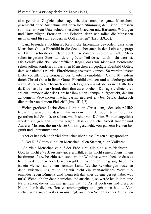also geordnet. Zugleich aber sage ich, dass man das ganze Menschengeschlecht ohne Ausnahme mit derselben Stimmung der Liebe umfassen soll; hier ist kein Unterschied zwischen Griechen und Barbaren, Würdigen und Unwürdigen, Freunden und Feinden; denn wir sollen die Menschen nicht an und für sich, sondern in Gott ansehen" (Inst. II,8,32).

Ganz besonders wichtig ist Kalvin die Erkenntnis geworden, dass allen Menschen Gottes Ebenbild in die Seele, aber auch in den Leib eingeprägt ist. Darum schreibt er: "Nach des Herrn Vorschrift sollen wir allen Menschen insgesamt Gutes tun, deren größter Teil dessen doch nicht wert ist. Die Schrift gibt eben die treffliche Regel, dass wir nicht auf Verdienste sehen sollen, sondern auf das allen Menschen eingeprägte Ebenbild Gottes, dem wir niemals zu viel Ehrerbietung erweisen können. So werden unsrer Liebe vor allem die Genossen des Glaubens empfohlen (Gal. 6,10), sofern durch Christi Geist in ihnen Gottes Ebenbild erneuert und wiederhergestellt ward. Aber welcher Mensch dir auch begegnen wird, der deiner Hilfe bedarf, du hast keinen Grund, dich ihm zu entziehen. Du sagst vielleicht, es sei ein Fremder; aber der Herr hat ihm einen Stempel aufgedrückt, der ihn zu deinem Verwandten macht: darum gebietet er (Jes. 58,7): ,Entzeuch dich nicht von deinem Fleisch'" (Inst. III,7,7).

Welch größeren Liebesdienst könnte ein Christ dem, "der seiner Hilfe bedarf", erweisen, als dass er ihn zu dem führt, der auch für seine Sünde gestorben ist! So müsste schon, was bisher von Kalvins Worten angeführt worden ist, genügen, um zu zeigen, dass er jegliche Arbeit Innerer und Äußerer Mission, die im Geiste Christi geschieht, von ganzem Herzen begrüßt und unterstützt hätte.

Aber er hat sich noch viel deutlicher über diese Fragen ausgesprochen.

3. Der Ruf Gottes gilt allen Menschen, allen Staaten, allen Völkern:

"So viele Menschen es auf der Erde gibt, alle sind eure Nächsten... Gott hat nicht *eine Menschenrasse* erwählt, er hat nicht seinen Dienst in ein bestimmtes *Land* beschlossen, sondern die Wand ist zerbrochen, so dass es heute weder Juden noch Griechen gibt. … Wenn ich mir gesagt habe: Da ist ein Mensch aus einem fremden Land. Welche Beziehungen bestehen denn zwischen uns, zumal da wir nicht ein verständliches Wort miteinander reden können? Und wenn ich das alles zu mir gesagt habe, was tut's? Wenn ich ihn dann betrachte und anschaue, so werde ich in ihm eine Natur sehen, die er mit mir gemein hat. … Da ist doch ein und dieselbe Natur, durch die uns Gott zusammengefügt und gebunden hat. … Versuchen wir also, soweit es an uns liegt, auch den Seelen solcher Menschen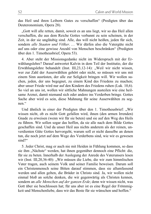das Heil und ihren Leibern Gutes zu verschaffen" (Predigten über das Deuteronomium, Opera 28).

"Gott will alle retten, damit, soweit es an uns liegt, wir so das Heil allen verschaffen, die aus dem Reiche Gottes verbannt zu sein scheinen, in der Zeit, in der sie ungläubig sind. Alle, das will nicht heißen, jeden für sich, sondern *alle Staaten und Völker*. … Wir dürfen also die Vatergüte nicht auf uns oder eine gewisse Anzahl von Menschen beschränken" (Predigten über den 1. Timotheusbrief, Opera 53).

4. Aber steht der Missionsgedanke nicht im Widerspruch mit der Erwählungslehre? Darauf antwortet Kalvin in dem Teil der Institutio, der die Erwählungslehre behandelt (Inst. III,23,12-14): "Weil wir nicht wissen, wer zur Zahl der Auserwählten gehört oder nicht, so müssen wir uns mit einem Sinn ausrüsten, der alle zur Seligkeit bringen will. Wir wollen suchen, jeden, der uns begegnet, zu einem Kind des Friedens zu machen; aber unser Friede wird nur auf den Kindern des Friedens ruhen (Luk. 10,6). So viel an uns ist, wollen wir sittliche Mahnungen austeilen wie eine heilsame Arznei, damit niemand sich oder andere ins Verderben bringe. Gottes Sache aber wird es sein, diese Mahnung für seine Auserwählten zu segnen<sup>"</sup>

Und ähnlich in einer der Predigten über den 1. Timotheusbrief: "Wir wissen nicht, ob es nicht Gott gefallen wird, ihnen (den armen Irrenden) Gnade zu erweisen (wenn wir für sie beten) und sie auf den Weg des Heils zu führen. Wir sollen sogar das hoffen, da sie alle nach dem Bilde Gottes geschaffen sind. Und da unser Heil aus nichts anderem als der reinen, unverdienten Güte Gottes hervorgeht, warum soll er nicht dasselbe an denen tun, die noch jetzt auf dem Wege des Verderbens sind, wie wir es gewesen sind?"

5. Jeder Christ, mag er auch nie mit Heiden in Fühlung kommen, so dass sie ihm "Nächste" werden, hat ihnen gegenüber dennoch eine Pflicht: die, für sie zu beten. Innerhalb der Auslegung der Anrede des Vaterunsers lesen wir (Inst. III, 20, 36-40): "Wir müssen die Liebe, die wir zum himmlischen Vater tragen, auch seinem Volk und seiner Familie beweisen. Darum soll ein Christenmensch seine Bitten darauf stimmen, dass sie allumfassend werden und allen gelten, die Brüder in Christo sind. Ja, wir wollen nicht einmal bloß an solche denken, die wir gegenwärtig als Christen kennen, sondern an *alle Menschen auf der ganzen Erde*; denn wir wissen nicht, was Gott über sie beschlossen hat; für uns aber ist es eine Regel der Frömmigkeit und Menschenliebe, dass wir das Beste für sie wünschen und hoffen."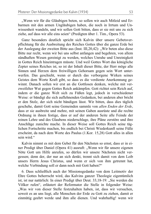"Wenn wir für die Gläubigen beten, so sollen wir auch Mitleid und Erbarmen mit den armen Ungläubigen haben, die noch in Irrtum und Unwissenheit wandeln, und wir sollen Gott bitten, dass er sie mit uns zu sich ziehe, auf dass wir alle eins seien" (Predigten über 1. Tim., Opera 53).

Ganz besonders deutlich spricht sich Kalvin über unsere Gebetsverpflichtung für die Ausbreitung des Reiches Gottes über die ganze Erde bei der Auslegung der zweiten Bitte aus (Inst. III, 20, 42): "Wir beten also diese Bitte nur recht, wenn wir bei uns selbst anfangen und begehren, von allem sündhaften Wesen gereinigt zu werden, welches Unruhe und Unreinigkeit in Gottes Reich hineintragen müsste. Und weil Gottes Wort das königliche Zepter seines Reiches ist, so ist der Inhalt dieser Bitte, der Herr möge alle Sinnen und Herzen dem freiwilligen Gehorsam gegen sein Wort unterwerfen. Das geschieht, wenn er durch das verborgene Wirken seines Geistes dem Worte Kraft gibt, so dass es die verdiente Anerkennung gewinnt. Danach sollen wir erst an die Gottlosen denken, welche mit verzweifelter Wut gegen Gottes Reich ankämpfen. Gott richtet sein Reich auf, indem er die ganze Welt sich zu Füßen legt, jedoch in verschiedener Weise: er bändigt die sich auflehnenden Gedanken, bei anderen aber bricht er den Stolz, der sich nicht bändigen lässt. Wir bitten, dass dies täglich geschehe, damit Gott seine Gemeinden sammle von *allen Enden der Erde*, dass er sie ausbreite und mehre, mit seinen Gaben ausrüste und die rechte Ordnung in ihnen festige, dass er auf der anderen Seite alle Feinde der reinen Lehre und des Glaubens niederschlage, ihre Pläne zerstöre und ihre Anschläge zunichte mache. In dieser Weise soll Gottes Reich seine täglichen Fortschritte machen, bis endlich bei Christi Wiederkunft seine Fülle erscheint, da nach dem Worte des Paulus (1.Kor. 15,28) Gott alles in allen sein wird."

Kalvin nimmt es mit dem Gebet für den Nächsten so ernst, dass er in einer Predigt über Daniel (Opera 41) ausruft: "Wenn wir für unsere eigenen Nöte Gott um Hilfe anrufen, so dürfen wir unsere Nächsten nicht vergessen; denn der, der nur an sich denkt, trennt sich damit von dem Leib unsers Herrn Jesus Christus, und wenn er sich von ihm getrennt hat, welche Verbindung soll er dann noch mit Gott haben?"

6. Dass schließlich auch der Missionsgedanke von dem Leitmotiv der Ehre Gottes beherrscht wird, das Kalvins ganzer Theologie eigentümlich ist, ist nur natürlich: In einer Predigt über Deut. 33,18-19: "Sie werden die Völker rufen", erläutert der Reformator die Stelle in folgender Weise: "Was wir von dieser Stelle festzuhalten haben, ist, dass wir versuchen, soweit es an uns liegt, alle Menschen der Erde zu Gott zu ziehen, damit er einmütig geehrt werde und ihm alle dienen. Und wahrhaftig! wenn wir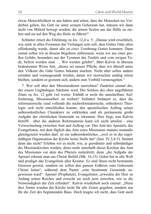etwas Menschlichkeit in uns haben und sehen, dass die Menschen ins Verderben gehen, bis Gott sie unter seinem Gehorsam hat, müssen wir dann nicht von Mitleid bewegt werden, die armen Seelen aus der Hölle zu ziehen und sie auf den Weg des Heils zu führen!"

Schlatter zitiert die Erklärung zu Jes. 12,4 u. 5: "Daraus wird ersichtlich, wie stark in allen Frommen das Verlangen sein soll, dass Gottes Güte allen offenkundig werde, damit alle zu *einer* Verehrung Gottes kommen. Dann zumal sollen wir in diesem Begehren entbrennen, wenn wir aus einer großen Gefahr, besonders aus der Tyrannei des Teufels und vom ewigen Tode, befreit worden sind. … Wir werden gelehrt", fährt Kalvin in überaus bedeutsamer Weise fort, "dieses sei unsere Pflicht, dass wir überall unter den Völkern die Güte Gottes bekannt machen. Nicht aber sollen andere ermahnt und vorausgesandt werden, damit wir inzwischen untätig sitzen bleiben; sondern es geziemt sich, andern zum Vorbild voranzugehen."

7. Wer soll aber den Missionsdienst ausrichten? Zunächst einmal der, der einem Ungläubigen Nächster wird. Der Schluss des eben angeführten Zitats zu Jes. 12 geht viel weiter. Enthält er nicht die unmittelbare Aufforderung, Missionsarbeit zu treiben? Schlatter bedauert es, dass die reformatorische (und vollends die nachreformatorische, orthodoxe) Theologie sich nicht entschließen konnte, den apostolischen Auftrag seines außerordentlichen Charakters zu entkleiden und als permanente große Aufgabe der christlichen Gemeinde zu erkennen. Hier liegt, was Kalvin betrifft – über die anderen Reformatoren kann ich nicht urteilen – eine Verwechselung zwischen Amt und Auftrag vor. Das Amt des Apostels, des Evangelisten, mit dem füglich das Amt eines Missionars mutatis mutandis gleichgesetzt werden darf, ist ein außerordentliches, "weil es in der regelmäßigen Organisation der Kirche keine Stelle hat" (Inst. IV,3,4-5). Stimmt denn das nicht? Erleben wir es nicht, wie, je geordneter und selbständiger die Missionskirchen werden, desto mehr innerhalb dieser Kirchen das Amt des Missionars vor dem des Pfarrers zurücktritt; denn "die Aufgabe der Apostel erkennt man aus Christi Befehl (Mk. 16,15): Gehet hin in alle Welt und prediget das Evangelium aller Kreatur. Es sind ihnen nicht bestimmte Grenzen gesetzt, sondern sie sollen den ganzen Erdkreis zum Gehorsam Christi leiten", während dem Pastor "eine bestimmte Gemeinde zugewiesen ward". Apostel (Propheten), Evangelisten "erweckte der Herr zu Anfang seines Reiches und erweckt sie noch jetzt zuweilen, wie es die Notwendigkeit der Zeit erfordert". Kalvin wiederholt noch einmal: "Diese drei Ämter wurden der Kirche nicht für alle Zeiten gegeben, sondern nur für die Zeit des beginnenden Baus. Doch leugne ich nicht, dass Gott auch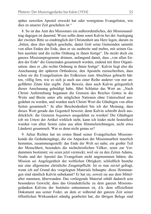später zuweilen Apostel erweckt hat oder wenigstens Evangelisten, wie dies zu unserer Zeit geschehen ist."

8. So ist das Amt des Missionars ein außerordentliches, der Missionsauftrag dagegen ist dauernd. Wozu sollte denn sonst Kalvin bei der Auslegung der zweiten Bitte so eindringlich der Christenheit ans Herz legen, darum zu "bitten, dass dies täglich geschehe, damit Gott seine Gemeinden sammle von allen Enden der Erde, dass er sie ausbreite und mehre, mit seinen Gaben ausrüste und die rechte Ordnung in ihnen festige". Da steckt doch ein ganzes Missionsprogramm drinnen, anfangend damit, dass "von allen Enden der Erde" die Gemeinden gesammelt werden, endend mit ihrer Organisation: dass er "die rechte Ordnung in ihnen festige". Kalvin liegt also die Anschauung der späteren Orthodoxie, den Aposteln zuzuschreiben, dass schon sie die Evangelisation des Erdkreises zum Abschluss gebracht hätten, völlig fern, wie es sich ja auch aus einer Reihe anderer von mir angeführter Zitate klar ergibt. Zum Beweis, dass auch Kalvin gelegentlich dieser Anschauung gehuldigt habe, führt Schlatter das Wort an: "Nach Christi Auferstehung begannen die Grenzen des Reiches Gottes in die Weite und Breite unter alle möglichen Nationen ohne Unterschied ausgedehnt zu werden, und wurden nach Christi Wort die Gläubigen von allen Seiten gesammelt." In aller Bescheidenheit bin ich der Meinung, dass dieses Wort gerade das Gegenteil beweist; denn Kalvin schreibt doch ausdrücklich: die Grenzen *begannen* ausgedehnt zu werden! Die Gläubigen (ob im Urtext der Artikel wirklich steht, kann ich leider nicht feststellen) wurden von allen Seiten (also aus allen Himmelsrichtungen, nicht etwa Ländern) gesammelt. War es denn nicht genau so?

9. Julius Richter hat im ersten Band seiner Evangelischen Missionskunde die Gedankengänge, die ein Anpacken der Missionsarbeit innerlich hemmten, zusammengestellt: das Ende der Welt sei nahe; ein großer Teil der Menschheit, besonders die nichtchristlichen Völker, seien zur Verdammnis bestimmt; sie seien jetzt verstockt, weil sie zu den Zeiten Adams, Noahs und der Apostel das Evangelium nicht angenommen hätten; die Mission sei Angelegenheit der weltlichen Obrigkeit; schließlich bestehe nur eine allgemeine christliche Zeugnispflicht. Ist es nun zuviel gefragt, wenn ich auf Grund des vorgelegten Materials behaupte: diese Hemmungen sind sämtlich Kalvin unbekannt? Er hat sie, soweit sie aus dem Mittelalter stammen, überwunden. Das vorliegende Material erhält dadurch sein besonderes Gewicht, dass das Grundsätzliche zu dem ganzen Missionsgedanken Kalvins der Institutio entnommen ist, d.h. dem offiziellsten Dokument aus seiner Feder, an dem er während der ganzen Zeit seiner öffentlichen Wirksamkeit ständig gearbeitet hat; die übrigen Belege sind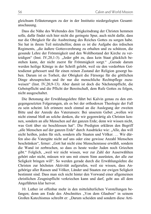gleichsam Erläuterungen zu der in der Institutio niedergelegten Gesamtanschauung.

Dass die Nähe des Weltendes den Tätigkeitsdrang der Christen hemmen solle, dafür findet sich hier nicht die geringste Spur, auch nicht dafür, dass nur die Obrigkeit für die Ausbreitung des Reiches Gottes zu sorgen habe. Sie hat in ihrem Teil mitzuhelfen; denn es ist die Aufgabe des irdischen Regiments, "die äußere Gottesverehrung zu erhalten und zu schützen, die gesunde Lehre der Frömmigkeit und den Wohlbestand der Kirche zu verteidigen" (Inst. IV, 20, 1-3). "Jeder gibt zu, dass kein Staat glücklich bestehen kann, der nicht zuerst für Frömmigkeit sorgt." "Gerade darum werden heilige Könige in der Schrift gelobt, weil sie den verderbten Gottesdienst gebessert und für einen reinen Zustand der Religion gesorgt haben. Darum ist es Torheit, der Obrigkeit die Fürsorge für die göttlichen Dinge abzusprechen und ihr nur die menschliche Rechtspflege zuzuweisen" (Inst. IV,20,9-13). Aber damit ist doch die Nächstenpflicht, die Gebetspflicht und die Pflicht der Bereitschaft, dem Rufe Gottes zu folgen, nicht ausgeschaltet.

Die Betonung der Erwählungslehre führt bei Kalvin genau zu den entgegengesetzten Folgerungen, als es bei der orthodoxen Theologie der Fall zu sein scheint. Ich erinnere noch einmal an die Auslegung der zweiten Bitte und der Anrede des Vaterunsers: Bei unserem Gebet "wollen wir nicht einmal bloß an solche denken, die wir gegenwärtig als Christen kennen, sondern an alle Menschen auf der ganzen Erde; denn wir wissen nicht, was Gott über sie beschlossen hat". Die Predigten erklären den Begriff "alle Menschen auf der ganzen Erde" durch Ausdrücke wie: "Alle, das will nicht heißen, jeden für sich, sondern alle Staaten und Völker. … Wir dürfen also die Vatergüte nicht auf uns oder eine gewisse Anzahl Menschen beschränken", ferner: "Gott hat nicht eine Menschenrasse erwählt, sondern die Wand ist zerbrochen, so dass es heute weder Juden noch Griechen gibt." Folglich, "weil wir nicht wissen, wer zur Zahl der Auserwählten gehört oder nicht, müssen wir uns mit einem Sinn ausrüsten, der alle zur Seligkeit bringen will". So werden gerade durch die Erwählungslehre die Christen zur höchsten Aktivität aufgerufen, weil sie wissen, dass Angehörige aller Rassen und Völker, Länder und Staaten zur ewigen Seligkeit bestimmt sind. Dass man sich nicht hinter den Vorwand einer allgemeinen christlichen Zeugnispflicht verkriechen kann und darf, geht aus all dem Angeführten klar hervor.

10. Luther ist offenbar mehr in den mittelalterlichen Vorstellungen befangen; denn am Ende des Abschnittes "Von dem Glauben" in seinem Großen Katechismus schreibt er: "Darum scheiden und sondern diese Arti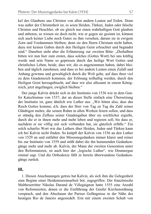kel des Glaubens uns Christen von allen andern Leuten auf Erden. Denn was außer der Christenheit ist, es seien Heiden, Türken, Juden oder falsche Christen und Heuchler, ob sie gleich nur einen wahrhaftigen Gott glauben und anbeten, so wissen sie doch nicht, wie er gegen sie gesinnt ist, können sich auch keiner Liebe noch Gutes zu ihm versehen, darum sie in ewigem Zorn und Verdammnis bleiben; denn sie den Herrn Christum nicht haben, dazu mit keinen Gaben durch den Heiligen Geist erleuchtet und begnadet sind." Daneben steht aber die Erläuterung zur zweiten Bitte: "Derhalben bitten wir nun hier zum ersten, dass solches (Gottes Wort) bei uns kräftig werde und sein Name so gepriesen durch das heilige Wort Gottes und christliches Leben, beide, dass wir, die es angenommen haben, dabei bleiben und täglich zunehmen, und dass es bei andern Leuten einen Zufall und Anhang gewinne und gewaltiglich durch die Welt gehe, auf dass ihrer viel zu dem Gnadenreich kommen, der Erlösung teilhaftig werden, durch den Heiligen Geist herzugebracht, auf dass wir also allesamt in einem Königreich, jetzt angefangen, ewiglich bleiben."

Der junge Kalvin drückt sich in der Institutio von 1536 wie in dem Genfer Katechismus von 1537, der an dieser Stelle einfach eine Übersetzung der Institutio ist, ganz ähnlich wie Luther aus: "Wir bitten also, dass das Reich Gottes komme, d.h. dass der Herr von Tag zu Tag die Zahl seiner Gläubigen mehre, die seinen Ruhm in allen Werken feiern sollen, und dass er ständig den Zufluss seiner Gnadengaben über sie reichlicher ergieße, durch die er in ihnen mehr und mehr leben und regieren soll, bis dass er, nachdem er sie völlig mit sich verbunden hat, sie gänzlich erfülle." Ein solch scharfes Wort wie das Luthers über Heiden, Juden und Türken kann ich bei Kalvin nicht finden. So knüpft der Kalvin von 1536 an den Luther von 1529 an und entfaltet den Missionsgedanken immer klarer und reiner bis zur Institutio von 1559 und stößt dabei die ihn hemmenden Gedankengänge mehr und mehr ab. Kalvin, der Mann der zweiten Generation unter den Reformatoren, ist auch hier der "logische Luther", wie Doumergue einmal sagt. Und die Orthodoxie fällt in bereits überwundene Gedankengänge zurück.

### **III.**

1. Diesen Anschauungen getreu hat Kalvin, als sich ihm die Gelegenheit zum Beginn einer Heidemissionsarbeit bot, zugegriffen: Der französische Maltheserritter Nikolas Durand de Villegaignon hatte 1555 eine Anzahl von Reformierten, denen er die Einführung der Genfer Kirchenordnung versprach, und den Abschaum der Pariser Gefängnisse in der Nähe des heutigen Rio de Janeiro angesiedelt. Erst mit einem zweiten Schub von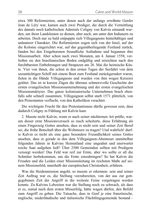etwa 300 Reformierten, unter denen auch der anfangs erwähnte Genfer Jean de Léry war, kamen auch zwei Prediger, die durch die Vermittlung des damals noch katholischen Admirals Coligny von Kalvin entsandt wurden, um ihren Landsleuten zu dienen, aber auch, um unter den Indianern zu arbeiten. Doch nur zu bald entpuppte sich Villegaignons hinterhältiger und unlauterer Charakter. Die Reformierten zogen sich von der Insel, auf der die Kolonie eingerichtet war, auf das gegenüberliegende Festland zurück, fanden bei den Eingeborenen freundliche Aufnahme und begannen ihre Missionsarbeit. Aber schon nach zwei Monaten, am 4. Januar 1558, verließen sie den brasilianischen Boden endgültig und erreichten nach den furchtbarsten Entbehrungen und Strapazen am 26. Mai die heimische Küste. Vier von ihnen, die schon in den ersten Tagen der Seefahrt von dem seeuntüchtigen Schiff mit einem Boot zum Festland zurückgerudert waren, fielen in die Hände Villegaignons und wurden von ihm wegen Ketzerei getötet. Das ist in kurzen Zügen die überaus schmerzvolle Geschichte der ersten evangelischen Missionsunternehmung und der ersten evangelischen Missionsmärtyrer. Das ganze kolonisatorische Unternehmen brach ebenfalls sehr schnell zusammen. Villegaignon selbst starb 1571 plötzlich, von den Protestanten verflucht, von den Katholiken verachtet.

Die wichtigste Frucht für den Protestantismus dürfte gewesen sein, dass dadurch Coligny in Fühlung mit Kalvin kam.

2. Musste nicht Kalvin, wenn er nach seiner nüchternen Art prüfte, warum dieser erste Missionsversuch so rasch scheiterte, diese Erfahrung als einen Fingerzeig Gottes ansehen, dass es nicht sein und seiner Zeit Beruf sei, die frohe Botschaft über die Weltmeere zu tragen? Und wahrlich! durfte Kalvin es nicht als eine ganz besondere Freundlichkeit seines Gottes ansehen, dass er gerade in den dem Villegaignon-Abenteuer unmittelbar folgenden Jahren in Kalvins Heimatland eine ungeahnt und unerwartet reiche Saat aufgehen ließ? Über 2500 Gemeinden sollten mit Predigern versorgt werden! Das Feld war reif zur Ernte, aber wo sollte er all die Schnitter herbekommen, um die Ernte einzubringen? So hat Kalvin die Freuden und die Leiden einer Missionsleitung im reichsten Maße auf seinem Missionsfeld, innerhalb der europäischen Christenheit, erfahren.

Was die Heidenmission angeht, so musste er erkennen: sein und seiner Zeit Auftrag war es, die Stellung vorzubereiten, von der aus zur gottgegebenen Zeit der Angriff in die weiteste Ferne vorgetragen werden konnte. Zu Kalvins Lebzeiten war die Stellung noch zu schwach, als dass er es, zumal nach dem ersten Misserfolg, hätte wagen dürfen, den Befehl zum Angriff zu geben. Die Tatsache, dass in Genf je eine französische, englische, niederländische und italienische Flüchtlingsgemeinde bestand –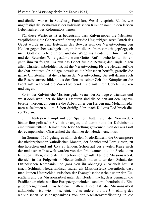und ähnlich war es in Straßburg, Frankfurt, Wesel –, spricht Bände, wie ungefestigt die Verhältnisse der kalvinistischen Kirchen noch in den letzten Lebensjahren des Reformators waren.

Für diese Wartezeit ist es bedeutsam, dass Kalvin neben die Nächstenverpflichtung die Gebetsverpflichtung für die Ungläubigen setzt. Durch das Gebet wurde in dem Betenden das Bewusstsein der Verantwortung den Heiden gegenüber wachgehalten, in ihm die Aufmerksamkeit gepflegt, ob nicht Gott die Gebete erhöre und die Wege ins Heidentum hinein öffne, und des Betenden Wille gestärkt, wenn Gottes Ruf mitzuhelfen an ihn ergeht, ihm zu folgen. Da nun das Gebet für die Rettung der Ungläubigen allen Christen anbefohlen ist, ist die Verantwortung für die Heiden auf die denkbar breiteste Grundlage, soweit es die Menschen betrifft, gestellt: die ganze Christenheit ist die Trägerin der Verantwortung. Sie soll darum auch die Reservearmee bilden, aus der Gott zu seiner Zeit die Kämpfer an die Front ruft, während die Zurückbleibenden sie mit ihren Gebeten stützen und tragen.

So ist der Kalvinische Missionsgedanke aus der Zeitlage entstanden und weist doch weit über sie hinaus. Dadurch sind die Seinen auf den Tag zubereitet worden, an dem sie die Arbeit unter den Heiden und Mohammedanern aufnehmen sollten. Schon dreißig Jahre nach Kalvins Tod brach dieser Tag an.

3. Im härtesten Kampf mit den Spaniern hatten sich die Nordniederländer ihre politische Freiheit errungen, und damit hatte der Kalvinismus eine unumstrittene Heimat, eine feste Stellung gewonnen, von der aus Gott der evangelischen Christenheit die Bahn zu den Heiden erschloss.

Im Sommer 1595 gelang es nämlich den Niederländern, die Ozeansperre der niedergehenden katholischen Mächte, der Spanier und Portugiesen, zu durchbrechen und auf Java zu landen. Schon auf der zweiten Reise nach der malaischen Inselwelt wurden von den Prädikanten, die die Seeleute zu betreuen hatten, die ersten Eingeborenen getauft. Für die Missionsarbeit, die sich in der Folgezeit in Niederländisch-Indien unter dem Schutz der Ostindischen Kompanie und ganz von ihr abhängig entwickelt hat, ist (nach Schlunk, Niederländisch-Indien als Missionsfeld) wesentlich, dass man keinen Unterschied zwischen der Evangelisationsarbeit unter den Europäern und der Missionsarbeit unter den Heiden macht, dass demnach die Prädikanten nicht nur ihre Europäergemeinden, sondern obendrein die Eingeborenengemeinden zu bedienen hatten. Diese Art, die Missionsarbeit aufzuziehen, ist, wie mir scheint, nichts anderes als die Umsetzung des Kalvinischen Missionsgedankens von der Nächstenverpflichtung in die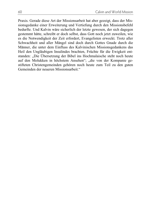Praxis. Gerade diese Art der Missionsarbeit hat aber gezeigt, dass der Missionsgedanke einer Erweiterung und Vertiefung durch den Missionsbefehl bedurfte. Und Kalvin wäre sicherlich der letzte gewesen, der sich dagegen gestemmt hätte, schreibt er doch selbst, dass Gott noch jetzt zuweilen, wie es die Notwendigkeit der Zeit erfordert, Evangelisten erweckt. Trotz aller Schwachheit und aller Mängel sind doch durch Gottes Gnade durch die Männer, die unter dem Einfluss des Kalvinischen Missionsgedankens das Heil den Ungläubigen Insulindes brachten, Früchte für die Ewigkeit entstanden: "Die Übersetzung der Bibel ins Hochmalaische steht noch heute auf den Molukken in höchstem Ansehen"; "die von der Kompanie gestifteten Christengemeinden gehören noch heute zum Teil zu den guten Gemeinden der neueren Missionsarbeit."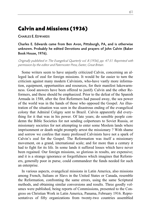## Calvin and Missions (1936)

#### **CHARLES E. EDWARDS**

#### **Charles E. Edwards came from Ben Avon, Pittsburgh, PA, and is otherwise unknown. Probably he edited Devotions and prayers of John Calvin (Baker Book House, 1976).**

Originally published in The Evangelical Quarterly vol. 8 (1936), pp. 47-51. Reprinted with permission by the editor and Paternoster Press, Exeter, Great Britain.

Some writers seem to have unjustly criticized Calvin, concerning an alleged lack of zeal for foreign missions. It would be far easier to turn the criticism against many modern Calvinists, who-have vastly more information, equipment, opportunities and resources, for their manifest lukewarmness. Good answers have been offered to justify Calvin and the other Reformers, and these should be emphasized. Prior to the defeat of the Spanish Armada in 1588, after the first Reformers had passed away, the sea power of the world was in the hands of those who opposed the Gospel. An illustration of the situation was seen in the disastrous ending of the evangelical colony that Admiral Coligny sent to Brazil. Calvin apparently did everything for it that was in his power. Of late years; do sensible people condemn the Bible Societies for not sending colporteurs to Soviet Russia, or missionary societies for not attempting to enter some Moslem lands where imprisonment or death might promptly arrest the missionary ? With shame and sorrow we confess that many professed Calvinists have not a spark of Calvin's zeal for the Gospel. The Reformation was itself a missionary movement, on a grand, international scale; and for more than a century it had to fight for its life. In some lands it suffered losses which have never been regained. Our foreign missions, so glorious in results, are expensive; and it is a strange ignorance or forgetfulness which imagines that Reformers, generally poor in purse, could commandeer the funds needed for such an enterprise.

In various aspects, evangelical missions in Latin America, also missions among French, Italians or Slavs in the United States or Canada, resemble the Reformation, confronting the same errors, using the same Scriptural methods, and obtaining similar conversions and results. Three goodly volumes were published, being reports of Commissions, presented to the Congress on Christian Work in Latin America, Panama, February 1916. Representatives of fifty organizations from twenty-two countries assembled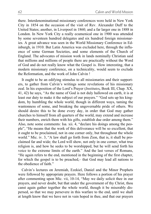there. Interdenominational missionary conferences were held in New York City in 1854 on the occasion of the visit of Rev. Alexander Duff to the United States; another, in Liverpool in 1860; and a far larger one in 1888 in London. In New York City a really ecumenical one in 1900 was attended by some seventeen hundred delegates and six hundred foreign missionaries. A great advance was seen in the World Missionary Conference in Edinburgh, in 1910. But Latin America was excluded here, through the influence of some German Societies, and some elements of the Church of England. The advocates of mission work in lands nominally Christian said that millions and millions of people there are practically without the Word of God and do not really know what the Gospel is. How interesting, that a modern missionary conference, on a technicality, would seem to exclude the Reformation, and the work of John Calvin !

It ought to be an edifying stimulus to all missionaries and their supporters, to gather from Calvin's writings some revelations of his missionary zeal. In his exposition of the Lord's Prayer (*Institutes,* Book III, Chap. XX, 41, 42) he says, "As the name of God is not duly hallowed on earth, it is at least our duty to make it the subject of our prayers." "God sets up his kingdom, by humbling the whole world, though in different ways, taming the wantonness of some, and breaking the ungovernable pride of others. We should desire this to be done every day, in order that God may gather churches to himself from all quarters of the world, may extend and increase their numbers, enrich them with his gifts, establish due order among them." Also, note some comments: Isa. xii. 4, "declare his doings among the people", "He means that the work of this deliverance will be so excellent, that it ought to be proclaimed, not in one corner only, but throughout the whole world." Mic. iv. 3, "A law shall go forth from Zion, that is, it shall be proclaimed far and wide; the Lord will show, not only in one corner, what true religion is, and how he seeks to be worshipped, but he will send forth his voice to the extreme limits of the earth." And the last verses of Romans, "He again refers to the end, mentioned in the beginning of the first chapter, for which the gospel is to be preached,– that God may lead all nations to the obedience of faith."

Calvin's lectures on Jeremiah, Ezekiel, Daniel and the Minor Prophets were followed by appropriate prayers. Here follows a portion of his prayer after commenting upon Mic. vii, 10-14, "May we daily solicit thee in our prayers, and never doubt, but that under the government of thy Christ, thou canst again gather together the whole world, though it be miserably dispersed, so that we may persevere in this warfare to the end, until we shall at length know that we have not in vain hoped in thee, and that our prayers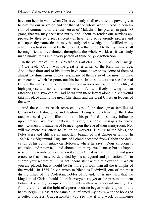have not been in vain, when Christ evidently shall exercise the power given to him for our salvation and for that of the whole world." And in conclusion of comments on the last verses of Malachi i, his prayer, in part: "O grant, that we may seek true purity and labour to render our services approved by thee by a real sincerity of heart, and so reverently profess and call upon thy name that it may be truly acknowledged as fulfilled in us, which thou hast declared by the prophet, – that undoubtedly thy name shall be magnified and celebrated throughout the whole world, as it was truly made known to us in the very person of thine only-begotten Son."

In the volume of Dr. B. B. Warfield's articles, *Calvin and Calvinism* (p. 14) we read, "Calvin was the great letter-writer of the Reformation age. About four thousand of his letters have come down to us, some of them of almost the dimensions of treatises, many of them also of the most intimate character in which he pours out his heart. In these letters we see the real Calvin, the man of profound religious convictions and rich religious life, of high purpose and noble strenuousness, of full and freely flowing human affections and sympathies. Had he written these letters alone, Calvin would take his place among the great Christians and the great Christian leaders of the world."

And these letters reach representatives of the three great families of Christendom: Latin, Slav, and Teutonic. Being a Frenchman, of the Latin race, we need give no illustrations of his profound missionary influence upon France. We may mention, however, his noble messages to heroic men, women and students of France, upon the eve of their martyrdom. Nor will we quote his letters to Italian co-workers. Turning to the Slavs, the Poles were and still are an important branch of that European family. In 1549 King Sigismund Augustus of Poland accepted from Calvin the dedication of his commentary on Hebrews, where he says: "Your kingdom is extensive and renowned, and abounds in many excellences; but its happiness will then only be solid when it adopts Christ as its chief ruler and governor, so that it may be defended by his safeguard and protection; for to submit your sceptre to him is not inconsistent with that elevation in which you arc placed, but it would be far more glorious than all the triumphs of the world." In 1555 Calvin wrote to Nicholas Radziwill, one of the most distinguished of the Protestant nobles of Poland: "It is my wish that the kingdom of Christ should flourish everywhere, yet at the present moment Poland deservedly occupies my thoughts with a very special anxiety. For from the time that the light of a purer doctrine began to shine upon it, this happy beginning has at the same time inflamed my desire with the hopes of a better progress. Unquestionably you sec that it is a work of immense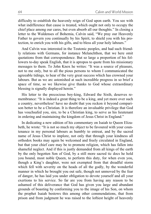difficulty to establish the heavenly reign of God upon earth. You see with what indifference that cause is treated, which ought not only to occupy the chief place among our cares, but even absorb all our thoughts." In closing a letter to the Waldenses of Bohemia, Calvin said, "We pray our Heavenly Father to govern you continually by his Spirit, to shield you with his protection, to enrich you with his gifts, and to bless all your holy labours."

And Calvin was interested in the Teutonic peoples, and had such friendly relations with Germans, for instance Melanchthon, that we here omit quotations from that correspondence. But so large a proportion of his followers to-day speak English, that it is apropos to quote from his missionary messages to them. To John Knox he writes: "It was a source of pleasure, not to me only, but to all the pious persons to whom I communicated the agreeable tidings, to hear of the very great success which has crowned your labours. But as we arc astonished at such incredible progress in so brief a space of time, so we likewise give thanks to God whose extraordinary blessing is signally displayed herein."

His letter to the precocious boy-king, Edward the Sixth, deserves remembrance: "It is indeed a great thing to be a king, and yet more over such a country, nevertheless! have no doubt that you reckon it beyond comparison better to be a Christian. It is therefore an invaluable privilege that God has vouchsafed you, sire, to be a Christian king, to serve as his lieutenant in ordering and maintaining the kingdom of Jesus Christ in England."

In dedicating a new edition of his commentary on Isaiah to Queen Elizabeth, he wrote: "It is not so much my object to be favoured with your countenance in my personal labours as humbly to entreat, and by the sacred name of Jesus Christ to implore, not only that through your kindness all orthodox books may again be welcomed and freely circulated in England, but that your chief care may be to promote religion, which has fallen into shameful neglect. And if this is justly demanded from all kings of the earth by the only begotten Son of God, by a still more sacred tic docs he hold you bound, most noble Queen, to perform this duty, for when even you, though a King's daughter, were not exempted from that dreadful storm which fell with severity on the heads of all the godly, by the wonderful manner in which he brought you out safe, though not unmoved by the fear of danger, he has laid you under obligation to devote yourself and all your exertions to his service. So far are you from having any reason to be ashamed of this deliverance that God has given you large and abundant grounds of boasting by conforming you to the image of his Son, on whom the prophet Isaiah bestows this among other commendations, that from prison and from judgment he was raised to the loftiest height of heavenly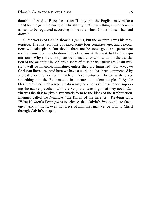dominion." And to Bucer he wrote: "I pray that the English may make a stand for the genuine purity of Christianity, until everything in that country is seen to be regulated according to the rule which Christ himself has laid down."

All the works of Calvin show his genius, but the *Institutes* was his masterpiece. The first editions appeared some four centuries ago, and celebrations will take place. But should there not be some good and permanent results from these celebrations ? Look again at the vast field of foreign missions. Why should not plans be formed to obtain funds for the translation of the *Institutes* in perhaps a score of missionary languages ? Our missions will be infantile, immature, unless they arc furnished with adequate Christian literature. And here we have a work that has been commended by a great chorus of critics in each of these centuries. Do we wish to see something like the Reformation in a score of modern peoples ? By the blessing of God such a republication may be a powerful assistance, supplying the native preachers with the Scriptural teachings that they need. Calvin was the first to give a systematic form to the ideas of the Reformation. Enemies called the *Institutes* "the Koran of the heretics". Reyburn says, "What Newton's *Principia* is to science, that Calvin's *Institutes* is to theology." And millions, even hundreds of millions, may yet be won to Christ through Calvin's gospel.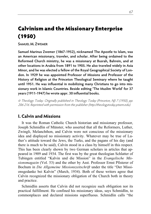# Calvinism and the Missionary Enterprise (1950)

**SAMUEL M. ZWEMER**

**Samuel Marinus Zwemer (1867-1952), nicknamed The Apostle to Islam, was an American missionary, traveler, and scholar. After being ordained to the Reformed Church ministry, he was a missionary at Busrah, Bahrein, and at other locations in Arabia from 1891 to 1905. He also traveled widely in Asia Minor, and he was elected a fellow of the Royal Geographical Society of London. In 1929 he was appointed Professor of Missions and Professor of the History of Religion at the Princeton Theological Seminary where he taught until 1951. He was influential in mobilizing many Christians to go into missionary work in Islamic Countries. Beside editing 'The Muslim World' for 37 years (1911-1947) he wrote appr. 30 influential books.** 

© Theology Today. Originally published in Theology Today (Princeton, NJ) 7 (1950), pp. 206-216. Reprinted with permission from the publisher (http://theologytoday.ptsem.edu).

### **I. Calvin and Missions**

It was the Roman Catholic Church historian and missionary professor, Joseph Schmidlin of Münster, who asserted that all the Reformers, Luther, Zwingli, Melanchthon, and Calvin were not conscious of the missionary idea and displayed no missionary activity. Whatever may be true of Luther's attitude toward the Jews, the Turks, and the pagans of his day (and there is much to be said), Calvin stood in a class by himself in this respect. This has been clearly shown by two German scholars in articles that appeared in 1909 and 1934. The first was by the great theologian Schlatter of Tubingen entitled "Kalvin und die Mission" in the *Evangelische Missionsmagazin* (Vol. 53) and the other by Asst. Professor Ernst Pfisterer of Bochum in *Die Allgemeine Missionszeitschrift* under the title "Der Missionsgedanke bei Kalvin" (March, 1934). Both of these writers agree that Calvin recognized the missionary obligation of the Church both in theory and practice.

Schmidlin asserts that Calvin did not recognize such obligation nor its practical fulfillment. He confined his missionary ideas, says Schmidlin, to commonplaces and declared missions superfluous. Schmidlin calls "the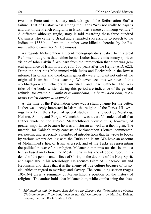two lone Protestant missionary undertakings of the Reformation Era" a failure. That of Gustav Wasa among the Lapps "was not really to pagans and that of the French emigrants in Brazil was a mere colonizing venture." A different, although tragic, story is told regarding these three hundred Calvinists who came to Brazil and attempted successfully to preach to the Indians in 1558 but of whom a number were killed as heretics by the Roman Catholic Governor Villegainuous.

As regards Melanchthon a recent monograph does justice to this great Reformer, but grants that neither he nor Luther had the missionary spirit or vision of John Calvin.<sup>46</sup> We learn from the introduction that there was general ignorance of Islam in Europe for 500 years after the Hejira (A.D. 622). Dante the poet puts Mohammed with Judas and Beelzebub in the lowest inferno. Historians and theologians generally were ignorant not only of the origin of Islam but of its teaching. Whatever accounts we have of this world-religion are unhistorical, uncritical, and unsympathetic. The very titles of the books written during this period are indicative of the general attitude, for example: *Confutation Improbatio, Cribratio Alchorani, Notationes contra Mahometi dogmata*.

At the time of the Reformation there was a slight change for the better. Luther was deeply interested in Islam, the religion of the Turks. His writings have been the subject of special studies in this respect by Vossberg, Holston, Simon, and Barge. Melanchthon was a careful student of all that Luther wrote on the subject. Melanchthon's viewpoint is, however, of greater importance because he was a historian as well as a theologian. The material for Kahler's study consists of Melanchthon's letters, commentaries, poems, and especially a number of introductions that he wrote to books by various writers dealing with the Turks and Islam. We have an account of Mohammed's life, of Islam as a sect, and of the Turks as representing the political power of this religion. Melanchthon points out that Islam is a heresy based on fiction. The Moslem errs in his knowledge of God, in his denial of the person and offices of Christ, in the doctrine of the Holy Spirit, and especially in his soteriology. He accuses Islam of Eudaemonism and Hedonism, and states that it is the enemy of true culture because of its social ethics in regard to marriage and slavery. The concluding section (pages 105-164) gives a summary of Melanchthon's position on the history of religions. The author holds that Melanchthon, while emphasizing the abso-

<sup>46</sup> *Melanchthon und der Islam: Eine Beitrag zur Klärung des Verhältnisses zwischen Christentum und Fremdreligionen in der Reformationszeit*, by Manfred Kohler. Leipzig: Leopold Klotz Verlag, 1938.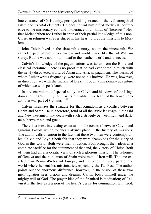lute character of Christianity, portrays his ignorance of the real strength of Islam and its vital elements. He does not rid himself of medieval indifference to the missionary call and intolerance of all kinds of "heresies." Neither Melanchthon nor Luther in spite of their partial knowledge of this non-Christian religion was ever stirred in his heart to propose missions to Moslems.

John Calvin lived in the sixteenth century, not in the nineteenth. We cannot expect of him a world-view and world vision like that of William Carey. But he was not blind or deaf to the heathen world and its needs.

Calvin's knowledge of the pagan nations was taken from the Bible and classical literature. There is no proof that he had ever come in touch with the newly discovered world of Asian and African paganism. The Turks, of whom Luther writes frequently, were not on his horizon. He was, however, in direct contact with the Indians of Brazil through a missionary adventure of which we will speak later.

In a recent volume of special study on Calvin and his views of the Kingdom and the Church by Dr. Karlfried Frohlich, we learn of the broad horizon that was part of Calvinism.<sup>47</sup>

Calvin visualizes the struggle for that Kingdom as a conflict between Christ and Satan. He is, therefore, fond of all the Bible language in the Old and New Testament that deals with such a struggle between light and darkness, between sin and grace.

There is a most interesting excursus on the contrast between Calvin and Ignatius Loyola which touches Calvin's place in the history of missions. The author calls attention to the fact that these two men were contemporaries. Calvin and Loyola both felt that they were champions for the glory of God in this world. Both were men of action. Both brought their ideas as a complete sacrifice for the attainment of that end, the victory of Christ. Both of them had an aristocratic view of such a glorious mission. The reformer of Geneva and the nobleman of Spain were men of iron will. The one exerted it in Roman-Protestant Europe, and the other in every part of the world where he sent his missionaries, especially the Far East. The author points out the enormous difference, however, in the vision of these two men. Ignatius sees visions and dreams; Calvin bows himself under the mighty will of God. The prayer-idea of the Spaniard is meditation; of Calvin it is the free expression of the heart's desire for communion with God.

<sup>47</sup> *Gottesreich, Welt und Kirche* (München, 1930).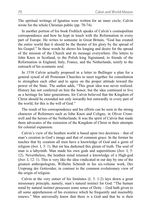The spiritual writings of Ignatius were written for an inner circle; Calvin wrote for the whole Christian public (pp. 70-74).

In another portion of his book Frohlich speaks of Calvin's cosmopolitan correspondence and how he kept in touch with the Reformation in every part of Europe. He writes to someone in Great Britain, "God has created the entire world that it should be the theater of his glory by the spread of his Gospel." In these words he shows his longing and desire for the spread of the mission of the Church and its message everywhere. His letters to John Knox in Scotland, to the Polish king Sigismund, to friends of the Reformation in England, Italy, France, and the Netherlands, testify to the outreach of his ecumenic soul.

In 1538 Calvin actually proposed in a letter to Bullinger a plan for a general synod of all Protestant Churches to meet together for consultation to strengthen each other and to agree on the proper attitude toward the power of the State. The author adds, "This great idea was never realized. History has not conferred on him the honor, but the idea continued to live as a heritage for later generations, for Calvin believed that the Kingdom of Christ should be extended not only inwardly but outwardly in every part of the world, for this is the will of God."

The result of his correspondence and his efforts can be seen in the strong character of Reformers such as John Knox and Coligny, in Oliver Cromwell and the heroes of the Netherlands. It was the spirit of Calvin that made them advocates of the extension of the Kingdom of Christ in their attempts for colonial expansion.

Calvin's view of the heathen world is based upon two doctrines – that of man's creation in God's image and that of common grace. In the former he teaches that by creation all men have a knowledge of God and a germ of religion (*Inst*. I, 3: 1). But sin has darkened this gleam of truth. The soul of man is a labyrinth. Man made his own gods and superstitions (*Inst*. I, 5: 12). Nevertheless, the heathen mind retained a knowledge of a High-god (*Inst*. I, 12: 1). This is very like the idea vindicated in our day by one of the greatest anthropologists, Wilhelm Schmidt in his six-volume work, Der Ursprung der Gottesidee, in contrast to the common evolutionary view of the origin of religion.

Calvin at the very outset of his Institutes (I, 3: 1-2) lays down a great missionary principle, namely, man's natural instinct for God. "The human mind by natural instinct possesses some sense of Deity – God hath given to all some apprehension of his existence which he frequently and insensibly renews." Men universally know that there is a God and that he is their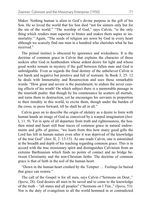Maker. Nothing human is alien to God's divine purpose in the gift of his Son. He so loved the world that his Son died "not for sinners only but for the sin of the world." "The worship of God," says Calvin, "is the only thing which renders man superior to brutes and makes them aspire to immortality." Again, "The seeds of religion are sown by God in every heart although we scarcely find one man in a hundred who cherishes what he has received."

The primal instinct is obscured by ignorance and wickedness. It is the doctrine of common grace in Calvin that explains the character of those seekers after God in heathendom whose ardent desire for light and whose good works remain in mystery if the gulf between fallen man and God is unbridgeable. Even as regards the final destiny of the unbeliever Calvin is not harsh and negative but positive and full of restraint. In Book 3, 25: 12 he deals with Immortality and Resurrection and uses those remarkable words: "How great and severe is the punishment, to endure the never ceasing effects of his wrath! On which subject there is a memorable passage in the ninetieth psalm: that though by his countenance he scatters all mortals, and turns them to destruction, yet he encourages his servants in proportion to their timidity in this world, to excite them, though under the burden of the cross, to press forward, till he shall be all in all."

Calvin goes on to describe the origin of idolatry as a desire to form with human hands an image of God as conceived by a warped imagination (*Inst*. I, 11: 9). Yet in spite of all departure from truth and righteousness, the heathen mind and heart still bear traces of common grace in natural endowments and gifts of genius; "we learn from this how many good gifts the Lord has left in human nature even after it was deprived of the knowledge of the true God" (*Inst*. II, 2: 13-15). As one reads Calvin, one is astonished at the breadth and depth of his teaching regarding common grace. This is in accord with the true missionary spirit and distinguishes Calvinism from an extreme Barthianism which finds no points of contact and no bridge between Christianity and the non-Christian faiths. The doctrine of common grace is that of faith in the soil of the human heart.

"Down in the human heart crushed by the Tempter … Feelings lie buried that grace can restore."

The call of the Gospel is for all men, says Calvin ("Sermons on Deut.," *Opera*, 28). God desires all men to be saved and to come to the knowledge of the truth – "all states and all peoples" ("Sermons on I Tim.," *Opera*, 53). Nor is the duty of evangelism to all the world hemmed in or contradicted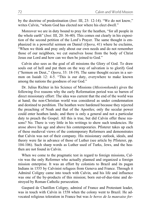by the doctrine of predestination (*Inst*. III, 23: 12-14). "We do not know," writes Calvin, "whom God has elected nor where his elect dwell."

Moreover we are in duty bound to pray for the heathen, "for all people in the whole earth" (*Inst*. III, 20: 36-40). This comes out clearly in his exposition of the second petition of the Lord's Prayer. The same thought is emphasized in a powerful sermon on Daniel (*Opera*, 41) where he exclaims, "When we think and pray only about our own needs and do not remember those of our neighbors, we cut ourselves loose from the body of Christ Jesus our Lord and how can we then be joined to God."

Calvin also sees as the goal of all missions the Glory of God. To draw souls out of hell and put them on the way of salvation is to glorify God ("Sermon on Deut.," *Opera*, 33: 18-19). The same thought occurs in a sermon on Isaiah 12: 4-5. "This is our duty, everywhere to make known among the nations the goodness of our God."

Dr. Julius Richter in his Science of Missions (*Missionskunde*) gives the following five reasons why the early Reformation period was so barren of direct missionary effort: The idea was current that the end of the world was at hand; the non-Christian world was considered as under condemnation and destined to perdition. The heathen were hardened because they rejected the preaching of Noah and that of the Apostles; only the secular power could enter heathen lands; and there is only a general and not a particular duty to preach the Gospel. All this is true, but did Calvin offer these reasons? No. There is very little in his writings to show such tendencies. He arose above his age and above his contemporaries. Pfisterer takes up each of these medieval views of the contemporary Reformers and demonstrates that Calvin was not of their company. His missionary outlook, ideals, and theory were far in advance of those of Luther (see article by Pfisterer, pp. 104-106). Such sharp words as Luther used of Turks, Jews, and the heathen are not found in Calvin.

When we come to the pragmatic test in regard to foreign missions, Calvin was the only Reformer who actually planned and organized a foreign mission enterprise. It was an effort by colonists to Brazil and its pagan Indians in 1555 by Calvinist refugees from Geneva and France. Through it Admiral Coligny came into touch with Calvin, and his life and influence was one of the by-products of this mission; born out-of-due-time and destroyed by Roman Catholic persecution.

Gaspard de Chatillon Coligny, admiral of France and Protestant leader, was in touch with Calvin in 1558 when the colony went to Brazil. He advocated religious toleration in France but was *le heros de la mauvaise for-*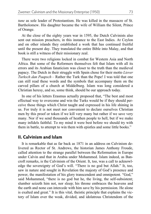*tune* as sole leader of Protestantism. He was killed in the massacre of St. Bartholomew. His daughter became the wife of William the Silent, Prince of Orange.

At the close of the eighty years war in 1595, the Dutch Calvinists also sent out mission preachers, in this instance to the East Indies. At Ceylon and on other islands they established a work that has continued fruitful until the present day. They translated the entire Bible into Malay, and that book is still a witness of their missionary zeal.

There were two religions locked in combat for Western Asia and North Africa. But some of the Reformers themselves felt that Islam with all its errors and its Arabian fanaticism was closer to the truth than the medieval papacy. The Dutch in their struggle with Spain chose for their motto *Liever Turksch dan Paapsch* – Rather the Turk than the Pope! I was told that one can still read these words and the symbols that accompany them on the carved pillars of a church at Middelburg. Islam was long considered a Christian heresy, and so, some think, should be our approach today.

In one of his letters Erasmus actually proposed that, "The best and most effectual way to overcome and win the Turks would be if they should perceive those things which Christ taught and expressed in his life shining in us. For truly it is not meet nor convenient to declare ourselves Christian men by this proof or token if we kill very many but rather if we save very many. Nor if we send thousands of heathen people to hell, but if we make many infidels faithful. To my mind it were best before we should try with them in battle, to attempt to win them with epistles and some little books."

### **II. Calvinism and Islam**

It is remarkable that as far back as 1871 in an address on Calvinism delivered as Rector of St. Andrews, the historian James Anthony Froude, called attention to the strange parallel between the Reformation in Europe under Calvin and that in Arabia under Mohammed. Islam indeed, as Bancroft remarks, is the Calvinism of the Orient. It, too, was a call to acknowledge the sovereignty of God's will. "There is no god but Allah." It, too, saw in nature and sought in Revelation the majesty of God's presence and power, the manifestation of his glory transcendent and omnipotent. "God," said Mohammed, "there is no god but he, the living, the self-subsistent; slumber seizeth him not, nor sleep; his throne embraces the heavens and the earth and none can intercede with him save by his permission. He alone is exalted and great." It is this vital, theistic principle that explains the victory of Islam over the weak, divided, and idolatrous Christendom of the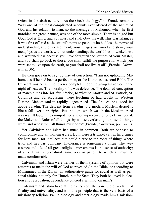Orient in the sixth century. "As the Greek theology," so Froude remarks, "was one of the most complicated accounts ever offered of the nature of God and his relation to man, so the message of Mahomet, when he first unfolded the green banner, was one of the most simple. There is no god but God; God is King, and you must and shall obey his will. This was Islam, as it was first offered at the sword's point to people who had lost the power of understanding any other argument; your images are wood and stone; your metaphysics are words without understanding; the world lies in wickedness and wretchedness because you have forgotten the statutes of your Master, and you shall go back to those; you shall fulfill the purpose for which you were set to live upon the earth, or you shall not live at all" (Froude, *Calvinism*, p. 36).

He then goes on to say, by way of correction: "I am not upholding Mahomet as if he had been a perfect man, or the Koran as a second Bible. The Crescent was no sun, nor even a complete moon, reigning full-orbed in the night of heaven. The morality of it was defective. The detailed conception of man's duties inferior, far inferior, to what St. Martin and St. Patrick, St. Columba and St. Augustine, were teaching or had taught in Western Europe. Mahometanism rapidly degenerated. The first caliphs stood far above Saladin. The descent from Saladin to a modern Moslem despot is like a fall over a precipice. But the light which was in the Moslem creed was real. It taught the omnipotence and omnipresence of one eternal Spirit, the Maker and Ruler of all things, by whose everlasting purpose all things were, and whose will all things must obey" (Froude, *Calvinism*, pp. 37-38).

Yet Calvinism and Islam had much in common. Both are opposed to compromise and all half-measures. Both were a trumpet call in hard times for hard men, for intellects that could pierce to the roots of things where truth and lies part company. Intolerance is sometimes a virtue. The very essence and life of all great religious movements is the sense of authority; of an external, supernatural framework or pattern to which all must be made comformable.

Calvinism and Islam were neither of them systems of opinion but were attempts to make the will of God as revealed (in the Bible, or according to Mohammed in the Koran) an authoritative guide for social as well as personal affairs, not only for Church, but for State. They both believed in election and reprobation, dependence on God's will, not on man's.

Calvinism and Islam have at their very core the principle of a claim of finality and universality, and it is this principle that is the very basis of a missionary religion. Paul's theology and soteriology made him a mission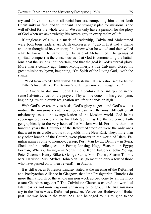ary and drove him across all racial barriers, compelling him to set forth Christianity as final and triumphant. The strongest plea for missions is the will of God for the whole world. We can only have a passion for the glory of God when we acknowledge his sovereignty in every realm of life.

If singleness of aim is a mark of leadership, Calvin and Mohammed were both born leaders. As Barth expresses it: "Calvin first had a theme and then thought of its variation; first knew what he willed and then willed what he knew." The same might be said of Mohammed. The genius of spiritual conquest is the consciousness that God is commanding the battalions, that the issue is not uncertain, and that the goal is God's eternal glory. More than a century ago, James Montgomery, a true Calvinist, closed his great missionary hymn, beginning, "Oh Spirit of the Living God," with the stanza:

"God from eternity hath willed All flesh shall His salvation see; So be the Father's love fulfilled The Saviour's sufferings crowned through thee."

Our American statesman, John Hay, a century later, interpreted in the same Calvinistic fashion the prayer, "Thy will be done," in his great hymn, beginning, "Not in dumb resignation we lift our hands on high."

With God's sovereignty as basis, God's glory as goal, and God's will as motive, the missionary enterprise today can face the most difficult of all missionary tasks – the evangelization of the Moslem world. God in his sovereign providence and by his Holy Spirit has led the Reformed faith geographically to the very heart of the Moslem world. For more than one hundred years the Churches of the Reformed tradition were the only ones that went to its cradle and its strongholds in the Near East. They, more than any other branch of the Church, were pioneers in the world of Islam. Familiar names come to memory: Jessup, Post, Van Dyck, Dennis – in Syria; Shedd and his colleagues – in Persia; Lansing, Hogg, Watson – in Egypt; Forman, Wherry, Ewing – in North India; Keith Falconer, John Young, Peter Zwemer, Henry Bilkert, George Stone, Mrs. Thorns, Sharon Thorns, Mrs. Harrison, Mrs. Mylrea, John Van Ess (to mention only a few of those who have passed on to their reward) – in Arabia.

It is still true, as Professor Lindsay stated at the meeting of the Reformed and Presbyterian Alliance in Glasgow, that "the Presbyterian Churches do more than a fourth of the whole mission work abroad done by all the Protestant Churches together." The Calvinistic Churches entered the world of Islam earlier and more vigorously than any other group. The first missionary to the Turks was a Reformed preacher, Venceslaus Budovetz of Budapest. He was born in the year 1551, and belonged by his religion to the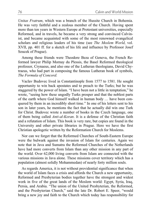*Unitas Fratrum*, which was a branch of the Hussite Church in Bohemia. He was very faithful and a zealous member of the Church. Having spent more than ten years in Western Europe at Protestant universities, especially Reformed, and in travels, he became a very strong and convinced Calvinist, and became acquainted with some of the most renowned evangelical scholars and religious leaders of his time (see *The Moslem World*, vol. XVII, pp. 401 ff. for a sketch of his life and influence by Professor Josef Soucek of Prague).

Among these friends were Theodore Beza of Geneva, the French Reformed lawyer Philip Mornay du Plessis, the Basel Reformed theological professor, Crynaeus, and also one of the Lutheran theologians, David Chytraeus, who had part in composing the famous Lutheran book of symbols, *The Formula of Concord*.

Vaclav Budovec lived in Constantinople from 1577 to 1581. He sought opportunity to win back apostates and to preach to the Turks; but he was staggered by the power of Islam. "I have been not a little in temptation," he wrote, "seeing how these ungodly Turks prosper and that the noblest parts of the earth where God himself walked in human body … have been conquered by them in an incredibly short time." In one of his letters sent to his son in later years, he mentions the fact that he actually did win one Turk for Christ. Budovec wrote a number of books in the Czech language, one of them being called *Anti-al-Koran*. It is a defense of the Christian faith and a refutation of Islam. This book is very rare, but copies are found in the University and other private libraries in Prague. Here we have the first Christian apologetic written by the Reformation Church for Moslems.

Nor can we forget that the Reformed Churches of South-Eastern Europe were the bulwark against the invasion of Islam for centuries. Again we note that in Java and Sumatra the Reformed Churches of the Netherlands have had more converts from Islam than any other mission in any part of the world. Over 62,000 living converts from Islam are connected with the various missions in Java alone. These missions cover territory which has a population (almost solidly Mohammedan) of nearly forty million souls.

As regards America, it is not without providential significance that when the world of Islam faces a crisis and affords the Church a new opportunity, Reformed and Presbyterian bodies together have the strongest and widest work in five of the great lands of the Moslem world: Egypt, Syria, Iraq, Persia, and Arabia. "The union of the United Presbyterian, the Reformed, and the Presbyterian Church," said the late Dr. Robert E. Speer, "would bring a new joy and faith to the Church which today has responsibility for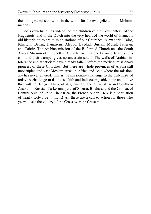the strongest mission work in the world for the evangelization of Mohammedans."

God's own hand has indeed led the children of the Covenanters, of the Huguenots, and of the Dutch into the very heart of the world of Islam. Its old historic cities are mission stations of our Churches: Alexandria, Cairo, Khartum, Beirut, Damascus, Aleppo, Bagdad, Busrah, Mosul, Teheran, and Tabriz. The Arabian mission of the Reformed Church and the South Arabia Mission of the Scottish Church have marched around Islam's Jericho, and their trumpet gives no uncertain sound. The walls of Arabian intolerance and fanaticism have already fallen before the medical missionary pioneers of these Churches. But there are whole provinces of Arabia still unoccupied and vast Moslem areas in Africa and Asia where the missionary has never entered. This is the missionary challenge to the Calvinists of today. A challenge to dauntless faith and indiscourageable hope and a love that will not let go. Think of Afghanistan, and all western and Southern Arabia; of Russian Turkestan, parts of Siberia, Bokhara, and the Crimea, of Central Asia, of Tripoli in Africa, the French Sudan. Here is a population of nearly forty-five millions! All these are a call to action for those who yearn to see the victory of the Cross over the Crescent.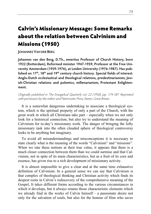# Calvin's Missionary Message: Some Remarks about the relation between Calvinism and Missions (1950)

**JOHANNES VAN DER BERG**

**Johannes van den Berg, D.Th., emeritus Professor of Church History, born 1922 (Rotterdam), Reformed minister 1947-1959, Professor at the Free University Amsterdam (1959-1976), at Leiden University (1976-1987). Has published on 17th, 18th and 19th century church history. Special fields of interest: Anglo-Dutch ecclesiastical and theological relations, predestinarianism; Jewish-Christian relations and polemics; millenarianism; Protestant Enlightenment.** 

Originally published in The Evangelical Quarterly vol. 22 (1950), pp. 174-187. Reprinted with permission by the editor and Paternoster Press, Exeter, Great Britain.

It is a somewhat dangerous undertaking to associate a theological system, which is the spiritual property of only a part of the Church, with the great work in which all Christians take part – especially when we not only look for a historical connection, but also try to understand the meaning of Calvinism for to-day's missionary work. The danger of bringing the lofty missionary task into the often clouded sphere of theological controversy looks to be anything but imaginary.

To avoid all misunderstandings and misconceptions it is necessary to state clearly what is the meaning of the words "Calvinism" and "missions". When we rate these notions at their true value, it appears that there is a much closer connection between them than we could surmise and that Calvinism, not in spite of its main characteristics, but as a fruit of its core and essence, has given rise to a rich development of missionary activity.

It is almost impossible to give a clear and at the same time exhaustive definition of Calvinism. In a general sense we can say that Calvinism is that complex of theological thinking and Christian activity which finds its deepest roots in Calvin's rediscovery of the comprehensive meaning of the Gospel, It takes different forms according to the various circumstances in which it develops, but it always retains those characteristic elements which we already find in the works of Calvin himself – a passionate desire not only for the salvation of souls, but also for the honour of Him who saves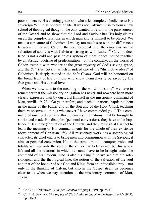poor sinners by His electing grace and who asks complete obedience to His sovereign Will in all spheres of life. It was not Calvin's wish to form a new school of theological thought – he only wanted to return to the pure sources of the Gospel and to show that the Lord and Saviour has His holy claims on all the complex relations in which man knows himself to be placed. We make a caricature of Calvinism if we lay too much stress on the differences between Luther and Calvin: the soteriological line, the emphasis on the salvation of souls, is with Calvin as strong as with Luther.<sup>48</sup> Calvin's doctrine is not a cold and passionless system of moral codes, bound together by an abstract doctrine of predestination – on the contrary, all the works of Calvin tremble with wonder at the great mystery of Cod's saving grace, and the *Soli Deo Gloria,* which is indeed one of the "distinctive ideas" of Calvinism, is deeply rooted in the *Sola Gratia.* God will be honoured on the broad front of life by those who know themselves to be saved by His free grace and His eternal love.

When we now turn to the meaning of the word "missions", we have to remember that the missionary obligation has never and nowhere been more clearly expressed than by our Lord Himself in the missionary command of Matt, xxviii. 19, 20: "Go ye therefore, and teach all nations, baptising them in the name of the Father and of the Son and of the Holy Ghost, teaching them *to* observe all things whatsoever I have commanded you." This command of our Lord contains three elements: the nations must be brought to Christ and made His disciples (personal conversion), they have to be baptised-in His name (formation of the Church) and they must sit at His feet to learn the meaning of His commandments for the whole of their existence (development of Christian life). All missionary work has a soteriological character: its chief end is to bring men into communion with the Saviour, it aims at personal conversion. Hut at the same time it is comprehensive and totalitarian: not only the soul of the sinner has to be saved, but his whole life and all the relations in which he stands have to be brought under the command of his Saviour, who is also his King.<sup>49</sup> So we see that the soteriological and the theological line, the notion of the salvation of the soul and that of the honour of our God and King, form an indivisible unity – not only in the thinking of Calvin, but also in the Gospel itself, as becomes clear to us when we pay attention to the missionary command of Matt, xxviii.

<sup>48</sup> Cf. G. C. Berkouwer, *Geloof en Rechtvaardiging* (1949). pp. 55-60.

<sup>49</sup> Cf. J. H. Bawinck, *The Impact of Christianity on the Non-Christian World* (1949), pp. 18-23.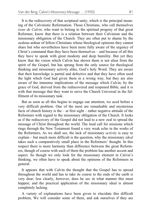It is the rediscovery of that scriptural unity, which is the principal meaning of the Calvinistic Reformation. Those Christians, who call themselves *issus de Calvin,* who want to belong to the spiritual progeny of that great Reformer, know that there is a relation between their Calvinism and the missionary obligation of the Church. They are often put to shame by the zealous ardour of fellow-Christians whose theological opinions they cannot share but who nevertheless have been more fully aware of the urgency of Christ's command than they have been themselves – and because of all this they have to speak with great modesty and deep humility. But yet they know that the vision which Calvin has shown them is not alien from the spirit of the Gospel, but has sprung from the only source for theological thinking and missionary activity alike, God's holy Word. They are aware that their knowledge is partial and defective and that they have often used the light which God had given them in a wrong way, but they are also aware of the immense implications of the message which Calvin, by the grace of God, derived from the rediscovered and reopened Bible, and it is with that message that they want to serve the Church Universal in the fulfilment of its missionary task.

But as soon as all this begins to engage our attention, we aced before a very difficult problem. One of the most are remarkable and mysterious facts of church history is the – at first sight – rather negative attitude of the Reformers with regard to the missionary obligation of the Church. It looks as if the rediscovery of the Gospel did not lead to a new zeal to spread the message of Christ throughout the world. The loud call for missions which rings through the New Testament found a very weak echo in the works of the Reformers, As we shall see, the lack of missionary *activity* is easy to explain – but much more difficult is the question, why the missionary *ideal* takes such a comparatively small place in the Reformers' thought. In this respect there is more harmony than difference between the great Reformers, though of course with each of them the problem has another accent and aspect. So though we only look for the missionary element in Calvin's thinking, we often have to speak about the opinions of the Reformers in general.

It appears that with Calvin the thought that the Gospel has to spread throughout the world and has to take its course to the ends of the earth is very dear; less clearly, however, does he sec in what manner this must happen; and the practical application of the missionary ideal is almost completely lacking.

A variety of explanations have been given to elucidate this difficult problem, We will consider some of them, and ask ourselves if they are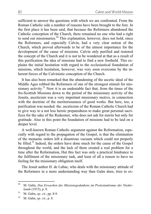sufficient to answer the questions with which we are confronted. From the Roman Catholic side a number of reasons have been brought to the fore. In the first place it has been said, that because the Reformers abandoned the Catholic conception of the Church, there remained no one who had a right to send out missionaries.<sup>50</sup> This explanation, however, docs not hold, since the Reformers, and especially Calvin, had a very clear notion of the Church, which proved afterwards to be of the utmost importance for the development of the cause of missions. Calvin only purified and restored the concept of the Church and it is not to be wondered at that as a result of this purification the idea of missions had to find a new foothold. This explains the initial hesitation with regard to the ecclesiastical foundation of missions, which hesitation, however, was very soon overcome by the inherent forces of the Calvinistic conception of the Church.

It has also been remarked that the abandoning of the ascetic ideal of the Middle Ages robbed the Reformers of one of the strongest stimuli for missionary activity.<sup>51</sup> Now it is an undeniable fact that, from the times of the fro-Scottish Missions down to the period of the missionary activity of the Jesuits, asceticism was a very important missionary motive, in connection with the doctrine of the meritoriousness of good works. But here, too, a purification was needed: the. asceticism of the Roman Catholic Church had to give way to a not less heroic preparedness to make great personal sacrifices for the sake of the Redeemer, who does not ask for merits but only for gratitude. Also in this point the foundation of missions had to be laid on a deeper level.

A well-known Roman Catholic argument against the Reformation, especially with regard to the propagation of the Gospel, is that the elimination of the monastic orders left a disastrous vacuum which could not properly be filled.<sup>52</sup> Indeed, the orders have done much for the cause of the Gospel throughout the world, and the lack of them created a real problem for a time after the Reformation, Hut this fact was only a practical hindrance to the fulfilment of the missionary task, and least of all a reason to have no feeling for the missionary obligation itself.

The Jesuit author H. de Lubac, who deals with the missionary attitude of the Reformers in a more understanding way than Galm does, tries to ex-

<sup>50</sup> M. Galm, *Das Erwachen des Missionsgedankens im Protestantismus der Niederlande* (1915), p. 8.

<sup>51</sup> M. Galm, *op. cit.*, pp. 8-9.

<sup>52</sup> M. Galm, *op. cit.*, p. 8.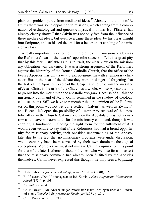plain our problem partly from mediaeval ideas.<sup>53</sup> Already in the time of R. Lullus there was some opposition to missions, which sprang from a combination of eschatological and quietistic-mystical motions. But Pfisterer has already clearly shown<sup>54</sup> that Calvin was not only free from the influence of these mediaeval ideas, but even overcame these ideas by his clear insight into Scripture, and so blazed the trail for a better understanding of the missionary task,

A really important check to the full unfolding of the missionary idea was the Reformers' fear of the idea of "apostolic succession". It is a great pity that by this fear, justifiable as it is in itself, the clear view on the missionary obligation was darkened. It was a strong argument of the Reformers against the hierarchy of the Roman Catholic Church, that the office of the twelve Apostles was only a *munus extraordinarium* with a temporary character. But in the heat of the debate they were in danger of forgetting that the task of the Apostles to spread the Gospel and to proclaim the message of Jesus Christ is the task of the Church as a whole, whose Apostolate it is to go out into the world with the apostolic *kerygma.* Because of all this the missionary command of Matt, xxviii. remained in the shadow of theological discussions. Still we have to remember that the opinion of the Reformers on this point was not yet quite settled – Calvin<sup>55</sup> as well as Zwingli<sup>56</sup> and Bucer<sup>57</sup> left open the possibility of a temporary renewal of the apostolic office in the Church. Calvin's view on the Apostolate was not so narrow as to leave no room at all for the missionary command, though it was certainly a hindrance in finding the right form for the fulfilment of it. I would even venture to say that if the Reformers had had a broad opportunity for missionary activity, their onesided understanding of the Apostolate, due to the fact that no missionary problems were under discussion, would certainly have been corrected by their own dominant theological conceptions. Moreover we must not mistake Calvin's opinion on this point for that of the later Lutheran orthodox divines, who went so far as to assert that the missionary command had already been fulfilled by the Apostles themselves. Calvin never expressed this thought; he only sees a *beginning*

<sup>53</sup> H. de Lubac, *Le fondement theologique des Missions* (1940), p. 60.

<sup>54</sup> E. Pfisterer, "Der Missionsgedanke bei Kalvin", *Neue Allgemeine Missionszeitschrift* (1934), p. 103.

<sup>55</sup> *Institutio IV*, iii. 4.

<sup>&</sup>lt;sup>56</sup> Cf. P. Drews. "Die Anschauungen reformatorischer Theologen über die Heidenmission", *Zeitschrift für praktische Theologie* (1897), p. 221.

<sup>57</sup> Cf. P. Drews, *op. cit.*, p. 215.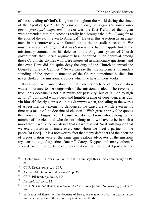of the spreading of God's Kingdom throughout the world during the times of the Apostles (*post Christi resurrectionem fines regni Dei longe lateque ... prorogari coeperunt*<sup>58</sup>), Beza was the first Reformed theologian who contended that the Apostles really had brought the *odor Evangelii* to the ends of the earth, even to America!<sup>59</sup> He uses this assertion as an argument in his controversy with Saravia about the apostolic succession. We must, however, not forget that it was Saravia who had unhappily linked the missionary command to his defence of the Anglican system of Church government; that Beza's argument has not found much approval among those Calvinistic divines who were interested in missionary questions, and that even Beza did not quite deny the duty of the Church to spread the Gospel among the Gentiles.<sup>60</sup> So we can say that the Reformers' misunderstanding of the apostolic function of the Church sometimes hushed, but never choked, the missionary voices which we hear in their works.

It is a popular misunderstanding that Calvin's doctrine of predestination was a hindrance to the outgrowth of the missionary ideal. The reverse is true – this doctrine is not a stimulus for passivity, but calls man to high activity $^{61}$  combined with a deep and humble feeling of dependence, as Calvin himself clearly expresses in his *Institutio* when, appealing to the works of Augustine, he vehemently denounces the caricature which even in his time was made of the doctrine of election.<sup>62</sup> With great approval he quotes the words of Augustine: "Because we do not know who belong to the number of the elect and who do not belong to it, we have to be in such a mood that it would be our desire that all were saved. So it will happen that we exert ourselves to make every one whom we meet a partner of the peace [of God]." It is a noteworthy fact that many defenders of the doctrine of predestination were at the same time zealous advocates of the missionary cause – e.g. Augustine, Bucer,  $63$  Carey, Kuyper and many others.  $64$ They derived their doctrine of predestination from the great Apostle to the

<sup>58</sup> Quoted from P. Drews, *op. cit.*, p. 290. Calvin says this in his commentary on Ps. cx.

<sup>59</sup> Cf. P. Drews, *op. cit.*, p. 307.

<sup>60</sup> As even M. Galm concedes, *op. cit.*, p. 35.

<sup>61</sup> Cf. E. Pfisterer, *op. cit.*, p. 104.

<sup>62</sup> *Institutio III*, xxiii. 12-14.

<sup>63</sup> Cf. J. N. van der Bosch, *Zendingsgedachte uit den tjid der Hervorming* (1941), p. 29.

 $64$  With most of these men the doctrine of free grace was only a barrier against a too human conception of the missionary task and methods.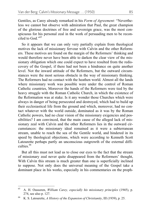Gentiles, as Carey already remarked in his *Form of Agreement:* "Nevertheless we cannot but observe with admiration that Paul, the great champion of the glorious doctrines of free and sovereign grace, was the most conspicuous for his personal zeal in the work of persuading men to be reconciled to God."<sup>65</sup>

So it appears that we can only very partially explain from theological motives the lack of missionary fervour with Calvin and the other Reformers. These motives are found on the margin of the Reformers' thinking and would therefore never have been able to darken the clear view of the missionary obligation which one could expect to have resulted from the rediscovery of the Gospel, if there had not been a hindrance on quite another level. Not the inward attitude of the Reformers, but the outward circumstances were the most serious obstacle in the way of missionary thinking. The Reformers had no contact with the heathen world. Almost all the lands where missionary work was possible were under the control of Roman Catholic countries, Moreover the hands of the Reformers were tied by the heavy struggle with the Roman Catholic Church, in which the existence of the Reformation was at stake. Is it any wonder those Churches which were always in danger of being persecuted and destroyed, which had to build up their ecclesiastical life from the ground and which, moreover, had no contact whatever with the world outside, dominated as it was by the Roman Catholic powers, had no clear vision of the missionary exigencies and possibilities? I am convinced, that the main cause of the alleged lack of missionary zeal with Calvin and the other Reformers lies in the outward circumstances: the missionary ideal remained as it were a subterranean stream, unable to reach the sea of the Gentile world, and hindered in its speed by theological objections, which were according to Kenneth Scott Latourette perhaps partly an unconscious outgrowth of the external difficulties.<sup>66</sup>

But all this must not lead us to close our eyes to the fact that the stream of missionary zeal never quite disappeared from the Reformers' thought, With Calvin this stream is much greater than one is superficially inclined to suppose. Not only does the universal meaning of the Gospel take a dominant place in his works, especially in his commentaries on the proph-

<sup>65</sup> A. H. Oussoren, *William Carey, especially his missionary principles* (1945), p. 274, see also p. 127.

<sup>66</sup> K. S. Latourette, *A History of the Expansion of Christianity*, III (1939), p. 25.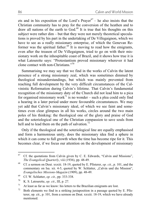ets and in his exposition of the Lord's Prayer<sup>67</sup> – he also insists that the Christian community has to pray for the conversion of the heathen and to draw all nations of the earth to God.<sup>68</sup> It is true that his thoughts on this subject were rather dim – but that they were not merely theoretical speculations is proved by his part in the undertaking of De Villegaignon, which we have to see as a really missionary enterprise, of which the Genevan Reformer was the spiritual father. $69$  It is moving to read how the emigrants, even after the treason of De Villegaignon, tried to go on with their missionary work on the inhospitable coast of Brazil, and it shows how true it is what Latourette says: "Protestantism proved missionary wherever it had clone contact with non-Christians. $170$ 

Summarising we may say that we find in the works of Calvin the latent presence of a strong missionary zeal, which was sometimes dimmed by theological misunderstandings, but which was mainly prevented from reaching full development by the very difficult circumstances of the Calvinistic Reformation during Calvin's lifetime. That Calvin's fundamental recognition of the missionary duty of the Church did not lead him to a pica for organised missionary work<sup>71</sup> is no wonder – such a plea could only find a hearing in a later period under more favourable circumstances. We may yet add that Calvin's missionary ideal, of which we see faint and sometimes even clear glimpses in all his works, circles around the two main poles of his thinking: the theological one of the glory and praise of God and the soteriological one of the Christian compassion to save souls from hell and to lead them on the path of salvation.<sup>72</sup>

Only if the theological and the soteriological line are equally emphasised and form a harmonious unity, does the missionary idea find a sphere in which it can come to full growth when the time has become ripe for it. This becomes clear, if we focus our attention on the development of missionary

 $67$  Cf. the quotations from Calvin given by C. E. Edwards, "Calvin and Missions", *The Evangelical Quarterly*, viii (1936), pp. 48-49.

<sup>68</sup> Cf. a sermon on Deut. xxxiii. 18-19, quoted by E. Pfisterer, *op. cit.*, p. 101, and the commentary on Isa. xii. 4-5, quoted by W. Schlatter, "Calvin und die Mission", *Evangelisches Missions-Magazin* (1909), pp. 48-49.

<sup>69</sup> Cf. W. Schlatter, *op. cit.*, pp. 333-338.

<sup>70</sup> K. S. Latourette, *op. cit.*, III, p. 27.

<sup>&</sup>lt;sup>71</sup> At least as far as we know: his letters to the Brazilian emigrants are lost.

 $72$  Both elements we find in a striking juxtaposition in a passage quoted by E. Pfisterer, op. cit., p. 101, from a sermon on Deut. xxxiii. 18-19, which we have already mentioned.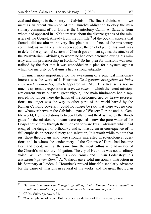zeal and thought in the history of Calvinism. The first Calvinist whom we meet as an ardent champion of the Church's obligation to obey the missionary command of our Lord is the Canterbury Canon A. Saravia, from whom had appeared in 1590 a treatise about the diverse grades of the ministers of the Gospel, Already from the full title<sup>73</sup> of the book it appears that Saravia did not aim in the very first place at a defence of the missionary command; as we have already seen above, the chief object of his work was to defend the episcopal system of Church government against the attacks of the Presbyterian Calvinists, to whom he had once belonged during his ministry and his professorship in Holland,<sup>74</sup> So his plea for missions was neutralised by the fact that it was embedded in a plea for a system against which the majority of Calvinists had a strong antipathy.

Of much more importance for the awakening of a practical missionary interest was the work of J. Heurnius: *De legatione evangelica ad Indos capessenda admonitio*, which appeared in 1618. This treatise is not so much a systematic exposition as a *cri de cœur,* in which the latent missionary current bursts out with great vigour, 1'he main hindrances had disappeared: no longer were the hands of the Reformed tied by heavy persecutions, no longer was the way to other parts of the world barred by the Roman Catholic powers, it could no longer be said that there was no contact whatever between the Calvinistic part of Western Europe and the Gentile world, By the relations between Holland and the-East Indies the floodgates for the missionary stream were opened – now the pure water of the Gospel could flow through them, driven forward by a Calvinism which had escaped the dangers of orthodoxy and scholasticism in consequence of its full emphasis on personal piety and salvation, It is worth while to note that just those theologians who were strongly interested in soteriological questions and in whom the tender piety of the Canons of Dordt had become flesh and blood, were at the same time the most enthusiastic advocates of the Church's missionary obligation. The cry of Heurnius was not a solitary voice: W. Teellinck wrote his *Ecce Homo* and J. van Lodensteyn his *Beschouwinge van Zion*, 75 A. Walaeus gave solid missionary instruction in his Seminary at Leiden, J. Hoornbeek proved himself a scholarly advocate for the cause of missions in several of his works, and the great theologian

<sup>73</sup> *De diversis ministrorum Evangelii gradibus, sicut a Domino fuerunt instituti, et traditi ab Apostolis, ac perpetuo omnium ecclesiarum usu confirmati.*

<sup>74</sup> Cf. M. Galm, *op. cit.*, p. 34.

<sup>&</sup>lt;sup>75</sup> "Contemplation of Sion." Both works are a defence of the missionary cause.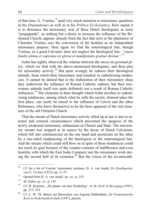of that time, G. Voetius,  $76$  paid very much attention to missionary questions in his *Disputationes* as well as in his *Politica Ecclesiastica.* How unjust it is to denounce the missionary zeal of these Dutch theologians as mere "propaganda", as nothing but a desire to increase the influence of the Reformed Church, appears already from the fact that next to the plantation of Churches Voetius sees the conversion of the heathen as an independent missionary purpose. Here again we find the soteriological line, though Voetius, as a good Calvinist, does not neglect the theological line: *"causa finalis ultima et suprema est gloria el manifestatio gratiae divinae"*. 77

Galm has rightly observed the relation between the stress on personal piety, which we find with the above-mentioned theologians, and their plea for missionary activity.78 But quite wrongly he reduces their theological attitude, from which their missionary zeal resulted, to catholicising tendencies. It cannot be denied that in the elaboration of their missionary ideas they underwent the influence of Roman Catholic authors; but their missionary attitude itself was quite definitely not a result of Roman Catholic influences.79 The elements in their thought which Galm ascribes to catholicising tendencies, among which what he calls the ascetic element takes the first place, can easily be traced to the influence of Calvin and the other Reformers, who knew themselves to be the heirs apparent of the rich treasures of the old Christian Church.

That the stream of Dutch missionary activity silted up at last is due to internal and external circumstances which prevented the progress of the newly awakened missionary enthusiasm in Church and State. The missionary stream was stopped at its source by the decay of Dutch Calvinism, which fell into scholasticism on the one hand and mysticism on the other by a one-sided emphasising of the theological or the soteriological line. And the stream which could still flow on in spite of those hindrances could not reach its goal because of the counter-currents of indifference and even hostility with which the East India Company met the missionary work during the second half of its existence. $80$  But the voices of the seventeenth-

<sup>76</sup> Cf. for a list of Voetius' missionary treatises, H. A. van Andel, *De Zendingsleer van G. Voetius* (1912), pp. 21-37.

<sup>77</sup> Quoted from H. A. van Andel, *op. cit.*, p. 143.

<sup>78</sup> M. Galm, *op. cit.*, p. 143.

<sup>79</sup> Cf. H. Kraemer, "De plaats van den Zendeling", in *De Kerk in Beweging* (1947), pp. 213, 214.

<sup>80</sup> Cf. C. W. Th. Baron van Boetzelaer van Asperen Dubbeldam, *De Protestantsche Kerk in Nederlandsch-Indie* (1947), passim.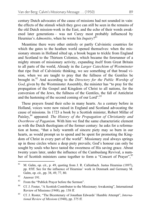century Dutch advocates of the cause of missions had not sounded in vain: the effects of the stimuli which they gave can still be seen in the remains of the old Dutch mission-work in the East, and the echo of their words awakened later generations – was not Carey most probably influenced by Heurnius's *Admonitio*, when he wrote his *Inquiry*? 81

Meantime there were other entirely or partly Calvinistic countries for which the gates to the heathen world opened themselves: when the missionary stream in Holland silted up, a brook began to trickle from England and Scotland to the Thirteen Colonies, which became the forerunner of a mighty stream of missionary activity, expanding itself from Great Britain to all parts of the world, Already in the *Larger Catechism of Westminster* that ripe fruit of Calvinistic thinking, we see something of that broad vision, when we are taught to pray that the fullness of the Gentiles be brought in.82 And according to the *Directory for the Public Worship of God*, given by the Westminster Assembly, the minister has "to pray for the propagation of the Gospel and Kingdom of Christ to all nations, for the conversion of the Jews, the fullness of the Gentiles, the fall of Antichrist and the hastening of the second coming of our Lord".<sup>83</sup>

These prayers found their echo in many hearts. As a century before in Holland, voices were now raised in England and Scotland advocating the cause of missions. In 1723 a book by a Scottish minister, Robert Millar of Paisley,84 appeared: *The History of the Propagation of Christianity and Overthrow of Paganism*. With him we find the same characteristic element as with the Dutch theologians of the former century: he asks for a reformation at home, "that a holy warmth of sincere piety may so burn in our hearts, as would prompt us to spend and be spent for promoting the Kingdom of Christ in every part of the world". Missionary zeal always springs up in those circles where a deep piety prevails; God's honour can only be sought by souls who have tasted the sweetness of His saving grace. About twenty years later, under the influence of the Cambuslang Revival, a number of Scottish ministers came together to form a "Concert of Prayer", <sup>85</sup>

<sup>81</sup> M. Galm, op. cit., p. 49, quoting from J. R. Callenbach. Justus Heurnius (1897), pp. 85ff. See for the influence of Heurnius' work in Denmark and Germany M. Galm, op. cit., pp. 38, 49, 77, 80.

 $82$  Answer 191.

<sup>&</sup>lt;sup>83</sup> From the "Publick Prayer before the Sermon".

<sup>84</sup> Cf. J. Foster, "A Scottish Contributor to the Missionary Awakening", International Review of Missions (1948), pp. 138 ff.

<sup>85</sup> Cf. J. Roster, "The Bicentenary of Jonathan Edwards' Humble Attempt", *International Review of Missions* (1948), pp. 375 ff.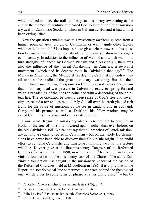which helped to blaze the trail for the great missionary awakening at the end of the eighteenth century. It pleased God to kindle the fire of missionary zeal in Calvinistic Scotland, when in Calvinistic Holland it had almost been extinguished.

Now the question remains: was this missionary awakening, seen from a human point of view, a fruit of Calvinism, or was it quite other factors which called it into life? It is impossible to give a clear answer to this question because of the utter complexity of the religious situation in the eighteenth century. In addition to the influence of Methodism, which was in its turn strongly influenced by German Pietism and Moravianism, there was also the influence of the "Great Awakening" in America, a revivalist movement "which had its deepest roots in Calvinistic theology".<sup>86</sup> The Moravian Zinzendorf, the Methodist Wesley, the Calvinist Edwards – they all stand at the cradle of the great missionary awakening. But that their stimuli found such an eager response on Calvinistic soil proves once again that missionary zeal was present in Calvinism, ready to spring forward when a broadening of the horizon coincided with a deepening of the spiritual life. The co-operation between a deep sense of God's free and sovereign grace and a fervent desire to glorify God all over the earth yielded rich fruits for the cause of missions, as we see in England and in Scotland: Carey and his partners as well as Duff and his fellow-workers may be called Calvinists in a broad and yet very deep sense.

From Great Britain the missionary ideals were brought to new life in Holland: the tree of missions flowered again, richer than ever before, on the old Calvinistic soil. We cannot say that all branches of Dutch missionary activity are equally rooted in Calvinism – but on the whole Dutch missions have never been able to disavow their Calvinistic origin. A splendid effort to combine Calvinistic and missionary thinking we find in a lecture which A. Kuyper gave at the first missionary Congress of the Reformed Churches<sup>87</sup> at Amsterdam in 1890, in which lecture<sup>88</sup> he tried to find a Calvinistic foundation for the missionary task of the Church. The same Calvinistic foundation was sought in the missionary Report of the Synod of the Reformed Churches, held at Middelburg in 1896. It is a pity that in the Report the soteriological line sometimes disappears behind the theological one, which gives to some turns of phrase a rather chilly effect<sup>89</sup> – but by

<sup>86</sup> A. Keller, Amerikanisches Christentum Heute (1943), p. 44.

<sup>87</sup> Separated from the Dutch Reformed Church in 1886.

<sup>88</sup> Edited by Prof. Bavinck under the title *Historisch Document* (1940).

<sup>89</sup> Cf. H. A. van Andel, *op. cit.*, p. 150.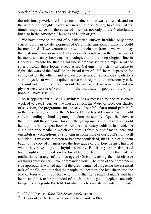the missionary work itself this one-sidedness soon was corrected, and on the whole the thoughts, expressed in lecture and Report, have been of the utmost importance for the cause of missions not only in the Netherlands, but also in the American Churches of Dutch origin.

We have come to the end of our historical survey, in which only some crucial points in the development of Calvinistic missionary thinking could be mentioned. If we venture to draw a conclusion from it we would say that Calvinistic missionary activity was at its height when there was perfect harmony and unity between the theological and the soteriological line in Calvinism. Where the theological line is emphasised at the expense of the soteriological, there looms a secularised Calvinism, which in its desire to fight "the wars of the Lord" on the broad front of life<sup>90</sup> loses its passion for souls, but on the other hand a one-sided stress on soteriology leads to a sterile mysticism which is quite passive with regard to the missionary task. The unity of these two lines can only be realised, if we remember and apply the wise words of Solomon: "in the multitude of people is the king's honour" (Prov. xiv. 28).

So it appears that a living Calvinism has a message for the missionary work of to-day. It derives that message from the Word of God: our charter of salvation, the programme for the task of our life. On a mural painting  $91$ in the missionary centre of the Reformed Churches at Baarn we see the old Calvin standing behind a young, modern missionary. Ages lie between them, but still they are one: for over the young man's shoulder Calvin's old hand points to the open book which the missionary holds in his hand: the Bible, the only medicine which can cure us from our self-made ideas and our arbitrary conceptions by showing us something of our Lord's holy Will and Plan. If missions threaten to become secularised, that Bible calls them back to the core of its message: the free grace of our Lord Jesus Christ, of which they have to give a joyful testimony. But if they are in danger of losing sight of their task on the broad front of life, it reminds them of the totalitarian character of the message of Christ: "teaching them to observe all things whatsoever I have commanded you". The man of the comprehensive approach is warned against the great danger of forgetting the essential task of the Church: to bring the people, the heathen, the lost sheep into the fold of Jesus – but the Pietist who thinks that he is ready if man's soul has been saved has to be reminded of the fact that a good shepherd not only brings his sheep into the fold, but also tries to cure its wounds with tender

<sup>90</sup> Cf. J. H. Bavinck. *Onze Werk Zendingskerk*, passim.

 $91$  A work of the Dutch painter Marius Richters, made in 1947.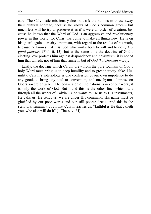care. The Calvinistic missionary does not ask the nations to throw away their cultural heritage, because he knows of God's common grace – but much less will he try to preserve it as if it were an order of creation, because he knows that the Word of God is an aggressive and revolutionary power in this world, for Christ has come to make all things new. He is on his guard against an airy optimism, with regard to the results of his work, because he knows that it is God who works both to will and to do *of His good pleasure* (Phil. ii. 13), but at the same time the doctrine of God's electing love protects him against despondency and pessimism: it is not of him that willeth, nor of him that runneth, but of *God that showeth mercy.*

Lastly, the doctrine which Calvin drew from the pure fountain of God's holy Word must bring us to deep humility and to great activity alike. Humility: Calvin's soteriology is one confession of our own impotence to do any good, to bring any soul to conversion, and one hymn of praise on God's sovereign grace. The conversion of the nations is never our work; it is only the work of God. But – and this is the other line, which runs through all the works of Calvin – God wants to use us as His instruments, He calls us, He sends us, we are under His command, His name must be glorified by our poor words and our still poorer deeds. And this is the scriptural summary of all that Calvin teaches us: "faithful is He that calleth you, who also will do it" (1 Thess. v. 24).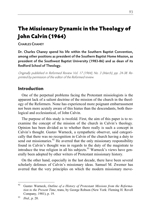# The Missionary Dynamic in the Theology of John Calvin (1964)

**CHARLES CHANEY**

**Dr. Charles Chaney spend his life within the Southern Baptist Convention, among other positions as president of the Southern Baptist Home Mission, as president of the Southwest Baptist University (1983-86) and as dean of its Redford School of Theology.** 

Originally published in Reformed Review Vol. 17 (1964), No. 3 (March), pp. 24-38. Reprinted by permission of the editor of the Reformed review.

## **Introduction**

One of the perpetual problems facing the Protestant missiologists is the apparent lack of a salient doctrine of the mission of the church in the theology of the Reformers. None has experienced more poignant embarrassment nor been more acutely aware of this hiatus than the descendants, both theological and ecclesiastical, of John Calvin.

The purpose of this study is twofold. First, the aim of this paper is to reexamine the concept of the mission of the church in Calvin's theology. Opinion has been divided as to whether there really is such a concept in Calvin's thought. Gustav Warneck, a sympathetic observer, said categorically that there was no recognition in Calvin of the church having a duty to send out missionaries. $92$  He averred that the only missionary responsibility found in Calvin's thought was in regards to the duty of the magistrate to introduce the true religion in all his subjects.<sup>93</sup> Warneck's views have generally been adopted by other writers of Protestant missionary history.

On the other hand, especially in the last decade, there have been several scholarly defenses of Calvin's missionary ideas. Samuel M. Zwemer has averred that the very principles on which the modern missionary move-

<sup>92</sup> Gustav Warneck, *Outline of a History of Protestant Missions from the Reformation to the Present Time*, trans, by George Robson (New York: Fleming H. Revell Company, 1901), p. 19.

<sup>93</sup> *Ibid*., p. 20.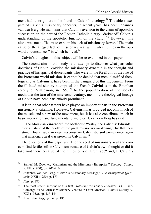ment had its origin are to be found in Calvin's theology.<sup>94</sup> The ablest exegete of Calvin's missionary concepts, in recent years, has been Johannes van den Berg. He maintains that Calvin's aversion to the claim of apostolic succession on the part of the Roman Catholic clergy "darkened" Calvin's understanding of the apostolic function of the church.<sup>95</sup> However, this alone was not sufficient to explain his lack of missionary fervor. "The main cause of the alleged lack of missionary zeal with Calvin … lies in the outward circumstances" in which he lived.<sup>96</sup>

Calvin's thoughts on this subject will be re-examined in this paper.

The second aim in this study is to attempt to discover what particular doctrines of Calvin provided the missionary dynamic in the thought and practice of his spiritual descendants who were in the forefront of the rise of the Protestant world mission. It cannot be denied that men, classified theologically as Calvinists, have been in the vanguard of this movement. From the ill-fated missionary attempt of the French Calvinists in the Brazilian colony of Villeganon, in  $1557<sub>2</sub><sup>97</sup>$  to the popularization of the society method at the turn of the nineteenth century, men in the theological lineage of Calvin have been particularly prominent.

It is true that other factors have played an important part in the Protestant missionary awakening. However, Calvinism has provided not only much of the muscle and sinew of the movement, but it has also contributed much in basic motivation and fundamental principles. J. van den Berg has said:

The Moravian Zinzendorf, the Methodist Wesley, the Calvinist Edwards – they all stand at the cradle of the great missionary awakening. But that their stimuli found such an eager response on Calvinistic soil proves once again that missionary zeal was present in Calvinism.<sup>98</sup>

The questions of this paper are: Did the seed of missionary zeal and concern find fertile soil in Calvinism because of Calvin's own thought or did it take root there because of the milieu of a different age? and, If Calvin's

<sup>94</sup> Samuel M. Zwemer, "Calvinism and the Missionary Enterprise," *Theology Today*, v. VIII (1950), pp. 206-216.

<sup>95</sup> Johannes van den Berg, "Calvin's Missionary Message," *The Evangelical Quarterly*, XXII (1950), p. 179.

<sup>96</sup> *Ibid*., p. 180.

 $97$  The most recent account of this first Protestant missionary endeavor is G. Baez-Camargo, "The Earliest Missionary Venture in Latin America." *Church History*, v. XXI (1952), pp. 135-144.

<sup>98</sup> J. van den Berg, *op. cit*., p. 185.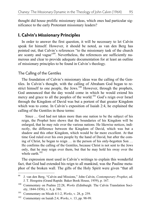thought did house prolific missionary ideas, which ones had particular significance to the early Protestant missionary leaders?

## **I. Calvin's Missionary Principles**

In order to answer the first question, it will be necessary to let Calvin speak for himself. However, it should be noted, as van den Berg has pointed out, that Calvin's references "to the missionary task of the church are scanty and vague"<sup>99</sup>. Nevertheless, the references are sufficiently numerous and clear to provide adequate documentation for at least an outline of missionary principles to be found in Calvin's theology.

#### The Calling of the Gentiles

The foundation of Calvin's missionary ideas was the calling of the Gentiles. In Calvin's thought, with the calling of Abraham God began to restrict himself to one people, the Jews.<sup>100</sup> However, through the prophets, God announced that the day would come in which he would extend his mercy and grace to all the peoples of the world.<sup>101</sup> God's reign over Israel through the Kingdom of David was but a portent of that greater Kingdom which was to come. In Calvin's exposition of Isaiah 2:4, he explained the calling of the Gentiles in these terms:

Since … God had not taken more than one nation to be the subject of his reign, the Prophet here shows that the boundaries of his Kingdom will be enlarged, that he may rule over the various nations. He likewise notices, indirectly, the difference between the Kingdom of David, which was but a shadow and this other Kingdom, which would be far more excellent. At that time God ruled over his own people by the hand of David, but after the coming of Christ, he began to reign … in the person of his only-begotten Son … He confirms the calling of the Gentiles, because Christ is not sent to the Jews only, that he may reign over them, but that he may hold his sway over the whole earth.<sup>102</sup>

The expression most used in Calvin's writings to explain this wonderful fact, that God had extended his reign to all mankind, was the Pauline metaphor of the broken wall. The gifts of the Holy Spirit were given "that all

<sup>99</sup> J. van den Berg, "Calvin and Missions," John Calvin, *Contemporary Prophet*, ed. J. T. Hoogstra (Grand Rapids: Baker Book House, 1959), p. 167.

<sup>100</sup> Commentary on Psalms 22:28, *Works* (Edinburgh: The Calvin Translation Society, 1844-1856), v. 8, p. 386.

<sup>101</sup> Commentary on Micah 4:1-2, *Works*, v. 28, p. 259.

<sup>102</sup> Commentary on Isaiah 2:4, *Works*, v. 13, pp. 98-99.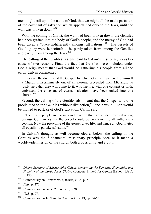men might call upon the name of God, that we might all, be made partakers of the covenant of salvation which appertained only to the Jews, until the wall was broken down."<sup>103</sup>

With the coming of Christ, the wall had been broken down, the Gentiles had been grafted into the body of God's people, and the mercy of God had been given a "place indifferently amongst all nations."<sup>104</sup> The vessels of God's glory were henceforth to be partly taken from among the Gentiles and partly from among the Jews.<sup>105</sup>

The calling of the Gentiles is significant to Calvin's missionary ideas because of two reasons. First, the fact that Gentiles were included under God's reign meant that God would be gathering his people from all the earth. Calvin commented:

Because the doctrine of the Gospel, by which God hath gathered to himself a Church indiscriminately out of all nations, proceeded from Mt. Zion, he justly says that they will come to it, who having, with one consent or faith, embraced the covenant of eternal salvation, have been united into one church $106$ 

Second, the calling of the Gentiles also meant that the Gospel would be proclaimed to the Gentiles without distinction, $107$  and, thus, all men would be invited to partake of God's salvation. Calvin said:

There is no people and no rank in the world that is excluded from salvation; because God wishes that the gospel should be proclaimed to all without exception. Now the preaching of the gospel gives life; and hence … God invites all equally to partake salvation.<sup>108</sup>

In Calvin's thought, as will become clearer below, the calling of the Gentiles was the fundamental missionary principle because it made a world-wide mission of the church both a possibility and a duty.

<sup>103</sup> *Divers Sermons of Master John Calvin, concerning the Divinitie, Humanitie. and Nativitie of our Lorde Jesus Christe* (London: Printed for George Bishop, 1581), p. 173.

<sup>104</sup> Commentary on Romans 9:25, *Works*, v. 38, p. 274.

<sup>105</sup> *Ibid*., p. 272.

<sup>106</sup> Commentary on Isaiah 2:3, op, cit., p. 94.

<sup>107</sup> *Ibid*., p. 97.

<sup>108</sup> Commentary on 1st Timothy 2:4, *Works*, v. 43, pp. 54-55.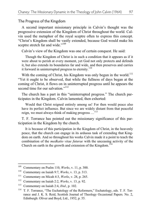The Progress of the Kingdom

A second important missionary principle in Calvin's thought was the progressive extension of the Kingdom of Christ throughout the world. Calvin used the metaphor of the royal sceptre often to express this concept. "Christ's Kingdom shall be vastly extended, because God would make his sceptre stretch far and wide."<sup>109</sup>

Calvin's view of the Kingdom was one of certain conquest. He said:

Though the Kingdom of Christ is in such a condition that it appears as if it were about to perish at every moment, yet God not only protects and defends it, but also extends its boundaries far and wide, and then preserves and carries it forward in uninterrupted progress to eternity. $110$ 

With the coming of Christ, his Kingdom was only begun in the world.<sup>111</sup> "Yet it ought to be observed, that while the fullness of days began at the coming of Christ, it flows on in uninterrupted progress until he appears the second time for our salvation."<sup>112</sup>

The church has a part in this "uninterrupted progress." The church participates in the Kingdom. Calvin lamented, then exhorted:

Would that Christ reigned entirely among us! For then would peace also have its perfect influence. But since we are widely distant from that peaceful reign, we must always think of making progress  $\dots$ <sup>113</sup>

T. F. Torrance has pointed out the missionary significance of this participation in the Kingdom by the church.

It is because of this participation in the Kingdom of Christ, in the heavenly peace, that the church can engage in its arduous task of extending that Kingdom on earth. And so throughout his works Calvin made it a point to teach the combination of the *medkatio vitae futurae* with the unceasing activity of the Church on earth in the growth and extension of the Kingdom. $114$ 

<sup>109</sup> Commentary on Psalm 110, *Works*, v. 11, p. 300.

<sup>110</sup> Commentary on Isaiah 9:7, *Works*, v. 13, p. 313.

<sup>111</sup> Commentary on Micah 4:3, *Works*, v. 28, p. 265.

<sup>112</sup> Commentary on Isaiah 2:2, *Works*, v. 13, p. 92.

<sup>113</sup> Commentary on Isaiah 2:4, *Ibid.*, p. 102.

 $114$  T. F. Torrance, "The Eschatology of the Reformers," Eschatology, eds. T. F. Torrance and J. K. S. Reid, Scottish Journal of Theology Occasional Papers. No. 2, Edinburgh: Oliver and Boyd, Ltd., 1952, p. 55.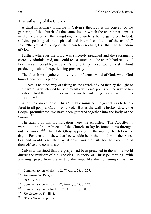#### The Gathering of the Church

A third missionary principle in Calvin's theology is his concept of the gathering of the church. At the same time in which the church participates in the extension of the Kingdom, the church is being gathered. Indeed, Calvin, speaking of the "spiritual and internal condition of the church," said, "the actual building of the Church is nothing less than the Kingdom of God." $^{115}$ 

Further, wherever the word was sincerely preached and the sacraments correctly administered, one could rest assured that the church had reality.<sup>116</sup> For it was impossible, in Calvin's thought, for these two to exist without producing fruit and experiencing prosperity.<sup>117</sup>

The church was gathered only by the effectual word of God, when God himself teaches his people.

There is no other way of raising up the church of God than by the light of the word, in which God himself, by his own voice, points out the way of salvation. Until the truth shines, men cannot be united together, so as to form a true church.<sup>118</sup>

After the completion of Christ's public ministry, the gospel was to be offered to all people. Calvin remarked, "But as the wall is broken down, the Gospel promulgated, we have been gathered together into the body of the church $"$ <sup>119</sup>

The agents of this promulgation were the Apostles. "The Apostles … were like the first architects of the Church, to lay its foundations throughout the world."120 The Holy Ghost appeared in the manner he did on the day of Pentecost "to shew that hee woulde be in the mouthes of the Apostles, and woulde give them whatsoever was requisite for the executing of their office and commission."121

Calvin understood that the gospel had been preached to the whole world during the ministry of the Apostles. He spoke of Christ penetrating "with amazing speed, from the east to the west, like the lightening's flash, in

<sup>115</sup> Commentary on Micha 4:1-2; *Works,* v. 28, p. 257.

<sup>116</sup> *The Institutes*, IV, i, 9.

<sup>117</sup> *Ibid*., IV, i, 10.

<sup>118</sup> Commentary on Micah 4:1-2, *Works*, v. 28, p. 257.

<sup>119</sup> Commentary on Psalm 110. *Works*, v. 11, p. 301.

<sup>120</sup> *The Institutes*, IV, iii, 4.

<sup>121</sup> *Divers Sermons*, p. 172.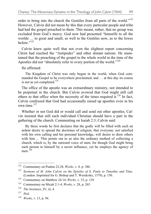order to bring into the church the Gentiles from all parts of the world."<sup>122</sup> However, Calvin did not mean by this that every particular people and tribe had had the gospel preached to them. This meant, rather, that no group was excluded from God's mercy. God now had presented "himselfe to all the worlde … to great and small, as well to the Gentiles now, as to the Iewes before." $^{123}$ 

Calvin knew quite well that not even the slightest report concerning Christ had reached the "Antipodes" and other distant nations. He maintained that the preaching of the gospel to the whole world in the time of the Apostles did not "absolutely refer to every portion of the world."<sup>124</sup>

He affirmed:

The Kingdom of Christ was only begun in the world, when God commanded the Gospel to be everywhere proclaimed, and … at this day its course is not as yet completed.<sup>125</sup>

The office of the apostle was an extraordinary ministry, not intended to be perpetual in the church. But Calvin avowed that God might still call others to that office when the necessity of the times required it.<sup>126</sup> In fact, Calvin confessed that God had occasionally raised up apostles even in his own time.<sup>127</sup>

Whether or not God did or would call and send out other apostles, Calvin insisted that still each individual Christian should have a part in the gathering of the church. Commenting on Isaiah 2:3, Calvin said:

By these words he first declares that the godly will be filled with such an ardent desire to spread the doctrines of religion, that everyone, not satisfied with his own calling and his personal knowledge, will desire to draw others with him ... This points out to us also the ordinary method of collecting a church, which is, by the outward voice of men; for though God might bring each person to himself by a secret influence, yet he employs the agency of men. $^{128}$ 

<sup>122</sup> Commentary on Psalms 22:28, *Works,* v. 8. p. 386.

<sup>123</sup> *Sermons of M. John Calvin on the Epistles of S. Paule to Timothie and Titus,*  (London: Imprinted for G. Bishop and T. Woodcoke, 1579), p. 150.

<sup>124</sup> Commentary on Matthew 24:14, *Works*, v. 33, p. 129.

<sup>125</sup> Commentary on Micah 2:1-4, *Works*, v. 28, p. 265.

<sup>126</sup> *The Institutes*, IV, iii, 4.

<sup>127</sup> *Ibid*.

<sup>128</sup> *Works*, v. 13, p. 94.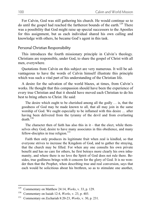For Calvin, God was still gathering his church. He would continue so to do until the gospel had reached the fartherest bounds of the earth.129 There was a possibility that God might raise up special successors to the Apostles for this assignment, but as each individual shared his own calling and knowledge with others, he became God's agent in this task.

#### Personal Christian Responsibility

This introduces the fourth missionary principle in Calvin's theology. Christians are responsible, under God, to share the gospel of Christ with all men, everywhere.

Quotations from Calvin on this subject are very numerous. It will be advantageous to have the words of Calvin himself illustrate this principle which was such a vital part of his understanding of the Christian life.

A desire for the salvation of the world blazes, at times, from Calvin's works. He thought that this compassion should have been the experience of every true Christian and that it should have moved each Christian to do his best to bring others to Christ. He said:

The desire which ought to be cherished among all the godly … is, that the goodness of God may be made known to all, that all may join in the same worship of God. We ought especially to be inflamed with this desire … after having been delivered from the tyranny of the devil and from everlasting  $death$ <sup>130</sup>

The character then of faith has also this in  $it$  – that the elect, while themselves obey God, desire to have many associates in this obedience, and many fellow-disciples in true religion. $131$ 

Faith then only produces its legitimate fruit when zeal is kindled, so that everyone strives to increase the Kingdom of God, and to gather the straying, that the church may be filled. For when any one consults his own private benefit and has no care for others, he first betrays more clearly his own inhumanity, and where there is no love the Spirit of God does not rule there. Besides, true godliness brings with it concern for the glory of God. It is no wonder then that the Prophet, when describing true and real conversion, says that each would be solicitious about his brethren, so as to stimulate one another,

<sup>129</sup> Commentary on Matthew 24:14, *Works*, v. 33, p. 129.

<sup>130</sup> Commentary on Isaiah 12:4, *Works*, v. 23, p. 403.

<sup>131</sup> Commentary on Zechariah 8:20-23, *Works*, v. 30, p. 231.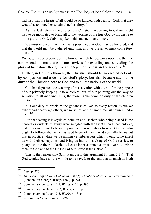and also that the hearts of all would be so kindled with zeal for God, that they would hasten together to stimulate his glory.<sup>132</sup>

As this last reference indicates, the Christian, according to Calvin, ought also to be motivated to bring all to the worship of the true God by his desire to bring glory to God. Calvin spoke in this manner many times.

We must endevour, as much as is possible, that God may be honored, and that the world may be gathered unto him, and we ourselves must come fore $most.<sup>133</sup>$ 

We ought also to consider the honour which he bestows upon us, then he condescends to make use of our services for extolling and spreading the glory of his nature, though we are altogether useless and of no value.<sup>134</sup>

Further, in Calvin's thought, the Christian should be motivated not only by compassion and a desire for God's glory, but also because such is the duty of the Christian both to God and to all the nations of the world.

God has deposited the teaching of his salvation with us, not for the purpose of our privately keeping it to ourselves, but of our pointing out the way of salvation to all mankind. This, therefore, is the common duty of the children of God.<sup>135</sup>

It is our duty to proclaim the goodness of God to every nation. While we exhort and encourage others, we must not, at the same time, sit down in indolence. $136$ 

But that seeing it is sayde of Zebulon and Isachar, who being placed in the borders or outleets of Jewry were mingled with the Gentils and heathenfolke, that they should not forbeare to provoke their neighbors to serve God: we also ought to followe that which is sayd heere of them. And specially let us put this in practice when we be among ye unbeleevers which would faine infect us with their corruptions, and bring us into a mislyking of God's service, to plunge us into their idolatrie … Let us labor as much as in us lyeth, to winne them to God and to the Gospell of our Lorde Iesus Christ.<sup>137</sup>

This is the reason why Saint Paul useth this argument (1 Tim. 2:3-4). That God woulde have all the worlde to be saved: to the end that as much as lyeth

<sup>132</sup> *Ibid*., p. 227.

<sup>&</sup>lt;sup>133</sup> The Sermons of M. loan Calvin upon the fifth books of Moses called Deuteronomie (London: for George Bishop, 1583), p. 221.

<sup>134</sup> Commentary on Isaiah 12:1, *Works*, v. 23, p. 397.

<sup>135</sup> Commentary on Daniel 12:3, *Works*, v. 25, p.

<sup>136</sup> Commentary on Isaiah 12:5, *Works*, v. 13, p.

<sup>137</sup> *Sermons on Deuteronomy*, p. 220.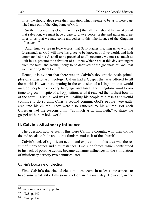in us, we should also seeke their salvation which seeme to be as it were banished men out of the Kingdome of God.<sup>138</sup>

So then, seeing it is God his will [sic] that all men should be partakers of that salvation, we must have a care to drawe poore, seelie and ignorant creatures to us, that we may come altogether to this inheritaunce of the Kingdom of heaven.<sup>139</sup>

And, thus, we see in fewe words, that Saint Paules meaning is, to wit, that foreasmuch as God will have his grace to be knowen of al ye world, and hath commaunded his Gospell to be preached to all creatures, we must as much as lieth in us, procure the salvation of all them whiche are at this day straungers from the faith, and seeme ulterly to be deprived of the goodness of God, that we may bring them to it.<sup>140</sup>

Hence, it is evident that there was in Calvin's thought the basic principles of a missionary theology. Calvin had a Gospel that was offered to all the world. He was participating in the extension of a Kingdom that would include people from every language and land. The Kingdom would continue to grow, in spite of all opposition, until it reached the farthest bounds of the earth. Calvin's God was still calling his people to himself and would continue to do so until Christ's second coming. God's people were gathered into his church. They were also gathered by his church. For each Christian had the responsibility, "as much as in him lieth," to share the gospel with the whole world.

## **II. Calvin's Missionary Influence**

The question now arises: if this were Calvin's thought, why then did he do and speak so little about this fundamental task of the church?

Calvin's lack of significant action and expression in this area was the result of many forces and circumstances. Two such forces, which contributed to his lack of positive action, became dynamic influences in the stimulation of missionary activity two centuries later.

#### Calvin's Doctrine of Election

First, Calvin's doctrine of election does seem, in at least one aspect, to have somewhat stifled missionary effort in his own day. However, in the

<sup>138</sup> *Sermons on Timothy*, p. 148.

<sup>139</sup> *Ibid*., p. 149.

<sup>140</sup> *Ibid*., p. 159.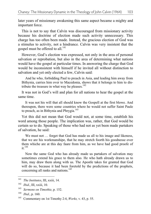later years of missionary awakening this same aspect became a mighty and important force.

This is not to say that Calvin was discouraged from missionary activity because his doctrine of election made such activity unnecessary. This charge has too often been made. Instead, the gracious election of God was a stimulus to activity, not a hindrance. Calvin was very insistent that the gospel must be offered to all. $^{141}$ 

However, God's election was expressed, not only in the area of personal salvation or reprobation, but also in the area of determining what nations would have the gospel at particular times. In answering the charge that God would be inconsistent with himself if he invited all without distinction to salvation and yet only elected a few, Calvin said:

And he who, forbidding Paul to preach in Asia, and leading him away from Bithynia, carries him over to Macedonia, shows that it belongs to him to distribute the treasure in what way he pleases. $142$ 

It was not in God's will and plan for all nations to hear the gospel at the same time.

It was not his will that all should know the Gospell at the first blowe. And thereupon, there were some countries where he would not suffer Saint Paule to preach, as in Bithynia and Phrygia.<sup>143</sup>

Yet this did not mean that God would not, at some time, establish his word among those people. The implication was, rather, that God would be certain so to do. Speaking of those who had not as yet been made partakers of salvation, he said:

We must not ... forget that God has made us all to his image and likeness, that we are his workmanshipe, that he may stretch foorth his goodnesse over them whiche are at this day faare from him, as we have had good proofe of  $it.<sup>144</sup>$ 

Now the same God who has already made us partakers of salvation may sometimes extend his grace to them also. He who hath already drawn us to him, may draw them along with us. The Apostle takes for granted that God will do so, because it had been foretold by the predictions of the prophets, concerning all ranks and nations.<sup>145</sup>

<sup>141</sup> *The Institutes*, III, xxiii, 14.

<sup>142</sup> *Ibid*., III, xxiii, 10.

<sup>143</sup> *Sermons on Timothie*, p. 152.

<sup>144</sup> *Ibid*., p. 160.

<sup>145</sup> Commentary on 1st Timothy 2:4, *Works,* v. 43, p. 55.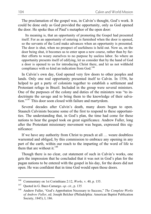The proclamation of the gospel was, in Calvin's thought, God's work. It could be done only as God provided the opportunity, only as God opened the door. He spoke thus of Paul's metaphor of the open door:

Its meaning is, that an opportunity of promoting the Gospel had presented itself. For as an opportunity of entering is furnished when the door is opened, so the servants of the Lord make advances when an opportunity is presented. The door is shut, when no prospect of usefulness is held out. Now as, on the door being shut, it becomes us to enter upon a new course, rather than by further efforts to weary ourselves to no purpose by useless labor. So where an opportunity presents itself of edifying, let us consider that by the hand of God a door is opened to us for introducing Christ there, and let us not withhold compliance with so kind an indication from God.<sup>146</sup>

In Calvin's own day, God opened very few doors to other peoples and lands. Only one real opportunity presented itself to Calvin. In 1556, he helped to get a party of colonists together to establish a settlement and Protestant refuge in Brazil. Included in the group were several ministers. One of the purposes of the colony and duties of the ministers was "to indoctrinate the savage and to bring them to the knowledge of their salvation."147 This door soon closed with failure and martyrdom.

Several decades after Calvin's death, many doors began to open. Staunch Calvinists became some of the first to respond to these opportunities. The understanding that, in God's plan, the time had come for these nations to hear the gospel took on great significance. Andrew Fuller, long after the Protestant missionary movement was begun, expressed this significance:

If we have any authority from Christ to preach at all … weare doubtless warrented and obliged, by this commission to embrace any opening in any part of the earth, within our reach to the imparting of the word of life to them that are without it.<sup>148</sup>

Though there is no clear, cut statement of such in Calvin's works, one gets the impression that he concluded that it was not in God's plan for the pagan nations to be entered with the gospel in his day, for the doors did not open. He was confident that in time God would open those doors.

<sup>146</sup> Commentary on 1st Corinthians 2:12, *Works,* v. 40, p. 155.

<sup>147</sup> Quoted in G. Baez-Camargo. *op. cit*., p. 135.

<sup>148</sup> Andrew Fuller, "God's Approbation Necessary to Success," *The Complete Works of Andrew Fuller*, ed. Joseph Belcher (Philadelphia: American Baptist Publication Society, 1845), I, 186.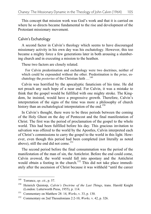This concept that mission work was God's work and that it is carried on where he so directs became fundamental to the rise and development of the Protestant missionary movement.

### Calvin's Eschatology

A second factor in Calvin's theology which seems to have discouraged missionary activity in his own day was his eschatology. However, this too became a mighty force a few generations later in both arousing a slumbering church and in executing a mission to the heathen.

These two factors are closely related.

For Calvin predestination and eschatology were two doctrines, neither of which could be expounded without the other. Predestination is the *prius*, eschatology the *posterius* of the Christian faith …<sup>149</sup>

Calvin was horrified by the apocalyptic fanaticism of his time. He did not preach any such hope of a near end. For Calvin, it was a mistake to think that the gospel would be fulfilled with one mighty stroke. The Kingdom, he insisted, would have a progressive growth. Therefore, Calvin's interpretation of the signs of the time was more a philosophy of church history than an eschatological interpretation of the end.<sup>150</sup>

In Calvin's thought, there were to be three periods between the coming of the Holy Ghost on the day of Pentecost and the final manifestation of Christ. The first was the period of proclamation of the gospel to the whole world. This had been fulfilled before his day. This gracious invitation to salvation was offered to the world by the Apostles, Calvin interpreted each of Christ's commissions to carry the gospel to the world in this light. However, even though this period had been completed (not literally as noted above), still the end did not come.<sup>151</sup>

The second period before the final consummation was the period of the manifestation of the man of sin, the Antichrist. Before the end could come, Calvin avowed, the world would fall into apostasy and the Antichrist would obtain a footing in the church.<sup>152</sup> This did not take place immediately after the ascension of Christ because it was withheld "until the career

<sup>149</sup> Torrance, *op. cit*., p. 57.

<sup>150</sup> Heinrich Quistorp, *Calvin's Doctrine of the Last Things*, trans. Harold Knight (London: Lutterworth Press, 1955), p. 114.

<sup>151</sup> Commentary on Matthew 28: 14, *Works*, v. 33, p. 130.

<sup>152</sup> Commentary on 2nd Thessalonians 2:2-10, *Works,* v. 42, p. 326.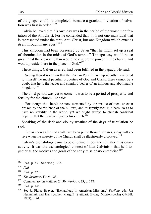of the gospel could be completed, because a gracious invitation of salvation was first in order."<sup>153</sup>

Calvin believed that his own day was in the period of the worst manifestation of the Antichrist. For he contended that "it is not one individual that is represented under the term Anti-Christ, but one Kingdom which extends itself through many ages."<sup>154</sup>

This kingdom had been possessed by Satan "that he might set up a seat of abomination in the midst of God's temple." The apostasy would be so great "that the vicar of Satan would hold supreme power in the church, and would preside there in the place of God."<sup>155</sup>

These things, Calvin averred, had been fulfilled in the papacy. He said:

Seeing then it is certain that the Roman Pontiff has imprudently transferred to himself the most peculiar properties of God and Christ, there cannot be a doubt that he is the leader and standard-bearer of an impious and abominable kingdom.156

The third period was yet to come. It was to be a period of prosperity and fertility for the church. He said:

For though the church be now tormented by the malice of men, or even broken by the violence of the billows, and miserably torn in pieces, so as to have no stability in the world, yet we ought always to cherish confident hope  $\ldots$  that the Lord will gather his church.<sup>157</sup>

Speaking of the dark and cloudy weather of the days of tribulation he said:

But as soon as the end shall have been put to those distresses, a day will arrive when the majesty of the Church shall be illustriously displayed.<sup>158</sup>

Calvin's eschatology came to be of prime importance in later missionary activity. It was the eschatological context of later Calvinism that held together all the motives and goals of the early missionary enterprise.<sup>159</sup>

<sup>156</sup> *The Institutes*, IV, vii, 25.

<sup>153</sup> *Ibid*., p. 333. See also p. 338.

<sup>154</sup> *Ibid.*

<sup>155</sup> *Ibid*., p. 327.

<sup>157</sup> Commentary on Matthew 24:30, *Works*, v. 33, p. 148.

<sup>158</sup> *Ibid*., p. 146.

<sup>159</sup> See R. Pierce Beaver, "Eschatology in American Missions," *Basileia*, eds. Jan Hermelink and Hans Jochen Margull (Stuttgart: Evang. Missionsverlag GMBH, 1959), p. 61.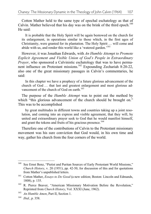Cotton Mather held to the same type of epochal eschatology as that of Calvin. Mather believed that his day was on the brink of the third epoch.<sup>160</sup> He said:

It is probable that the Holy Spirit will be again bestowed on the church for its enlargement, in operations similar to those which, in the first ages of Christianity, were granted for its plantation. The Holy Spirit … will come and abide with us, and render this world like a 'watered garden.'<sup>161</sup>

However, it was Jonathan Edwards, with *An Humble Attempt to Promote Explicit Agreement and Visible Union of God's People in Extraordinary Prayer*, who sponsored a Calvinistic eschatology that was to have permanent influence on Protestant missions.<sup>162</sup> Expounding Zechariah 8:20-22, also one of the great missionary passages in Calvin's commentaries, he said:

In this chapter we have a prophecy of a future glorious advancement of the church of God … that last and greatest enlargement and most glorious advancement of the church of God on earth.<sup>163</sup>

The purpose of the *Humble Attempt* was to point out the method by which "this glorious advancement of the church should be brought on." This was to be accomplished

by great multitudes in different towns and countries taking up a joint resolution, and coming into an express and visible agreement, that they will, by united and extraordinary prayer seek to God that he would manifest himself, and grant the tokens and fruits of his gracious presence.<sup>164</sup>

Therefore one of the contributions of Calvin to the Protestant missionary movement was his sure conviction that God would, in his own time and way, gather his church from the four corners of the world.

<sup>&</sup>lt;sup>160</sup> See Ernst Benz, "Pietist and Puritan Sources of Early Protestant World Missions," *Church History*, v. 20 (1951), pp. 42-50, for discussion of this and for quotations from Mather's unpublished letters.

<sup>161</sup> Cotton Mather, *Essays to Do Good* (a new edition; Boston: Lincoln and Edmands, 1808), p. 135.

<sup>&</sup>lt;sup>162</sup> R. Pierce Beaver, "American Missionary Motivation Before the Revolution," Reprinted from *Church History*, Vol. XXXI (June, 1962).

<sup>163</sup> *An Humble Amen*, Part II, Section 1.

<sup>164</sup> *Ibid.*, p. 358.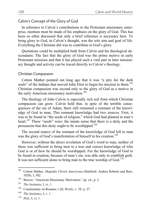#### Calvin's Concept of the Glory of God

In reference to Calvin's contributions to the Protestant missionary enterprise, mention must be made of his emphasis on the glory of God. This has been so often discussed that only a brief reference is necessary here. To bring glory to God, in Calvin's thought, was the sole aim and goal of life. Everything the Christian did was to contribute to God's glory.

Quotations could be multiplied both from Calvin and his theological descendants. The fact that the glory of God was the prime motive in early Protestant missions and that it has played such a vital part in later missionary thought and activity can be traced directly to Calvin's theology.

#### Christian Compassion

Cotton Mather pointed out long ago that it was "a pity for the dark souls" of the Indians that moved John Eliot to begin his mission to them.<sup>165</sup> Christian compassion was second only to the glory of God as a motive in the early American missionary motivation.<sup>166</sup>

The theology of John Calvin is especially rich soil from which Christian compassion can grow. Calvin held that, in spite of the terrible consequences of the sin of Adam, there still remained a remnant of the knowledge of God in man, This remnant knowledge had two sources. First, it was to be found in "the seeds of religion," which God had planted in man's heart.<sup>167</sup> These "seeds" were: the innate sense that there is a deity and the persuasion that this deity ought to be worshipped.<sup>168</sup>

The second source of the remnant of the knowledge of God left to man was the glory of God's manifestation of himself in his creation.<sup>169</sup>

However, without the direct revelation of God's word to man, neither of these was sufficient to bring men to a true and correct knowledge of who God is or of how he should be worshipped. For the knowledge of God to be found in creation, because of man's sin, was able only to establish guilt. It was not sufficient alone to bring man to the true worship of  $God.<sup>170</sup>$ 

<sup>170</sup> *Ibid*., I, vi, 1.

<sup>165</sup> Cotton Mather, *Magndia Christi Americana* (Hartford: Andrus Roberts and Burr, 1820), I, 502.

<sup>&</sup>lt;sup>166</sup> Beaver, "American Missionary Motivation," op. cit., p. 2.

<sup>167</sup> *The Institutes*, I, iv, 1.

<sup>168</sup> Commentary on Romans 1:20, *Works*, v. 3S. p. 27.

<sup>169</sup> *The Institutes*, I, v. 1.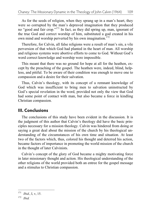As for the seeds of religion, when they sprang up in a man's heart, they were so corrupted by the man's depraved imagination that they produced no "good and fair crop."<sup>171</sup> In fact, as they did spring up, man, ignorant of the true God and correct worship of him, substituted a god created in his own mind and worship perverted by his own imagination.<sup>172</sup>

Therefore, for Calvin, all false religions were a result of man's sin, a vile perversion of that which God had planted in the heart of man. All worship and religious systems were abortive efforts to come to God. Without God's word correct knowledge and worship were impossible.

This meant that there was no ground for hope at all for the heathen, except by the preaching of the gospel. The heathen were, indeed, blind, helpless, and pitiful. To be aware of their condition was enough to move one to compassion and a desire for their salvation.

Thus, Calvin's theology, with its concept of a remnant knowledge of God which was insufficient to bring men to salvation uninstructed by God's special revelation in the word, provided not only the view that God had some point of contact with man, but also became a force in kindling Christian compassion.

### **III. Conclusions**

The conclusions of this study have been evident in the discussion. It is the judgment of this author that Calvin's theology did have the basic principles necessary for a mission theology. Calvin was hindered from doing or saying a great deal about the mission of the church by his theological understanding of the circumstances of his own time and situation. At least two of the factors which, thus, colored his thought and deterred his action, became factors of importance in promoting the world mission of the church in the thought of later Calvinists.

Calvin's concept of the glory of God became a mighty motivating force in later missionary thought and action. His theological understanding of the other religions of the world provided both an entree for the gospel message and a stimulus to Christian compassion.

<sup>171</sup> *Ibid*., I, v, 15.

<sup>172</sup> *Ibid.*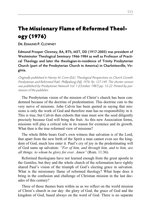# The Missionary Flame of Reformed Theology (1976)

**DR. EDMUND P. CLOWNEY**

**Edmund Prosper Clowney, BA, BTh, MST, DD (1917-2005) was president of Westminster Theological Seminary 1966-1984 as well as Professor of Practical Theology and later the theologian-in-residence of Trinity Presbyterian Church (part of the Presbyterian Church in America) in Charlottesville, Virginia.** 

Originally published in Harvey M. Conn (Ed.). Theological Perspectives on Church Growth. Presbyterian and Reformed Publ.: Phillipsburg (NJ), 1976. Pp. 127-149. This shorter version was published by Presbyterian Network Vol. 1 (October 1987) pp. 15-22. Printed by permission of the publisher.

The Presbyterian vision of the mission of Christ's church has been condemned because of the doctrine of predestination. This doctrine cuts to the very nerve of missions. John Calvin has been quoted as saying that missions is only the work of God and therefore man has no responsibility in it. This is true, but Calvin then exhorts that man must sow the seed diligently precisely because God will bring the fruit. As this new Association forms, missions will play a critical role in its reason for existence and its growth. What then is the true reformed view of missions?

The whole Bible bears God's own witness that salvation is of the Lord, that apart from the new birth of the Spirit a man cannot even see the kingdom of God, much less enter it. Paul's cry of joy in the predestinating will of God sums up salvation: *"For of him, and through him, and to him, are all things: to whom be glory for ever. Amen"* (Rom. 11:36).

Reformed theologians have not learned enough from the great apostle to the Gentiles, but they and the whole church of the reformation have rightly shared Paul's vision of the triumph of God's electing grace in salvation. What is the missionary flame of reformed theology? What hope does it bring in the confusion and challenge of Christian mission in the last decades of this century?

Three of those themes burn within us as we reflect on the world mission of Christ's church in our day: the glory of God, the grace of God and the kingdom of God, based always on the word of God. There is no separate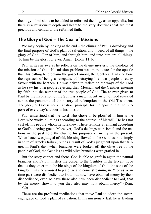theology of missions to be added to reformed theology as an appendix, but there is a missionary depth and heart to the very doctrines that are most precious and central to the reformed faith.

#### **The Glory of God – The Goal of Missions**

We may begin by looking at the end – the climax of Paul's doxology and the final purpose of God's plan of salvation, and indeed of all things – the glory of God. "For of him, and through him, and unto him are all things. To him be the glory for ever. Amen" (Rom. 11:36).

Paul writes in awe as he reflects on the divine mystery, the theology of the mission of God. No mission problem was more acute for the apostle than his calling to proclaim the gospel among the Gentiles. Daily he bore the reproach of being a renegade, of betraying his own people to curry favour with the heathen. He was driven to reflect on the ways of the Lord as he saw his own people rejecting their Messiah and the Gentiles entering by faith into the number of the true people of God. The answer given to Paul by the inspiration of the Spirit is a magnificent vision of God revealed across the panorama of the history of redemption in the Old Testament. The glory of God is not an abstract principle for the apostle, but the purpose of every day's labour in his mission.

Paul understood that the Lord who chose to be glorified in him is the Lord who works all things according to the counsel of his will. He has not cast off his people whom he foreknew. There remains a remnant according to God's electing grace. Moreover, God's dealings with Israel and the nations in the past hold the clue to his purposes of mercy in the present. When Israel was judged of old, blessing flowed to the Gentiles, not simply in spite of Israel's failure, but as a result of God's judgment upon that failure. In Paul's day, when branches were broken off the olive tree of the people of God, the Gentiles as wild olive branches were grafted in.

But the story cannot end there. God is able to graft in again the natural branches and Paul ministers the gospel to the Gentiles in the fervent hope that as they enter into the blessings of the kingdom of God, the sons of the kingdom may be aroused to jealousy and come streaming in. "For as ye in time past were disobedient to God, but now have obtained mercy by their disobedience, even so have these also now been disobedient to God, that by the mercy shown to you they also may now obtain mercy" (Rom. 11:30).

These are the profound meditations that move Paul to adore the sovereign grace of God's plan of salvation. In his missionary task he is leading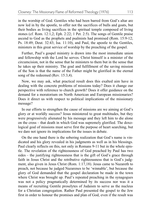in the worship of God. Gentiles who had been barred from God's altar are now led in by the apostle, to offer not the sacrifices of bulls and goats, but their bodies as living sacrifices in the spiritual temple composed of living stones (cf. Rom. 12:1,2; Eph. 2:22; 1 Pet. 2:5). The songs of Gentile praise ascend to God as the prophets and psalmists had promised (Rom. 15:9-12; Ps. 18:49; Deut. 32:43; Isa. 11:10), and Paul, the apostle to the Gentiles, ministers in this great service of worship by the preaching of the gospel.

Further, Paul's gospel ministry is drawn into the most immediate union and fellowship with the Lord he serves. Christ himself is a minister of the circumcision, not in the sense that he ministers to them but in the sense that he takes up their ministry. The goal and fulfillment of the saving mission of the Son is that the name of the Father might be glorified in the eternal song of the redeemed (Rev. 15:3,4).

Now, we may ask, what practical result does this exalted aim have in dealing with the concrete problems of missions today? Does it change our perspective with reference to church growth? Does it offer guidance on the demand for a moratorium on North American and European missionaries? Does it direct us with respect to political implications of the missionary message?

In our efforts to strengthen the cause of missions are we aiming at God's glory or at worldly success? Jesus ministered to great multitudes, but they were progressively alienated by his message and they left him to die alone on the cross – that death in which God was supremely glorified. The doxological goal of missions must serve first the purpose of heart searching, but we dare not ignore its implications for the issues in debate.

On the one hand there is the sobering realization that God's name is vindicated and his glory revealed in his judgments as well as in his blessings. Paul clearly reflects on this, not only in Romans 9-11 but in the whole epistle. The revelation of the righteousness of God preached by Paul has two sides – the justifying righteousness that is the gift of God's grace through faith in Jesus Christ and the retributive righteousness that is God's judgment, also given in Jesus Christ (Rom. 1:17,18). Jesus came to Nazareth to preach, not because he judged Nazarenes to be 'winnable', but because the glory of God demanded that the gospel declaration be made in the town where Christ was brought up. Paul's repeated preaching in the synagogues was not a policy pragmatically determined by its success nor was it a means of recruiting Gentile proselytes of Judaism to serve as the nucleus for a Christian congregation. Rather Paul presented the gospel to the Jew first in order to honour the promises and plan of God, even if the result was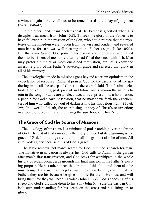a witness against the rebellious to be remembered in the day of judgment (Acts 13:46-47).

On the other hand, Jesus declares that His Father is glorified when His disciples bear much fruit (John 15:8). To seek the glory of the Father is to have fellowship in the mission of the Son, who could rejoice that the mysteries of the kingdom were hidden from the wise and prudent and revealed unto babes, for so it was well pleasing in the Father's sight (Luke 10:21). But that same Son of God pointed his disciples to the harvest and called them to be fishers of men only after he had filled their nets with fish. Men may prefer a simpler or more one-sided motivation, but Jesus knew the awesome glory of his Father's sovereign grace and reflected that glory in all of his ministry.

The doxological mode in missions goes beyond a certain optimism in the expectation of response. Rather it praises God for the assurance of the gathering in of all the sheep of Christ to the eternal fold. The Psalms celebrate God's triumphs, past, present and future, and summon the nations to join in the song. "But ye are an elect race, a royal priesthood, a holy nation, a people for God's own possession, that he may show forth the excellencies of him who called you out of darkness into his marvelous light" (1 Pet. 2:9). In a world of death, the church sings the joy of Christ's resurrection; in a world of despair, the church sings the sure hope of Christ's return.

### **The Grace of God the Source of Missions**

The doxology of missions is a rainbow of praise arching over the throne of God. The end of that rainbow is the glory of God but its beginning is the grace of God. If all things are unto him, all things must also be of mm. All is to God's glory because all is of God's grace.

The Bible records, not man's search for God, but God's search for man. The initiative in salvation is always his. God calls to Adam in the garden after man's first transgression, and God seeks for worshipers in the whole history of redemption. Jesus grounds his final mission in his Father's electing purpose. He has other sheep that are not of this fold, and them also he must bring. They are his sheep because they have been given him of the Father; they are his because he gives his life for them. He must and will bring them, for they will hear his voice (John 10:27). God's choosing of his sheep and God's drawing diem to his Son (John 6:44) are the basis in Christ's own understanding for his death on the cross and his lifting up to glory.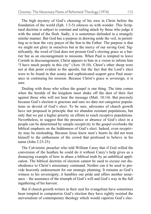The high mystery of God's choosing of his own in Christ before the foundation of the world (Eph. 1:3-5) silences us with wonder. This Scriptural doctrine is subject to constant and railing attack by those who judge it with the mind of the flesh. Sadly, it is sometimes defended in a strangely similar manner. But God has a purpose in drawing aside the veil, in permitting us to hear the very prayer of the Son to the Father. The purpose is that we might not glory in ourselves but in the mercy of our saving God. Significantly, the word of God does not present God's electing grace as a barrier but as an encouragement to missions. When Paul is tempted to leave Corinth in discouragement, Christ appears to him in a vision to inform him "I have much people in this city" (Acts 18:10). Christ's other sheep were not at that point evident to the apostle, but the fact that the Lord's elect were to be found in that seamy and sophisticated seaport gave Paul assurance in continuing his mission. Because Christ's grace is sovereign, it is sure.

Dealing with those who refuse the gospel is one thing. The time comes when the heralds of the kingdom must shake off the dust of their feet against those who will not hear the message (Matt. 10:14). But precisely because God's election is gracious and sure we dare not categorize populations as devoid of God's elect. To be sure, advocates of church growth have not proposed in principle that we abandon resistant populations, but only that we put a higher priority on efforts to reach receptive populations. Nevertheless, to suggest that the presence or absence of God's elect in a people can be determined by sample receptivity to the gospel overlooks the biblical emphasis on the hiddenness of God's elect. Indeed, even receptivity may be misleading. Because Jesus knew men's hearts he did not trust himself to the enthusiasm of the crowd that professed to believe in his name (John 2:23-25).

The Calvinistic preacher who told William Carey that if God willed the conversion of the heathen he could do it without Carey's help gives us a dismaying example of how to abuse a biblical truth by an unbiblical application. The biblical doctrine of election cannot be used to excuse our disobedience to Christ's missionary command. Neither can it be used to provide heavenly endorsement for our strategic planning. It remains as God's witness to his sovereignty; it humbles our pride and offers another assurance – the assurance of the triumph of God's will and God's way in the full ingathering of his harvest.

But if church growth writers in their zeal for evangelism have sometimes been tempted to computerize God's election they have rightly resisted the universalism of contemporary theology which would vaporize God's elec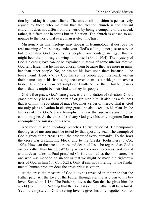tion by making it unquantifiable. The universalist position is persuasively argued by those who maintain that the election church is the servant church. It does not differ from the world by being a company of the saved; rather, it differs not in status but in function. The church is chosen to announce to the world that every man is elect in Christ.

Missionary as this theology may appear in terminology, it destroys the real meaning of missionary endeavour. God's calling is not just to service but to sonship. God redeems his people from bondage in Egypt that he might bear them on eagle's wings to himself (Exod. 19:4). The mystery of God's electing love cannot be explained in terms of some ulterior motive. God tells Israel that he has not chosen them because they are more in number than other people. No, he has set his love upon them because … he loves them! (Deut. 7:7, 8). God has set his people upon his heart, written their names upon his hands, rejoiced over them as a bridegroom over a bride. He chooses them not simply or finally to use them, but to possess them -that he might be their God and they his people.

God's free grace, God's sure grace, is the foundation of salvation. God's grace not only has a fixed point of origin with him, it also has a fullness that is of him: the fountain of grace becomes a river of mercy. That is, God not only plans salvation in electing grace; he also executes his plan. In the fullness of time God's grace triumphs in a way that surpasses anything we could imagine. At the cross of Calvary God gave his only begotten Son to accomplish the mission of his love.

Apostolic mission theology preaches Christ crucified. Contemporary theologies of mission must be tested by that apostolic-zeal. The triumph of God's grace at the cross is still the despair of every humanist. To the Jews the cross was a stumbling block, and to the Greeks, foolishness (1 Cor. 1:23). How can the arrest, torture and death of Jesus be regarded as God's victory rather than his defeat? Only when the cross is seen as God sees it and as Jesus takes it. Paul preached Christ crucified as the sin-bearer, the one who was made to be sin for us that we might be made the righteousness of God in him (11 Cor. 5:21). Only if sin, not suffering, is the fundamental human problem does the cross bring salvation.

At the cross the measure of God's love is revealed in the price that the Father paid. All the love of the Father through eternity is given to his beloved Son (John 1:18). The Father so loves the Son that he gives him the world (John 3:35). Nothing that the Son asks of the Father will be refused. Yet in the mystery of God's saving love he gives his only begotten Son for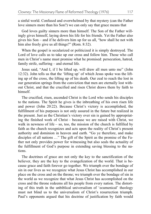a sinful world. Confused and overwhelmed by that mystery (can the Father love sinners more than his Son?) we can only say that grace means that

God loves guilty sinners more than himself. The Son of the Father willingly gives himself, laying down his life for his friends. Yet the Father also gives his Son – and if he delivers him up for us all, "how shall he not with him also freely give us all things?" (Rom. 8:32).

When the gospel is secularized or politicized it is simply destroyed. The Lord of love calls us to take up our cross and follow him. Those who call men in Christ's name must promise what he promised: persecution, hatred, family strife, suffering – and eternal life.

Jesus said, "And I, if I be lifted up, will draw all men unto me" (John 12:32). John tells us that the 'lifting up' of which Jesus spoke was the lifting up of the cross, the lifting up of his death. Our zeal to reach the lost in our generation springs from the conviction that men are eternally lost without Christ, and that the crucified and risen Christ draws them by faith to himself.

The crucified, risen, ascended Christ is the Lord who sends his disciples to the nations. The Spirit he gives is the inbreathing of his own risen life and power (John 20:22). Because Christ's victory is accomplished, the fulfillment of his purposes is not only assured in the future but realized in the present. Just as the Christian's victory over sin is gained by appropriating the finished work of Christ – because we are raised with Christ, we walk in newness of life – so, too, the mission of the church is fulfilled by faith as the church recognizes and acts upon the reality of Christ's present authority and dominion in heaven and earth. "Go ye therefore, and make disciples of all nations …" The gift of the Spirit as the promise of the Father not only provides power for witnessing but also seals the actuality of the fulfillment of God's purpose in extending saving blessing to the nations.

The doctrines of grace are not only the key to the sanctification of the believer, they are the key to the evangelization of the world. That is because grace and faith forever go together. We triumph over the bondage of sin in our lives as we recognize what Jesus Christ has accomplished in our place on the cross and on the throne; we triumph over the bondage of sin in the world as we recognize that what Jesus Christ has accomplished on the cross and the throne redeems all his people from every nation. The distorting of this truth in the unbiblical universalism of 'ecumenical' theology must not blind us to the universalism of Christ's resurrection triumph. Paul's opponents argued that his doctrine of justification by faith would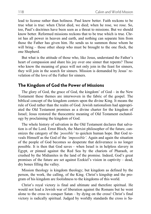lead to license rather than holiness. Paul knew better. Faith reckons to be true what is true: when Christ died, we died; when he rose, we rose. So, too, Paul's doctrines have been seen as a threat to missions. But we should know better. Reformed missions reckons that to be true which is true. Christ has all power in heaven and earth, and nothing can separate him from those the Father has given him. He sends us to summon those whom he will bring – those other sheep who must be brought to the one flock, the one Shepherd.

But what is the attitude of those who, like Jesus, understand the Father's heart of compassion and share his joy over one sinner that repents? Those who know the meaning of grace will not only join in the feast for sinners, they will join in the search for sinners. Mission is demanded by Jesus' revelation of the love of the Father for sinners.

#### **The Kingdom of God the Power of Missions**

The glory of God, the grace of God, the kingdom' of God – in the New Testament these themes are interwoven in the fabric of the gospel. The biblical concept of the kingdom centers upon the divine King. It means the rule of God rather than the realm of God. Jewish nationalism had appropriated the Old Testament promises as a divine charter for the kingdom of Israel; Jesus restored the theocentric meaning of Old Testament eschatology by proclaiming the kingdom of God.

The whole history of salvation in the Old Testament declares that salvation is of the Lord. Ernst Bloch, the Marxist philosopher of the future, canonizes the category of the *'possible'* to quicken human hope. But God reveals Himself as the God of the *'impossible'.* Again and again the situation of the people of God becomes so desperate that deliverance is no longer possible. It is then that God saves – when Israel is in helpless slavery in Egypt, or pinned against the Red Sea by the chariots of Pharaoh, or crushed by the Midianites in the land of the promise. Indeed, God's great promises of the future are set against Ezekiel's vision in captivity – dead, dry bones filling the valley.

Mission theology is kingdom theology; but kingdom as defined by the person, the work, the calling, of the King. Christ's kingship and the program of his kingdom are foolishness to the kingdoms of this world.

Christ's royal victory is final and ultimate and therefore spiritual. He would not lead a Jewish war of liberation against the Romans but he went alone to the cross to conquer Satan – by dying on the cross! Christ's final victory is radically spiritual. Judged by worldly standards the cross is Sa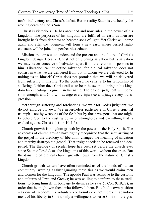tan's final victory and Christ's defeat. But in reality Satan is crushed by the atoning death of God's Son.

Christ is victorious. He has ascended and now rules in the power of his kingdom. The purposes of his kingdom are fulfilled on earth as men are brought back from darkness to become sons of light. Yet Christ will come again and after the judgment will form a new earth where perfect righteousness will be joined to perfect blessedness.

Missions requires us to understand the present and the future of Christ's kingdom design. Because Christ not only brings salvation but is salvation we may never conceive of salvation apart from the relation of persons to him. Liberation cannot define salvation, for biblical salvation does not consist in what we are delivered from but in whom we are delivered to. In uniting us to himself Christ does not promise that we will be delivered from suffering in this life. To the contrary, he calls us to his fellowship of suffering. Neither does Christ call us to bear the sword to bring in his kingdom by executing judgment in his name. The day of judgment will come soon enough, and God will avenge every injustice and judge every transgression.

Yet through suffering and forebearing, we wait for God's judgment; we do not enforce our own. We nevertheless participate in Christ's spiritual triumph – not by weapons of the flesh but by those weapons that are mighty before God to the casting down of strongholds and everything that is exalted against Christ (11 Cor. 10:4-6).

Church growth is kingdom growth by the power of the Holy Spirit. The advocates of church growth have rightly recognized that the secularizing of the gospel in the theology of liberation changes the meaning of salvation and thereby destroys the gospel. That insight needs to be renewed and deepened. The theology of secular hope has been set before the church ever since Satan offered Jesus the kingdoms of this world without the cross. But the dynamic of biblical church growth flows from the nature of Christ's kingdom.

Church growth writers have often reminded us of the bonds of human community, warning against ignoring these ties as we would claim men and women for the kingdom. The apostle Paul was sensitive to the customs and cultures of Jews and Greeks; he was willing to conform to these traditions, to bring himself in bondage to diem, as he says (1 Cor. 9:19,22), in order that he might win those who followed diem. But Paul's own position was one of freedom; his voluntary conformity did not represent abandonment of his liberty in Christ, only a willingness to serve Christ in the gos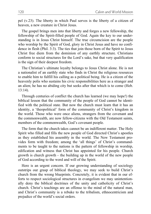pel (v.23). The liberty in which Paul serves is the liberty of a citizen of heaven, a new creature in Christ Jesus.

The gospel brings men into that liberty and forges a new fellowship, the fellowship of the Spirit-filled people of God. Again the key to our understanding is in Jesus Christ himself. The true circumcision are the people who worship by the Spirit of God, glory in Christ Jesus and have no confidence in flesh (Phil. 3:3). The ties that join those born of the Spirit to Jesus Christ free diem from the dominion of any earthly structure. Christians conform to social structures for the Lord's sake, but that very qualification is the sign of their deepest freedom.

The Christian's ultimate loyalty belongs to Jesus Christ alone. He is not a nationalist of an earthly state who finds in Christ the religious resources to enable him to fulfill his calling as a political being. He is a citizen of the heavenly polis who sustains his civic responsibilities here as a stranger and an alien; he has no abiding city but seeks after that which is to come (Heb. 13:14).

Through centuries of conflict the church has learned (we may hope!) the biblical lesson that the community of the people of God cannot be identified with the political state. But now the church must learn that it has an identity, a 'theopolitical' form of the community of Christ's kingdom in the world. Those who were once aliens, strangers from the covenant and the commonwealth, are now fellow-citizens with the Old Testament saints, members of the commonwealth, God's covenant people.

The form that the church takes cannot be an indifferent matter. The Holy Spirit who filled and fills the new people of God directed Christ's apostles as they established his assembly in the world. The New Testament provides form with freedom; among the 'all things' of Christ's commandments to be taught to the nations is the pattern of fellowship in worship, edification and witness that Christ has appointed for his people. Church growth is church growth – the building up in the world of the new people of God according to the word and will of the Spirit.

Here is an urgent concern. If our growing understanding of sociology outstrips our grasp of biblical theology, we may seek to build Christ's church from the wrong blueprints. Concretely, it is evident that in our efforts to respect sociological structures in evangelism we may unintentionally deny the biblical doctrines of the unity and catholicity of Christ's church. Christ's teachings are an offense to the mind of the natural man, and Christ's community is a rebuke to the tribalism, ethnocentricism and prejudice of the world's social orders.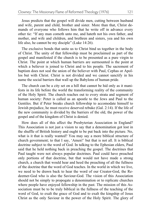Jesus predicts that the gospel will divide men, cutting between husband and wife, parent and child, brother and sister. More than that, Christ demands of everyone who follows him that he write off in advance every other tie: "If any man cometh unto me, and hateth not his own father, and mother, and wife and children, and brethren and sisters, yea and his own life also, he cannot be my disciple" (Luke 14:26).

The exclusive bonds that unite us to Christ bind us together in the body of Christ. The unity of that fellowship must be proclaimed as part of the gospel and manifested if the church is to be presented as a pure virgin to Christ. The point at which human barriers are surmounted is the point at which a believer is joined to Christ and to his people. The sacrement of baptism does not seal the union of the believer with Paul, Cephas or Apollos but with Christ. Christ is not divided and we cannot sanctify in his name the social barriers that wall up the Babylons of human pride.

The church can be a city set on a hill that cannot be hid only as it manifests in its life before the world the transforming reality of the community of the Holy Spirit. The church reaches out to every strata and segment of human society: Peter is called as an apostle to the Jews and Paul to the Gentiles. But if Peter breaks church fellowship to accomodate himself to Jewish prejudice, he must receive deserved rebuke (Gal. 2:14). If the life of the new community is divided by the barriers of the old, the power of the gospel and of the kingdom of Christ is denied.

How does all of this affect the Presbyterian Association in England? This Association is not just a vision to say that a denomination got lost in the shuffle of British history and ought to be put back into the picture. No, what is it that is really wanted? You may say a more biblical structure of church government; to that I say, 'Amen!' but that is not all. It is biblical doctrine subject to the word of God. In talking to the Ephesian elders, Paul said that he held nothing back in preaching the gospel. The doctrines that Paul taught were not always popular doctrines. Paul could have preached only portions of that doctrine, but that would not have made a strong church, a church that would hear and heed the preaching of all the fullness of the doctrine that the word of God teaches. In the world in which we live, we need to be drawn back to hear the word of our Creator-God, the Redeemer-God who is also the Saviour-God. The vision of this Association should not be simply to propogate a denomination or to replicate churches where people have enjoyed fellowship in the past. The mission of this Association must be to be truly biblical in the fullness of the teaching of the word of God, to exalt the grace of God and to exalt the kingship of Jesus Christ as the only Saviour in the power of the Holy Spirit. The glory of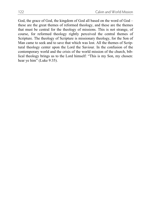God, the grace of God, the kingdom of God all based on the word of God – these are the great themes of reformed theology, and these are the themes that must be central for the theology of missions. This is not strange, of course, for reformed theology rightly perceived the central themes of Scripture. The theology of Scripture is missionary theology, for the Son of Man came to seek and to save that which was lost. All the themes of Scriptural theology center upon the Lord the Saviour. In the confusion of the contemporary world and the crisis of the world mission of the church, biblical theology brings us to the Lord himself: "This is my Son, my chosen: hear ye him" (Luke 9:35).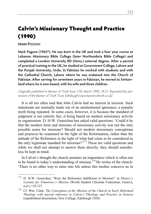# Calvin's Missionary Thought and Practice (1990)

**MARK POGSON**

**Mark Pogson (1963\*). He was born in the UK and took a four year course at Lebanon Missionary Bible College (later Northumbria Bible College) and completed a London University BD (Hons.) external degree. After a period of practical training in the UK, he studied at Government College, Lahore and the Punjab University, Urdu. In Pakistan he worked with students and with the Cathedral Church, Lahore where he was ordained into the Church of Pakistan. After serving for seventeen years in Pakistan, he moved to Switzerland where he is now based, with his wife and three children.** 

Originally published in Banner of Truth Issue 318, March 1990, 18-21. Reprinted by permission of the Banner of Truth Trust, Edinburgh (www.banneroftruth.co.uk).

It is all too often said that John Calvin had no interest in mission. Such statements are normally made out of an unintentional ignorance, a popular myth being repeated. In some cases, however, it is because the standard of judgment is not entirely fair, it being based on modern missionary activity or organisation. D. H-W. Gensichen has asked valid questions: 'Could it be that the modern form and structure of missionary activity was not the only possible norm for missions? Should not modern missionary conceptions and practices be examined in the light of the Reformation, rather than the attitude of the Reformers in the light of what had come to be considered as the only legitimate standard for missions?'<sup>173</sup> These are valid questions and while we shall not attempt to answer them directly, they should nonetheless be kept in mind.

In Calvin's thought the church assumes an importance which is often not to be found in today's understanding of mission.<sup>174</sup> He writes of the church: 'There is no other way to enter into life unless this mother conceive us in

<sup>173</sup> D. H-W. Gensichen, 'Were the Reformers Indifferent to Mission?' in *History's Lessons for Tomorrow's Mission* (World Student Christian Federation; Geneva, n.d.), 119-127.

<sup>&</sup>lt;sup>174</sup> Cf. Wm. Clark, *The Conception of the Mission of the Church in Early Reformed Theology with special reference to Calvin's Theology and Practice in Geneva* (unpublished dissertation, New College, Edinburgh 1928).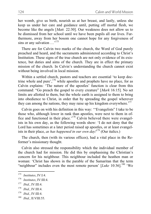her womb, give us birth, nourish us at her breast, and lastly, unless she keep us under her care and guidance until, putting off mortal flesh, we become like the angels [*Matt.* 22:30]. Our weakness does not allow us to be dismissed from her school until we have been pupils all our lives. Furthermore, away from her bosom one cannot hope for any forgiveness of sins or any salvation  $\ldots$ <sup>175</sup>

There are for Calvin two marks of the church, the Word of God purely preached and heard, and the sacraments administered according to Christ's Institution. These signs of the true church are not only evidence of its existence, but duties and aims of the church. They are in effect the primary mission of the church. In Calvin's understanding the church cannot exist without being involved in local mission.

Within a settled church, pastors and teachers are essential 'to keep doctrine whole and pure', $176$  while apostles and prophets have no place, for as Calvin explains: 'The nature of the apostles' function is clear from this command: "Go preach the gospel to every creature" [*Mark* 16:15]. No set limits are allotted to them, but the whole earth is assigned to them to bring into obedience to Christ, in order that by spreading the gospel wherever they can among the nations, they may raise up his kingdom everywhere. $177$ 

Calvin goes on with his definition in this way: '"Evangelists" I take to be those who, although lower in rank than apostles, were next to them in office and functioned in their place.<sup>178</sup> Calvin believed there were evangelists in his own day, as the following words show: 'I do not deny that the Lord has sometimes at a later period raised up apostles, or at least evangelists in their place, *as has happened in our own day!*<sup>179</sup> (Our italics.)

The church, then (with its various offices), had a vital place in the Reformer's missionary thought.

Calvin also stressed the responsibility which the individual member of the church had for mission. He did this by emphasising the Christian's concern for his neighbour. This neighbour included the heathen man or woman: 'Christ has shown in the parable of the Samaritan that the term "neighbour" includes even the most remote person' [*Luke* 10:36].<sup>180</sup> 'We

<sup>175</sup> *Institutes*, IV:I:4.

<sup>176</sup> *Institutes*, IV:III:4.

<sup>177</sup> *Ibid.*, IV:III:4.

<sup>178</sup> *Ibid.*, IV:III:4.

<sup>179</sup> *Ibid.*, IV:III:4.

<sup>180</sup> *Ibid.*, II:VIII:55.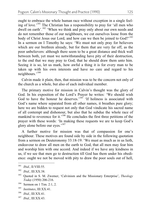ought to embrace the whole human race without exception in a single feeling of love.'181 The Christian has a responsibility to pray for 'all men who dwell on earth'.<sup>182</sup> 'When we think and pray only about our own needs and do not remember those of our neighbours, we cut ourselves loose from the body of Christ Jesus our Lord, and how can we then be joined to God?<sup>183</sup> In a sermon on I Timothy he says: 'We must not only pray for believers which are our brethren already, but for them that are very far off, as the poor unbelievers: although there seem to be a great distance and thick wall between both, yet must we notwithstanding have pity of their destruction, to the end that we may pray to God, that he should draw them unto him. Seeing it is so, let us mark, how awful a thing it is for every man to be taken up with his own interests and have no care and regard to his neighbours.'184

Calvin made it plain, then, that mission was to be the concern not only of the church as a whole, but also of each individual member.

The primary motive for mission in Calvin's thought was the glory of God. In his exposition of the Lord's Prayer he writes: 'We should wish God to have the honour he deserves.<sup>185</sup> 'If holiness is associated with God's name where separated from all other names, it breathes pure glory; here we are bidden to request not only that God vindicate his sacred name of all contempt and dishonour, but also that he subdue the whole race of mankind to reverence for it.<sup> $186$ </sup> He concludes the first three petitions of the prayer with these words: 'In making these requests we are to keep God's glory alone before our eyes.'187

A further motive for mission was that of compassion for one's neighbour. These motives are found side by side in the following quotation from a sermon on Deuteronomy 33:18-19: 'We must as much as in us lieth, endeavour to draw all men on the earth to God, that all men may fear him and worship him with one accord. And indeed if we have any kindness in us, if we see that men go to destruction till God has them under his obedience: ought we not be moved with pity to draw the poor souls out of hell,

<sup>187</sup> *Ibid.*, III:XX:43.

<sup>181</sup> *Ibid.*, II:VIII:55.

<sup>182</sup> *Ibid.*, III:XX:38.

<sup>183</sup> Quoted in S. M. Zwemer, 'Calvinism and the Missionary Enterprise', *Theology Today* (1950) 206-216.

<sup>&</sup>lt;sup>184</sup> Sermon on 1 Tim. 2:1, 2.

<sup>185</sup> *Institutes*, III:XX:41.

<sup>186</sup> *Ibid.*, III:XX:41.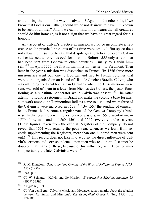and to bring them into the way of salvation? Again on the other side, if we know that God is our Father, should we be not desirous to have him known to be such of all men? And if we cannot find in our hearts that all creatures should do him homage, is it not a sign that we have no great regard for his honour?'

Any account of Calvin's practice in mission would be incomplete if reference to the practical problems of his time were omitted. But space does not allow. Let it suffice to say, that despite great practical problems Calvin still evidenced an obvious zeal for mission. Before 1555 only a few men had been sent from Geneva to other countries 'usually by Calvin himself.<sup>'188</sup> In April 1555, the first formal mission was sent to Piedmont. Then later in the year a mission was dispatched to France. 'In 1556 three more missionaries went out, one to Bourges and two to French colonies that were to be organised on an island off Rio de Janeiro (Brazil). Calvin, who was attending the Frankfort fair in Germany when the 1556 missions were sent, was told of them in a letter from Nicolas des Gallars, the pastor functioning as a substitute Moderator while Calvin was absent.<sup>'189</sup> The latter attempt to found a settlement in Brazil and make the colony a base for mission work among the Topinombou Indians came to a sad end when three of the Calvinists were martyred in  $1558$ .<sup>190</sup> 'By 1557 the sending of emissaries to France had become a regular part of the Geneva Company's business. In that year eleven churches received pastors; in 1558, twenty-two; in 1559, thirty-two; and in 1560, 1561 and 1562, twelve churches a year. (These figures, taken from the official Registers of the Company, do not reveal that 1561 was actually the peak year, when, as we learn from records supplementing the Registers, more than one hundred men were sent out.)'191 This record does not take into account the direct influence of Calvin's sermons and correspondence upon men who read them. It cannot be doubted that many of these, because of his influence, were keen for mission, certainly the later Calvinists were.<sup>192</sup>

<sup>188</sup> R. M. Kingdom: *Geneva and the Coming of the Wars of Religion in France 1555- 1563* (1956) p. 2.

<sup>189</sup> *Ibid.*, p. 2.

<sup>190</sup> Cf. W. Schlatter, 'Kalvin und die Mission', *Evangelisches Missions-Magazin,* 53 (1909) 333ff.

 $191$  Kingdom (p. 2).

<sup>&</sup>lt;sup>192</sup> Cf. Van den Berg, 'Calvin's Missionary Message; some remarks about the relation between Calvinism and Missions', *The Evangelical Quarterly* (July 1950), pp. 174-187.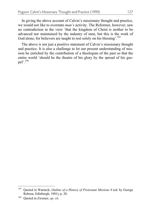In giving the above account of Calvin's missionary thought and practice, we would not like to overstate *man's* activity. The Reformer, however, saw no contradiction in the view 'that the kingdom of Christ is neither to be advanced nor maintained by the industry of men, but this is the work of God alone; for believers are taught to rest solely on his blessing'.<sup>193</sup>

The above is not just a positive statement of Calvin's missionary thought and practice. It is also a challenge to let our present understanding of mission be enriched by the contribution of a theologian of the past so that the entire world 'should be the theatre of his glory by the spread of his gospel'.<sup>194</sup>

<sup>193</sup> Quoted in Warneck, *Outline of a History of Protestant Missions 8* (ed. by George Robson, Edinburgh, 1901), p. 20.

<sup>194</sup> Quoted in Zwemer, *op. cit.*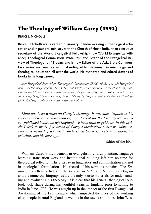## The Theology of William Carey (1993)

**BRUCE J. NICHOLLS**

**Bruce J. Nicholls was a career missionary in India working in theological education and in pastoral ministry with the Church of North India, than executive secretary of the World Evangelical Fellowship (now World Evangelical Alliance) Theological Commission 1968-1988 and Editor of the Evangelical Review of Theology for 18 years and is now Editor of the Asia Bible Commentary series and seen as an outstanding elder statesman in missiology and theological education all over the world. He authored and edited dozens of books in his long career.** 

World Evangelical Fellowship. Theological Commission. (2000, 1993). Vol. 17: Evangelical review of theology: Volume 17. "A digest of articles and book reviews selected from publications worldwide for an international readership, interpreting the Christian faith for contemporary living." (electronic ed.). Logos Library System; Evangelical Review of Theology (369). Carlisle, Cumbria, UK: Paternoster Periodicals.

*Little has been written on Carey's theology. It was more implicit in his correspondence and work than explicit. Except for the Enquiry which Carey published before he left England, we have little to guide us. In this article I seek to probe five areas of Carey's theological concerns. More research is needed if we are to understand better Carey's motivation, his priorities and his message.* 

Editor of the ERT

William Carey's involvement in evangelism, church planting, language learning, translation work and institutional building left him no time for theological reflection. His gifts lay in linguistics and administration and not in theological formulations. No record of his sermons remains. The *Enquiry*, his letters, articles in the *Friends of India* and *Samarchar Darpan* and the numerous biographies are the only source materials for understanding and evaluating his theology. It is clear that his general theological outlook took shape during his youthful years in England prior to sailing to India in June 1793. He was caught up in the impact of the first Evangelical Awakening of the 18th Century which impacted the lives of the working class people in rural England as well as in the towns and cities. John Wes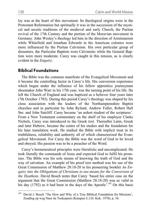ley was at the heart of this movement. Its theological origins were in the Protestant Reformation but spiritually it was in the succession of the mystical and ascetic traditions of the medieval and early Church, the Puritan revival of the 17th Century and the pietism of the Moravian movement in Germany. John Wesley's theology led him in the direction of Arminianism while Whitefield and Jonathan Edwards in the American colonies were more influenced by the Puritan Calvinism. His own particular group of dissenters, the Particular Baptists were Calvinistic while the General Baptists were more moderate. Carey was caught in this tension, as is clearly evident in the *Enquiry*.

### **Biblical Foundations**

The Bible was the common manifesto of the Evangelical Movement and it became the controlling factor in Carey's life. His conversion experience which began under the influence of his fellow apprentice journeyman shoemaker John Warr in his 17th year, was the turning point of his life. He left the Church of England and was baptized as a believer four years later (7th October 1783). During this period Carey's theology was shaped by his close association with the leaders of the Northamptonshire Baptist churches and in particular by John Ryland, Andrew Fuller, Robert Hall Snr. and John Sutcliff. Carey became 'an ardent student of the scriptures'. From a New Testament commentary on the shelf of his employer Clarke Nichols, Carey was introduced to the Greek text. Thereafter Latin, Greek and later Hebrew, became the centre of his studies and the foundation for his later translation work. He studied the Bible with implicit trust in its truthfulness, reliability and authority all of which characterized the Evangelical Movement. For Carey the Bible was the word of God to be loved and obeyed. His passion was to be a preacher of the Word.

Carey's hermeneutical principles were literalistic and uncomplicated. He took literally the commands of Jesus and expected God to fulfil his promises. The Bible was his sole means of knowing the truth of God and the way of salvation. An example of his proof text method was his use of the Great Commission of Matthew 28:18-20 in his pioneering booklet *An Enquiry into the Obligations of Christians to use means for the Conversion of the Heathens*. David Bosch notes that Carey 'based his entire case on the argument that the Great Commission (Matthew 28:18-20) was as valid in his day (1792) as it had been in the days of the Apostle'.<sup>195</sup> On this basis

<sup>&</sup>lt;sup>195</sup> David J. Bosch 'The How and Why of a True Biblical Foundation for Missions', Zending op weg Naor de Toekopmst (Kampen U.J.H. Kok. 1978), p. 34.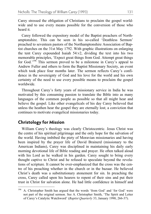Carey stressed the obligation of Christians to proclaim the gospel worldwide and to use every means possible for the conversion of those who heard it.

Carey followed the expository model of the Baptist preachers of Northamptonshire. This can be seen in his so-called 'Deathless Sermon' preached to seventeen pastors of the Northamptonshire Association of Baptist churches on the 31st May 1792. With graphic illustrations on enlarging the tent Carey expounded Isaiah 54:v2, dividing the text into his two memorable principles, 'Expect great things from God. Attempt great things for God.'196 This sermon proved to be a milestone in Carey's appeal to Andrew Fuller and others to form the Baptist Missionary Society, an event which took place four months later. The sermon reflects Carey's confidence in the sovereignty of God and his love for the world and his own certainty of the need to use every possible means to proclaim the gospel worldwide.

Throughout Carey's forty years of missionary service in India he was motivated by this consuming passion to translate the Bible into as many languages of the common people as possible so that all might hear and believe the gospel. Like other evangelicals of his day Carey believed that unless the heathen hear the gospel they are eternally lost; a conviction that continues to motivate evangelical missionaries today.

### **Christology for Mission**

William Carey's theology was clearly Christocentric. Jesus Christ was the centre of his spiritual pilgrimage and the only hope for the salvation of the world. Having imbibed the piety of Moravian missionaries and having been inspired by the prayer life of David Brainerd (missionary to the American Indians), Carey was disciplined in maintaining his daily early morning devotional life of Bible reading and prayer. He often talked aloud with his Lord as he walked in his garden. Carey sought to bring every thought captive to Christ and he refused to speculate beyond the revelations of scripture. It cannot be over-emphasized that the cross was the centre of his preaching whether in the church or in the bazaar. He believed Christ's death was a substitutionary atonement for sin. In preaching the cross, Carey called upon his hearers to repent of their sins and put their trust in Christ for salvation alone. He had little confidence in himself and

<sup>&</sup>lt;sup>196</sup> A. Christopher Smith has argued that the words 'from God' and 'for God' were not part of the original sermon. See A. Christopher Smith, 'The Spirit and Letter of Carey's Catalytic Watchword' (*Baptist Quarterly* 33, January 1990, 266-37).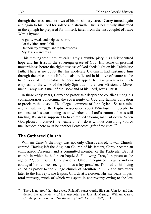through the stress and sorrows of his missionary career Carey turned again and again to his Lord for solace and strength. This is beautifully illustrated in the epitaph he prepared for himself, taken from the first couplet of Isaac Watt's hymn:

A guilty weak and helpless worm, On thy kind arms I fall. Be thou my strength and righteousness My Jesus – and my all.

This moving testimony reveals Carey's humble piety, his Christ-centred hope and his trust in the sovereign grace of God. His sense of personal unworthiness before the righteousness of God sheds light on his Calvinistic faith. There is no doubt that his moderate Calvinism had sustained him through the crises in his life. It is also reflected in his love of nature as the handiwork of the Creator. He does not appear to have given very much emphasis to the work of the Holy Spirit as in the later Missionary Movement. Carey was a man of the Book and of his Lord, Jesus Christ.

In these early years, Carey the pastor felt deeply the conflict among his contemporaries concerning the sovereignty of God and human obligation to proclaim the gospel. The alleged comment of John Ryland Sr. at a ministerial fraternal of the Baptist Association about 1786 hurt him deeply. In response to his questioning as to whether the Lord's command was still binding, Ryland is supposed to have replied 'Young man, sit down. When God pleases to convert the heathen, he'll do it without consulting you or me. Besides, there must be another Pentecostal gift of tongues!'<sup>197</sup>

#### **The Gathered Church**

William Carey's theology was not only Christ-centred; it was Churchcentred. Having left the Anglican Church of his fathers, Carey became an enthusiastic Dissenter and a committed member of the Particular Baptist church in which he had been baptized. Following Carey's baptism at the age of 22, John Sutcliff, the pastor at Olney, recognized his gifts and encouraged him to seek recognition as a lay preacher. This led to his being called as pastor to the village church of Moulton in 1787 and two years later to the Harvey Lane Baptist Church at Leicester. His six years in pastoral ministry, much of which was spent in controversy owing to the low

<sup>&</sup>lt;sup>197</sup> There is no proof that these were Ryland's exact words. His son, John Ryland Jnr. denied the authenticity of the anecdote. See lain H. Murray, 'William Carey: Climbing the Rainbow', *The Banner of Truth*, October 1992, p. 21, n. 1.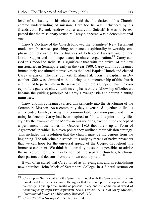level of spirituality in his churches, laid the foundation of his Churchcentred understanding of mission. Here too he was influenced by his friends John Ryland, Andrew Fuller and John Sutcliff. It was to be expected that the missionary structure Carey pioneered was a denominational one.

Carey's Doctrine of the Church followed the 'primitive' New Testament model which stressed preaching, spontaneous spirituality in worship, emphasis on fellowship, the ordinances of believers' baptism and on the Lord's Supper and on independency in church organization.<sup>198</sup> Carey carried this model to India. It is significant that with the arrival of the new missionaries in Serampore early in the year 1800, Carey and his colleagues immediately constituted themselves as the local Baptist Church and elected Carey as pastor. The first convert, Krishna Pal, upon his baptism in December 1800, was admitted without delay to the membership of this church and invited to participate in the service of the Lord's Supper. Thus the concept of the gathered church with its emphasis on the fellowship of believers became the guiding principle of Carey's evangelistic and church planting ministries.

Carey and his colleagues carried this principle into the structuring of the Serampore Mission. As a community they covenanted together to live as an extended family, sharing in a common table, common purse and in rotating leadership. Carey had been inspired to follow this joint family lifestyle by the example of the Moravian missionaries, except in the concept of a permanent house father. In October 1805 they drew up a 'Form of Agreement' in which in eleven points they outlined their Mission strategy. This included the resolution that the church must be indigenous from the beginning. The 8th principle stated: 'it is only by means of native preachers that we can hope for the universal spread of the Gospel throughout this immense continent. We think it is our duty as soon as possible, to advise the native brethren who may be formed into separate churches, to choose their pastors and deacons from their own countrymen.'<sup>199</sup>

It was often stated that Carey failed as an evangelist and in establishing new churches. John Mack of Serampore College, in a funeral sermon on

<sup>&</sup>lt;sup>198</sup> Christopher Smith contrasts the 'primitive' model with the 'professional' institutional model of the later church. He argues that the Serampore trio operated simultaneously in the spiritual world of personal piety and the commercial world of technologically-impressive capitalism. See his article 'A Tale of Many Models', *International Bulletin of Missionary Research 1992*.

<sup>199</sup> Cited *Christian History* (Vol. XI. No. 4) p. 34.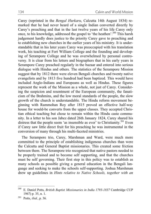Carey (reprinted in the *Bengal Hurkaru*, Calcutta 14th August 1834) remarked that he had never heard of a single Indian converted directly by Carey's preaching and that in the last twelve years of his life Carey only once, to his knowledge, addressed the gospel to 'the heathen'.<sup>200</sup> This harsh judgement hardly does justice to the priority Carey gave to preaching and to establishing new churches in the earlier years of his ministry. It is understandable that in his later years Carey was preoccupied with his translation work, his teaching at Fort William College and the founding and developing of Serampore College and he was overwhelmed by personal controversy. It is clear from his letters and biographers that in his early years in Serampore Carey preached regularly in the bazaar and entered into serious dialogue with Hindus and others. The statistics of the Serampore Mission suggest that by 1812 there were eleven Bengali churches and twenty native evangelists and by 1813 five hundred had been baptized. This would have included Anglo-Indians and Europeans as well as Hindus. These figures represent the work of the Mission as a whole, not just of Carey. Considering the suspicion and resentment of the European community, the fanaticism of the Brahmins, and the low moral standards of the people, the slow growth of the church is understandable. The Hindu reform movement beginning with Rammohan Roy after 1815 proved an effective half-way house for would-be converts from the upper classes. They accepted Christian ethical teaching but chose to remain within the Hindu caste community. In a letter to his son Jabez dated 26th January 1824, Carey shared his distress that the people seem 'as insensible as ever' to Christianity.<sup>201</sup> Even if Carey saw little direct fruit for his preaching he was instrumental in the conversion of many through his multi-faceted ministries.

The Serampore trio, Carey, Marshman and Ward, were much more committed to the principle of establishing indigenous churches than were the Calcutta and General Baptist missionaries. This created some friction between them. The Serampore trio recognized that native pastors needed to be properly trained and to become self supporting, and that the churches must be self governing. Their first step in this policy was to establish as many schools as possible giving a general education in the Bengali language and seeking to make the schools self-supporting. Joshua Marshman drew up guidelines in *Hints relative to Native Schools, together with an* 

<sup>200</sup> E. Daniel Potts, *British Baptist Missionaries in India 1793-1837* Cambridge CUP 1967) p. 35, n. 1.

<sup>201</sup> Potts, *ibid.*, p. 36.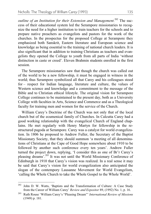*outline of an Institution for their Extension and Management*. 202 The success of their educational system led the Serampore missionaries to recognize the need for a higher institution to train teachers for the schools and to prepare native preachers as evangelists and pastors for the work of the churches. In the prospectus for the proposed College at Serampore they emphasized both Sanskrit, Eastern literature and European science and knowledge as being essential to the training of national church leaders. It is also significant that in addition to training Christians as teachers and evangelists they opened the College to youth from all parts of India 'without distinction in caste or creed'. Eleven Brahmin students enrolled in the first session.

The Serampore missionaries saw that though the church was called out of the world to be a new fellowship, it must be engaged in witness in the world; thus Serampore symbolized all that Carey and his colleagues stood for – respect for Indian language, literature and culture, the values of Western science and knowledge and a commitment to the message of the Bible and to Christian ethical lifestyle. The original vision for Serampore College continues to be maintained to the present day, both as a University College with faculties in Arts, Science and Commerce and as a Theological faculty for training men and women for the service of the Church.

William Carey's Doctrine of the Church was not only that of the local church but of the ecumenical family of Churches. In Calcutta Carey had a good working relationship with the evangelical Church of England chaplains. He met regularly with Henry Martyn for fellowship in the restructured pagoda at Serampore. Carey was a catalyst for world evangelization. In 1806 he proposed to Andrew Fuller, the Secretary of the Baptist Missionary Society, that they should summon 'a meeting of all denominations of Christians at the Cape of Good Hope somewhere about 1910 to be followed by another such conference every ten years'. Andrew Fuller turned the project down, replying, 'I consider this as one of Br'r Carey's pleasing dreams'.203 It was not until the World Missionary Conference of Edinburgh in 1910 that Carey's vision was realized. In a real sense it may be said that Carey's vision for world evangelization also anticipated the slogan of the contempory Lausanne Movement for World Evangelism, 'calling the Whole Church to take the Whole Gospel to the Whole World'.

 $202$  John D. W. Watts, 'Baptists and the Transformation of Culture: A Case Study from the Career of William Carey' *Review and Expositor* 89, (1992) No. 1, p. 16.

<sup>203</sup> Ruth Rouse 'William Carey's "Pleasing Dream"' *International Review of Missions* (1949) p. 181.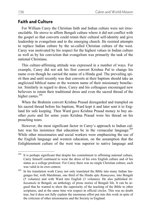### **Faith and Culture**

For William Carey the Christian faith and Indian culture were not irreconcilable. He strove to affirm Bengali culture where it did not conflict with the gospel so that converts could retain their cultural self-identity and give leadership in evangelism and to the emerging church. He resisted attempts to replace Indian culture by the so-called Christian culture of the west. Carey was motivated by his respect for the highest values in Indian culture as well as by his conviction that evangelism was primarily the task of the national Christians.

This culture-affirming attitude was expressed in a number of ways. For example, Carey did not ask his first convert Krishna Pal to change his name even though he carried the name of a Hindu god. The prevailing spirit then and until recently was that converts at their baptism should take an anglicized biblical name or the western name of their missionary benefactor. Similarly in regard to dress, Carey and his colleagues encouraged new believers to retain their traditional dress and even the sacred thread of the higher castes.<sup>204</sup>

When the Brahmin convert Krishna Prasad disregarded and trampled on his sacred thread before his baptism, Ward kept it and later sent it to England for safe keeping. Then Ward gave Krishna Prasad money to buy another *paita* and for some years Krishna Prasad wore his thread on his preaching tours.

However, the most significant factor in Carey's approach to Indian culture was his insistence that education be in the vernacular language. $205$ While other missionaries and social workers were emphasizing the use of the English language and western education, on the assumption that the Enlightenment culture of the west was superior to native language and

<sup>&</sup>lt;sup>204</sup> It is perhaps significant that despite his commitment to affirming national culture, Carey himself continued to wear the dress of his own English culture and of his status as a college professor. For Carey there was no single Christian culture; each was valid in its own context.

 $205$  In his translation work Carey not only translated the Bible into many Indian languages but, with Marshman, one third of the Hindu epic *Ramayana*, into Bengali (5 volumes) and with Ward into English (3 volumes). He also published *Itihasamala* in Bengali, an anthology of prose stories of Bengali life. It can be argued that he wanted to show the superiority of the teaching of the Bible to other scriptures, and at the same time win respect in official circles. This was no doubt true, but it does not fully explain the enormous effort put into this work in spite of the criticism of other missionaries and the Society in England.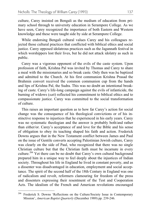culture, Carey insisted on Bengali as the medium of education from primary school through to university education in Serampore College. As we have seen, Carey recognized the importance of both Eastern and Western knowledge and these were taught side by side at Serampore College.

While endorsing Bengali cultural values Carey and his colleagues rejected those cultural practices that conflicted with biblical ethics and social justice. Carey opposed idolatrous practices such as the Jagannath festival in which worshippers lost their lives, but he did not attack idolatry as such in public.

Carey was a vigorous opponent of the evils of the caste system. Upon profession of faith, Krishna Pal was invited by Thomas and Carey to share a meal with the missionaries and so break caste. Only then was he baptized and admitted to the Church. At his first communion Krishna Prasad the Brahmin convert received the common communion cup from the hands and lips of Krishna Pal, the Sudra. This was no doubt an intentional breaking of caste. Carey's life-long campaign against the evils of infanticide, the burning of widows (*sati*) reflected his commitment to biblical ethics and to compassionate justice. Carey was committed to the social transformation of culture.

This raises an important question as to how far Carey's action for social change was the consequence of his theological convictions or of his instinctive response to injustices that he experienced in his early years. Carey was no systematic theologian and the answer is probably both/and rather than either/or. Carey's acceptance of and love for the Bible and his sense of obligation to obey its teaching shaped his faith and action. Frederick Downs argues that in the New Testament conflict between James and Paul on the issue of Gentile converts accepting Palestinian Jewish culture, Carey was clearly on the side of Paul, who recognized that there was no single Christian culture but that the Christian faith must be incarnate in every culture.<sup>206</sup> Yet there can be no doubt that Carey's own cultural background prepared him in a unique way to feel deeply about the injustices of Indian society. Throughout his life in England he lived in constant poverty, and as a dissenter was disadvantaged in education, employment and social acceptance. The spirit of the second half of the 18th Century in England was one of radicalism and revolt, reformers clamouring for freedom of the press and dissenters expressing their resentment of the Test and Cooperation Acts. The idealism of the French and American revolutions encouraged

<sup>&</sup>lt;sup>206</sup> Frederick S. Downs 'Reflections on the Culture/Society Issue in Contemporary Mission', *American Baptist Quarterly* (December 1989) pp. 239-246.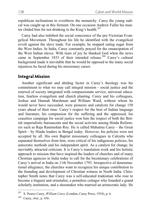republican inclinations to overthrow the monarchy. Carey the young radical was caught up in this ferment. On one occasion Andrew Fuller his mentor chided him for not drinking to the King's health. $207$ 

Carey had also imbibed the social conscience of the pre-Victorian Evangelical Movement. Throughout his life he identified with the evangelical revolt against the slave trade. For example, he stopped eating sugar from the West Indies. In India, Carey constantly prayed for the emancipation of the West Indian slaves. With tears of joy he thanked God when the news came in September 1833 of their intended release.<sup>208</sup> Carey's cultural background made it inevitable that he would be opposed to the many social injustices he faced during his missionary career.

#### **Integral Mission**

Another significant and abiding factor in Carey's theology was his commitment to what we may call integral mission – social justice and the renewal of society integrated with compassionate service, universal education, fearless evangelism and church planting. Carey and his colleagues, Joshua and Hannah Marshman and William Ward, without whom he would never have succeeded, were pioneers and catalysts for change 150 years ahead of their time. Carey's respect for the best of Indian language and literature, his compassion for the suffering and the oppressed, his ceaseless campaign for social justice won him the respect of both the British imperialistic bureaucrats and the social activists among Hindu Reformers such as Raja Rammohan Roy. He is called Mahatma Carey – the Great Spirit – by Hindu leaders in Bengal today. However, his policies were not accepted by all. His own Baptist missionary colleagues in Calcutta who separated themselves from him, were critical of his indigenous policies, his autocratic methods and his independent spirit. As a catalyst for change, he inevitably attracted criticism. It is Carey's translation work and his holistic approach to mission that have inspired the leaders of churches and of many Christian agencies in India today to call for the bicentenary celebrations of Carey's arrival in India on 11th November 1793. Irrespective of denominational allegiance, the churches want to recognize his unique contribution to the founding and development of Christian witness in North India. Christopher Smith notes that Carey was a self-educated tradesman who rose to become a linguist and orientalist, a penniless cottager who founded a grand scholarly institution, and a shoemaker who married an aristocratic lady. He

<sup>207</sup> S. Pearce Carey, *William Carey* (London, Carey Press, 1934), p. 6.

<sup>208</sup> Carey, *ibid.*, p. 436.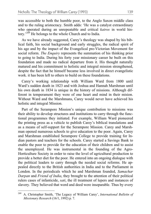was accessible to both the humble poor, to the Anglo Saxon middle class and to the ruling aristocracy. Smith adds: 'He was a catalyst extraordinary who operated during an unrepeatable and critical *kairos* in world history.<sup>209</sup> He belongs to the whole Church and to India.

As we have already suggested, Carey's theology was shaped by his biblical faith, his social background and early struggles, the radical spirit of his age and by the impact of the Evangelical pre-Victorian Movement for social reform. *The Enquiry* represents the summation of his thinking prior to going to India. During his forty year missionary career he built on this foundation and made no radical departure from it. His thought naturally matured and his commitment to holistic and integral mission strengthened, despite the fact that he himself became less involved in direct evangelistic work. it has been left to others to build on these foundations.

Carey's working relationship with William Ward from 1800 until Ward's sudden death in 1823 and with Joshua and Hannah Marshman until his own death in 1834 is unique in the history of missions. Although different in temperament they were of one heart and mind in their mision. Without Ward and the Marshmans, Carey would never have achieved his holistic and integral Mission.

Part of the Serampore Mission's unique contribution to missions was their ability to develop structures and institutions to carry through the functional programmes they initiated. For example, William Ward pioneered the printing press as a vehicle to publish Carey's biblical translations and as a means of self-support for the Serampore Mission. Carey and Marshman opened numerous schools to give education to the poor. Again, Carey and Marshman established Serampore College to provide training for Indian pastors and teachers for the schools. Carey started a Savings Bank to enable the poor to provide for the education of their children and to assist the unemployed. He was instrumental in the founding of the Agro-Horticulture Society in order to raise the level of agricultural production to provide a better diet for the poor. He entered into an ongoing dialogue with the political leaders to carry through the needed social reforms. He appealed directly to the British authorities in India and to the Parliament in London. In the periodicals which he and Marshman founded, *Samachar Darpan* and *Friend of India*, they brought to the attention of their political rulers cases of infanticide, *sati*, the ill treatment of lepers and instances of slavery. They believed that word and deed were inseparable. Thus by every

<sup>209</sup> A. Christopher Smith, 'The Legacy of William Carey', *International Bulletin of Missionary Research* (16/1, 1992) p. 7.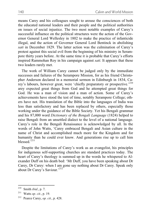means Carey and his colleagues sought to arouse the consciences of both the educated national leaders and their people and the political authorities on issues of social injustice. The two most notable examples of Carey's successful influence on the political structures were the action of the Governor General Lord Wellesley in 1802 to make the practice of infanticide illegal, and the action of Governor General Lord Bentinck in abolishing *sati* in December 1829. The latter action was the culmination of Carey's protest against this social evil from the beginning of his ministry in Serampore thirty years before. At the same time it is probable that Carey's efforts inspired Rammohan Roy in his campaign against *sati*. It appears that these two leaders rarely met.

The work of William Carey cannot be judged only by the immediate successes and failures of the Serampore Mission, for as his friend Christopher Anderson declared in a memorial sermon in Edinburgh in 1834, Carey's labours, however great, were 'chiefly preparatory or prospective.'<sup>210</sup> arey expected great things from God and he attempted great things for God. He was a man of vision and a man of action. Some of Carey's achievements have stood the test of time, notably Serampore College; others have not. His translation of the Bible into the languages of India was less than satisfactory and has been replaced by others, especially those working under the guidance of the Bible Society. Yet his Bengali grammar and his 87,000 word *Dictionary of the Bengali Language* (1824) helped to raise Bengali from an unsettled dialect to the level of a national language. Carey's role in the Bengali Renaissance is acknowledged by all. In the words of John Watts, 'Carey embraced Bengali and Asian culture in the name of Christ and accomplished much more for the Kingdom and for humanity than he could ever know. And generations rise up to call him blessed.'211

Despite the limitations of Carey's work as an evangelist, his principles for indigenous self-supporting churches are standard practices today. The heart of Carey's theology is summed up in the words he whispered to Alexander Duff on his death bed: 'Mr Duff, you have been speaking about Dr Carey, Dr Carey: when I am gone say nothing about Dr Carey. Speak only about Dr Carey's Saviour.'212

<sup>210</sup> Smith *ibid.*, p. 7.

<sup>211</sup> Watts *op. cit.*, p. 19.

<sup>212</sup> Pearce Carey, *op. cit.*, p. 428.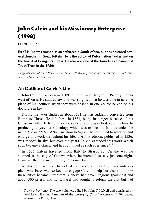## John Calvin and his Missionary Enterprise (1998)

**ERROLL HULSE**

**Erroll Hulse was trained as an architect in South Africa, but has pastored several churches in Great Britain. He is the editor of Reformation Today and on the board of Evangelical Press. He also was one of the founders of Banner of Truth Trust in the 1950s.** 

Originally published in Reformation Today (1998). Reprinted with permission by Reformation Today and the author.

## **An Outline of Calvin's Life**

John Calvin was born in 1509 in the town of Noyon in Picardy, northwest of Paris. He studied law and was so gifted that he was able to take the place of his lecturers when they were absent. In due course he earned his doctorate in law.

During the latter studies in about 1531 he was suddenly converted from Rome to Christ. He left Paris in 1533, being in danger because of his Christian faith. He lived in various places and began to devote his time to producing a systematic theology which was to become famous under the name *The Institutes of the Christian Religion.* He continued to work on and enlarge this work throughout his life. The first edition, published in 1536, was modest in size but over the years Calvin extended this work which soon became a classic and has continued as such ever since.<sup>213</sup>

In 1536 Calvin travelled from Italy to Strasbourg. On the way he stopped at the city of Geneva where he intended to stay just one night. However there he met the fiery Reformer Farel.

At this point we need to look at the background as it will not only explain why Farel was so keen to engage Calvin's help but also show how these cities became Protestant. Geneva had seven regions (parishes) and about 300 priests and nuns. Farel had sought to reform the city but had

<sup>213</sup> *Calvin's Institutes.* The two volumes, edited by John T McNeil and translated by Ford Lewis Battles, form part of the *Library of Christian Classics.* 1,500 pages, Westminster Press, USA.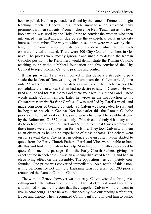been expelled. He then persuaded a friend by the name of Froment to begin teaching French in Geneva. This French language school attracted many prominent women students. Froment chose the New Testament as his textbook which was used by the Holy Spirit to convict the women who then influenced their husbands. In due course the evangelical party in the city increased in number. The way in which these cities were won was by challenging the Roman Catholic priests to a public debate which the city leaders were invited to attend. There were 200 City Council members in Geneva. The priests were mostly ignorant and unable to defend the Roman Catholic position. The Reformers would demonstrate the Roman Catholic teaching to be without biblical foundation and this convinced the City Council to reject Roman Catholic practice and control.

It was just when Farel was involved in this desperate struggle to persuade the leaders of Geneva to reject Romanism that Calvin arrived, then only 27 years old. Farel immediately saw in Calvin the teacher needed to consolidate the work. But Calvin had no desire to stay in Geneva. He was tired and longed for rest. 'May God curse your rest!!' shouted Farel. These words made Calvin tremble. Later he wrote in the introduction to his *Commentary on the Book of Psalms,* 'I was terrified by Farel's words and made conscious of being a coward.' So Calvin was persuaded to stay and he began to preach in Geneva. Not long after this the Roman Catholic priests of the nearby city of Lausanne were challenged to a public debate by the Reformers. Of 337 priests only 174 arrived and only 4 had any ability to defend their doctrine. Farel and Viret, a foremost Swiss Reformer of those times, were the spokesmen for the Bible. They took Calvin with them as an observer as he had no experience of these debates. The debate went on for several days. One priest in defence of transubstantiation started to quote from the Early Church Fathers. Farel and Viret were unable to handle this and looked to Calvin for help. Standing up, the latter proceeded to quote from memory passages from the Early Church Fathers, giving the exact source in each case. It was an amazing display of learning and had an electrifying effect on the assembly. The opposition was completely confounded. One priest was converted immediately. As a result of this astonishing performance not only did Lausanne turn Protestant but 200 priests renounced the Roman Catholic Church.

The work in Geneva however was not easy. Calvin wished to bring everything under the authority of Scripture. The City Council would not agree and this led to such a division that they expelled Calvin who then went to live in Strasbourg. There he was influenced by two outstanding Reformers, Bucer and Capito. They recognized Calvin's gifts and invited him to pastor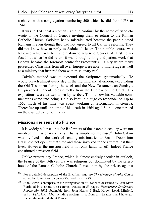a church with a congregation numbering 500 which he did from 1538 to 1541.

It was in 1541 that a Roman Catholic cardinal by the name of Sadoleto wrote to the Council of Geneva inviting them to return to the Roman Catholic Church. Sadoleto badly miscalculated because the people hated Romanism even though they had not agreed to all Calvin's reforms. They did not know how to reply to Sadoleto's letter. The humble course was followed which was to invite Calvin to return to Geneva. At first he refused but when he did return it was through a long and patient work that Geneva became the foremost centre for Protestantism, a city where many persecuted Christians from all over Europe were able to find refuge as well as a ministry that inspired them with missionary zeal.

Calvin's method was to expound the Scriptures systematically. He would preach almost every day in the morning and afternoon, expounding the Old Testament during the week and the New Testament on Sundays. He preached without notes directly from the Hebrew or the Greek. His expositions were written down by scribes. This is how his valuable commentaries came into being. He also kept up a huge correspondence. Up to 1553 much of his time was spent working at reformation in Geneva. Thereafter up until the time of his death in 1564 aged 54 he concentrated on the evangelisation of France.

#### **Missionaries sent into France**

It is widely believed that the Reformers of the sixteenth century were not involved in missionary activity. That is simply not the case.<sup>214</sup> John Calvin was involved in the work of sending missionaries to Brazil. Doors into Brazil did not open at that time and those involved in the attempt lost their lives. However the mission field is not only lands far off. Indeed France constituted a mission field. $^{215}$ 

Unlike present day France, which is almost entirely secular in outlook, the France of the 16th century was religious but dominated by the priesthood of the Roman Catholic Church. Persecution by the priests against

<sup>214</sup> For a detailed description of the Brazilian saga see *The Heritage of John Calvin*  edited by John Bratt, pages 40-73, Eerdmans, 1973.

<sup>&</sup>lt;sup>215</sup> John Calvin's enterprise in the evangelisation of France is described by Jean-Marc Berthoud in a carefully researched treatise of 53 pages, *Westminster Conference Papers .for 1992* obtainable from John Harris, 8 Back Knowl Road, Mirfield, WF14 9SA, UK 4.00 including postage. It is from this treatise that I have extracted the material about France.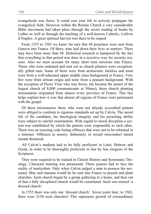evangelicals was fierce. It could cost your life to actively propagate the evangelical faith. However within the Roman Church a very considerable Bible movement had taken place through the secret reading of books by Luther as well as through the teaching of a well-known Catholic, Lefèvre d'Etaples. A great spiritual harvest was there to be reaped.

From 1555 to 1562 we know for sure that 88 preachers were sent from Geneva into France. Of these, nine laid down their lives as martyrs. There may have been more than 88. Historical research is hampered by the fact that everything in that period was done in a secretive way for security reasons. Also we must account for many short term missions into France. Those who were ordained and sent out as church planters were exceptionally gifted men. Some of them were from aristocratic families and most were from a well-educated upper middle class background in France. Very few were from artisan origin and none from a peasant background. With the exception of Pierre Viret who was Swiss, (he became the pastor of the largest church of 8,000 communicants at Nîmes), these church planting missionaries originated from almost every province of France. This fact helps explain how it was that almost all regions of France were permeated with the gospel.

Of these missionaries those who were not already accredited pastors were obliged to conform to rigorous standards set up by Calvin. The moral life of the candidate, his theological integrity and his preaching ability were subject to careful examination. With regard to moral discipline a system was established by which the pastors were responsible to each other. There was an exacting code listing offences that were not to be tolerated in a minister. Offences in money, dishonesty or sexual misconduct meant instant dismissal.

All Calvin's students had to be fully proficient in Latin, Hebrew and Greek, in order to be thoroughly proficient in line by line exegesis of the Scriptures.

They were required to be trained in Church History and Systematic Theology. Character training was paramount. These pastors had to face the reality of martyrdom. Only when Calvin judged a man to possess the necessary fibre and stamina would he be sent into France to preach and plant churches. Each church began by a group gathering in a home, and then out of that a fully disciplined church would be constituted. Such was termed 'a dressed church'.

In 1555 there was only one 'dressed church'. Seven years later, in 1562, there were 2150 such churches! This represents growth of extraordinary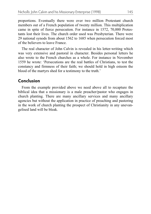proportions. Eventually there were over two million Protestant church members out of a French population of twenty million. This multiplication came in spite of fierce persecution. For instance in 1572, 70,000 Protestants lost their lives. The church order used was Presbyterian. There were 29 national synods from about 1562 to 1685 when persecution forced most of the believers to leave France.

The real character of John Calvin is revealed in his letter-writing which was very extensive and pastoral in character. Besides personal letters he also wrote to the French churches as a whole. For instance in November 1559 he wrote: 'Persecutions are the real battles of Christians, to test the constancy and firmness of their faith; we should hold in high esteem the blood of the martyrs shed for a testimony to the truth.'

### **Conclusion**

From the example provided above we need above all to recapture the biblical idea that a missionary is a male preacher/pastor who engages in church planting. There are many ancillary services and many ancillary agencies but without the application in practice of preaching and pastoring in the work of church planting the prospect of Christianity in any unevangelised land will be bleak.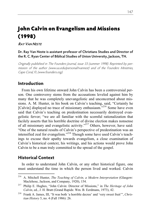# John Calvin on Evangelism and Missions (1998)

**RAY VAN NESTE**

#### **Dr. Ray Van Neste is assistant professor of Christians Studies and Director of the R. C. Ryan Center of Biblical Studies of Union University, Jackson, TN.**

Originally published in The Founders Journal, issue 33 (summer 1998). Reprinted by permission of the author (www.uu.edu/personal/rvannest) and of the Founders Ministries, Cape Coral, FL (www.founders.org).

### **Introduction**

From his own lifetime onward John Calvin has been a controversial person. One controversy stems from the accusations leveled against him by many that he was completely unevangelistic and unconcerned about missions. A. M. Hunter, in his book on Calvin's teaching, said, "Certainly he [Calvin] displayed no trace of missionary enthusiasm."<sup>216</sup> Some have even said that Calvin's teaching on predestination necessarily destroyed evangelistic fervor; "we are all familiar with the scornful rationalization that facilely asserts that his horrible doctrine of divine election makes nonsense of all missionary and evangelistic activity."<sup>217</sup> Others, however, have said: "One of the natural results of Calvin's perspective of predestination was an intensified zeal for evangelism."218 Though some have used Calvin's teachings to excuse their apathy towards evangelism, a close examination of Calvin's historical context, his writings, and his actions would prove John Calvin to be a man truly committed to the spread of the gospel.

## **Historical Context**

In order to understand John Calvin, or any other historical figure, one must understand the time in which the person lived and worked. Calvin

<sup>216</sup> A. Mitchell Hunter, *The Teaching of Calvin, a Modern Interpretation* (Glasgow: Maclehose, Jackson, and Company, 1920), 154.

<sup>217</sup> Philip E. Hughes, "John Calvin: Director of Missions," in *The Heritage of John Calvin*, ed., J. H. Bratt (Grand Rapids: Wm. B. Eerdmans, 1973), 42.

<sup>218</sup> Frank A. James, III, "It was both 'a horrible decree' and 'very sweet fruit'", *Christian History* 5, no. 4 (Fall 1986): 26.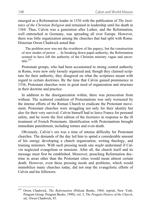emerged as a Reformation leader in 1536 with the publication of *The Institutes of the Christian Religion* and remained in leadership until his death in 1564. Thus, Calvin was a generation after Luther, and the Reformation, well entrenched in Germany, was spreading all over Europe. However, there was little organization among the churches that had split with Rome. Historian Owen Chadwick noted that

The problem now was not the overthrow of the papacy, but the construction of new modes of power … In breaking down papal authority, the Reformation seemed to have left the authority of the Christian ministry vague and uncertain. $219$ 

Protestant groups, who had been accustomed to strong central authority in Rome, were now only loosely organized and, though they claimed scripture for their authority, they disagreed on what the scriptures meant with regard to certain doctrines. By the time that Calvin gained prominence in 1536, Protestant churches were in great need of organization and structure in their doctrine and practice.

In addition to the disorganization within, there was persecution from without. The scattered condition of Protestantism was only worsened by the intense efforts of the Roman Church to eradicate the Protestant movement. Protestant churches were struggling not only for their identity but also for their very survival. Calvin himself had to leave France for personal safety, and he wrote the first edition of the *Institutes* in response to the ill treatment of French Protestants. Identification with Protestantism brought immediate punishment, including torture and even death.

Obviously, Calvin's era was a time of intense difficulty for Protestant churches. The demands of the day led him to spend a considerable amount of his energy developing a church organization, writing theology, and training ministers. With such pressing needs one *might* understand if Calvin neglected evangelism or missions. After all, the church itself and its message must first be established. Moreover, preaching Reformation doctrine in areas other than the Protestant cities would mean almost certain death. However, even these pressing needs and problems, which would immobilize many churches today, did not stop the evangelistic efforts of Calvin and his followers.

<sup>219</sup> Owen Chadwick, *The Reformation* (Pelican Books, 1964; reprint, New York: Penguin Group, Penguin Books, 1990), vol. 3, *The Penguin History of the Church*, ed., Owen Chadwick, 83.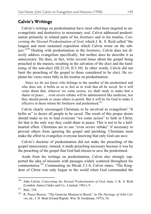### **Calvin's Writings**

Calvin's writings on predestination have most often been targeted as unevangelistic and destructive to missionary zeal. Calvin addressed predestination primarily in related parts of his *Institutes* and in his treatise, *Concerning the Eternal Predestination of God*, which J. K. S. Reid called "the longest and most sustained exposition which Calvin wrote on the subject."220 Dealing with predestination in the *Institutes*, Calvin does not directly address evangelism specifically, but neither does he describe it as unnecessary. He does, in fact, write several times about the gospel being preached to the masses, resulting in the salvation of the elect and the hardening of the non-elect (III.23.10; II.5.10). In other words, Calvin did not limit the preaching of the gospel to those considered to be elect. He explains his views more fully in his treatise on predestination:

Since we do not know who belongs to the number of the predestined and who does not, it befits us so to feel as to wish that all be saved. So it will come about that, whoever we come across, we shall study to make him a sharer of peace … even severe rebuke will be administered like medicine, lest they should perish or cause others to perish. But it will be for God to make it effective in those whom He foreknew and predestined.<sup>221</sup>

Calvin clearly encouraged Christians to be involved in evangelism! "It befits us" to desire all people to be saved. The result of this proper desire should make us try to lead everyone "we come across" to faith in Christ, for that is the only way they could share in peace. This is not to be a halfhearted effort. Christians are to use "even severe rebuke" if necessary to prevent others from ignoring the gospel and perishing. Christians must make the effort to evangelize everyone knowing that only God can save.

Calvin's doctrine of predestination did not make the preaching of the gospel unnecessary; instead, it made preaching necessary because it was by the preaching of the gospel that God had chosen to save the predestined.

Aside from his writings on predestination, Calvin also strongly supported the idea of missions with passages widely scattered throughout his commentaries.222 Commenting on Micah 2:1-4, Calvin states, "The Kingdom of Christ was only begun in the world when God commanded the

<sup>220</sup> John Calvin, *Concerning the Eternal Predestination of God*, trans. J. K. S. Reid (London: James Clarke and Co., Limited, 1961), 9.

<sup>221</sup> Ibid., 138.

<sup>222</sup> R. Pierce Beaver, "The Genevan Mission to Brazil," in *The Heritage of John Calvin*, ed., J. H. Bratt (Grand Rapids: Wm. B. Eerdmans, 1973), 56.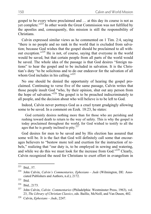gospel to be every where proclaimed and … at this day its course is not as yet complete." $2^{223}$  In other words the Great Commission was not fulfilled by the apostles and, consequently, this mission is still the responsibility of Christians.

Calvin expressed similar views as he commented on 1 Tim. 2:4, saying "there is no people and no rank in the world that is excluded from salvation; because God wishes that the gospel should be proclaimed to all without exception."224 He is not, of course, saying that everyone in the world would be saved, but that certain people from all parts of the world would be saved. The whole idea of the passage is that God desires "foreign nations" to hear the gospel and to be included in salvation. It is the Christian's duty "to be solicitous and to do our endeavor for the salvation of all whom God includes in his calling." $^{225}$ 

No one should be denied the opportunity of hearing the gospel proclaimed. Continuing to verse five of the same passage, Calvin writes that those people insult God "who, by their opinion, shut out any person from the hope of salvation."<sup>226</sup> The gospel is to be preached indiscriminately to all people, and the decision about who will believe is to be left to God.

Indeed, Calvin never portrays God as a cruel tyrant grudgingly allowing some to be saved. In a comment on Ezek. 18:23, he states:

God certainly desires nothing more than for those who are perishing and rushing toward death to return to the way of safety. This is why the gospel is today proclaimed throughout the world, for God wished to testify to all the ages that he is greatly inclined to pity. $227$ 

God desires for men to be saved and by His election has assured that some will be. It is the fact that God will definitely call some that encourages believers to "bestow more toil and exertion for the instruction of rebels," realizing that "our duty is, to be employed in sowing and watering, and while we do this we must look for the increase from God."<sup>228</sup> Clearly, Calvin recognized the need for Christians to exert effort in evangelism in

<sup>223</sup> Ibid., 57.

<sup>224</sup> John Calvin, *Calvin's Commentaries, Ephesians – Jude* (Wilmington, DE: Associated Publishers and Authors, n.d.), 2172.

 $225$  Ibid.

 $226$  Ibid., 2173.

<sup>227</sup> John Calvin, *Calvin: Commentaries* (Philadelphia: Westminster Press, 1963), vol. 23, *The Library of Christian Classics*, eds. Baillie, McNeill, and Van Dusen, 402.

<sup>228</sup> Calvin, *Ephesians – Jude*, 2247.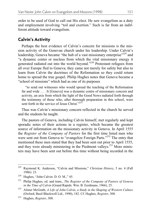order to be used of God to call out His elect. He saw evangelism as a duty and employment involving "toil and exertion." Such is far from an indifferent attitude toward evangelism.

## **Calvin's Activity**

Perhaps the best evidence of Calvin's concern for missions is the mission activity of the Genevan church under his leadership. Under Calvin's leadership, Geneva became "the hub of a vast missionary enterprise"<sup>229</sup> and "a dynamic center or nucleus from which the vital missionary energy it generated radiated out into the world beyond."<sup>230</sup> Protestant refugees from all over Europe fled to Geneva; they came not merely for safety but also to learn from Calvin the doctrines of the Reformation so they could return home to spread the true gospel. Philip Hughes notes that Geneva became a "school of missions" which had as one of its purposes

"to send out witnesses who would spread the teaching of the Reformation far and wide ... . It [Geneva] was a dynamic centre of missionary concern and activity, an axis from which the light of the Good News radiated forth through the testimony of those who, after thorough preparation in this school, were sent forth in the service of Jesus Christ."<sup>231</sup>

Thus was Calvin's missionary concern reflected in the church he served and the students he taught.

The pastors of Geneva, including Calvin himself, met regularly and kept sporadic notes of their actions in a register, which became the greatest source of information on the missionary activity in Geneva. In April 1555 the *Register of the Company of Pastors* for the first time listed men who were sent out from Geneva to "evangelize Foreign Parts."<sup>232</sup> The entry that mentioned these men stated that they had been sent out prior to April 1555, and they were already ministering in the Piedmont valleys.<sup> $233$ </sup> More ministers may have been sent out before this time without being recorded in the

<sup>229</sup> Raymond K. Anderson, "Calvin and Missions," *Christian History*, 5 no. 4 (Fall 1986): 23.

<sup>&</sup>lt;sup>230</sup> Hughes, "John Calvin: D. O. M.,"  $45$ .

<sup>231</sup> Philip Hughes, ed. and trans., *The Register of the Company of Pastors of Geneva in the Time of Calvin* (Grand Rapids: Wm. B. Eerdmans, 1966), 25.

<sup>232</sup> Alister McGrath, *A Life of John Calvin, a Study in the Shaping of Western Culture* (Oxford; Basil Blackwell Ltd., 1990), 182. Cf. Hughes, *Register*, 308.

<sup>233</sup> Hughes, *Register*, 308.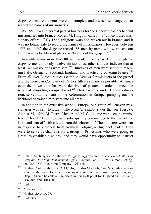*Register* because the notes were not complete and it was often dangerous to record the names of missionaries.

By 1557 it was a normal part of business for the Genevan pastors to send missionaries into France. Robert M. Kingdon called it a "concentrated missionary effort."<sup>234</sup> By 1562, religious wars had broken out in France, and it was no longer safe to record the names of missionaries. However, between 1555 and 1562 the *Register* records 88 men by name who were sent out from Geneva to different places as "bearers of the gospel."<sup>235</sup>

In reality many more than 88 were sent. In one year, 1561, though the *Register* mentions only twelve missionaries, other sources indicate that at least 142 missionaries were sent!<sup>236</sup> Hundreds of men were sent out, reaching Italy, Germany, Scotland, England, and practically covering France.<sup>237</sup> From all over Europe requests came to Geneva for ministers of the gospel and the Genevan Company of Pastors filled as many as possible. At times even their own churches were deprived of pastors in order to meet the needs of struggling groups abroad.<sup>238</sup> Thus, Geneva, under Calvin's direction, served as the heart of the Reformation in Europe, pumping out the lifeblood of trained ministers into all areas.

In addition to the extensive work in Europe, one group of Genevan missionaries was sent to Brazil. The *Register* simply states that on Tuesday, August 25, 1556, M. Pierre Richier and M. Guillaume were sent as ministers to Brazil. "These two were subsequently commended to the care of the Lord and sent off with a letter from this church."<sup>239</sup> The ministers were sent in response to a request from Admiral Coligny, a Huguenot leader. They were to serve as chaplains for a group of Protestants who were going to Brazil to establish a colony, and they would have opportunity to instruct

- 238 Hughes, *Register*, 27.
- 239 Ibid., 317.

<sup>234</sup> Robert M. Kingdon, "Calvinist Religious Aggression," in *The French Wars of Religion, How Important Were Religious Factors?*, ed. J. H. M. Salmon (Lexington, MA: D. C. Heath and Company, 1967), 6.

<sup>&</sup>lt;sup>235</sup> Hughes, "John Calvin: D. O. M," 46; cf. also McGrath, 184. McGrath mentions some of the areas to which these men went: Poitiers, Paris, Lyons, Bergerac, Dieppe (which he calls an important jumping-off point for England and Scotland, Issoudun, and Orleans).

<sup>236</sup> Ibid.

 $237$  Anderson, 23.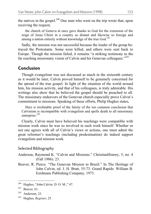the natives in the gospel. $240$  One man who went on the trip wrote that, upon receiving the request,

the church of Geneva at once gave thanks to God for the extension of the reign of Jesus Christ in a country so distant and likewise so foreign and among a nation entirely without knowledge of the true  $God.^{241}$ 

Sadly, the mission was not successful because the leader of the group betrayed the Protestants. Some were killed, and others were sent back to Europe. Though the mission failed, it remains "a striking testimony to the far reaching missionary vision of Calvin and his Genevan colleagues."<sup>242</sup>

### **Conclusion**

Though evangelism was not discussed as much in the sixteenth century as it would be later, Calvin proved himself to be genuinely concerned for the spread of the true gospel. In light of the situation of the world around him, his mission activity, and that of his colleagues, is truly admirable. His writings also show that he believed the gospel should be preached to all. The missionary endeavors of the Genevan church especially prove Calvin's commitment to missions. Speaking of these efforts, Philip Hughes states,

Here is irrefutable proof of the falsity of the too common conclusion that Calvinism is incompatible with evangelism and spells death to all missionary enterprise.<sup>243</sup>

Clearly, Calvin must have believed his teachings were compatible with mission work since he was so involved in such work himself. Whether or not one agrees with all of Calvin's views or actions, one must admit the great reformer's teachings (including predestination) do indeed support evangelism and mission work.

### Selected Bibliography

Anderson, Raymond K. "Calvin and Missions." ChristianHistory, 5, no. 4 (Fall 1986): 23.

Beaver, R. Pierce. "The Genevan Mission to Brazil." In The Heritage of John Calvin, ed. J. H. Bratt, 55-73. Grand Rapids: William B. Eerdmans Publishing Company, 1973.

243 Hughes, *Register*, 25.

 $240$  Hughes, "John Calvin: D. O. M.," 47.

 $241$  Beaver, 61.

 $242$  Anderson, 23.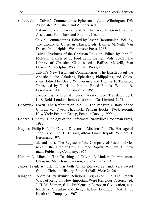- Calvin, John. Calvin's Commentaries. Ephesians Jude. Wilmington, DE: Associated Publishers and Authors, n.d.
	- \_\_\_\_\_\_\_\_. Calvin's Commentaries. Vol. 7, The Gospels. Grand Rapids: Associated Publishers and Authors, Inc., n.d.
	- . Calvin: Commentaries. Edited by Joseph Haroutunian. Vol. 23, The Library of Christian Classics, eds. Baillie, McNeill, Van Dusen. Philadelphia: Westminster Press, 1963.
- \_\_\_\_\_\_\_\_. Calvin: Institutes of the Christian Religion. Edited by John T. McNeill. Translated by Ford Lewis Battles. Vols. 20-21, The Library of Christian Classics, eds. Baillie, McNeill, Van Dusen. Philadelphia: Westminster Press, 1960.
- \_\_\_\_\_\_\_\_. Calvin's New Testament Commentaries. The Epistles Paul the Apostle to the Galatians, Ephesians, Philippians, and Colossians. Edited by David W. Torrance and Thomas F. Torrance. Translated by T. H. L. Parker. Grand Rapids: William B. Eerdmans Publishing Company, 1965.
- \_\_\_\_\_\_\_\_. Concerning the Eternal Predestination of God. Translated by J. K. S. Reid. London: James Clarke and Co. Limited, 1961.
- Chadwick, Owen. The Reformation. Vol. 3, The Penguin History of the Church, ed. Owen Chadwick. Pelican Books, 1964; reprint, New York: Penguin Group, Penguin Books, 1990.
- George, Timothy. Theology of the Reformers. Nashville: Broadman Press, 1988.
- Hughes, Philip E. "John Calvin: Director of Missions." In The Heritage of John Calvin, ed. J. H. Bratt, 40-54. Grand Rapids: William B. Eerdmans, 1973.
	- \_\_\_\_\_\_\_\_. ed. and trans. The Register of the Company of Pastors of Geneva in the Time of Calvin. Grand Rapids: William B. Eerdmans Publishing Company, 1966.
- Hunter, A. Mitchell. The Teaching of Calvin, A Modern Interpretation. Glasgow: Maclehose, Jackson, and Company, 1920.
- James, Frank A., III. "It was both 'a horrible decree' and 'very sweet fruit.'" Christian History, 5, no. 4 (Fall 1986): 24-26.
- Kingdon, Robert M. "Calvinist Religious Aggression." In The French Wars of Religion, How Important Were Religious Factors?, ed. J. H. M. Salmon, 6-11. Problems in European Civilization, eds. Ralph W. Greenlaw and Dwight E. Lee. Lexington, MA: D. C. Heath and Company, 1967.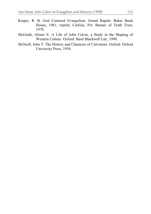- Kuiper, R. B. God Centered Evangelism. Grand Rapids: Baker Book House, 1961; reprint, Carlisle, PA: Banner of Truth Trust, 1978.
- McGrath, Alister E. A Life of John Calvin, a Study in the Shaping of Western Culture. Oxford: Basil Blackwell Ltd., 1990.
- McNeill, John T. The History and Character of Calvinism. Oxford: Oxford University Press, 1954.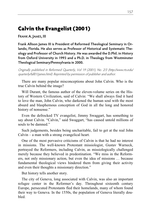## Calvin the Evangelist (2001)

**FRANK A. JAMES, III** 

**Frank Allison James III is President of Reformed Theological Seminary in Orlando, Florida. He also serves as Professor of Historical and Systematic Theology and Professor of Church History. He was awarded the D.Phil. in History from Oxford University in 1993 and a Ph.D. in Theology from Westminster Theological Seminary/Pennsylvania in 2000.** 

Originally published in Reformed Quarterly, Vol 19 (2001), No. 2/3 (http://www.rts.edu/ quarterly/fall01/james.html). Reprinted by permission of publisher and author.

There are many popular misconceptions about John Calvin. Who is the true Calvin behind the image?

Will Durant, the famous author of the eleven-volume series on the History of Western Civilization, said of Calvin: "We shall always find it hard to love the man, John Calvin, who darkened the human soul with the most absurd and blasphemous conception of God in all the long and honored history of nonsense."

Even the defrocked TV evangelist, Jimmy Swaggart, has something to say about Calvin. "Calvin," said Swaggart, "has caused untold millions of souls to be damned."

Such judgements, besides being uncharitable, fail to get at the real John Calvin – a man with a strong evangelical heart.

One of the most pervasive criticisms of Calvin is that he had no interest in missions. The well-known Protestant missiologist, Gustav Warneck, portrayed the Reformers, including Calvin, as missiologically challenged merely because they believed in predestination. "We miss in the Reformers, not only missionary action, but even the idea of missions … because fundamental theological views hindered them from giving their activity and even their thoughts a missionary direction."

But history tells another story.

The city of Geneva, long associated with Calvin, was also an important refugee center in the Reformer's day. Throughout sixteenth century Europe, persecuted Protestants fled their homelands, many of whom found their way to Geneva. In the 1550s, the population of Geneva literally doubled.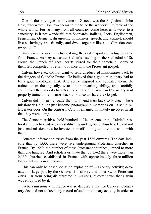One of those refugees who came to Geneva was the Englishman John Bale, who wrote: "Geneva seems to me to be the wonderful miracle of the whole world. For so many from all countries come here, as it were, to a sanctuary. Is it not wonderful that Spaniards, Italians, Scots, Englishmen, Frenchmen, Germans, disagreeing in manners, speech, and apparel, should live so lovingly and friendly, and dwell together like a … Christian congregation?"

Since Geneva was French-speaking, the vast majority of refugees came from France. As they sat under Calvin's teaching in the Cathedral of St. Pierre, the French refugees' hearts stirred for their homeland. Many of them felt compelled to return to France with the Protestant gospel.

Calvin, however, did not want to send uneducated missionaries back to the dangers of Catholic France. He believed that a good missionary had to be a good theologian first. And so he inspired and educated them. He trained them theologically, tested their preaching ability, and carefully scrutinized their moral character. Calvin and the Genevan Consistory sent properly trained missionaries back to France to share the Gospel.

Calvin did not just educate them and send men back to France. These missionaries did not just become photographic memories on Calvin's refrigerator door. On the contrary; Calvin remained intimately involved in all that they were doing.

The Genevan archives hold hundreds of letters containing Calvin's pastoral and practical advice on establishing underground churches. He did not just send missionaries; he invested himself in long-term relationships with them.

Concrete information exists from the year 1555 onwards. The data indicate that by 1555, there were five underground Protestant churches in France. By 1559, the number of these Protestant churches jumped to more than one hundred. And scholars estimate that by 1562 there were more than 2,150 churches established in France with approximately three-million Protestant souls in attendance.

This can only be described as an explosion of missionary activity; detonated in large part by the Genevan Consistory and other Swiss Protestant cities. Far from being disinterested in missions, history shows that Calvin was enraptured by it.

To be a missionary in France was so dangerous that the Genevan Consistory decided not to keep any record of such missionary activity in order to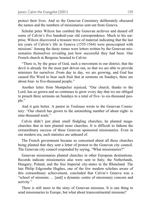protect their lives. And so the Genevan Consistory deliberately obscured the names and the numbers of missionaries sent out from Geneva.

Scholar peter Wilcox has combed the Genevan archives and dusted off some of Calvin's five hundred-year old correspondence. Much to his surprise, Wilcox discovered a treasure trove of material indicating that the last ten years of Calvin's life in Geneva (1555-1564) were preoccupied with missions' Among the dusty tomes were letters written by the Genevan missionaries themselves revealing just how successful they had been. One French church in Bergerac boasted to Calvin:

"There is, by the grace of God, such a movement in our district, that the devil is already for the most part driven out, so that we are able to provide ministers for ourselves. From day to day, we are growing, and God has caused His Word to bear such fruit that at sermons on Sundays, there are about four- to five-thousand people."

Another letter from Montpelier rejoiced, "Our church, thanks to the Lord, has so grown and so continues to grow every day that we are obliged to preach three sermons on Sundays to a total of five- to six-thousand people."

And it gets better. A pastor in Toulouse wrote to the Genevan Consistory: "Our church has grown to the astonishing number of about eight- to nine-thousand souls."

Calvin didn't just plant small fledgling churches; he planted megachurches that in turn planted more churches. It is difficult to fathom the extraordinary success of these Genevan sponsored missionaries. Even in our modern era, such statistics are unheard of.

The French government became so concerned about all these churches being planted that they sent a letter of protest to the Genevan city council. The Genevan city council responded by saying, "What missionaries?"

Genevan missionaries planted churches in other European destinations. Records indicate missionaries also were sent to Italy; the Netherlands, Hungary; Poland, and the free Imperial city-states in the Rhineland. The late Philip Edgcumbe Hughes, one of the few modern scholars aware of this extraordinary achievement, concluded that Calvin's Geneva was a "school of missions … [and] a dynamic centre of missionary concern and activity."

There is still more to the story of Genevan missions. It is one thing to send missionaries to Europe, but what about transcontinental missions?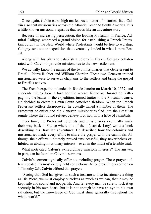Once again, Calvin earns high masks. As a matter of historical fact, Calvin also sent missionaries across the Atlantic Ocean to South America. It is a little known missionary episode that reads like an adventure story.

Because of increasing persecution, the leading Protestant in France, Admiral Coligny, embraced a grand vision for establishing a French Protestant colony in the New World where Protestants would be free to worship. Coligny sent out an expedition that eventually landed in what is now Brazil.

Along with his plans to establish a colony in Brazil, Coligny collaborated with Calvin to provide missionaries to the new settlement.

We actually know the names of the two missionaries that Geneva sent to Brazil – Pierre Richier and William Chartier. These two Genevan trained missionaries were to serve as chaplains to the settlers and bring the gospel to Brazil's natives.

The French expedition landed in Rio de Janeiro on March 10, 1557, and suddenly things took a turn for the worse. Nicholas Durand de Villegagnon, the leader of the expedition, turned traitor to the Protestant cause. He decided to create his own South American fiefdom. When the French Protestant settlers disapproved, he actually killed a number of them. The Protestant colonists and the Genevan missionaries fled into the Brazilian jungle where they found refuge, believe it or not, with a tribe of cannibals.

Over time, the Protestant colonists and missionaries eventually made their way back to France where one of them (Jean de Lery) wrote a book describing his Brazilian adventures. He described how the colonists and missionaries made every effort to share the gospel with the cannibals. Although their efforts ultimately proved unsuccessful, they nevertheless exhibited an abiding missionary interest – even in the midst of a terrible trial.

What motivated Calvin's extraordinary missions interests? The answer, in part, can be found in Calvin's sermons.

Calvin's sermons typically offer a concluding prayer. These prayers often repeated his most deeply held convictions. After preaching a sermon on 1 Timothy 2:3, Calvin offered this prayer:

"Seeing that God has given us such a treasure and so inestimable a thing as His Word, we must employ ourselves as much as we can, that it may be kept safe and sound and not perish. And let every man be sure to lock it up securely in his own heart. But it is not enough to have an eye to his own salvation, but the knowledge of God must shine generally throughout the whole world."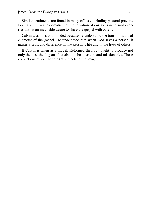Similar sentiments are found in many of his concluding pastoral prayers. For Calvin, it was axiomatic that the salvation of our souls necessarily carries with it an inevitable desire to share the gospel with others.

Calvin was missions-minded because he understood the transformational character of the gospel. He understood that when God saves a person, it makes a profound difference in that person's life and in the lives of others.

If Calvin is taken as a model, Reformed theology ought to produce not only the best theologians. but also the best pastors and missionaries. These convictions reveal the true Calvin behind the image.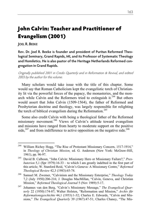# John Calvin: Teacher and Practitioner of Evangelism (2001)

**JOEL R. BEEKE**

**Rev. Dr. Joel R. Beeke is founder and president of Puritan Reformed Theological Seminary, Grand Rapids, MI, and its Professor of Systematic Theology and Homiletics. He is also pastor of the Heritage Netherlands Reformed congregation in Grand Rapids.** 

Originally published 2001 in Credo Quarterly and in Reformation & Revival, and edited 2003 by the author for this volume.

Many scholars would take issue with the title of this chapter. Some would say that Roman Catholicism kept the evangelistic torch of Christianity lit via the powerful forces of the papacy, the monasteries, and the monarch while Calvin and the Reformers tried to extinguish it.<sup>244</sup> But others would assert that John Calvin (1509-1564), the father of Reformed and Presbyterian doctrine and theology, was largely responsible for relighting the torch of biblical evangelism during the Reformation.<sup>245</sup>

Some also credit Calvin with being a theological father of the Reformed missionary movement.<sup>246</sup> Views of Calvin's attitude toward evangelism and missions have ranged from hearty to moderate support on the positive side,<sup>247</sup> and from indifference to active opposition on the negative side.<sup>248</sup>

<sup>&</sup>lt;sup>244</sup> William Richey Hogg, "The Rise of Protestant Missionary Concern, 1517-1914," in *Theology of Christian Mission,* ed. G. Anderson (New York: McGraw-Hill, 1961), pp. 96-97.

<sup>245</sup> David B. Calhoun, "John Calvin: Missionary Hero or Missionary Failure?," *Presbuterion* 5,1 (Spr 1979):16-33 – to which I am greatly indebted in the first part of this article; W. Stanford Reid, "Calvin's Geneva: A Missionary Centre," *Reformed Theological Review* 42,3 (1983):65-74.

<sup>246</sup> Samuel M. Zwemer, "Calvinism and the Missionary Enterprise," *Theology Today*  7,2 (July 1950):206-216; J. Douglas MacMillan, "Calvin, Geneva, and Christian Mission," *Reformed Theological Journal* 5 (Nov 1989):5-17.

<sup>247</sup> Johannes van den Berg, "Calvin's Missionary Message," *The Evangelical Quarterly* 22 (1950):174-87; Walter Holsten, "Reformation und Mission," *Archiv für Reformationsgeschichte* 44,1 (1953):1-32; Charles E. Edwards, "Calvin and Missions," *The Evangelical Quarterly* 39 (1967):47-51; Charles Chaney, "The Mis-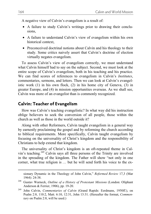A negative view of Calvin's evangelism is a result of:

- A failure to study Calvin's writings prior to drawing their conclusions,
- A failure to understand Calvin's view of evangelism within his own historical context,
- Preconceived doctrinal notions about Calvin and his theology to their study. Some critics naively assert that Calvin's doctrine of election virtually negates evangelism.

To assess Calvin's view of evangelism correctly, we must understand what Calvin himself had to say on the subject. Second, we must look at the entire scope of Calvin's evangelism, both in his teaching and his practice. We can find scores of references to evangelism in Calvin's *Institutes*, commentaries, sermons, and letters. Then we can look at Calvin's evangelistic work (1) in his own flock, (2) in his home city of Geneva, (3) in greater Europe, and (4) in mission opportunities overseas. As we shall see, Calvin was more of an evangelist than is commonly recognized.

### **Calvin: Teacher of Evangelism**

How was Calvin's teaching evangelistic? In what way did his instruction oblige believers to seek the conversion of all people, those within the church as well as those in the world outside it?

Along with other Reformers, Calvin taught evangelism in a general way by earnestly proclaiming the gospel and by reforming the church according to biblical requirements. More specifically, Calvin taught evangelism by focusing on the universality of Christ's kingdom and the responsibility of Christians to help extend that kingdom.

The universality of Christ's kingdom is an oft-repeated theme in Calvin's teaching.<sup>249</sup> Calvin says all three persons of the Trinity are involved in the spreading of the kingdom. The Father will show "not only in one corner, what true religion is … but he will send forth his voice to the ex-

 $\overline{a}$ 

sionary Dynamic in the Theology of John Calvin," *Reformed Review* 17,3 (Mar 1964): 24-38.

<sup>248</sup> Gustav Warneck, *Outline of a History of Protestant Missions* (London: Oliphant Anderson & Ferrier, 1906), pp. 19-20.

<sup>249</sup> John Calvin, *Commentaries of Calvin* (Grand Rapids: Eerdmans, 1950ff.), on Psalm 2:8, 110:2, Matt. 6:10, 12:31, John 13:31. (Hereafter the format, *Commentary* on Psalm 2:8, will be used.)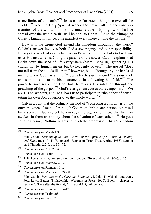treme limits of the earth."250 Jesus came "to extend his grace over all the world."<sup>251</sup> And the Holy Spirit descended to "reach all the ends and extremities of the world."<sup>252</sup> In short, innumerable offspring "who shall be spread over the whole earth" will be born to Christ.<sup>253</sup> And the triumph of Christ's kingdom will become manifest everywhere among the nations.<sup>254</sup>

How will the triune God extend His kingdom throughout the world? Calvin's answer involves both God's sovereignty and our responsibility. He says the work of evangelism is God's work, not ours, but God will use us as His instruments. Citing the parable of the sower, Calvin explains that Christ sows the seed of life everywhere (Matt. 13:24-30), gathering His church not by human means but by heavenly power.<sup>255</sup> The gospel "does" not fall from the clouds like rain," however, but is "brought by the hands of men to where God has sent it."<sup>256</sup> Jesus teaches us that God "uses our work" and summons us to be his instruments in cultivating his field."<sup>257</sup> The power to save rests with God, but He reveals His salvation through the preaching of the gospel.<sup>258</sup> God's evangelism causes our evangelism.<sup>259</sup> We are His co-workers, and He allows us to participate in "the honor of constituting his own Son governor over the whole world."<sup>260</sup>

Calvin taught that the ordinary method of "collecting a church" is by the outward voice of men; "for though God might bring each person to himself by a secret influence, yet he employs the agency of men, that he may awaken in them an anxiety about the salvation of each other."<sup>261</sup> He goes so far as to say, "Nothing retards so much the progress of Christ's kingdom

- <sup>252</sup> *Commentary* on Acts 2:1-4.
- <sup>253</sup> *Commentary* on Psalm 110:3.

- <sup>255</sup> *Commentary* on Matthew 24:30.
- <sup>256</sup> *Commentary* on Romans 10:15.
- <sup>257</sup> *Commentary* on Matthew 13:24-30.
- 258 John Calvin, *Institutes of the Christian Religion,* ed. John T. McNeill and trans. Ford Lewis Battles (Philadelphia: Westminster Press, 1960), Book 4, chapter 1, section 5. (Hereafter the format, *Institutes* 4.1.5, will be used.)
- <sup>259</sup> *Commentary* on Romans 10:14-17.
- <sup>260</sup> *Commentary* on Psalm 2:8.
- <sup>261</sup> *Commentary* on Isaiah 2:3.

<sup>250</sup> *Commentary* on Micah 4:3.

<sup>251</sup> John Calvin, *Sermons of M. John Calvin on the Epistles of S. Paule to Timothy and Titus,* trans. L. T. (Edinburgh: Banner of Truth Trust reprint, 1983), sermon on 1 Timothy 2:5-6, pp. 161-72.

<sup>254</sup> T. F. Torrance, *Kingdom and Church* (London: Oliver and Boyd, 1956), p. 161.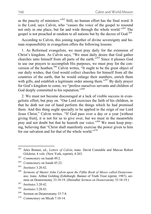as the paucity of ministers."<sup>262</sup> Still, no human effort has the final word. It is the Lord, says Calvin, who "causes the voice of the gospel to resound not only in one place, but far and wide through the whole world."263 The gospel is not preached at random to all nations but by the decree of God.<sup>264</sup>

According to Calvin, this joining together of divine sovereignty and human responsibility in evangelism offers the following lessons:

1. As Reformed evangelists, we must pray daily for the extension of Christ's kingdom. As Calvin says, "We must daily desire that God gather churches unto himself from all parts of the earth."265 Since it pleases God to use our prayers to accomplish His purposes, we must pray for the conversion of the heathen.<sup>266</sup> Calvin writes, "It ought to be the great object of our daily wishes, that God would collect churches for himself from all the countries of the earth, that he would enlarge their numbers, enrich them with gifts, and establish a legitimate order among them."<sup>267</sup> By daily prayer for God's kingdom to come, we "profess ourselves servants and children of God deeply committed to his reputation."<sup>268</sup>

2. We must not become discouraged at a lack of visible success in evangelistic effort, but pray on. "Our Lord exercises the faith of his children, in that he doth not out of hand perform the things which he had promised them. And this thing ought specially to be applied to the reign of our Lord Jesus Christ," Calvin writes. "If God pass over a day or a year [without giving fruit], it is not for us to give over, but we must in the meanwhile pray and not doubt but that he heareth our voice."269 We must keep praying, believing that "Christ shall manifestly exercise the power given to him for our salvation and for that of the whole world."270

- <sup>269</sup> Sermon on Deuteronomy 33:7-8.
- <sup>270</sup> *Commentary* on Micah 7:10-14.

<sup>262</sup> Jules Bonnet, ed., *Letters of Calvin*, trans. David Constable and Marcus Robert Gilchrist, 4 vols. (New York, reprint), 4:263.

<sup>263</sup> *Commentary* on Isaiah 49:2.

<sup>264</sup> *Commentary* on Isaiah 45:22.

<sup>265</sup> *Institutes* 3.20.42.

<sup>266</sup> *Sermons of Master John Calvin upon the Fifthe Book of Moses called Deuteronomie,* trans. Arthur Golding (Edinburgh: Banner of Truth Trust reprint, 1987), sermon on Deuteronomy 33:18-19. (Hereafter *Sermon on Deuteronomy* 33:18-19.)

<sup>267</sup> *Institutes* 3.20.42.

<sup>268</sup> *Institutes* 3.20.43.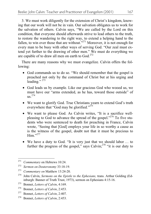3. We must work diligently for the extension of Christ's kingdom, knowing that our work will not be in vain. Our salvation obligates us to work for the salvation of others. Calvin says, "We are called by the Lord on this condition, that everyone should afterwards strive to lead others to the truth, to restore the wandering to the right way, to extend a helping hand to the fallen, to win over those that are without."<sup>271</sup> Moreover, it is not enough for every man to be busy with other ways of serving God. "Our zeal must extend yet further to the drawing of other men." We must do everything we are capable of to draw all men on earth to  $God.<sup>272</sup>$ 

There are many reasons why we must evangelize. Calvin offers the following:

- God commands us to do so. "We should remember that the gospel is preached not only by the command of Christ but at his urging and leading." $^{273}$
- God leads us by example. Like our gracious God who wooed us, we must have our "arms extended, as he has, toward those outside" of us.<sup>274</sup>
- We want to glorify God. True Christians yearn to extend God's truth everywhere that "God may be glorified."<sup>275</sup>
- We want to please God. As Calvin writes, "It is a sacrifice wellpleasing to God to advance the spread of the gospel."<sup>276</sup> To five students who were sentenced to death for preaching in France, Calvin wrote, "Seeing that [God] employs your life in so worthy a cause as is the witness of the gospel, doubt not that it must be precious to Him $^{1,277}$
- We have a duty to God. "It is very just that we should labor ... to further the progress of the gospel," says Calvin; $^{278}$  "it is our duty to

<sup>271</sup> *Commentary* on Hebrews 10:24.

<sup>272</sup> *Sermon on Deuteronomy* 33:18-19.

<sup>273</sup> *Commentary on* Matthew 13:24-20.

<sup>274</sup> John Calvin, *Sermons on the Epistle to the Ephesians,* trans. Arthur Golding (Edinburgh: Banner of Truth Trust, 1973), sermon on Ephesians 4:15-16.

<sup>275</sup> Bonnet, *Letters of Calvin*, 4:169.

<sup>276</sup> Bonnet, *Letters of Calvin*, 2:453.

<sup>277</sup> Bonnet, *Letters of Calvin*, 2:407.

<sup>278</sup> Bonnet, *Letters of Calvin*, 2:453.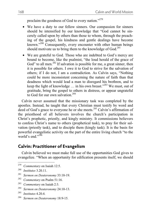proclaim the goodness of God to every nation."<sup>279</sup>

- We have a duty to our fellow sinners. Our compassion for sinners should be intensified by our knowledge that "God cannot be sincerely called upon by others than those to whom, through the preaching of the gospel, his kindness and gentle dealings have become known."<sup>280</sup> Consequently, every encounter with other human beings should motivate us to bring them to the knowledge of  $God.^{281}$
- We are grateful to God. Those who are indebted to God's mercy are bound to become, like the psalmist, "the loud herald of the grace of God" to all men.<sup>282</sup> If salvation is possible for me, a great sinner, then it is possible for others. I owe it to God to strive for the salvation of others; if I do not, I am a contradiction. As Calvin says, "Nothing could be more inconsistent concerning the nature of faith than that deadness which would lead a man to disregard his brethren, and to keep the light of knowledge … in his own breast."283 We must, out of gratitude, bring the gospel to others in distress, or appear ungrateful to God for our own salvation.<sup>284</sup>

Calvin never assumed that the missionary task was completed by the apostles. Instead, he taught that every Christian must testify by word and deed of God's grace to everyone he or she meets.<sup>285</sup> Calvin's affirmation of the priesthood of all believers involves the church's participation in Christ's prophetic, priestly, and kingly ministry. It commissions believers to confess Christ's name to others (prophetical task), to pray for their salvation (priestly task), and to disciple them (kingly task). It is the basis for powerful evangelistic activity on the part of the entire living church "to the world's end." $2^{86}$ 

## **Calvin: Practitioner of Evangelism**

Calvin believed we must make full use of the opportunities God gives to evangelize. "When an opportunity for edification presents itself, we should

<sup>279</sup> *Commentary* on Isaiah 12:5.

<sup>280</sup> *Institutes* 3.20.11.

<sup>281</sup> *Sermon on Deuteronomy* 33:18-19.

<sup>282</sup> *Commentary* on Psalm 51:16.

<sup>283</sup> *Commentary* on Isaiah 2:3.

<sup>284</sup> *Sermon on Deuteronomy* 24:10-13.

<sup>285</sup> *Institutes* 4.20.4.

<sup>286</sup> *Sermon on Deuteronomy* 18:9-15.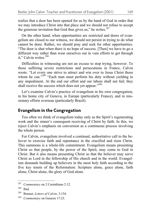realize that a door has been opened for us by the hand of God in order that we may introduce Christ into that place and we should not refuse to accept the generous invitation that God thus gives us," he writes. $287$ 

On the other hand, when opportunities are restricted and doors of evangelism are closed to our witness, we should not persist in trying to do what cannot be done. Rather, we should pray and seek for other opportunities. "The door is shut when there is no hope of success. [Then] we have to go a different way rather than wear ourselves out in vain efforts to get through it," Calvin writes.<sup>288</sup>

Difficulties in witnessing are not an excuse to stop trying, however. To those suffering severe restrictions and persecutions in France, Calvin wrote: "Let every one strive to attract and win over to Jesus Christ those whom he can."<sup>289</sup> "Each man must perform his duty without yielding to any impediment. At the end our effort and our labors shall not fail; they shall receive the success which does not yet appear."<sup>290</sup>

Let's examine Calvin's practice of evangelism in his own congregation, in his home city of Geneva, in Europe (particularly France), and in missionary efforts overseas (particularly Brazil).

### **Evangelism in the Congregation**

Too often we think of evangelism today only as the Spirit's regenerating work and the sinner's consequent receiving of Christ by faith. In this, we reject Calvin's emphasis on conversion as a continuous process involving the whole person.

For Calvin, evangelism involved a continual, authoritative call to the believer to exercise faith and repentance in the crucified and risen Christ. This summons is a whole-life commitment. Evangelism means presenting Christ so that people, by the power of the Spirit, may come to God in Christ. But it also means presenting Christ so that the believer may serve Christ as Lord in the fellowship of His church and in the world. Evangelism demands building up believers in the most holy faith according to the five key tenets of the Reformation: Scripture alone, grace alone, faith alone, Christ alone, the glory of God alone.

<sup>287</sup> *Commentary* on 2 Corinthians 2:12.

<sup>288</sup> Ibid.

<sup>289</sup> Bonnet, *Letters of Calvin*, 3:134.

<sup>290</sup> *Commentary* on Genesis 17:23.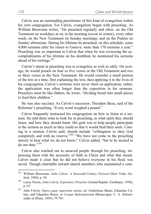Calvin was an outstanding practitioner of this kind of evangelism within his own congregation. For Calvin, evangelism began with preaching. As William Bouwsma writes, "He preached regularly and often: on the Old Testament on weekdays at six in the morning (seven in winter), every other week; on the New Testament on Sunday mornings; and on the Psalms on Sunday afternoons. During his lifetime he preached, on this schedule, some 4,000 sermons after his return to Geneva: more than 170 sermons a year." Preaching was so important to Calvin that when he was reviewing the accomplishments of his lifetime on his deathbed, he mentioned his sermons ahead of his writings. $^{291}$ 

Calvin's intent in preaching was to evangelize as well as edify. On average, he would preach on four or five verses in the Old Testament and two or three verses in the New Testament. He would consider a small portion of the text at a time, first explaining the text, then applying it to the lives of his congregation. Calvin's sermons were never short on application; rather, the application was often longer than the exposition in his sermons. Preachers must be like fathers, he wrote, "dividing bread into small pieces to feed their children."

He was also succinct. As Calvin's successor, Theodore Beza, said of the Reformer's preaching, "Every word weighed a pound."

Calvin frequently instructed his congregation on how to listen to a sermon. He told them what to look for in preaching, in what spirit they should listen, and how they should listen. His goal was to help people participate in the sermon as much as they could so that it would feed their souls. Coming to a sermon, Calvin said, should include "willingness to obey God completely and with no reserve."<sup>292</sup> "We have not come to the preaching merely to hear what we do not know," Calvin added, "but to be incited to do our duty."293

Calvin also reached out to unsaved people through his preaching, impressing them with the necessity of faith in Christ and what that meant. Calvin made it clear that he did not believe everyone in his flock was saved. Though charitable toward church members who maintained a com-

<sup>291</sup> William Bouwsma, *John Calvin: A Sixteenth-Century Portrait* (New York: Oxford, 1988), p. 29.

<sup>292</sup> Leroy Nixon, *John Calvin, Expository Preacher* (Grand Rapids: Eerdmans, 1950), p. 65.

<sup>293</sup> John Calvin, *Opera quae supersunt omnia,* ed. Guilielmus Baum, Eduardus Cunitz, and Eduardus Reuss, in *Corpus Reformatorum* (Brunsvigae: C. A. Schwetschke et filium, 1895), 79:783.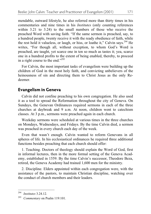mendable, outward lifestyle, he also referred more than thirty times in his commentaries and nine times in his *Institutes* (only counting references within 3.21 to 3.24) to the small numbers of those who receive the preached Word with saving faith. "If the same sermon is preached, say, to a hundred people, twenty receive it with the ready obedience of faith, while the rest hold it valueless, or laugh, or hiss, or loathe it," Calvin says.<sup>294</sup> He writes, "For though all, without exception, to whom God's Word is preached, are taught, yet scarce one in ten so much as tastes it; yea, scarce one in a hundred profits to the extent of being enabled, thereby, to proceed in a right course to the end."<sup>295</sup>

For Calvin, the most important tasks of evangelism were building up the children of God in the most holy faith, and convicting unbelievers of the heinousness of sin and directing them to Christ Jesus as the only Redeemer.

### **Evangelism in Geneva**

Calvin did not confine preaching to his own congregation. He also used it as a tool to spread the Reformation throughout the city of Geneva. On Sundays, the Genevan Ordinances required sermons in each of the three churches at daybreak and 9 a.m. At noon, children went to catechism classes. At 3 p.m., sermons were preached again in each church.

Weekday sermons were scheduled at various times in the three churches on Mondays, Wednesdays, and Fridays. By the time Calvin died, a sermon was preached in every church each day of the week.

Even that wasn't enough. Calvin wanted to reform Genevans in all spheres of life. In his ecclesiastical ordinances he required three additional functions besides preaching that each church should offer:

1. Teaching. Doctors of theology should explain the Word of God, first in informal lectures, then in the more formal setting of the Geneva Academy, established in 1559. By the time Calvin's successor, Theodore Beza, retired, the Geneva Academy had trained 1,600 men for the ministry.

2. Discipline. Elders appointed within each congregation were, with the assistance of the pastors, to maintain Christian discipline, watching over the conduct of church members and their leaders.

<sup>294</sup> *Institutes* 3.24.12.

<sup>295</sup> *Commentary* on Psalm 119:101.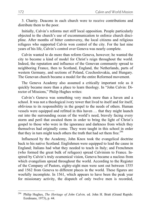3. Charity. Deacons in each church were to receive contributions and distribute them to the poor.

Initially, Calvin's reforms met stiff local opposition. People particularly objected to the church's use of excommunication to enforce church discipline. After months of bitter controversy, the local citizens and religious refugees who supported Calvin won control of the city. For the last nine years of his life, Calvin's control over Geneva was nearly complete.

Calvin wanted to do more than reform Geneva, however; he wanted the city to become a kind of model for Christ's reign throughout the world. Indeed, the reputation and influence of the Genevan community spread to neighboring France, then to Scotland, England, the Netherlands, parts of western Germany, and sections of Poland, Czechoslovakia, and Hungary. The Genevan church became a model for the entire Reformed movement.

The Geneva Academy also assumed a critically important role as it quickly became more than a place to learn theology. In "John Calvin: Director of Missions," Philip Hughes writes:

Calvin's Geneva was something very much more than a haven and a school. It was not a theological ivory tower that lived to itself and for itself, oblivious to its responsibility in the gospel to the needs of others. Human vessels were equipped and refitted in this haven … that they might launch out into the surrounding ocean of the world's need, bravely facing every storm and peril that awaited them in order to bring the light of Christ's gospel to those who were in the ignorance and darkness from which they themselves had originally come. They were taught in this school in order that they in turn might teach others the truth that had set them free.<sup>296</sup>

Influenced by the Academy, John Knox took the evangelical doctrine back to his native Scotland. Englishmen were equipped to lead the cause in England; Italians had what they needed to teach in Italy; and Frenchmen (who formed the great bulk of refugees) spread Calvinism to France. Inspired by Calvin's truly ecumenical vision, Geneva became a nucleus from which evangelism spread throughout the world. According to the Register of the Company of Pastors, eighty-eight men were sent out between 1555 and 1562 from Geneva to different places in the world. These figures are woefully incomplete. In 1561, which appears to have been the peak year for missionary activity, the dispatch of only twelve men is recorded,

<sup>296</sup> Philip Hughes, *The Heritage of John Calvin,* ed. John H. Bratt (Grand Rapids: Eerdmans, 1973), p. 44.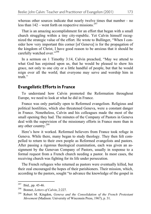whereas other sources indicate that nearly twelve times that number – no less than  $142$  – went forth on respective missions.<sup>297</sup>

That is an amazing accomplishment for an effort that began with a small church struggling within a tiny city-republic. Yet Calvin himself recognized the strategic value of the effort. He wrote to Bullinger, "When I consider how very important this corner [of Geneva] is for the propagation of the kingdom of Christ, I have good reason to be anxious that it should be carefully watched over."<sup>298</sup>

In a sermon on 1 Timothy 3:14, Calvin preached, "May we attend to what God has enjoined upon us, that he would be pleased to show his grace, not only to one city or a little handful of people, but that he would reign over all the world; that everyone may serve and worship him in truth."

### **Evangelistic Efforts in France**

To understand how Calvin promoted the Reformation throughout Europe, we need to look at what he did in France.

France was only partially open to Reformed evangelism. Religious and political hostilities, which also threatened Geneva, were a constant danger in France. Nonetheless, Calvin and his colleagues made the most of the small opening they had. The minutes of the Company of Pastors in Geneva deal with the supervision of the missionary efforts in France more than in any other country.<sup>299</sup>

Here's how it worked. Reformed believers from France took refuge in Geneva. While there, many began to study theology. They then felt compelled to return to their own people as Reformed evangelists and pastors. After passing a rigorous theological examination, each was given an assignment by the Genevan Company of Pastors, usually in response to a formal request from a French church needing a pastor. In most cases, the receiving church was fighting for its life under persecution.

The French refugees who returned as pastors were eventually killed, but their zeal encouraged the hopes of their parishioners. Their mission, which, according to the pastors, sought "to advance the knowledge of the gospel in

 $297$  Ibid., pp. 45-46.

<sup>298</sup> Bonnet, *Letters of Calvin*, 2:227.

<sup>299</sup> Robert M. Kingdon, *Geneva and the Consolidation of the French Protestant Movement* (Madison: University of Wisconsin Press, 1967), p. 31.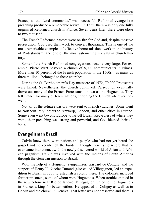France, as our Lord commands," was successful. Reformed evangelistic preaching produced a remarkable revival. In 1555, there was only one fully organized Reformed church in France. Seven years later, there were close to two thousand.

The French Reformed pastors were on fire for God and, despite massive persecution, God used their work to convert thousands. This is one of the most remarkable examples of effective home missions work in the history of Protestantism, and one of the most astonishing revivals in church history.

Some of the French Reformed congregations became very large. For example, Pierre Viret pastored a church of 8,000 communicants in Nimes. More than 10 percent of the French population in the  $1560s - as$  many as three million – belonged to these churches.

During the St. Bartholomew's Day massacre of 1572, 70,000 Protestants were killed. Nevertheless, the church continued. Persecution eventually drove out many of the French Protestants, known as the Huguenots. They left France for many different nations, enriching the Church wherever they went.

Not all of the refugee pastors were sent to French churches. Some went to Northern Italy, others to Antwerp, London, and other cities in Europe. Some even went beyond Europe to far-off Brazil. Regardless of where they went, their preaching was strong and powerful, and God blessed their efforts.

### **Evangelism in Brazil**

Calvin knew there were nations and people who had not yet heard the gospel and he keenly felt the burden. Though there is no record that he ever came into contact with the newly discovered world of Asian and African paganism, Calvin was involved with the Indians of South America through the Genevan mission to Brazil.

With the help of a Huguenot sympathizer, Gaspard de Coligny, and the support of Henry II, Nicolas Durand (also called Villegagnon) led an expedition to Brazil in 1555 to establish a colony there. The colonists included former prisoners, some of whom were Huguenots. When trouble erupted in the new colony near Rio de Janeiro, Villegagnon turned to the Huguenots in France, asking for better settlers. He appealed to Coligny as well as to Calvin and the church in Geneva. That letter was not preserved and there is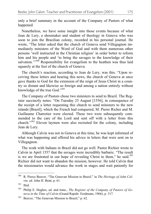only a brief summary in the account of the Company of Pastors of what happened.

Nonetheless, we have some insight into those events because of what Jean de Lery, a shoemaker and student of theology in Geneva who was soon to join the Brazilian colony, recorded in his personal journal. He wrote, "The letter asked that the church of Geneva send Villegagnon immediately ministers of the Word of God and with them numerous other persons 'well instructed in the Christian religion' in order better to reform him and his people and 'to bring the savages to the knowledge of their salvation."<sup>300</sup> Responsibility for evangelism to the heathen was thus laid squarely at the feet of the church of Geneva.

The church's reaction, according to Jean de Lery, was this: "Upon receiving these letters and hearing this news, the church of Geneva at once gave thanks to God for the extension of the reign of Jesus Christ in a country so distant and likewise so foreign and among a nation entirely without knowledge of the true God."301

The Company of Pastors chose two ministers to send to Brazil. The Register succinctly notes: "On Tuesday 25 August [1556], in consequence of the receipt of a letter requesting this church to send ministers to the new islands [Brazil], which the French had conquered, M. Pierre Richer and M. Guillaume Charretier were elected. These two were subsequently commended to the care of the Lord and sent off with a letter from this church."302 Eleven laymen were also recruited for the colony, including Jean de Lery.

Although Calvin was not in Geneva at this time, he was kept informed of what was happening and offered his advice in letters that were sent on to Villegagnon.

The work with Indians in Brazil did not go well. Pastor Richier wrote to Calvin in April 1557 that the savages were incredibly barbaric. "The result is we are frustrated in our hope of revealing Christ to them," he said. $303$ Richier did not want to abandon the mission, however. He told Calvin that the missionaries would advance the work in stages and wait patiently for

<sup>300</sup> R. Pierce Beaver, "The Genevan Mission to Brazil," in *The Heritage of John Calvin,* ed. John H. Bratt, p. 61.

<sup>301</sup> Ibid.

<sup>302</sup> Philip E. Hughes, ed. and trans., *The Register of the Company of Pastors of Geneva in the Time of Calvin* (Grand Rapids: Eerdmans, 1966), p. 317.

<sup>303</sup> Beaver, "The Genevan Mission to Brazil," p. 62.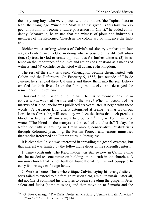the six young boys who were placed with the Indians (the Tupinambas) to learn their language. "Since the Most High has given us this task, we expect this Edom to become a future possession for Christ," he added confidently. Meanwhile, he trusted that the witness of pious and industrious members of the Reformed Church in the colony would influence the Indians.

Richier was a striking witness of Calvin's missionary emphasis in four ways: (1) obedience to God in doing what is possible in a difficult situation, (2) trust in God to create opportunities for further witness, (3) insistence on the importance of the lives and actions of Christians as a means of witness, and (4) confidence that God will advance His kingdom.

The rest of the story is tragic. Villegagnon became disenchanted with Calvin and the Reformers. On February 9, 1558, just outside of Rio de Janeiro, he strangled three Calvinists and threw them into the sea. Believers fled for their lives. Later, the Portuguese attacked and destroyed the remainder of the settlement.

Thus ended the mission to the Indians. There is no record of any Indian converts. But was that the true end of the story? When an account of the martyrs of Rio de Janeiro was published six years later, it began with these words: "A barbarous land, utterly astonished at seeing the martyrs of our Lord Jesus Christ die, will some day produce the fruits that such precious blood has been at all times wont to produce."<sup>304</sup> Or, as Tertullian once wrote, "The blood of the martyrs is the seed of the church." Today, the Reformed faith is growing in Brazil among conservative Presbyterians through Reformed preaching, the Puritan Project, and various ministries that reprint Reformed and Puritan titles in Portuguese.

It is clear that Calvin was interested in spreading the gospel overseas, but that interest was limited by the following realities of the sixteenth century:

1. Time constraints. The Reformation was still so new in Calvin's time that he needed to concentrate on building up the truth in the churches. A mission church that is not built on foundational truth is not equipped to carry its message to foreign lands.

2. Work at home. Those who critique Calvin, saying his evangelistic efforts failed to extend to the foreign mission field, are quite unfair. After all, did not Christ command his disciples to begin spreading the gospel in Jerusalem and Judea (home missions) and then move on to Samaria and the

<sup>&</sup>lt;sup>304</sup> G. Baez-Camargo, "The Earlist Protestant Missionary Venture in Latin America," *Church History* 21, 2 (June 1952):144.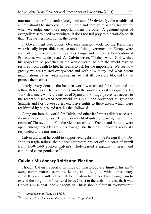uttermost parts of the earth (foreign missions)? Obviously, the established church should be involved in both home and foreign missions, but we err when we judge one more important than the other. A genuine spirit of evangelism sees need everywhere. It does not fall prey to the worldly spirit that "The farther from home, the better."

3. Government restrictions. Overseas mission work for the Reformers was virtually impossible because most of the governments in Europe were controlled by Roman Catholic princes, kings, and emperors. Persecution of Protestants was widespread. As Calvin wrote, "Today, when God wishes his gospel to be preached in the whole world, so that the world may be restored from death to life, he seems to ask for the impossible. We see how greatly we are resisted everywhere and with how many and what potent machinations Satan works against us, so that all roads are blocked by the princes themselves."305

Nearly every door to the heathen world was closed for Calvin and his fellow Reformers. The world of Islam to the south and east was guarded by Turkish armies, while the navies of Spain and Portugal prevented access to the recently discovered new world. In 1493, Pope Alexander VI gave the Spanish and Portuguese rulers exclusive rights to these areas, which were reaffirmed by popes and treaties that followed.

Going out into the world for Calvin and other Reformers didn't necessarily mean leaving Europe. The mission field of unbelief was right within the realm of Christendom. For the Genevan church, France and Europe were open. Strengthened by Calvin's evangelistic theology, believers zealously responded to the mission call.

Calvin did what he could to support evangelism on the foreign front. Despite its tragic failure, the pioneer Protestant project off the coast of Brazil from 1550-1560 evoked Calvin's wholehearted sympathy, interest, and continued correspondence.<sup>306</sup>

### **Calvin's Missionary Spirit and Election**

Though Calvin's specific writings on missiology are limited, his *Institutes*, commentaries, sermons, letters, and life glow with a missionary spirit. It is abundantly clear that John Calvin had a heart for evangelism to extend the kingdom of our Lord Jesus Christ to the ends of the earth. It was Calvin's wish that "the kingdom of Christ should flourish everywhere."

<sup>305</sup> *Commentary* on Genesis 17:23.

<sup>306</sup> Beaver, "The Genevan Mission to Brazil," pp. 55-73.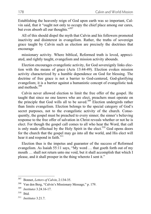Establishing the heavenly reign of God upon earth was so important, Calvin said, that it "ought not only to occupy the chief place among our cares, but even absorb all our thoughts."<sup>307</sup>

All of this should dispel the myth that Calvin and his followers promoted inactivity and disinterest in evangelism. Rather, the truths of sovereign grace taught by Calvin such as election are precisely the doctrines that encourage

missionary activity. Where biblical, Reformed truth is loved, appreciated, and rightly taught, evangelism and mission activity abounds.

Election encourages evangelistic activity, for God sovereignly links election with the means of grace (Acts 13:44-49). Election evokes mission activity characterized by a humble dependence on God for blessing. The doctrine of free grace is not a barrier to God-centered, God-glorifying evangelism; it is a barrier against a humanistic concept of evangelistic task and methods  $308$ 

Calvin never allowed election to limit the free offer of the gospel. He taught that since no one knows who are elect, preachers must operate on the principle that God wills all to be saved. $309$  Election undergirds rather than limits evangelism. Election belongs to the special category of God's secret purposes, not to the evangelistic activity of the church. Consequently, the gospel must be preached to every sinner; the sinner's believing response to the free offer of salvation in Christ reveals whether or not he is elect. For though the gospel call comes to all who hear the Word, that call is only made effectual by the Holy Spirit in the elect. $310$  God opens doors for the church that the gospel may go into all the world, and His elect will hear it and respond in faith. $311$ 

Election thus is the impetus and guarantor of the success of Reformed evangelism. As Isaiah 55:11 says, "My word … that goeth forth out of my mouth … shall not return unto me void, but it shall accomplish that which I please, and it shall prosper in the thing whereto I sent it."

<sup>307</sup> Bonnet, *Letters of Calvin*, 2:134-35.

<sup>308</sup> Van den Berg, "Calvin's Missionary Message," p. 179.

<sup>309</sup> *Institutes* 3.24.16-17.

 $310$  Ibid.

<sup>311</sup> *Institutes* 3.21.7.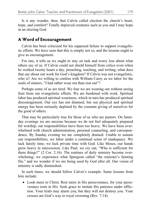Is it any wonder, then, that Calvin called election the church's heart, hope, and comfort? Totally depraved creatures such as you and I may hope in an electing God.

## **A Word of Encouragement**

Calvin has been criticized for his supposed failure to support evangelistic efforts. We have seen that this is simply not so, and the lessons ought to give us encouragement.

For one, it tells us we ought to stay on task and worry less about what others say of us. If Calvin could not shield himself from critics even when he worked twenty hours a day, preaching, teaching, and writing, what does that say about our work for God's kingdom? If Calvin was not evangelistic, who is? Are we willing to confess with William Carey as we labor for the souls of sinners, "I had rather wear out than rust out"?

Perhaps some of us are tired. We fear we are wearing out without seeing fruit from our evangelistic efforts. We are burdened with work. Spiritual labor has produced spiritual weariness, which in turn has produced spiritual discouragement. Our eye has not dimmed, but our physical and spiritual energy has been seriously depleted by the constant giving of ourselves for the good of others.

That may be particularly true for those of us who are pastors. On Saturday evenings we are anxious because we do not feel adequately prepared for worship; our responsibilities have been too heavy. We have been overwhelmed with church administration, personal counseling, and correspondence. By Sunday evening we are completely drained. Unable to sustain our responsibilities, we labor under a continual sense of inadequacy. We lack family time; we lack private time with God. Like Moses, our hands grow heavy in intercession. Like Paul, we cry out, "Who is sufficient for these things?" (2 Cor. 2:16). The routines of daily ministry become overwhelming; we experience what Spurgeon called "the minister's fainting fits," and we wonder if we are being used by God after all. Our vision of ministry is sadly diminished.

In such times, we should follow Calvin's example. Some lessons from him include:

• Look more to Christ. Rest more in His perseverance, for your perseverance rests in His. Seek grace to imitate His patience under affliction. Your trials may alarm you, but they will not destroy you. Your crosses are God's way to royal crowning (Rev. 7:14).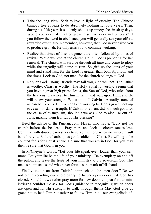- Take the long view. Seek to live in light of eternity. The Chinese bamboo tree appears to do absolutely nothing for four years. Then, during its fifth year, it suddenly shoots up ninety feet in sixty days. Would you say that this tree grew in six weeks or in five years? If you follow the Lord in obedience, you will generally see your efforts rewarded eventually. Remember, however, that God never asked you to produce growth; He only asks you to continue working.
- Realize that times of discouragement are often followed by times of revival. While we predict the church's ruin, God is preparing for her renewal. The church will survive through all time and come to glory while the ungodly will come to ruin. So gird up the loins of your mind and stand fast, for the Lord is greater than both Apollyon and the times. Look to God, not man, for the church belongs to God.
- Rely on God. Though friends may fail you, God will not. The Father is worthy. Christ is worthy. The Holy Spirit is worthy. Seeing that you have a great high priest, Jesus, the Son of God, who rules from the heavens, draw near to Him in faith, and wait upon Him, and He will renew your strength. We are not all Calvins. Actually, none of us can be Calvins. But we can keep working by God's grace, looking to Jesus for daily strength. If Calvin, one man, did so much good for the cause of evangelism, shouldn't we ask God to also use our efforts, making them fruitful by His blessing?

Heed the advice of the Puritan, John Flavel, who wrote, "Bury not the church before she be dead." Pray more and look at circumstances less. Continue with double earnestness to serve the Lord when no visible result is before you. Endure hardship as good soldiers of Christ. Be willing to be counted fools for Christ's sake. Be sure that you are in God, for you may then be sure that God is in you.

In M'Cheyne's words, "Let your life speak even louder than your sermons. Let your life be the life of your ministry." Be exemplary on and off the pulpit, and leave the fruits of your ministry to our sovereign God who makes no mistakes and who never forsakes the work of His hands.

Finally, take heart from Calvin's approach to "the open door." Do we not err in spending our energies trying to pry open doors that God has closed? Shouldn't we rather pray more for new doors to open for our ministries? Shouldn't we ask for God's guidance in recognizing which doors are open and for His strength to walk through them? May God give us grace not to lead Him but rather to follow Him in all our evangelistic ef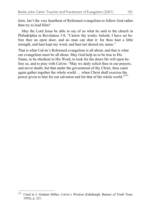forts. Isn't the very heartbeat of Reformed evangelism to follow God rather than try to lead Him?

May the Lord Jesus be able to say of us what he said to the church in Philadelphia in Revelation 3:8, "I know thy works: behold, I have set before thee an open door, and no man can shut it: for thou hast a little strength, and hast kept my word, and hast not denied my name."

That is what Calvin's Reformed evangelism is all about, and that is what our evangelism must be all about. May God help us to be true to His Name, to be obedient to His Word, to look for the doors He will open before us, and to pray with Calvin: "May we daily solicit thee in our prayers, and never doubt, but that under the government of thy Christ, thou canst again gather together the whole world … when Christ shall exercise the power given to him for our salvation and for that of the whole world."<sup>312</sup>

<sup>312</sup> Cited in J. Graham Miller, *Calvin's Wisdom* (Edinburgh: Banner of Truth Trust, 1992), p. 221.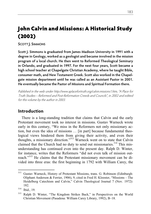# John Calvin and Missions: A Historical Study (2002)

**SCOTT J. SIMMONS**

**Scott J. Simmons is graduated from James Madison University in 1991 with a degree in Geology, worked as a geologist and became involved in the mission program of a local church. He then went to Reformed Theological Seminary in Orlando, and graduated in 1997. For the next four years, Scott became a high school teacher at Chapelgate Christian Academy, where he taught Bible, consumer math, and New Testament Greek. Scott also worked in the Chapelgate mission department until he was called as an Assistant Pastor in 2001. He eventually became the Pastor of Missions and Spiritual Formation there.** 

Published in the web under http://www.aplacefortruth.org/calvin.missions1.htm, "A Place for Truth Studies – Reformed and Post-Reformation Creeds and Councils", in 2002 and edited for this volume by the author in 2003.

### **Introduction**

There is a long-standing tradition that claims that Calvin and the early Protestant movement took no interest in missions. Gustav Warneck wrote early in this century, "We miss in the Reformers not only missionary action, but even the idea of missions … [in part] because fundamental theological views hindered them from giving their activity, and even their thoughts, a missionary direction."313 Warneck went on to state that Calvin claimed that the Church had no duty to send out missionaries.<sup>314</sup> This misunderstanding has continued even into the present day. Ralph D. Winter, for instance, writes that the Reformers "did not even talk of mission outreach."<sup>315</sup> He claims that the Protestant missionary movement can be divided into three eras: the first beginning in 1792 with William Carey, the

<sup>313</sup> Gustav Warneck, History of Protestant Missions, trans. G. Robinson (Edinburgh: Oliphant Anderson & Ferrier, 1906), 9, cited in Fred H. Klooster, "Missions – The Heidelberg Catechism and Calvin," Calvin Theological Journal 7 (Nov. 1972): 182.

<sup>314</sup> Ibid., 19.

<sup>315</sup> Ralph D. Winter, "The Kingdom Strikes Back," in Perspectives on the World Christian Movement (Pasadena: William Carey Library, 1992), B–18.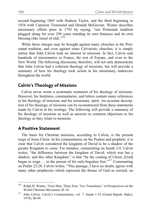second beginning 1865 with Hudson Taylor, and the third beginning in 1934 with Cameron Townsend and Donald McGavran. Winter describes missionary efforts prior to 1792 by saying, "our Protestant tradition plugged along for over 250 years minding its own business and its own blessing (like Israel of old)."<sup>316</sup>

While these charges may be brought against many churches in the Protestant tradition, and even against some Calvinistic churches, it is simply untrue that John Calvin took no interest in missions. In fact, Calvin sent hundreds of missionaries to France, the rest of Europe, and even to the New World. The following discussion, therefore, will not only demonstrate that John Calvin had a coherent theology of missions, but will provide a summary of how his theology took action in his missionary endeavors throughout the world.

### **Calvin's Theology of Missions**

Calvin never wrote a systematic treatment of his theology of missions. However, his Institutes, commentaries, and letters contain many references to his theology of missions and his missionary spirit. An accurate description of his theology of missions can be reconstructed from these statements made by Calvin in his writings. The following will provide a summary of his theology of missions as well as answers to common objections to his theology as they relate to missions.

#### **A Positive Statement**

The basis for Christian missions, according to Calvin, is the present reign of Jesus Christ. In his commentaries on the Psalms and prophets, it is clear that Calvin considered the kingdom of David to be a shadow of the greater Kingdom to come. For instance, commenting on Isaiah 2:4, Calvin writes, "the difference between the kingdom of David, which was but a shadow, and this other Kingdom," is that "by the coming of Christ, [God] began to reign … in the person of his only-begotten Son."317 Commenting on Psalm 22:28, Calvin writes, "This passage, I have no doubt, agrees with many other prophecies which represent the throne of God as erected, on

<sup>&</sup>lt;sup>316</sup> Ralph D. Winter, "Four Men, Three Eras, Two Transitions," in Perspectives on the World Christian Movement, B–34.

<sup>317</sup> John Calvin, Calvin's Commentaries, vol. 7, Isaiah 1-32 (Grand Rapids: Baker, 1979), 98-99.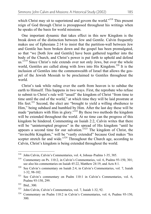which Christ may sit to superintend and govern the world."<sup>318</sup> This present reign of God through Christ is presupposed throughout his writings when he speaks of the basis for world missions.

One important dynamic that takes effect in this new Kingdom is the break down of the distinction between Jew and Gentile. Calvin frequently makes use of Ephesians 2:14 to insist that the partition-wall between Jew and Gentile has been broken down and the gospel has been promulgated, so that "we [both Jew and Gentile] have been gathered together into the body of the Church, and Christ's power is put forth to uphold and defend us."<sup>319</sup> Since Christ's rule extends over not only Jews, but over the whole world, Gentiles are called along with Jews into His Kingdom.<sup>320</sup> It is the inclusion of Gentiles into the commonwealth of Israel that allows the gospel of the Jewish Messiah to be proclaimed to Gentiles throughout the world.

Christ's task while ruling over the earth from heaven is to subdue the earth to Himself. This happens in two ways. First, the reprobate who refuse to submit to Christ's rule will "assail" the kingdom of Christ "from time to time until the end of the world," at which time they will be laid prostrate at His feet.<sup>321</sup> Second, the elect are "brought to yield a willing obedience to Him," being subdued and humbled by Him. After the last day these will be made "partakers with Him in glory."<sup>322</sup> By these two methods the kingdom will be extended throughout the world. At no time can the progress of this kingdom be hindered. Commenting on Isaiah 2:2, Calvin writes that there will be "uninterrupted progress" in the spread of His kingdom "until he appears a second time for our salvation."323 The kingdom of Christ, the "invincible Kingdom," will be "vastly extended" because God makes "his scepter stretch far and wide." $324$  Throughout the Church age, according to Calvin, Christ's kingdom is being extended throughout the world.

<sup>318</sup> John Calvin, Calvin's Commentaries, vol. 4, Johsua–Psalms 1-35, 385.

<sup>319</sup> Commentary on Ps. 110:2, in Calvin's Commentaries, vol. 6, Psalms 93-150, 301; see also his commentaries on Isaiah 45:22, Matthew 24:19, and Acts 8:1.

<sup>320</sup> See Calvin's commentary on Isaiah 2:4, in Calvin's Commentaries, vol. 7, Isaiah 1-32, 98-102.

 $321$  See Calvin's commentary on Psalm 110:1 in Calvin's Commentaries, vol. 6, Psalms 93-150, 299.

<sup>322</sup> Ibid., 300.

<sup>323</sup> John Calvin, Calvin's Commentaries, vol. 7, Isaiah 1-32, 92.

<sup>324</sup> Commentary on Psalm 110:2 in Calvin's Commentaries, vol. 6, Psalms 93-150, 300.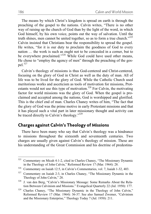The means by which Christ's kingdom is spread on earth is through the preaching of the gospel to the nations. Calvin writes, "There is no other way of raising up the church of God than by the light of the word, in which God himself, by his own voice, points out the way of salvation. Until the truth shines, men cannot be united together, so as to form a true church."<sup>325</sup> Calvin insisted that Christians bear the responsibility to spread the gospel. He writes, "for it is our duty to proclaim the goodness of God to every nation … the work is such as ought not to be concealed in a corner, but to be everywhere proclaimed."<sup>326</sup> While God could have used other means, He chose to "employ the agency of men" through the preaching of the gospel.<sup>327</sup>

Calvin's theology of missions is thus God-centered and Christ-centered, focusing on the glory of God in Christ as well as the duty of man. All of life was to be lived for the glory of God. While the Catholic Church used meritorious works and asceticism as tools of motivation for missions, Protestants would not use this type of motivation.<sup>328</sup> For Calvin, the motivating factor for world missions was the glory of God. When the gospel is proclaimed and accepted among the nations, God is worshipped and glorified. This is the chief end of man. Charles Chaney writes of him, "The fact that the glory of God was the prime motive in early Protestant missions and that it has played such a vital part in later missionary thought and activity can be traced directly to Calvin's theology."<sup>329</sup>

## **Charges against Calvin's Theology of Missions**

There have been many who say that Calvin's theology was a hindrance to missions throughout the sixteenth and seventeenth centuries. Two charges are usually given against Calvin's theology of mission. These are his understanding of the Great Commission and his doctrine of predestina-

 $325$  Commentary on Micah 4:1-2, cited in Charles Chaney, "The Missionary Dynamic in the Theology of John Calvin," Reformed Review 17 (Mar. 1964): 28.

<sup>326</sup> Commentary on Isaiah 12:5, in Calvin's Commentaries, vol. 7, Isaiah 1-32, 403.

 $327$  Commentary on Isaiah 2:3, in Charles Chaney, "The Missionary Dynamic in the Theology of John Calvin," 28.

<sup>328</sup> J. van den Berg, "Calvin's Missionary Message: Some Remarks About the Relation Between Calvinism and Missions." Evangelical Quarterly 22 (Jul. 1950): 177.

<sup>&</sup>lt;sup>329</sup> Charles Chaney, "The Missionary Dynamic in the Theology of John Calvin," Reformed Review 17 (Mar. 1964): 36-37. See also Samuel Zwemer, "Calvinism and the Missionary Enterprise," Theology Today 7 (Jul. 1950): 211.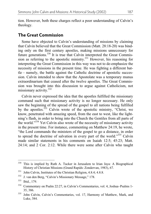tion. However, both these charges reflect a poor understanding of Calvin's theology.

#### **The Great Commission**

Some have objected to Calvin's understanding of missions by claiming that Calvin believed that the Great Commission (Matt. 28:18-20) was binding only on the first century apostles, making missions unnecessary for future generations.<sup>330</sup> It is true that Calvin interpreted the Great Commission as referring to the apostolic ministry.<sup>331</sup> However, his reasoning for interpreting the Great Commission in this way was not to de-emphasize the necessity of missions in the present time. He was fighting a different battle – namely, the battle against the Catholic doctrine of apostolic succession. Calvin intended to show that the Apostolate was a temporary munus extraordinarium that ceased after the twelve apostles. The Great Commission was brought into this discussion to argue against Catholicism, not missionary activity.<sup>332</sup>

Calvin never expressed the idea that the apostles fulfilled the missionary command such that missionary activity is no longer necessary. He only saw the beginning of the spread of the gospel to all nations being fulfilled by the apostles.<sup>333</sup> Calvin wrote of the apostolic ministry, "Christ, we know, penetrated with amazing speed, from the east to west, like the lightning's flash, in order to bring into the Church the Gentiles from all parts of the world."<sup>334</sup> Yet Calvin also wrote of the necessity of missionary activity in the present time. For instance, commenting on Matthew 24:19, he wrote, "the Lord commands the ministers of the gospel to go a distance, in order to spread the doctrine of salvation in every part of the world." $335$  Calvin made similar statements in his comments on Isaiah 12:5; 45:23; Matt. 24:14; and 2 Cor. 2:12. While there were some after Calvin who taught

<sup>&</sup>lt;sup>330</sup> This is implied by Ruth A. Tucker in Jerusalem to Irian Jaya: A Biographical History of Christian Missions (Grand Rapids: Zondervan, 1983), 67.

<sup>&</sup>lt;sup>331</sup> John Calvin, Institutes of the Christian Religion, 4.8.4; 4.8.8.

<sup>332</sup> J. van den Berg, "Calvin's Missionary Message," 178.

<sup>333</sup> Ibid., 179.

<sup>334</sup> Commentary on Psalm 22:27, in Calvin's Commentaries, vol. 4, Joshua–Psalms 1- 35, 386.

<sup>335</sup> John Calvin, Calvin's Commentaries, vol. 17, Harmony of Matthew, Mark, and Luke, 384.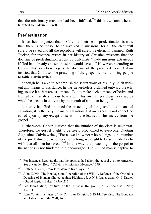that the missionary mandate had been fulfilled, $336$  this view cannot be attributed to Calvin himself.

#### **Predestination**

It has been objected that if Calvin's doctrine of predestination is true, then there is no reason to be involved in missions, for all the elect will surely be saved and all the reprobate will surely be eternally damned. Ruth Tucker, for instance, writes in her history of Christian missions that the doctrine of predestination taught by Calvinists "made missions extraneous if God had already chosen those he would save."337 However, according to Calvin, this objection forgets the doctrine of the preached word. Calvin insisted that God uses the preaching of the gospel by men to bring people to faith. Calvin writes,

although he is able to accomplish the secret work of his holy Spirit without any means or assistance, he has nevertheless ordained outward preaching, to use it as it were as a means. But to make such a means effective and fruitful he inscribes in our hearts with his own finger those very words which he speaks in our ears by the mouth of a human being. $338$ 

Not only has God ordained the preaching of the gospel as a means of salvation, it is the only means of salvation. Calvin writes, "God cannot be called upon by any except those who have learned of his mercy from the gospel."339

Furthermore, Calvin insisted that the number of the elect is unknown. Therefore, the gospel ought to be freely proclaimed to everyone. Quoting Augustine, Calvin writes, "For as we know not who belongs to the number of the predestined or who does not belong, we ought to be so minded as to wish that all men be saved."<sup>340</sup> In this way, the preaching of the gospel to the nations is not hindered, but encouraged. The will of man is captive to

<sup>&</sup>lt;sup>336</sup> For instance, Beza taught that the apostles had taken the gospel even to America. See J. van den Berg, "Calvin's Missionary Message," 179.

<sup>&</sup>lt;sup>337</sup> Ruth A. Tucker, From Jerusalem to Irian Jaya, 67.

<sup>&</sup>lt;sup>338</sup> John Calvin, The Bondage and Liberation of the Will: A Defence of the Orthodox Doctrine of Human Choice against Pighius, ed. A.N.S. Lane, trans. G. I. Davies (Grand Rapids: Baker, 1996), 215.

<sup>&</sup>lt;sup>339</sup> See John Calvin, Institutes of the Christian Religion, 3.20.12. See also 3:20.1; 3.20.11.

<sup>340</sup> John Calvin, Institutes of the Christian Religion, 3.23.14. See also, The Bondage and Liberation of the Will, 160.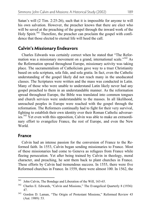Satan's will (2 Tim. 2:25-26), such that it is impossible for anyone to will his own salvation. However, the preacher knows that there are elect who will be saved at the preaching of the gospel through the inward work of the Holy Spirit.<sup>341</sup> Therefore, the preacher can proclaim the gospel with confidence that those elected to eternal life will heed the call.

## **Calvin's Missionary Endeavors**

Charles Edwards was certainly correct when he stated that "The Reformation was a missionary movement on a grand, international scale."<sup>342</sup> As the Reformation spread throughout Europe, missionary activity was taking place. The sacramentalism of Catholicism gave way to a truer Christianity based on sola scriptura, sola fide, and sola gratia. In fact, even the Catholic understanding of the gospel likely did not reach many in the uneducated classes. The Scriptures were written and the mass was conducted in Latin. Many of those who were unable to understand Latin likely never had any gospel preached to them in an understandable manner. As the reformation spread throughout Europe, the Bible was translated into common tongues and church services were understandable to the masses. In all likelihood, unreached peoples in Europe were reached with the gospel through the reformation. The Reformers continually had to fight for their very survival, fighting to establish their own identity over their Roman Catholic adversaries.<sup>343</sup> Yet even with this opposition, Calvin was able to make an extraordinary effort to evangelize France, the rest of Europe, and even the New World.

#### **France**

Calvin had an intense passion for the conversion of France to the Reformed faith. In 1553, Calvin began sending missionaries to France. Most of these missionaries had come to Geneva as refugees from France while fleeing persecution. Yet after being trained by Calvin in theology, moral character, and preaching, he sent them back to plant churches in France. These efforts by Calvin had tremendous success. In 1555, there were five Reformed churches in France. In 1559, there were almost 100. In 1562, the

<sup>&</sup>lt;sup>341</sup> John Calvin, The Bondage and Liberation of the Will, 163-65.

<sup>342</sup> Charles E. Edwards, "Calvin and Missions," The Evangelical Quarterly 8 (1936): 47.

<sup>343</sup> Gordon D. Laman, "The Origin of Protestant Missions," Reformed Review 43 (Aut. 1989): 53.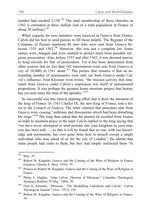number had reached  $2,150^{344}$  The total membership of these churches in 1562 is estimated at three million (out of a total population in France of about 20 million). $345$ 

When requests for new ministers were received in Geneva from France, Calvin did his best to send pastors to fill those pulpits. The Register of the Company of Pastors mentions 88 men who were sent from Geneva between  $1555$  and  $1562$ .<sup>346</sup> However, this was not a complete list. Some names were changed and even omitted to protect them from possible religious persecution. Also, before 1555 and after 1562, it was deemed unwise to keep records for fear of persecution. Yet it has been determined from other sources that no less than 142 missionaries were sent from Geneva (a city of 20,000) in 1561 alone.<sup>347</sup> The picture that remains is that an astounding number of missionaries were sent out from Geneva under Calvin's influence. Fred Klooster even writes, "the mission activity that emanated from Geneva under Calvin's inspiration was itself of monumental proportions. It was perhaps the greatest home missions project that history has yet seen since the time of the apostles."<sup>348</sup>

So successful was this church planting effort that it drew the attention of the king of France. In 1561 Charles IX, the new king of France, sent a letter to the Council of Geneva. The letter claimed that preachers sent from Geneva were causing "seditions and dissensions which had been disturbing his reign."<sup>349</sup> The king then asked that the pastors be recalled from France in order to maintain peace in the land. Calvin replied to the king saying that "we have never attempted to send persons into your kingdom as your majesty has been told …; so that it will be found that no one, with our knowledge and permission, has ever gone from here to preach except a single individual who was asked of us for the city of London." He admits that some people had come to them, but they had simply instructed them "to

<sup>344</sup> Ibid., 59.

<sup>&</sup>lt;sup>345</sup> Robert M. Kingdon, Geneva and the Coming of the Wars of Religion in France (Genève: Libraire E. Droz, 1956), 79.

<sup>&</sup>lt;sup>346</sup> Preface to Robert M. Kingdon, Geneva and the Coming of the Wars of Religion in France.

<sup>&</sup>lt;sup>347</sup> Philip E. Hughes, "John Calvin: Director of Missions," Columbia Theological Seminary Bulletin 59 (Dec. 1966): 20.

<sup>&</sup>lt;sup>348</sup> Fred H. Klooster, "Missions – The Heidelberg Catechism and Calvin," Calvin Theological Journal 7 (Nov. 1972): 192.

<sup>&</sup>lt;sup>349</sup> Robert M. Kingdon, Geneva and the Coming of the Wars of Religion in France, 34.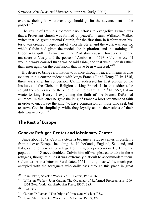exercise their gifts wherever they should go for the advancement of the gospel."350

The result of Calvin's extraordinary efforts to evangelize France was that a Protestant church was formed by peaceful means. Williston Walker writes that "A great national Church, for the first time in Reformation history, was created independent of a hostile State; and the work was one for which Calvin had given the model, the inspiration, and the training."<sup>351</sup> Blood was spilt in France over the Protestant cause. However, after the massacre at Vassy and the peace of Amboise in 1563, Calvin wrote, "I would always counsel that arms be laid aside, and that we all perish rather than enter again on the confusions that have been witnessed." $35\overline{2}$ 

His desire to bring reformation to France through peaceful means is also evident in his correspondence with kings Francis I and Henry II. In 1536, three years after his conversion, Calvin addressed his first edition of the Institutes of the Christian Religion to king Francis I. In this address, he sought the conversion of the king to the Protestant faith.<sup>353</sup> In 1557, Calvin wrote to king Henry II explaining the faith of the French Reformed churches. In this letter he gave the king of France a brief statement of faith in order to encourage the king "to have compassion on those who seek but to serve God in simplicity, while they loyally acquit themselves of their duty towards you."<sup>354</sup>

#### **The Rest of Europe**

#### **Geneva: Refugee Center and Missionary Center**

Since about 1542, Calvin's Geneva became a refugee center. Protestants from all over Europe, including the Netherlands, England, Scotland, and Italy, came to Geneva for refuge from religious persecution. By 1555, the population of Geneva doubled. Calvin himself was pleased to take in these refugees, though at times it was extremely difficult to accommodate them. Calvin wrote in a letter to Farel dated 1551, "I am, meanwhile, much preoccupied with the foreigners who daily pass through this place in great

<sup>350</sup> John Calvin, Selected Works, Vol. 7, Letters, Part 4, 168.

<sup>&</sup>lt;sup>351</sup> Williston Walker, John Calvin: The Organizer of Reformed Protestantism 1509-1564 (New York: Knickerbocker Press, 1906), 385.

<sup>352</sup> Ibid., 387.

<sup>&</sup>lt;sup>353</sup> Gordon D. Laman, "The Origin of Protestant Missions," 58.

<sup>354</sup> John Calvin, Selected Works, Vol. 6, Letters, Part 3, 372.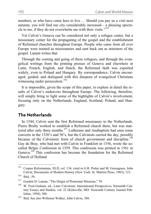numbers, or who have come here to live … Should you pay us a visit next autumn, you will find our city considerably increased – a pleasing spectacle to me, if they do not overwhelm me with their visits." $355$ 

Yet Calvin's Geneva can be considered not only a refugee center, but a missionary center for the propagating of the gospel and the establishment of Reformed churches throughout Europe. People who came from all over Europe were trained as missionaries and sent back out as ministers of the gospel. Laman writes that

Through the coming and going of these refugees, and through the evangelical writings from the printing presses of Geneva and elsewhere in Latin, French, English, and Dutch, the Reformed faith was exported widely, even to Poland and Hungary. By correspondence, Calvin encouraged, guided, and dialogued with this diaspora of evangelical Christians witnessing under persecution.<sup>356</sup>

It is impossible, given the scope of this paper, to explore in detail the results of Calvin's endeavors throughout Europe. The following, therefore, will simply bring to light some of the highlights of Calvin's involvement, focusing only on the Netherlands, England, Scotland, Poland, and Hungary.

#### **The Netherlands**

In 1544, Calvin sent the first Reformed missionary to the Netherlands. Pierre Brully worked to establish a Reformed church there, but was martyred after only three months.<sup>357</sup> Lutherans and Anabaptists had seen some converts in the 1520's and 30's, but the Calvinists carried the day, possibly because of the Calvinistic form of church government and discipline.<sup>358</sup> Guy de Bray, who had met with Calvin in Frankfort in 1556, wrote the socalled Belgic Confession in 1559. This confession was printed in 1561 in Geneva.<sup>359</sup> This confession has become the foundation for the Reformed Church of Holland.

<sup>355</sup> Corpus Reformatum, XLII, col. 134, cited in G.R. Potter and M. Greengrass, John Calvin, Documents of Modern History (New York: St. Martins Press, 1983), 123.

<sup>356</sup> Ibid., 59.

<sup>357</sup> Gordon D. Laman, "The Origin of Protestant Missions," 59.

<sup>358</sup> W. Fred Graham, ed., Later Calvinism: International Perspectives, Sixteenth Century Essays and Studies, vol. 22 (Kirksville, MO: Sixteenth Century Journal Publisher, 1994), 386.

<sup>359</sup> Ibid. See also Williston Walker, John Calvin, 388.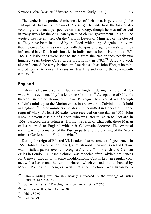The Netherlands produced missionaries of their own, largely through the writings of Hadrianus Saravia (1531-1613). He undertook the task of developing a reformed perspective on missiology, though he was influenced in many ways by the Anglican system of church government. In 1590, he wrote a treatise entitled, On the Various Levels of Ministers of the Gospel as They have been Instituted by the Lord, which argued against the view that the Great Commission ended with the apostolic age. Saravia's writings influenced later Dutch missionaries in India such as Justus Heurnius (1587- 1651). Missionaries were sent to India from the Netherlands nearly two hundred years before Carey wrote his Enquiry in 1792.<sup>360</sup> Saravia's work also influenced the early Puritans in America such as John Eliot, who ministered to the American Indians in New England during the seventeenth century.<sup>361</sup>

## **England**

Calvin had gained some influence in England during the reign of Edward VI, as evidenced by his letters to Cramner.<sup>362</sup> Acceptance of Calvin's theology increased throughout Edward's reign. However, it was through Calvin's ministry to the Marian exiles in Geneva that Calvinism took hold in England.363 Large numbers of exiles were admitted in Geneva during the reign of Mary. At least 50 exiles were received on one day in 1557. John Knox, a devout disciple of Calvin, who was later to return to Scotland in 1559, pastored these refugees. During the reign of Elizabeth, these Marian exiles returned to England with their Calvinistic doctrine. The eventual result was the formation of the Puritan party and the drafting of the Westminster Confession of Faith in  $1646$ <sup>364</sup>

During the reign of Edward VI, London also became a refugee center. In 1550, John à Lasco (or Jan Laski), a Polish nobleman and friend of Calvin, was installed pastor over a "foreigners' church" of French and German exiles in London. A Lasco's church was modeled after Calvin's ordinances for Geneva, though with some modifications. Calvin kept in regular contact with a Lasco and the London church, which existed until disbanded by Mary I. Potter and Greengrass write that after the church was disbanded, a

<sup>&</sup>lt;sup>360</sup> Carey's writing was probably heavily influenced by the writings of Justus Heurnius. See Ibid., 63.

<sup>&</sup>lt;sup>361</sup> Gordon D. Laman, "The Origin of Protestant Missions," 62-3.

<sup>362</sup> Williston Walker, John Calvin, 389.

<sup>363</sup> Ibid., 389-90.

<sup>364</sup> Ibid., 390-91.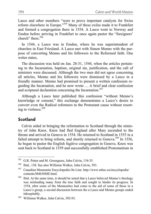Lasco and other members "were to prove important catalysts for Swiss reform elsewhere in Europe."<sup>365</sup> Many of these exiles made it to Frankfurt and formed a congregation there in 1554. A Lasco went to Norway and Emden before arriving in Frankfurt to once again pastor the "foreigners' church" there.<sup>366</sup>

In 1544, a Lasco was in Emden, where he was superintendent of churches in East Friesland. A Lasco met with Simon Menno with the purpose of converting Menno and his followers to the Reformed faith. One writer states,

The discussion was held on Jan. 28-31, 1544, when the articles pertaining to the Incarnation, baptism, original sin, justification, and the call of ministers were discussed. Although the two men did not agree concerning all articles, Menno and his followers were dismissed by a Lasco in a friendly manner. Menno had promised to present a written confession regarding the Incarnation, and he now wrote … A brief and clear confession and scriptural declaration concerning the Incarnation.<sup>367</sup>

Although a Lasco later published this confession "without Menno's knowledge or consent," this exchange demonstrates a Lasco's desire to convert even the Radical reformers to the Protestant cause without resorting to violence.<sup>368</sup>

## **Scotland**

Calvin aided in bringing the reformation to Scotland through the ministry of John Knox. Knox had fled England after Mary ascended to the throne and arrived in Geneva in 1554. He returned to Scotland in 1555 in a failed attempt to bring reform, and shortly returned to Geneva.<sup>369</sup> In 1556, he began to pastor the English fugitive congregation in Geneva. Knox was sent back to Scotland in 1559 and successfully established Protestantism in

<sup>&</sup>lt;sup>365</sup> G.R. Potter and M. Greengrass, John Calvin, 134-35.

<sup>366</sup> Ibid., 138. See also Williston Walker, John Calvin, 393.

<sup>367</sup> Canadian Mennonite Encyclopedia On Line: http://www.mhsc.ca/encyclopedia/ contents/M4636ME.html.

<sup>&</sup>lt;sup>368</sup> Ibid. At the same time, it should be noted that a Lasco believed Menno's theology was misleading many from the true faith and sought to hinder its progress. In 1554, after some of the Mennonites had come to the aid of some of those in a Lasco's group, a second discussion between the a Lasco and Menno groups ended inhospitably.

<sup>369</sup> Williston Walker, John Calvin, 392-93.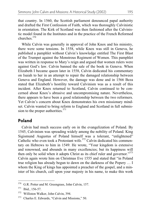that country. In 1560, the Scottish parliament denounced papal authority and drafted the First Confession of Faith, which was thoroughly Calvinistic in orientation. The Kirk of Scotland was then fashioned after the Calvinistic model found in the Institutes and in the practice of the French Reformed churches.<sup>370</sup>

While Calvin was generally in approval of John Knox and his ministry, there were some tensions. In 1558, while Knox was still in Geneva, he published a pamphlet without Calvin's knowledge entitled The First Blast of the Trumpet against the Monstrous Regiment of Women. This pamphlet was written in response to Mary's reign and argued that women rulers were against God's law. Calvin banned the sale of the book in Geneva. When Elizabeth I became queen later in 1558, Calvin dedicated his commentary on Isaiah to her in an attempt to repair the damaged relationship between Geneva and England. However, the damage was done and in 1566 Beza stated that Elizabeth's hostility toward Calvinism was as a result of this incident. After Knox returned to Scotland, Calvin continued to be concerned about Knox's abrasive and uncompromising nature. Nevertheless, there appears to have been a good relationship between the two reformers. Yet Calvin's concern about Knox demonstrates his own missionary mindset. Calvin wanted to bring reform to England and Scotland in full submission to the proper authorities. $371$ 

### **Poland**

Calvin had much success early on in the evangelization of Poland. By 1545, Calvinism was spreading widely among the nobility of Poland. King Sigismund Augustus of Poland himself was a tolerant, "enlightened" Catholic who even took a Protestant wife.<sup>372</sup> Calvin dedicated his commentary on Hebrews to him in 1549. He wrote, "Your kingdom is extensive and renowned, and abounds in many excellencies; but its happiness will then only be solid when it adopts Christ as its chief ruler and governor."<sup>373</sup> Calvin again wrote him on Christmas Eve 1555 and stated that "in Poland true religion has already begun to dawn on the darkness of the Popery … I whom the King of kings has appointed a preacher of the gospel, and a minister of his church, call upon your majesty in his name, to make this work

<sup>&</sup>lt;sup>370</sup> G.R. Potter and M. Greengrass, John Calvin, 157.

<sup>371</sup> Ibid., 156-57.

<sup>372</sup> Williston Walker, John Calvin, 394.

<sup>373</sup> Charles E. Edwards, "Calvin and Missions," 50.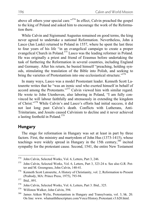above all others your special care."<sup>374</sup> In effect, Calvin preached the gospel to the king of Poland and asked him to encourage the work of the Reformation there.

While Calvin and Sigismund Augustus remained on good terms, the king never agreed to undertake a national Reformation. Nevertheless, John à Lasco (Jan Laski) returned to Poland in 1557, where he spent the last three to four years of his life "in an evangelical campaign to create a proper evangelical Church in Poland.<sup>375</sup> Lasco was the leading reformer in Poland. He was originally a priest and friend of Erasmus before undertaking the task of furthering the Reformation in several countries, including England and Germany. After his return, he busied himself "preaching, holding synods, stimulating the translation of the Bible into Polish, and seeking to bring the varieties of Protestantism into one ecclesiastical structure."<sup>376</sup>

In many ways, Lasco was a model Prostestant leader. Kenneth Scott Latourette writes that he "was an irenic soul who exerted himself in behalf of accord among the Protestants."377 Calvin viewed him with similar regard. He wrote to John Utenhoven, also laboring in Poland, "I am fully convinced he will labour faithfully and strenuously in extending the kingdom of Christ."378 While Calvin's and Lasco's efforts had initial success, it did not last long past Calvin's death. Conflicts with Lutherans, Anti-Trinitarians, and Jesuits caused Calvinism to decline and it never achieved a lasting foothold in Poland. $379$ 

#### **Hungary**

The stage for reformation in Hungary was set at least in part by three factors. First, the ministry and martyrdom of John Hus (1373-1415), whose teachings were widely spread in Hungary in the 15th century,<sup>380</sup> incited sympathy for the protestant cause. Second, 1541, the entire New Testament

<sup>374</sup> John Calvin, Selected Works, Vol. 6, Letters, Part 3, 246.

<sup>375</sup> John Calvin, Selected Works, Vol. 6, Letters, Part 3, 323-24 n. See also G.R. Potter and M. Greengrass, John Calvin, 140-41.

<sup>376</sup> Kenneth Scott Latourette, A History of Christianity, vol. 2, Reformation to Present (Peabody, MA: Prince Press, 1975), 793-94.

<sup>377</sup> Ibid., 891.

<sup>378</sup> John Calvin, Selected Works, Vol. 6, Letters, Part 3. Ibid., 325.

<sup>379</sup> Williston Walker, John Calvin, 394.

<sup>380</sup> James Aitken Wylie, Protestantism in Hungary and Transylvania, vol. 3, bk. 20. On line: www. whatsaiththescripture.com/Voice/History.Protestant.v3.b20.html.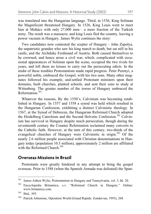was translated into the Hungarian language. Third, in 1536, King Soliman the Magnificent threatened Hungary. In 1526, King Louis went to meet him at Mohácz with only 27,000 men – a mere fraction of the Turkish army. The result was a massacre, and king Louis fled the country, leaving a power vacuum in Hungary. James Wylie continues the story:

Two candidates now contested the scepter of Hungary – John Zapolya, the unpatriotic grandee who saw his king march to death, but sat still in his castle, and the Archduke Ferdinand of Austria. Both caused themselves to be crowned, and hence arose a civil war, which, complicated with occasional appearances of Soliman upon the scene, occupied the two rivals for years, and left them no leisure to carry out the persecuting edicts. In the midst of these troubles Protestantism made rapid progress. Peter Perenyi, a powerful noble, embraced the Gospel, with his two sons. Many other magnates followed his example, and-settled Protestant ministers upon their domains, built churches, planted schools, and sent their sons to study at Wittenberg. The greater number of the towns of Hungary embraced the Reformation.<sup>381</sup>

Whatever the reasons, By the 1550's, Calvinism was becoming established in Hungary. In 1557 and 1558 a synod was held which resulted in the Hungarian Confession, exhibiting a distinct Calvinistic theology. In 1567, at the Synod of Debrecen, the Hungarian Reformed Church adopted the Heidelberg Catechism and the Second Helvetic Confession.<sup>382</sup> Calvinism has survived in Hungary despite much persecution, though during the seventeenth century the Counter Reformation reclaimed many converts to the Catholic faith. However, at the turn of this century, two-thirds of the evangelical churches of Hungary were Calvinistic in origin.<sup>383</sup> Of the nearly 2.6 million people associated with Christian denominations in Hungary today (population 10.5 million), approximately 2 million are affiliated with the Reformed Church.<sup>384</sup>

### **Overseas Missions in Brazil**

Protestants were greatly hindered in any attempt to bring the gospel overseas. Prior to 1588 (when the Spanish Armada was defeated) the Span-

<sup>&</sup>lt;sup>381</sup> James Aitken Wylie, Protestantism in Hungary and Transylvania, vol. 3, bk. 20.

<sup>382</sup> Encyclopedia Britannica, s.v. "Reformed Church in Hungary." Online: www.britannica.com.

<sup>383</sup> Ibid., 395.

<sup>384</sup> Patrick Johnstone, Operation World (Grand Rapids: Zondervan, 1993), 268.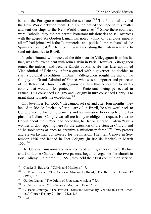ish and the Portuguese controlled the sea-lanes.<sup>385</sup> The Pope had divided the New World between them. The French defied the Pope in this matter and sent out ships to the New World themselves.<sup>386</sup> Since these countries were Catholic, they did not permit Protestant missionaries to sail overseas with the gospel. As Gordon Laman has noted, a kind of "religious imperialism" had joined with the "commercial and political imperialism" of the Spain and Portugal.<sup>387</sup> Therefore, it was astonishing that Calvin was able to send missionaries to Brazil.

Nicolas Durand, who received the title sieur de Villegagnon from his father, was a fellow student with John Calvin in Paris. However, Villegagnon joined the military and became Knight of Malta. He was later appointed Vice-admiral of Britanny. After a quarrel with a governor, he decided to start a colonial expedition in Brazil. Villegagnon sought the aid of the Coligny the Grand Admiral of France, who was a supporter and protector of the Reformed Church. Villegagnon told him that he desired to start a colony that would offer protection for Protestants being persecuted in France. This convinced Coligny and Coligny in turn convinced Henry II to grant ships towards the expedition.<sup>388</sup>

On November 10, 1555, Villegagnon set sail and after four months, they landed in Rio de Janeiro. After his arrival in Brazil, he sent word back to Coligny asking for reinforcements and for ministers to evangelize the Tupinamba Indians. Coligny was all too happy to oblige his request. He wrote Calvin about the matter, and according to Baez-Camargo, Calvin "saw a wonderful door opening here for the extension of the Geneva Church, and so he took steps at once to organize a missionary force."<sup>389</sup> Two pastors and eleven laymen volunteered for the mission. They left Geneva in September 1556 and landed in Fort Coligny (in Rio de Janeiro) in March 1557.<sup>390</sup>

The Genevan missionaries were received with gladness. Pierre Richier and Guillaume Chartier, the two pastors, began to organize the church in Fort Coligny. On March 21, 1557, they held their first communion service.

<sup>385</sup> Charles E. Edwards, "Calvin and Missions," 47.

<sup>&</sup>lt;sup>386</sup> R. Pierce Beaver, "The Genevan Mission to Brazil," The Reformed Journal 17 (1967): 15.

<sup>&</sup>lt;sup>387</sup> Gordon Laman, "The Origin of Protestant Missions," 53.

<sup>&</sup>lt;sup>388</sup> R. Pierce Beaver, "The Genevan Mission to Brazil," 14.

<sup>&</sup>lt;sup>389</sup> G. Baez-Camargo, "The Earliest Protestant Missionary Venture in Latin America," Church History 21 (Jun. 1952): 135.

<sup>390</sup> Ibid., 136.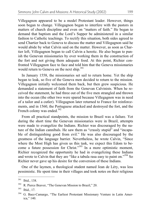Villegagnon appeared to be a model Protestant leader. However, things soon began to change. Villegagnon began to interfere with the pastors in matters of church discipline and even on "matters of faith." He began to demand that baptism and the Lord's Supper be administered in a similar fashion to Catholic teachings. To rectify this situation, both sides agreed to send Chartier back to Geneva to discuss the matter and Villegagnon said he would abide by what Calvin said on the matter. However, as soon as Chartier left, Villegagnon began to call Calvin a heretic. He also began to punish the Genevan missionaries by over working them in the construction of the fort and not giving them adequate food. At this point, Richier confronted Villegagnon face to face and told him that the Geneva missionaries would return to Geneva on the next ship.<sup>391</sup>

In January 1558, the missionaries set sail to return home. Yet the ship began to leak, so five of the Geneva men decided to return to the mission. Villegagnon initially welcomed them back, but then grew suspicious. He demanded a statement of faith from the Genevan Calvinists. When he received the statement, he had three out of the five men strangled and thrown into the ocean (the other two were spared because Villegagnon was in need of a tailor and a cutler). Villegagnon later returned to France for reinforcements, and in 1560, the Portuguese attacked and destroyed the fort, and the French colony was ended.<sup>392</sup>

From all practical standpoints, the mission to Brazil was a failure. Yet during the short time the Genevan missionaries were in Brazil, attempts were made to evangelize the Indians. Richier was discouraged by the nature of the Indian cannibals. He saw them as "crassly stupid" and "incapable of distinguishing good from evil." He was also discouraged by the greatness of the language barrier. Nevertheless, he wrote Calvin, "Since where the Most High has given us this task, we expect this Edom to become a future possession for Christ."393 In a more optimistic moment, Richier recognized the opportunity he had in evangelizing these Indians and wrote to Calvin that they are "like a tabula rasa easy to paint on."394 So Richier never gave up his desire for the conversion of these Indians.

One of the laymen, a theological student named Jean de Léry, was less pessimistic. He spent time in their villages and took notes on their religious

<sup>391</sup> Ibid., 138.

<sup>392</sup> R. Pierce Beaver, "The Genevan Mission to Brazil," 20.

<sup>393</sup> Ibid., 17.

<sup>&</sup>lt;sup>394</sup> G. Baez-Camargo, "The Earliest Protestant Missionary Venture in Latin America," 140.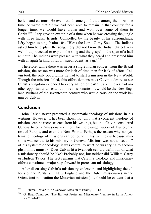beliefs and customs. He even found some good traits among them. At one time he wrote that "if we had been able to remain in that country for a longer time, we would have drawn and won over some of them to Christ."<sup>395</sup> Léry gave an example of a time when he was crossing the jungle with three Indian friends. Compelled by the beauty of his surroundings, Léry began to sing Psalm 104, "Bless the Lord, O my Soul." The Indians asked him to explain the song. Léry did not know the Indian dialect very well, but proceeded to explain the song and the gospel in the span of a half an hour. The Indians were pleased with what they heard and presented him with an aguti (a kind of rabbit-sized rodent) as a gift.<sup>396</sup>

Therefore, while there was never a single Indian convert from the Brazil mission, the reason was more for lack of time than for lack of effort. Calvin took the only opportunity he had to start a mission in the New World. Though the mission failed, this effort demonstrates Calvin's desire to see Christ's kingdom extended to every nation on earth. Calvin never had another opportunity to send out more missionaries. It would be the New England Puritans of the seventeenth century who would carry on the work begun by Calvin.

#### **Conclusion**

John Calvin never presented a systematic theology of missions in his writings. However, it has been shown not only that a coherent theology of missions can be reconstructed from his writings, but that Calvin considered Geneva to be a "missionary center" for the evangelization of France, the rest of Europe, and even the New World. Perhaps the reason why no systematic theology of missions can be found in his writings is because missions was central to his ministry in Geneva. Missions was not a "section" of his systematic theology, it was central to what he was trying to accomplish in his ministry. Does Calvin fit a twentieth century definition of what a missionary should be like? Probably not, but neither did William Carey or Hudson Taylor. The fact remains that Calvin's theology and missionary efforts constitute a major step forward in protestant missiology.

After discussing Calvin's missionary endeavors and highlighting the efforts of the Puritans in New England and the Dutch missionaries in the Orient (not to mention the Moravian missions), it should be evident that a

<sup>&</sup>lt;sup>395</sup> R. Pierce Beaver, "The Genevan Mission to Brazil," 17-18.

<sup>&</sup>lt;sup>396</sup> G. Baez-Camargo, "The Earliest Protestant Missionary Venture in Latin America," 141-42.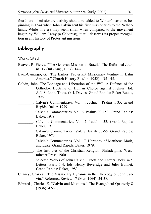fourth era of missionary activity should be added to Winter's scheme, beginning in 1544 when John Calvin sent his first missionaries to the Netherlands. While this era may seem small when compared to the movement begun by William Carey (a Calvinist), it still deserves its proper recognition in any history of Protestant missions.

## **Bibliography**

Works Cited

- Beaver, R. Pierce. "The Genevan Mission to Brazil." The Reformed Journal 17 (Jul.-Aug., 1967): 14-20.
- Baez-Camargo, G. "The Earliest Protestant Missionary Venture in Latin America." Church History 21 (Jun. 1952): 135-145.
- Calvin, John. The Bondage and Liberation of the Will: A Defence of the Orthodox Doctrine of Human Choice against Pighius. Ed. A.N.S. Lane. Trans. G. I. Davies. Grand Rapids: Baker Books, 1996.
- \_\_\_\_\_\_\_\_. Calvin's Commentaries. Vol. 4. Joshua Psalms 1-35. Grand Rapids: Baker, 1979.
- \_\_\_\_\_\_\_\_. Calvin's Commentaries. Vol. 6. Psalms 93-150. Grand Rapids: Baker, 1979.
- \_\_\_\_\_\_\_\_. Calvin's Commentaries. Vol. 7. Isaiah 1-32. Grand Rapids: Baker, 1979.
- \_\_\_\_\_\_\_\_. Calvin's Commentaries. Vol. 8. Isaiah 33-66. Grand Rapids: Baker, 1979.
- \_\_\_\_\_\_\_\_. Calvin's Commentaries. Vol. 17. Harmony of Matthew, Mark, and Luke. Grand Rapids: Baker, 1979.
- \_\_\_\_\_\_\_\_. The Institutes of the Christian Religion. Philadelphia: Westminster Press, 1960.
- \_\_\_\_\_\_\_\_. Selected Works of John Calvin: Tracts and Letters. Vols. 4-7. Letters, Parts 1-4. Eds. Henry Beveridge and Jules Bonnet. Grand Rapids: Baker, 1983.
- Chaney, Charles. "The Missionary Dynamic in the Theology of John Calvin." Reformed Review 17 (Mar. 1964): 24-38.
- Edwards, Charles E. "Calvin and Missions." The Evangelical Quarterly 8 (1936): 47-51.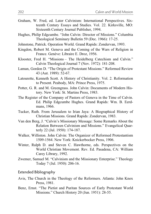- Graham, W. Fred, ed. Later Calvinism: International Perspectives. Sixteenth Century Essays and Studies. Vol. 22. Kirksville, MO: Sixteenth Century Journal Publisher, 1994.
- Hughes, Philip Edgcumbe. "John Calvin: Director of Missions." Columbia Theological Seminary Bulletin 59 (Dec. 1966): 17-25.
- Johnstone, Patrick. Operation World. Grand Rapids: Zondervan, 1993.
- Kingdon, Robert M. Geneva and the Coming of the Wars of Religion in France. Genève: Libraire E. Droz, 1956.
- Klooster, Fred H. "Missions The Heidelberg Catechism and Calvin." Calvin Theological Journal 7 (Nov. 1972): 181-208.
- Laman, Gordon D. "The Origin of Protestant Missions." Reformed Review 43 (Aut. 1989): 52-67.
- Latourette, Kenneth Scott. A History of Christianity. Vol. 2. Reformation to Present. Peabody, MA: Prince Press, 1975.
- Potter, G. R. and M. Greengrass. John Calvin: Documents of Modern History. New York: St. Martins Press, 1983.
- The Register of the Company of Pastors of Geneva in the Time of Calvin. Ed. Philip Edgcumbe Hughes. Grand Rapids: Wm. B. Eerdmans, 1966.
- Tucker, Ruth. From Jerusalem to Irian Jaya: A Biographical History of Christian Missions. Grand Rapids: Zondervan, 1983.
- Van den Berg, J. "Calvin's Missionary Message: Some Remarks About the Relation Between Calvinism and Missions." Evangelical Quarterly 22 (Jul. 1950): 174-187.
- Walker, Williston. John Calvin: The Organizer of Reformed Protestantism 1509-1564. New York: Knickerbocker Press, 1906.
- Winter, Ralph D. and Steven C. Hawthorne, eds. Perspectives on the World Christian Movement. Rev. Ed. Pasadena, CA: William Carey Library, 1992.
- Zwemer, Samuel M. "Calvinism and the Missionary Enterprise." Theology Today 7 (Jul. 1950): 206-16.

Extended Bibliography

- Avis, The Church in the Theology of the Reformers. Atlanta: John Knox Press, 1981.
- Benz, Ernst. "The Pietist and Puritan Sources of Early Protestant World Missions." Church History 20 (Jun. 1951): 28-55.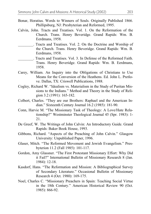- Bonar, Horatius. Words to Winners of Souls. Originally Published 1866. Phillipsburg, NJ: Presbyterian and Reformed, 1995.
- Calvin, John. Tracts and Treatises. Vol. 1. On the Reformation of the Church. Trans. Henry Beveridge. Grand Rapids: Wm. B. Eerdmans, 1958.
- \_\_\_\_\_\_\_\_. Tracts and Treatises. Vol. 2. On the Doctrine and Worship of the Church. Trans. Henry Beveridge. Grand Rapids: Wm. B. Eerdmans, 1958.
- \_\_\_\_\_\_\_\_. Tracts and Treatises. Vol. 3. In Defense of the Reformed Faith. Trans. Henry Beveridge. Grand Rapids: Wm. B. Eerdmans, 1958.
- Carey, William. An Inquiry into the Obligations of Christians to Use Means for the Conversion of the Heathens. Ed. John L. Pretlove. Dallas, TX: Criswell Publications, 1988.
- Cogley, Richard W. "Idealism vs. Materialism in the Study of Puritan Missions to the Indians." Method and Theory in the Study of Religion 3.2 (1991): 165-182.
- Colbert, Charles. "They are our Brothers: Raphael and the American Indian." Sixteenth Century Journal 16.2 (1985): 181-90.
- Conn, Harvie M. "The Missionary Task of Theology: A Love/Hate Relationship?" Westminster Theological Journal 45 (Spr. 1983): 1- 21.
- De Greef, W. The Writings of John Calvin: An Introductory Guide. Grand Rapids: Baker Book House, 1993.
- Gibbons, Richard. "Aspects of the Preaching of John Calvin." Glasgow University: Unpublished Paper, 1996.
- Glaser, Mitch. "The Reformed Movement and Jewish Evangelism." Presbyterion 11.2 (Fall 1985): 101-117.
- Gordon, Amy Glassner. "The First Protestant Missionary Effort: Why Did it Fail?" International Bulletin of Missionary Research 8 (Jan. 1984): 12-18.
- Kasdorf, Hans. "The Reformation and Mission: A Bibliographical Survey of Secondary Literature." Occasional Bulletin of Missionary Research 4 (Oct. 1980): 169-175.
- Noel, Charles C. "Missionary Preachers in Spain: Teaching Social Virtue in the 18th Century." American Historical Review 90 (Oct. 1985): 866-92.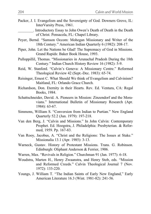- Packer, J. I. Evangelism and the Sovereignty of God. Downers Grove, IL: InterVarsity Press, 1961.
	- \_\_\_\_\_\_\_\_. Introductory Essay to John Owen's Death of Death in the Death of Christ. Pensacola, FL: Chapel Library.
- Peyer, Bernd. "Samson Occom: Mohegan Missionary and Writer of the 18th Century." American Indian Quarterly 6 (1982): 208-17.
- Piper, John. Let the Nations be Glad! The Supremacy of God in Missions. Grand Rapids: Baker Book House, 1993.
- Pulloppillil, Thomas. "Missionaries in Arunachal Pradesh During the 18th Century." Indian Church History Review 16 (1982): 5-9.
- Reid, W. Stanford. "Calvin's Geneva: A Missionary Centre." Reformed Theological Review 42 (Sept.-Dec. 1983): 65-74.
- Reisinger, Ernest C. What Should We think of Evangelism and Calvinism? Maitland, FL: Orlando Grace Church.
- Richardson, Don. Eternity in their Hearts. Rev. Ed. Ventura, CA: Regal Books, 1984.
- Schattschneider, David. A. Pioneers in Mission: Zinzendorf and the Moravians." International Bulletin of Missionary Research (Apr. 1984): 63-67.
- Simmons, William S. "Conversion from Indian to Purtian." New England Quarterly 52.2 (Jun. 1979): 197-218.
- Van den Berg, J. "Calvin and Missions." In John Calvin: Contemporary Prophet. Ed. Hoogstra, J. Philadelphia: Presbyterian. & Reformed, 1959. Pp. 167-83.
- Van Rooy, Jacobus, A. "Christ and the Religions: The Issues at Stake." Missionalia 13.1 (Apr. 1985): 3-13.
- Warneck, Gustav. History of Protestant Missions. Trans. G. Robinson. Edinburgh: Oliphant Anderson & Ferrier, 1906.
- Warren, Max. "Revivals in Religion." Churchman 91 (Jan. 1977): 6-18.
- Woudstra, Marten H., Henry Zwaanstra, and Henry Stob, eds. "Mission and Reformed Creeds." Calvin Theological Journal 7 (Nov. 1972): 133-220.
- Youngs, J. William T. "The Indian Saints of Early New England," Early American Literature 16.3 (Wint. 1981-82): 241-56.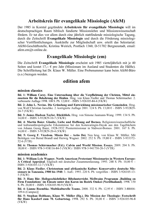$\frac{1}{2}$  in  $V$  evantal coordinates. A whattely we evangelikale Missiologie  $V$ Der 1985 in Korntal gegründete Arbeitskreis für evangelikale Missiologie will im<br>deutschsprachigen Raum biblisch fundierte Missionslehre und Missionswissenschaft deutschsprachigen Raum biblisch fundierte Missionslehre und Missionswissenschaft fördern. Er tut dies vor allem durch eine jährlich stattfindende missiologische Tagung, durch die Zeitschrift Evangelikale Missiologie und durch die Förderung missiologischer Veröffentlichungen. Auskünfte zur Mitgliedschaft usw. erteilt das Sekretariat: AfeM-Geschäftsstelle, Kristina Weirich, Postfach 1360, D-51702 Bergneustadt, email: afem.em@t-online.de.

Evangelikale Missiologie emokoint soit 1005 vie Die Zeitschrift **Evangelikale Missiologie** erscheint seit 1985 vierteljährlich mit je 40<br>Seiten und kostet 17 -- € pro Jahr (Missionare im Ausland und Studenten die Hälfte) Seiten und kostet 17,--  $\epsilon$  pro Jahr (Missionare im Ausland und Studenten die Hälfte). Die Schriftleitung hat Dr. Klaus W. Müller. Eine Probenummer kann beim AfeM-Büro (s.o.) bezogen werden.

## edition afem

#### mission classics

Bd. 1: William Carey. Eine Untersuchung über die Verpflichtung der Christen, Mittel einzusetzen für die Bekehrung der Heiden. Hrsg. von Klaus Fiedler und Thomas Schirrmacher. 2. verbesserte Auflage 1998. 108 S. Pb. 12,00  $\epsilon$  – ISBN 3-926105-84-4 (VKW)

Bd. 2: John L. Nevius. Die Gründung und Entwicklung missionarischer Gemeinden. Hrsg. von Wolf Christian Jaeschke. 2. korrigierte Auflage 2001. 124 S. Pb. 13,00  $\epsilon$  – ISBN 3-932829-24-7 (VKW)

Bd. 3: James Hudson Taylor. Rückblick. Hrsg. von Simone Jaumann-Wang. 1999. 134 S. Pb.  $14,00 \text{ }\in$  – ISBN 3-932829-10-7 (VKW)

Bd. 4: Martin Baier. Glaube, Liebe und Hoffnung auf Borneo. Religionswissenschaftliche und kulturanthropologische Erkenntnisse bei den Kotawaringin-Dayak aus den Tagebüchern von Johann Georg Baier, 1928-1932 Pioniermissionar in Südwest-Borneo. 2001. 167 S. Pb.  $14,00 \text{ }\in$  – ISBN 3-932829-20-4 (VKW)

Bd. 5: Georg F. Vicedom. Missio Dei – Actio Dei. Neu hrsg. von Klaus W. Müller. Mit Beiträgen von Bernd Brandl und Herwig Wagner. 2002. 252 S. Pb. 19,80  $\epsilon$  – ISBN 3-933372-52-6 (VTR)

Bd. 6: Thomas Schirrmacher (Ed.). Calvin and World Mission. Essays. 2009. 204 S. Pb.  $18,00 \text{ }\epsilon$  – ISBN 978-3-938116-84-5 (VKW) / ISBN 978-3-941750-20-3 (VTR)

#### mission academics

Bd. 1: William Lyle Wagner. North American Protestant Missionaries in Western Europe: A Critical Appraisal. Englisch mit deutscher Zusammenfassung. 1993. 248 S. Pb. 10,00  $\hat{\epsilon}$  – ISBN 3-926105-12-7 (VKW)

Bd. 2: Klaus Fiedler. Christentum und afrikanische Kultur: Konservative deutsche Missionare in Tanzania, 1900 bis 1940. 3. Aufl.: 1993. 220 S. Pb. vergriffen – ISBN 3-926105-13- 5 (VKW)

Bd. 3: Hans Bär. Heilsgeschichtlicher Bibelunterricht. McIlwains Programm 'Building on Firm Foundations' im Einsatz unter den Karen im Bezirk Omkoi (Nordthailand). 1998. 150 S. Pb. 20,00 € – ISBN 3-926105-90-9 (VKW)

Bd. 4: Lianne Roembke. Multikulturelle Teams. 2000. 332 S. Pb. 12,95  $\epsilon$  – ISBN 3-88404-109-6 (Campus)]

Bd. 5: Stephan Holthaus, Klaus W. Müller (Hg.). Die Mission der Theologie: Festschrift für Hans Kasdorf zum 70. Geburtstag. 1998. 292 S. Pb. 30,00  $\epsilon$  – ISBN 3-926105-96-8 (VKW)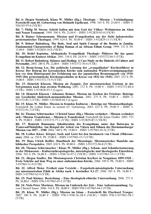Bd. 6: Jürgen Steinbach, Klaus W. Müller (Hg.). Theologie – Mission – Verkündigung: Festschrift zum 60. Geburtstag von Helmuth Egelkraut. 1998. 165 S. Pb. 25,00  $\epsilon$  – ISBN 3-926105-97-6 (VKW)

Bd. 7: Philip M. Steyne. Schritt halten mit dem Gott der Völker: Weltmission im Alten und Neuen Testament. 1999. 300 S. Pb. 25,00  $\epsilon$  – ISBN 3-932829-05-0 (VKW)

Bd. 8: Rainer Scheunemann. Mission und Evangelisation aus der Sicht indonesischer **protestantischer Theologen.** 1999. 624 S. Pb. 50,00 € – ISBN 3-932829-11-5 (VKW)

Bd. 9: Robert Badenberg. The Body, Soul and Spirit Concept of the Bemba in Zambia. Fundamental Characteristics of Being Human of an African Ethnic Group. 1999. 132 S. Pb.  $15,00 \in -$  ISBN 3-932829-14-X (VKW)

Bd. 10: Detlef Kapteina. Afrikanische Evangelikale Theologie: Plädoyer für das ganze Evangelium im Kontext Afrikas. 2001. 336 S. Pb. 24,95 € – ISBN 3-933372-44-5 (VTR)

Bd. 11: Robert Badenberg. Sickness and Healing: A Case Study on the Dialectic of Culture and **Personality.** 2003. 284 S. Pb. 22,80  $\epsilon$  – ISBN 3-933372-70-4 (VTR)

Bd. 12: Beom-Seong Lee. Die politische Leistung der "evangelikalen" Kirchenführer in Korea: Der Beitrag der koreanischen Kirche zum nationalen Wiedervereinigungsgedanken vor dem Hintergrund der Erfahrung aus der japanischen Besatzungszeit von 1910- 1945 (Die protestantische Kirchengeschichte in Korea von 1832 bis 1945). 2003. 252 S. Pb.  $19,80 \in -$  ISBN 3-933372-73-9 (VTR)

Bd. 13: Heinrich Klassen. Mission als Zeugnis: Zur missionarischen Existenz in der Sowjetunion nach dem zweiten Weltkrieg. 2003. 272 S. Pb. 19,80  $\epsilon$  – ISBN 3-933372-84-4 (VTR) / ISBN 3-933828-95-3 (Logos)

Bd. 14: Heinrich Klassen / Johannes Reimer. Mission im Zeichen des Friedens: Beiträge zur Geschichte täuferisch-mennonitischer Mission. 2003. 275 S. Pb. 19,80  $\epsilon$  – ISBN 3-933372-85-2 (VTR) / ISBN 3-933828-94-5 (Logos)

Bd. 15: Klaus W. Müller. Mission in fremden Kulturen – Beiträge zur Missionsethnologie.<br>Festschrift für Lothar Käser zu seinem 65. Geburtstag. 2003. 423 S. Pb. 29,80  $\epsilon$  – ISBN 3-933372-91-7 (VTR)

Bd. 16: Thomas Schirrmacher / Christof Sauer (Hg.). Mission verändert – Mission verändert sich / Mission Transformes – Mission is Transformed. Festschrift für Klaus Fiedler. 2005. 572 S. Pb. 39,80 € – ISBN 3-933372-77-1 (VTR) / ISBN 3-932829-87-5 (VKW)

Bd. 17: Heinrich Bammann. Inkulturation des Evangeliums unter den Batswana in Transvaal/Südafrika: Am Beispiel der Arbeit von Vätern und Söhnen der Hermannsburger **Mission von 1857 – 1940.** 2004. 348 S. Pb. 19,80  $\epsilon$  – ISBN 3-937965-05-X (VTR)

Bd. 18: Lothar Käser. Körper, Seele und Geist bei den Insulanern von Chuuk (Mikronesien). 2004. ca. 250 S. Pb. 19,80 € – ISBN 3-937965-15-7 (VTR)

Bd. 19: Hans Ulrich Reifler. Handbuch der Missiologie: Missionarisches Handeln aus **biblischer Perspektive.** 2005. 630 S. Pb. 49,80 € – ISBN 3-933372-96-8 (VTR)

Bd. 20: Thomas Schirrmacher / Klaus W. Müller (Hg.). Scham- und Schuldorientierung in der Diskussion – Kulturanthropologische, missiologische und theologische Einsichten. 2006. 302 S. Pb. 26,80 € – ISBN 3-938116-07-2 (VKW) / ISBN 3-937965-35-1 (VTR)

Bd. 21: Jürgen Stadler. Die Missionspraxis Christian Keyßers in Neuguinea 1899-1920 – Erste Schritte auf dem Weg zu einer einheimischen Kirche. 2006. 549 S. Pb. 39,80  $\epsilon$  - ISBN 3-937965-31-9 (VTR)

Bd. 22: Alfred Meier. Freiheit zum Verzicht – Exegetisch-missiologische Untersuchung zur missionarischen Ethik in Afrika nach 1. Korinther 9,1-27. 2006. 505 S. Pb. 34,80  $\epsilon$ ISBN 3-937965-62-9 (VTR)

Bd. 23: Paul Kleiner. Bestechung – Eine theologisch-ethische Untersuchung. 2006. 272 S. Pb.  $26,80 \in$  - ISBN 978-3-937965-63-5 (VTR)

Bd. 24: Niels-Peter Moritzen. Mission im Umbruch der Zeit – Eine Aufsatzsammlung. Hg. von Christof Sauer. 2006. 316 S. Pb. 28,80 € - ISBN 978-3-937965-64-2 (VTR)

Bd. 25: Klaus W. Müller (Hg.). Mission im Islam – Festschrift für Eberhard Troeger. 2007. 300 S. Pb. 26,80 € - ISBN 978-3-938116-28-9 (VKW) / ISBN 978-3-937965-58-1 (VTR)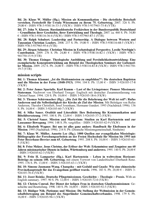Bd. 26: Klaus W. Müller (Hg.). Mission als Kommunikation – Die christliche Botschaft verstehen. Festschrift für Ursula Wiesemann zu ihrem 75. Geburtstag. 2007. 326 S. Pb. 29,80 € - ISBN 978-3-938116-33-3 (VKW) / ISBN 978-3-937965-75-8 (VTR)

Bd. 27: John N. Klassen. Russlanddeutsche Freikirchen in der Bundesrepublik Deutschland – Grundlinien ihrer Geschichte, ihrer Entwicklung und Theologie. 2007. ca. 460 S. Pb. 34,80  $\epsilon$  - ISBN 978-3-938116-36-4 (VKW) / ISBN 978-3-937965-87-1 (VTR)

Bd. 28: Ralph Schubert. Leadership and Partnership. A Dialogue between Western and **Tanzanian Christian Leaders.** 2008. 237 S. Pb. 19,80 € - ISBN 978-3-938116-68-5 (VKW) / ISBN 978-3-937965-95-6 (VTR)

Bd. 29: Jürgen Schuster. Christian Mission in Eschatological Perspective. Lesslie Newbigin's Contribution. 2009. 276 S. Pb. 24,80 € - ISBN 978-3-938116-82-1 (VKW) / ISBN 978-3-941750-15-9 (VTR)

Bd. 30: Thomas Eisinger. Theologische Ausbildung und Persönlichkeitsentwicklung: Eine exemplarische Konzeptentwicklung am Beispiel des Theologischen Seminars der Liebenzeller Mission. 2009. 252 S. Pb. 24,80  $\epsilon$  - ISBN 978-3-938116-83-8 (VKW) / ISBN 978-3-941750-19-7 (VTR)

#### mission scripts

Bd. 1: Thomas Klammt. "Ist die Heidenmission zu empfehlen?": Die deutschen Baptisten und die Mission in der Ferne (1848-1913). 1994. 104 S. Pb. 13,00 € – ISBN 3-926105-17-8 (VKW)

Bd. 2: Peter James Spartalis. Karl Kumm – Last of the Livingstones: Pioneer Missionary Statesman. Nachwort von Eberhard Troeger. Englisch mit deutscher Zusammenfassung von Christof Sauer. 1994. 120 S. Pb. 10,00 € – ISBN 3-926105-18-6 (VKW)

Bd. 3: Thomas Schirrmacher (Hg.). "Die Zeit für die Bekehrung der Welt ist reif": Rufus Anderson und die Selbständigkeit der Kirche als Ziel der Mission. Mit Beiträgen von Rufus Anderson, Theodor Christlieb, Josef Josenhans, Hermann Gundert. 1993 (Nachdruck 1996). 136 S. Pb.  $14,00 \text{ }\in$  – ISBN 3-926105-60-7 (VKW)

Bd. 4: Silke Sauer. Oralität und Literalität: Ihre Bedeutung für Kommunikation und **Bibelübersetzung.** 1995. 100 S. Pb. 12,00  $\epsilon$  – ISBN 3-926105-37-2 (VKW)

Bd. 5: Christof Sauer. Mission und Martyrium: Studien zu Karl Hartenstein und zur Lausanner Bewegung. 1994. 148 S. Pb. vergriffen – ISBN 3-926105-42-9 (VKW)

Bd. 6: Elisabeth Wagner. Bei uns ist alles ganz anders: Handbuch für Ehefrauen in der Mission. 1995 (Nachdruck 1996). 214 S. Pb. (Deutsche Missionsgemeinschaft, Sinsheim)

Bd. 7: Klaus W. Müller, Annette Ley (Hg.). 1000 Quellen zur evangelikalen Missiologie: Bibliographie der Forschungsarbeiten an der Freien Hochschule für Mission bis 1993 mit Peter Beyerhaus-Brevier zum 65. Geburtstag. 1995. 208 S. Pb.  $10,00 \in -$  ISBN 3-926105-61-5 (VKW)

Bd. 8: Friso Melzer. Jesus Christus, der Erlöser der Welt: Erkenntnisse und Zeugnisse aus 60 Jahren missionarischer Dienste in Indien, Württemberg und anderswo. 1995. 140 S. Pb. 20,00  $\in$ – ISBN 3-926105-62-3 (VKW)

Bd. 9: Fritz H. Lamparter (Hg.). Karl Hartenstein – Leben in weltweitem Horizont: Beiträge zu seinem 100. Geburtstag. mit einem Vorwort von Landesbischof Eberhardt Renz. 1995. 176 S. Pb. 13,00 € – ISBN 3-926105-63-1 (VKW)

Bd. 10: Simone Jaumann-Wang. Changsha – mit Geduld und Gnade: Wie eine chinesische Provinzhauptstadt für das Evangelium geöffnet wurde. 1996. 183 S. Pb. 20,00  $\epsilon$  – ISBN 3-926105-70-4 (VKW)

Bd. 11: Joost Reinke. Deutsche Pfingstmissionen. Geschichte – Theologie – Praxis. With an English summary. 1997. 90 S. Pb.  $12,00 \text{ }\epsilon$  – ISBN 3-926105-72-0 (VKW)

Bd. 12: Christa Conrad. Der Dienst der ledigen Frau in deutschen Glaubensmissionen: Geschichte und Beurteilung. 1998. 140 S. Pb. 16,00  $\epsilon$  – ISBN 3-926105-92-5 (VKW)

Bd. 13: Rüdiger Nöh. Pietismus und Mission: Die Stellung der Weltmission in der Gemeinschaftsbewegung am Beispiel des Siegerländer Gemeinschaftsverbandes. 1998. 179 S. Pb.  $16,00 \in -$  ISBN 3-926105-94-1 (VKW)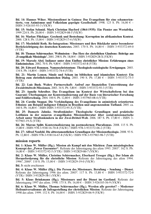Bd. 14: Hannes Wiher. Missionsdienst in Guinea: Das Evangelium für eine schamorientierte, von Animismus und Volksislam geprägte Gesellschaft. 1998. 125 S. Pb. 16,00  $\epsilon$  – ISBN 3-926105-93-3 (VKW)

Bd. 15: Stefan Schmid. Mark Christian Hayford (1864-1935): Ein Pionier aus Westafrika. 1999 224 S. Pb. 20,00 € – ISBN 3-932829-08-5 (VKW)

Bd. 16: Markus Flückiger. Geschenk und Bestechung: Korruption im afrikanischen Kontext. 2000. 128 S. Pb. 15,00 € – ISBN 3-932829-17-4 (VKW)

Bd. 17: Mechthild Roth. Re-Integration: Missionare und ihre Rückkehr unter besonderer Berücksichtigung des deutschen Kontextes. 2003. 170 S. Pb. 16,80  $\epsilon$  – ISBN 3-933372-69-0 (VTR)

Bd. 18: Thomas Schirrmacher. Weltmission – Das Herz des christlichen Glaubens: Beiträge aus **, Evangelikale Missiologie'.** 2001. 298 S. Pb. 18,00 € – ISBN 3-932829-28-X (VKW)

Bd. 19: Marcelo Abel. Indianer unter dem Einfluss christlicher Mission: Erfahrungen eines Einheimischen. 2002. 70 S. Pb. 9.80 € – ISBN 3-933372-65-8 (VTR)

Bd. 20: Edward Rommen. Namenschristentum: Theologisch-soziologische Erwägungen. 2003. 134 S. Pb. 14,80 € – ISBN 3-933372-74-4 (VTR)

Bd. 21: Martin Lomen. Sünde und Scham im biblischen und islamischen Kontext: Ein Beitrag zum christlich-islamischen Dialog. 2003. 190 S. Pb. 17,80  $\epsilon$  – ISBN 3-933372-75-5 (VTR)

Bd. 22: Luis Bush. Wahre Partnerschaft: Aufruf zur finanziellen Unterstützung der Zweidrittelwelt-Missionen. 2003. 34 S. Pb. 5,80  $\epsilon$  – ISBN 3-933372-93-3 (VTR)

Bd. 23: Annelie Schreiber. Das Evangelium im Kontext der Wirtschaftsform bei den Guarani: Überlegungen zur Kontextualisierung auf der Basis von literarischer Forschung und Feldforschung.  $\overline{2004}$ . 100 S. Pb. 12,80 € – ISBN 3-937965-08-4 (VTR)

Bd. 24: Carolin Steppat. Die Verkündigung des Evangeliums in animistisch orientierten Ethnien: am Beispiel indigener Ethnien in Brasilien und angrenzendem Tiefland. 2005. ca. 160 S. Pb. 16,80 € – ISBN ISBN 3-933372-95-X (VTR)

Bd. 25: Damaris Jahnke. Straßenkinder: Theologische Grundlagen und praktische Leitlinien in der neueren evangelikalen Missionsliteratur über sozial-missionarische Arbeit unter Straßenkindern in der Zwei-Drittel-Welt. 2006. 187 S. Pb. 17,80 € - ISBN 3- 937965-19-X (VTR)

Bd. 26: Marcus Splitt. Kontextualisierung im postmodernen Pluralismus. 2008. 115 S. Pb. 15,80 € - ISBN 978-3-938116-70-8 (VKW)  $\bar{p}$  ISBN 978-3-933372-06-2 (VTR)

Bd. 27: Alfred Neufeld. Die alttestamentlichen Grundlagen der Missionstheologie. 2008. 93 S. Pb. 12,80 € - ISBN 978-3-938116-67-8 (VKW) / ISBN 978-3-937965-98-7 (VTR)

#### mission reports

Bd. 1: Klaus W. Müller (Hg.). Mission als Kampf mit den Mächten: Zum missiologischen Konzept des "Power Encounter": Referate der Jahrestagung des afem 1993.  $2003^3$ . 162 S. Pb.  $16,80 \hat{e}$  – ISBN 3-933372-92-5 (VTR) / ISBN 3-932829-86-7 (VKW)

Bd. 2: Klaus W. Müller, Christine Schirrmacher, Eberhard Troeger (Hg.). Der Islam als Herausforderung für die christliche Mission: Referate der Jahrestagung des afem 1994.  $1996<sup>1</sup>$ ,  $2000<sup>2</sup>$ .  $110$  S. Pb.  $15,00 \text{ } \in$  – ISBN 3-932829-19-0 (VKW)

Bd. 3: nicht erschienen

Bd. 4: Klaus W. Müller (Hg.). Die Person des Missionars. Berufung – Sendung – Dienst. Referate der Jahrestagung 1996 des afem. 2003<sup>2</sup>. 117 S. Pb. 13,80  $\epsilon$  – ISBN 3-933372-72-0 (VTR) / ISBN 3-932829-58-1 (VKW)

Bd. 5: Klaus Brinkmann (Hg.). Missionare und ihr Dienst im Gastland. Referate der Jahrestagung 1997 des afem. 1998. 175 S. Pb. 16,00  $\epsilon$  – ISBN 3-926105-56-9 (VKW)

Bd. 6: Klaus W. Müller, Thomas Schirrmacher (Hg.). Werden alle gerettet? – Moderner Heilsuniversalismus als Infragestellung der christlichen Mission. Referate der Jahrestagung 1998 des afem. 1999. 152 S. Pb. 16,00 € – ISBN 3-932829-06-9 (VKW)